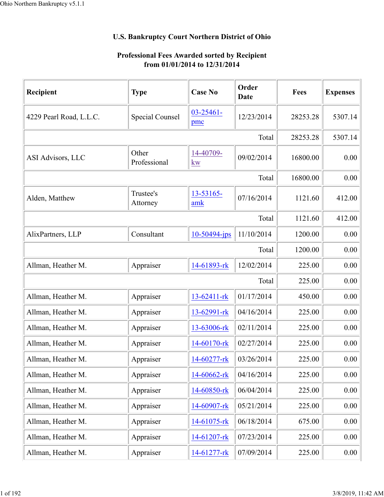## **U.S. Bankruptcy Court Northern District of Ohio**

## **Professional Fees Awarded sorted by Recipient from 01/01/2014 to 12/31/2014**

| Recipient                                                                                                                                                                                                                                                                                                                                                                                   | <b>Type</b>            | <b>Case No</b>        | Order<br>Date | Fees     | <b>Expenses</b> |
|---------------------------------------------------------------------------------------------------------------------------------------------------------------------------------------------------------------------------------------------------------------------------------------------------------------------------------------------------------------------------------------------|------------------------|-----------------------|---------------|----------|-----------------|
| 4229 Pearl Road, L.L.C.                                                                                                                                                                                                                                                                                                                                                                     | <b>Special Counsel</b> | $03 - 25461 -$<br>pmc | 12/23/2014    | 28253.28 | 5307.14         |
|                                                                                                                                                                                                                                                                                                                                                                                             |                        |                       | Total         | 28253.28 | 5307.14         |
| ASI Advisors, LLC                                                                                                                                                                                                                                                                                                                                                                           | Other<br>Professional  | 14-40709-<br>kw       | 09/02/2014    | 16800.00 | 0.00            |
| Trustee's<br>13-53165-<br>amk<br>Attorney<br>Consultant<br>10-50494-jps<br>Appraiser<br>14-61893-rk<br>13-62411-rk<br>Appraiser<br>Appraiser<br>13-62991-rk<br>Appraiser<br>13-63006-rk<br>Appraiser<br>14-60170-rk<br>14-60277-rk<br>Appraiser<br>Appraiser<br>14-60662-rk<br>Appraiser<br>14-60850-rk<br>Appraiser<br>14-60907-rk<br>Appraiser<br>14-61075-rk<br>Appraiser<br>14-61207-rk |                        |                       | Total         | 16800.00 | 0.00            |
| Alden, Matthew                                                                                                                                                                                                                                                                                                                                                                              |                        |                       | 07/16/2014    | 1121.60  | 412.00          |
|                                                                                                                                                                                                                                                                                                                                                                                             | Total                  |                       |               |          |                 |
| AlixPartners, LLP                                                                                                                                                                                                                                                                                                                                                                           |                        |                       | 11/10/2014    | 1200.00  | 0.00            |
|                                                                                                                                                                                                                                                                                                                                                                                             |                        |                       | Total         | 1200.00  | 0.00            |
| Allman, Heather M.                                                                                                                                                                                                                                                                                                                                                                          |                        |                       | 12/02/2014    | 225.00   | 0.00            |
|                                                                                                                                                                                                                                                                                                                                                                                             |                        |                       | Total         | 225.00   | 0.00            |
| Allman, Heather M.                                                                                                                                                                                                                                                                                                                                                                          |                        |                       | 01/17/2014    | 450.00   | 0.00            |
| Allman, Heather M.                                                                                                                                                                                                                                                                                                                                                                          |                        |                       | 04/16/2014    | 225.00   | 0.00            |
| Allman, Heather M.                                                                                                                                                                                                                                                                                                                                                                          |                        |                       | 02/11/2014    | 225.00   | 0.00            |
| Allman, Heather M.                                                                                                                                                                                                                                                                                                                                                                          |                        |                       | 02/27/2014    | 225.00   | 0.00            |
| Allman, Heather M                                                                                                                                                                                                                                                                                                                                                                           |                        |                       | 03/26/2014    | 225.00   | $0.00\,$        |
| Allman, Heather M.                                                                                                                                                                                                                                                                                                                                                                          |                        |                       | 04/16/2014    | 225.00   | 0.00            |
| Allman, Heather M.                                                                                                                                                                                                                                                                                                                                                                          |                        |                       | 06/04/2014    | 225.00   | 0.00            |
| Allman, Heather M.                                                                                                                                                                                                                                                                                                                                                                          |                        |                       | 05/21/2014    | 225.00   | 0.00            |
| Allman, Heather M.                                                                                                                                                                                                                                                                                                                                                                          |                        |                       | 06/18/2014    | 675.00   | 0.00            |
| Allman, Heather M.                                                                                                                                                                                                                                                                                                                                                                          |                        |                       | 07/23/2014    | 225.00   | 0.00            |
| Allman, Heather M.                                                                                                                                                                                                                                                                                                                                                                          | Appraiser              | 14-61277-rk           | 07/09/2014    | 225.00   | 0.00            |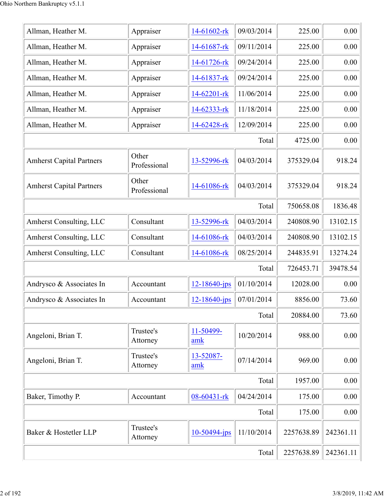| Allman, Heather M.              | Appraiser                                                             | 14-61602-rk        | 09/03/2014 | 225.00     | 0.00      |
|---------------------------------|-----------------------------------------------------------------------|--------------------|------------|------------|-----------|
| Allman, Heather M.              | Appraiser                                                             | 14-61687-rk        | 09/11/2014 | 225.00     | 0.00      |
| Allman, Heather M.              | Appraiser                                                             | 14-61726-rk        | 09/24/2014 | 225.00     | 0.00      |
| Allman, Heather M.              | Appraiser                                                             | 14-61837-rk        | 09/24/2014 | 225.00     | 0.00      |
| Allman, Heather M.              | Appraiser                                                             | 14-62201-rk        | 11/06/2014 | 225.00     | 0.00      |
| Allman, Heather M.              | Appraiser                                                             | 14-62333-rk        | 11/18/2014 | 225.00     | 0.00      |
| Allman, Heather M.              | Appraiser                                                             | 14-62428-rk        | 12/09/2014 | 225.00     | 0.00      |
|                                 |                                                                       |                    | Total      | 4725.00    | 0.00      |
| <b>Amherst Capital Partners</b> | Other<br>Professional                                                 | 13-52996-rk        | 04/03/2014 | 375329.04  | 918.24    |
| <b>Amherst Capital Partners</b> | Other<br>Professional                                                 | 14-61086-rk        | 04/03/2014 | 375329.04  | 918.24    |
|                                 |                                                                       |                    | Total      | 750658.08  | 1836.48   |
| Amherst Consulting, LLC         | Consultant                                                            | 13-52996-rk        | 04/03/2014 | 240808.90  | 13102.15  |
| <b>Amherst Consulting, LLC</b>  | Consultant                                                            | 14-61086-rk        | 04/03/2014 | 240808.90  | 13102.15  |
| <b>Amherst Consulting, LLC</b>  | Consultant                                                            | 14-61086-rk        | 08/25/2014 | 244835.91  | 13274.24  |
|                                 |                                                                       |                    | Total      | 726453.71  | 39478.54  |
| Andrysco & Associates In        | Accountant                                                            | 12-18640-jps       | 01/10/2014 | 12028.00   | 0.00      |
| Andrysco & Associates In        | Accountant                                                            | $12 - 18640 - ips$ | 07/01/2014 | 8856.00    | 73.60     |
|                                 |                                                                       |                    | Total      | 20884.00   | 73.60     |
| Angeloni, Brian T.              | Trustee's<br>Attorney                                                 | 11-50499-<br>amk   | 10/20/2014 | 988.00     | 0.00      |
| Angeloni, Brian T.              | Trustee's<br>Attorney                                                 | 13-52087-<br>amk   | 07/14/2014 | 969.00     | 0.00      |
|                                 | 08-60431-rk<br>Accountant<br>Trustee's<br>$10-50494$ -jps<br>Attorney |                    | Total      | 1957.00    | 0.00      |
| Baker, Timothy P.               |                                                                       |                    | 04/24/2014 | 175.00     | 0.00      |
|                                 |                                                                       |                    | Total      | 175.00     | 0.00      |
| Baker & Hostetler LLP           |                                                                       |                    | 11/10/2014 | 2257638.89 | 242361.11 |
|                                 |                                                                       |                    | Total      | 2257638.89 | 242361.11 |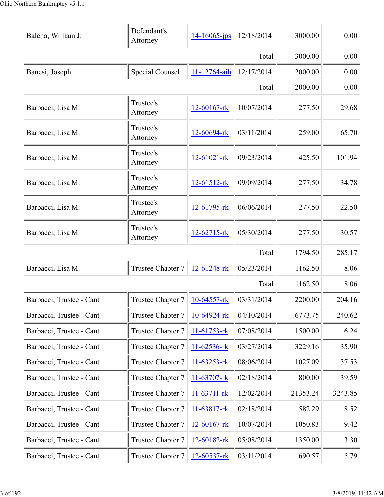| Balena, William J.       | Defendant's<br>Attorney | $14 - 16065$ -jps | 12/18/2014 | 3000.00  | 0.00    |
|--------------------------|-------------------------|-------------------|------------|----------|---------|
|                          |                         |                   | Total      | 3000.00  | 0.00    |
| Bancsi, Joseph           | <b>Special Counsel</b>  | 11-12764-aih      | 12/17/2014 | 2000.00  | 0.00    |
|                          |                         |                   | Total      | 2000.00  | 0.00    |
| Barbacci, Lisa M.        | Trustee's<br>Attorney   | 12-60167-rk       | 10/07/2014 | 277.50   | 29.68   |
| Barbacci, Lisa M.        | Trustee's<br>Attorney   | 12-60694-rk       | 03/11/2014 | 259.00   | 65.70   |
| Barbacci, Lisa M.        | Trustee's<br>Attorney   | 12-61021-rk       | 09/23/2014 | 425.50   | 101.94  |
| Barbacci, Lisa M.        | Trustee's<br>Attorney   | $12 - 61512 -$ rk | 09/09/2014 | 277.50   | 34.78   |
| Barbacci, Lisa M.        | Trustee's<br>Attorney   | 12-61795-rk       | 06/06/2014 | 277.50   | 22.50   |
| Barbacci, Lisa M.        | Trustee's<br>Attorney   | 12-62715-rk       | 05/30/2014 | 277.50   | 30.57   |
|                          |                         |                   | Total      | 1794.50  | 285.17  |
| Barbacci, Lisa M.        | Trustee Chapter 7       | 12-61248-rk       | 05/23/2014 | 1162.50  | 8.06    |
|                          |                         |                   | Total      | 1162.50  | 8.06    |
| Barbacci, Trustee - Cant | Trustee Chapter 7       | $10-64557$ -rk    | 03/31/2014 | 2200.00  | 204.16  |
| Barbacci, Trustee - Cant | Trustee Chapter 7       | 10-64924-rk       | 04/10/2014 | 6773.75  | 240.62  |
| Barbacci, Trustee - Cant | Trustee Chapter 7       | $11-61753$ -rk    | 07/08/2014 | 1500.00  | 6.24    |
| Barbacci, Trustee - Cant | Trustee Chapter 7       | 11-62536-rk       | 03/27/2014 | 3229.16  | 35.90   |
| Barbacci, Trustee - Cant | Trustee Chapter 7       | 11-63253-rk       | 08/06/2014 | 1027.09  | 37.53   |
| Barbacci, Trustee - Cant | Trustee Chapter 7       | 11-63707-rk       | 02/18/2014 | 800.00   | 39.59   |
| Barbacci, Trustee - Cant | Trustee Chapter 7       | 11-63711-rk       | 12/02/2014 | 21353.24 | 3243.85 |
| Barbacci, Trustee - Cant | Trustee Chapter 7       | 11-63817-rk       | 02/18/2014 | 582.29   | 8.52    |
| Barbacci, Trustee - Cant | Trustee Chapter 7       | $12 - 60167$ -rk  | 10/07/2014 | 1050.83  | 9.42    |
| Barbacci, Trustee - Cant | Trustee Chapter 7       | 12-60182-rk       | 05/08/2014 | 1350.00  | 3.30    |
| Barbacci, Trustee - Cant | Trustee Chapter 7       | $12 - 60537 - rk$ | 03/11/2014 | 690.57   | 5.79    |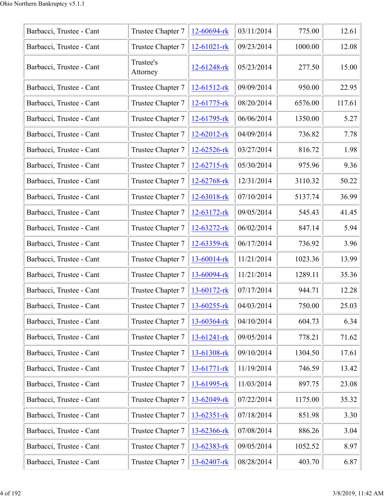| Barbacci, Trustee - Cant | Trustee Chapter 7     | 12-60694-rk       | 03/11/2014 | 775.00  | 12.61  |
|--------------------------|-----------------------|-------------------|------------|---------|--------|
| Barbacci, Trustee - Cant | Trustee Chapter 7     | $12 - 61021 - rk$ | 09/23/2014 | 1000.00 | 12.08  |
| Barbacci, Trustee - Cant | Trustee's<br>Attorney | 12-61248-rk       | 05/23/2014 | 277.50  | 15.00  |
| Barbacci, Trustee - Cant | Trustee Chapter 7     | $12 - 61512 -$ rk | 09/09/2014 | 950.00  | 22.95  |
| Barbacci, Trustee - Cant | Trustee Chapter 7     | 12-61775-rk       | 08/20/2014 | 6576.00 | 117.61 |
| Barbacci, Trustee - Cant | Trustee Chapter 7     | 12-61795-rk       | 06/06/2014 | 1350.00 | 5.27   |
| Barbacci, Trustee - Cant | Trustee Chapter 7     | 12-62012-rk       | 04/09/2014 | 736.82  | 7.78   |
| Barbacci, Trustee - Cant | Trustee Chapter 7     | 12-62526-rk       | 03/27/2014 | 816.72  | 1.98   |
| Barbacci, Trustee - Cant | Trustee Chapter 7     | 12-62715-rk       | 05/30/2014 | 975.96  | 9.36   |
| Barbacci, Trustee - Cant | Trustee Chapter 7     | 12-62768-rk       | 12/31/2014 | 3110.32 | 50.22  |
| Barbacci, Trustee - Cant | Trustee Chapter 7     | 12-63018-rk       | 07/10/2014 | 5137.74 | 36.99  |
| Barbacci, Trustee - Cant | Trustee Chapter 7     | 12-63172-rk       | 09/05/2014 | 545.43  | 41.45  |
| Barbacci, Trustee - Cant | Trustee Chapter 7     | 12-63272-rk       | 06/02/2014 | 847.14  | 5.94   |
| Barbacci, Trustee - Cant | Trustee Chapter 7     | 12-63359-rk       | 06/17/2014 | 736.92  | 3.96   |
| Barbacci, Trustee - Cant | Trustee Chapter 7     | 13-60014-rk       | 11/21/2014 | 1023.36 | 13.99  |
| Barbacci, Trustee - Cant | Trustee Chapter 7     | 13-60094-rk       | 11/21/2014 | 1289.11 | 35.36  |
| Barbacci, Trustee - Cant | Trustee Chapter 7     | 13-60172-rk       | 07/17/2014 | 944.71  | 12.28  |
| Barbacci, Trustee - Cant | Trustee Chapter 7     | 13-60255-rk       | 04/03/2014 | 750.00  | 25.03  |
| Barbacci, Trustee - Cant | Trustee Chapter 7     | 13-60364-rk       | 04/10/2014 | 604.73  | 6.34   |
| Barbacci, Trustee - Cant | Trustee Chapter 7     | 13-61241-rk       | 09/05/2014 | 778.21  | 71.62  |
| Barbacci, Trustee - Cant | Trustee Chapter 7     | 13-61308-rk       | 09/10/2014 | 1304.50 | 17.61  |
| Barbacci, Trustee - Cant | Trustee Chapter 7     | 13-61771-rk       | 11/19/2014 | 746.59  | 13.42  |
| Barbacci, Trustee - Cant | Trustee Chapter 7     | 13-61995-rk       | 11/03/2014 | 897.75  | 23.08  |
| Barbacci, Trustee - Cant | Trustee Chapter 7     | 13-62049-rk       | 07/22/2014 | 1175.00 | 35.32  |
| Barbacci, Trustee - Cant | Trustee Chapter 7     | $13 - 62351 - rk$ | 07/18/2014 | 851.98  | 3.30   |
| Barbacci, Trustee - Cant | Trustee Chapter 7     | 13-62366-rk       | 07/08/2014 | 886.26  | 3.04   |
| Barbacci, Trustee - Cant | Trustee Chapter 7     | 13-62383-rk       | 09/05/2014 | 1052.52 | 8.97   |
| Barbacci, Trustee - Cant | Trustee Chapter 7     | 13-62407-rk       | 08/28/2014 | 403.70  | 6.87   |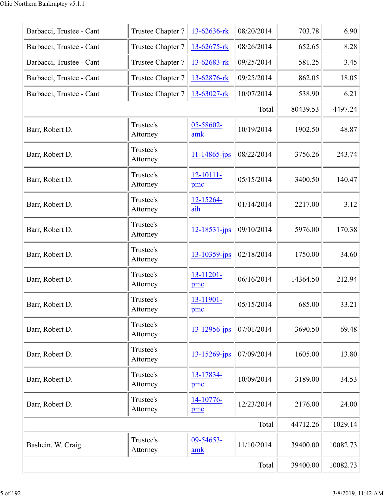| Barbacci, Trustee - Cant | Trustee Chapter 7     | 13-62636-rk        | 08/20/2014 | 703.78   | 6.90     |
|--------------------------|-----------------------|--------------------|------------|----------|----------|
| Barbacci, Trustee - Cant | Trustee Chapter 7     | 13-62675-rk        | 08/26/2014 | 652.65   | 8.28     |
| Barbacci, Trustee - Cant | Trustee Chapter 7     | 13-62683-rk        | 09/25/2014 | 581.25   | 3.45     |
| Barbacci, Trustee - Cant | Trustee Chapter 7     | 13-62876-rk        | 09/25/2014 | 862.05   | 18.05    |
| Barbacci, Trustee - Cant | Trustee Chapter 7     | 13-63027-rk        | 10/07/2014 | 538.90   | 6.21     |
|                          |                       |                    | Total      | 80439.53 | 4497.24  |
| Barr, Robert D.          | Trustee's<br>Attorney | 05-58602-<br>amk   | 10/19/2014 | 1902.50  | 48.87    |
| Barr, Robert D.          | Trustee's<br>Attorney | $11 - 14865$ -jps  | 08/22/2014 | 3756.26  | 243.74   |
| Barr, Robert D.          | Trustee's<br>Attorney | 12-10111-<br>pmc   | 05/15/2014 | 3400.50  | 140.47   |
| Barr, Robert D.          | Trustee's<br>Attorney | 12-15264-<br>aih   | 01/14/2014 | 2217.00  | 3.12     |
| Barr, Robert D.          | Trustee's<br>Attorney | $12 - 18531 - ips$ | 09/10/2014 | 5976.00  | 170.38   |
| Barr, Robert D.          | Trustee's<br>Attorney | 13-10359-jps       | 02/18/2014 | 1750.00  | 34.60    |
| Barr, Robert D.          | Trustee's<br>Attorney | 13-11201-<br>pmc   | 06/16/2014 | 14364.50 | 212.94   |
| Barr, Robert D.          | Trustee's<br>Attorney | 13-11901-<br>pmc   | 05/15/2014 | 685.00   | 33.21    |
| Barr, Robert D.          | Trustee's<br>Attorney | $13 - 12956$ -jps  | 07/01/2014 | 3690.50  | 69.48    |
| Barr, Robert D.          | Trustee's<br>Attorney | $13 - 15269$ -jps  | 07/09/2014 | 1605.00  | 13.80    |
| Barr, Robert D.          | Trustee's<br>Attorney | 13-17834-<br>pmc   | 10/09/2014 | 3189.00  | 34.53    |
| Barr, Robert D.          | Trustee's<br>Attorney | 14-10776-<br>pmc   | 12/23/2014 | 2176.00  | 24.00    |
|                          |                       |                    | Total      | 44712.26 | 1029.14  |
| Bashein, W. Craig        | Trustee's<br>Attorney | 09-54653-<br>amk   | 11/10/2014 | 39400.00 | 10082.73 |
|                          |                       |                    | Total      | 39400.00 | 10082.73 |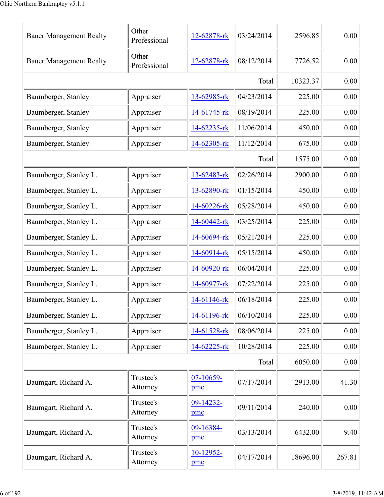| <b>Bauer Management Realty</b> | Other<br>Professional | 12-62878-rk      | 03/24/2014 | 2596.85  | 0.00   |
|--------------------------------|-----------------------|------------------|------------|----------|--------|
| <b>Bauer Management Realty</b> | Other<br>Professional | 12-62878-rk      | 08/12/2014 | 7726.52  | 0.00   |
|                                |                       |                  | Total      | 10323.37 | 0.00   |
| Baumberger, Stanley            | Appraiser             | 13-62985-rk      | 04/23/2014 | 225.00   | 0.00   |
| Baumberger, Stanley            | Appraiser             | 14-61745-rk      | 08/19/2014 | 225.00   | 0.00   |
| Baumberger, Stanley            | Appraiser             | 14-62235-rk      | 11/06/2014 | 450.00   | 0.00   |
| Baumberger, Stanley            | Appraiser             | 14-62305-rk      | 11/12/2014 | 675.00   | 0.00   |
|                                |                       |                  | Total      | 1575.00  | 0.00   |
| Baumberger, Stanley L.         | Appraiser             | 13-62483-rk      | 02/26/2014 | 2900.00  | 0.00   |
| Baumberger, Stanley L.         | Appraiser             | 13-62890-rk      | 01/15/2014 | 450.00   | 0.00   |
| Baumberger, Stanley L.         | Appraiser             | 14-60226-rk      | 05/28/2014 | 450.00   | 0.00   |
| Baumberger, Stanley L.         | Appraiser             | 14-60442-rk      | 03/25/2014 | 225.00   | 0.00   |
| Baumberger, Stanley L.         | Appraiser             | 14-60694-rk      | 05/21/2014 | 225.00   | 0.00   |
| Baumberger, Stanley L.         | Appraiser             | 14-60914-rk      | 05/15/2014 | 450.00   | 0.00   |
| Baumberger, Stanley L.         | Appraiser             | 14-60920-rk      | 06/04/2014 | 225.00   | 0.00   |
| Baumberger, Stanley L.         | Appraiser             | 14-60977-rk      | 07/22/2014 | 225.00   | 0.00   |
| Baumberger, Stanley L.         | Appraiser             | 14-61146-rk      | 06/18/2014 | 225.00   | 0.00   |
| Baumberger, Stanley L.         | Appraiser             | 14-61196-rk      | 06/10/2014 | 225.00   | 0.00   |
| Baumberger, Stanley L.         | Appraiser             | 14-61528-rk      | 08/06/2014 | 225.00   | 0.00   |
| Baumberger, Stanley L.         | Appraiser             | 14-62225-rk      | 10/28/2014 | 225.00   | 0.00   |
|                                |                       |                  | Total      | 6050.00  | 0.00   |
| Baumgart, Richard A.           | Trustee's<br>Attorney | 07-10659-<br>pmc | 07/17/2014 | 2913.00  | 41.30  |
| Baumgart, Richard A.           | Trustee's<br>Attorney | 09-14232-<br>pmc | 09/11/2014 | 240.00   | 0.00   |
| Baumgart, Richard A.           | Trustee's<br>Attorney | 09-16384-<br>pmc | 03/13/2014 | 6432.00  | 9.40   |
| Baumgart, Richard A.           | Trustee's<br>Attorney | 10-12952-<br>pmc | 04/17/2014 | 18696.00 | 267.81 |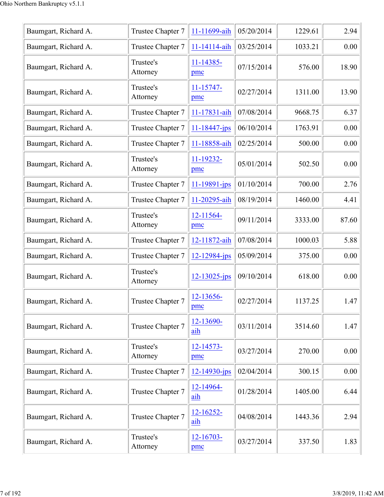| Baumgart, Richard A. | Trustee Chapter 7     | 11-11699-aih          | 05/20/2014 | 1229.61 | 2.94  |
|----------------------|-----------------------|-----------------------|------------|---------|-------|
| Baumgart, Richard A. | Trustee Chapter 7     | 11-14114-aih          | 03/25/2014 | 1033.21 | 0.00  |
| Baumgart, Richard A. | Trustee's<br>Attorney | 11-14385-<br>pmc      | 07/15/2014 | 576.00  | 18.90 |
| Baumgart, Richard A. | Trustee's<br>Attorney | 11-15747-<br>pmc      | 02/27/2014 | 1311.00 | 13.90 |
| Baumgart, Richard A. | Trustee Chapter 7     | 11-17831-aih          | 07/08/2014 | 9668.75 | 6.37  |
| Baumgart, Richard A. | Trustee Chapter 7     | $11 - 18447 - ips$    | 06/10/2014 | 1763.91 | 0.00  |
| Baumgart, Richard A. | Trustee Chapter 7     | 11-18858-aih          | 02/25/2014 | 500.00  | 0.00  |
| Baumgart, Richard A. | Trustee's<br>Attorney | 11-19232-<br>pmc      | 05/01/2014 | 502.50  | 0.00  |
| Baumgart, Richard A. | Trustee Chapter 7     | $11 - 19891 - ips$    | 01/10/2014 | 700.00  | 2.76  |
| Baumgart, Richard A. | Trustee Chapter 7     | 11-20295-aih          | 08/19/2014 | 1460.00 | 4.41  |
| Baumgart, Richard A. | Trustee's<br>Attorney | 12-11564-<br>pmc      | 09/11/2014 | 3333.00 | 87.60 |
| Baumgart, Richard A. | Trustee Chapter 7     | 12-11872-aih          | 07/08/2014 | 1000.03 | 5.88  |
| Baumgart, Richard A. | Trustee Chapter 7     | 12-12984-jps          | 05/09/2014 | 375.00  | 0.00  |
| Baumgart, Richard A. | Trustee's<br>Attorney | 12-13025-jps          | 09/10/2014 | 618.00  | 0.00  |
| Baumgart, Richard A. | Trustee Chapter 7     | 12-13656-<br>pmc      | 02/27/2014 | 1137.25 | 1.47  |
| Baumgart, Richard A. | Trustee Chapter 7     | 12-13690-<br>aih      | 03/11/2014 | 3514.60 | 1.47  |
| Baumgart, Richard A. | Trustee's<br>Attorney | 12-14573-<br>pmc      | 03/27/2014 | 270.00  | 0.00  |
| Baumgart, Richard A. | Trustee Chapter 7     | 12-14930-jps          | 02/04/2014 | 300.15  | 0.00  |
| Baumgart, Richard A. | Trustee Chapter 7     | 12-14964-<br>aih      | 01/28/2014 | 1405.00 | 6.44  |
| Baumgart, Richard A. | Trustee Chapter 7     | $12 - 16252 -$<br>aih | 04/08/2014 | 1443.36 | 2.94  |
| Baumgart, Richard A. | Trustee's<br>Attorney | 12-16703-<br>pmc      | 03/27/2014 | 337.50  | 1.83  |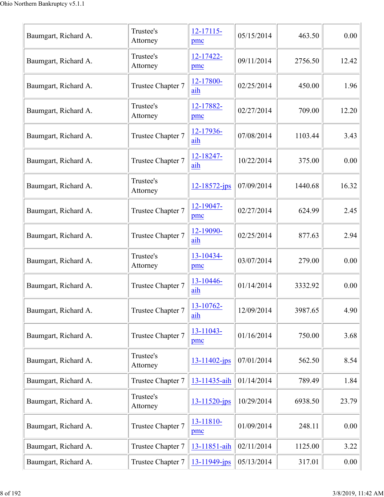| Baumgart, Richard A. | Trustee's<br>Attorney | 12-17115-<br>pmc   | 05/15/2014 | 463.50  | 0.00  |
|----------------------|-----------------------|--------------------|------------|---------|-------|
| Baumgart, Richard A. | Trustee's<br>Attorney | 12-17422-<br>pmc   | 09/11/2014 | 2756.50 | 12.42 |
| Baumgart, Richard A. | Trustee Chapter 7     | 12-17800-<br>aih   | 02/25/2014 | 450.00  | 1.96  |
| Baumgart, Richard A. | Trustee's<br>Attorney | 12-17882-<br>pmc   | 02/27/2014 | 709.00  | 12.20 |
| Baumgart, Richard A. | Trustee Chapter 7     | 12-17936-<br>aih   | 07/08/2014 | 1103.44 | 3.43  |
| Baumgart, Richard A. | Trustee Chapter 7     | 12-18247-<br>aih   | 10/22/2014 | 375.00  | 0.00  |
| Baumgart, Richard A. | Trustee's<br>Attorney | $12 - 18572 - ips$ | 07/09/2014 | 1440.68 | 16.32 |
| Baumgart, Richard A. | Trustee Chapter 7     | 12-19047-<br>pmc   | 02/27/2014 | 624.99  | 2.45  |
| Baumgart, Richard A. | Trustee Chapter 7     | 12-19090-<br>aih   | 02/25/2014 | 877.63  | 2.94  |
| Baumgart, Richard A. | Trustee's<br>Attorney | 13-10434-<br>pmc   | 03/07/2014 | 279.00  | 0.00  |
| Baumgart, Richard A. | Trustee Chapter 7     | 13-10446-<br>aih   | 01/14/2014 | 3332.92 | 0.00  |
| Baumgart, Richard A. | Trustee Chapter 7     | 13-10762-<br>aih   | 12/09/2014 | 3987.65 | 4.90  |
| Baumgart, Richard A. | Trustee Chapter 7     | 13-11043-<br>pmc   | 01/16/2014 | 750.00  | 3.68  |
| Baumgart, Richard A. | Trustee's<br>Attorney | 13-11402-jps       | 07/01/2014 | 562.50  | 8.54  |
| Baumgart, Richard A. | Trustee Chapter 7     | 13-11435-aih       | 01/14/2014 | 789.49  | 1.84  |
| Baumgart, Richard A. | Trustee's<br>Attorney | 13-11520-jps       | 10/29/2014 | 6938.50 | 23.79 |
| Baumgart, Richard A. | Trustee Chapter 7     | 13-11810-<br>pmc   | 01/09/2014 | 248.11  | 0.00  |
| Baumgart, Richard A. | Trustee Chapter 7     | 13-11851-aih       | 02/11/2014 | 1125.00 | 3.22  |
| Baumgart, Richard A. | Trustee Chapter 7     | 13-11949-jps       | 05/13/2014 | 317.01  | 0.00  |
|                      |                       |                    |            |         |       |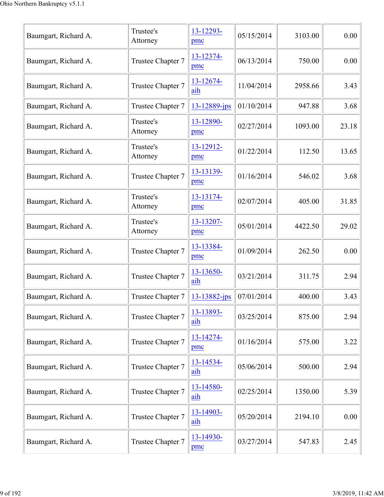| Baumgart, Richard A. | Trustee's<br>Attorney | 13-12293-<br>pmc | 05/15/2014 | 3103.00 | 0.00  |
|----------------------|-----------------------|------------------|------------|---------|-------|
| Baumgart, Richard A. | Trustee Chapter 7     | 13-12374-<br>pmc | 06/13/2014 | 750.00  | 0.00  |
| Baumgart, Richard A. | Trustee Chapter 7     | 13-12674-<br>aih | 11/04/2014 | 2958.66 | 3.43  |
| Baumgart, Richard A. | Trustee Chapter 7     | 13-12889-jps     | 01/10/2014 | 947.88  | 3.68  |
| Baumgart, Richard A. | Trustee's<br>Attorney | 13-12890-<br>pmc | 02/27/2014 | 1093.00 | 23.18 |
| Baumgart, Richard A. | Trustee's<br>Attorney | 13-12912-<br>pmc | 01/22/2014 | 112.50  | 13.65 |
| Baumgart, Richard A. | Trustee Chapter 7     | 13-13139-<br>pmc | 01/16/2014 | 546.02  | 3.68  |
| Baumgart, Richard A. | Trustee's<br>Attorney | 13-13174-<br>pmc | 02/07/2014 | 405.00  | 31.85 |
| Baumgart, Richard A. | Trustee's<br>Attorney | 13-13207-<br>pmc | 05/01/2014 | 4422.50 | 29.02 |
| Baumgart, Richard A. | Trustee Chapter 7     | 13-13384-<br>pmc | 01/09/2014 | 262.50  | 0.00  |
| Baumgart, Richard A. | Trustee Chapter 7     | 13-13650-<br>aih | 03/21/2014 | 311.75  | 2.94  |
| Baumgart, Richard A. | Trustee Chapter 7     | 13-13882-jps     | 07/01/2014 | 400.00  | 3.43  |
| Baumgart, Richard A. | Trustee Chapter 7     | 13-13893-<br>aih | 03/25/2014 | 875.00  | 2.94  |
| Baumgart, Richard A. | Trustee Chapter 7     | 13-14274-<br>pmc | 01/16/2014 | 575.00  | 3.22  |
| Baumgart, Richard A. | Trustee Chapter 7     | 13-14534-<br>aih | 05/06/2014 | 500.00  | 2.94  |
| Baumgart, Richard A. | Trustee Chapter 7     | 13-14580-<br>aih | 02/25/2014 | 1350.00 | 5.39  |
| Baumgart, Richard A. | Trustee Chapter 7     | 13-14903-<br>aih | 05/20/2014 | 2194.10 | 0.00  |
| Baumgart, Richard A. | Trustee Chapter 7     | 13-14930-<br>pmc | 03/27/2014 | 547.83  | 2.45  |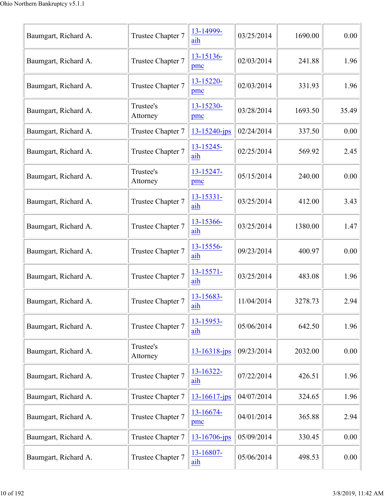| Baumgart, Richard A. | Trustee Chapter 7     | 13-14999-<br>aih      | 03/25/2014 | 1690.00 | 0.00     |
|----------------------|-----------------------|-----------------------|------------|---------|----------|
| Baumgart, Richard A. | Trustee Chapter 7     | 13-15136-<br>pmc      | 02/03/2014 | 241.88  | 1.96     |
| Baumgart, Richard A. | Trustee Chapter 7     | 13-15220-<br>pmc      | 02/03/2014 | 331.93  | 1.96     |
| Baumgart, Richard A. | Trustee's<br>Attorney | 13-15230-<br>pmc      | 03/28/2014 | 1693.50 | 35.49    |
| Baumgart, Richard A. | Trustee Chapter 7     | 13-15240-jps          | 02/24/2014 | 337.50  | 0.00     |
| Baumgart, Richard A. | Trustee Chapter 7     | 13-15245-<br>aih      | 02/25/2014 | 569.92  | 2.45     |
| Baumgart, Richard A. | Trustee's<br>Attorney | 13-15247-<br>pmc      | 05/15/2014 | 240.00  | 0.00     |
| Baumgart, Richard A. | Trustee Chapter 7     | $13 - 15331 -$<br>aih | 03/25/2014 | 412.00  | 3.43     |
| Baumgart, Richard A. | Trustee Chapter 7     | 13-15366-<br>aih      | 03/25/2014 | 1380.00 | 1.47     |
| Baumgart, Richard A. | Trustee Chapter 7     | 13-15556-<br>aih      | 09/23/2014 | 400.97  | 0.00     |
| Baumgart, Richard A. | Trustee Chapter 7     | 13-15571-<br>aih      | 03/25/2014 | 483.08  | 1.96     |
| Baumgart, Richard A. | Trustee Chapter 7     | $13 - 15683 -$<br>aih | 11/04/2014 | 3278.73 | 2.94     |
| Baumgart, Richard A. | Trustee Chapter 7     | 13-15953-<br>aih      | 05/06/2014 | 642.50  | 1.96     |
| Baumgart, Richard A. | Trustee's<br>Attorney | 13-16318-jps          | 09/23/2014 | 2032.00 | $0.00\,$ |
| Baumgart, Richard A. | Trustee Chapter 7     | 13-16322-<br>aih      | 07/22/2014 | 426.51  | 1.96     |
| Baumgart, Richard A. | Trustee Chapter 7     | $13 - 16617$ -jps     | 04/07/2014 | 324.65  | 1.96     |
| Baumgart, Richard A. | Trustee Chapter 7     | $13 - 16674 -$<br>pmc | 04/01/2014 | 365.88  | 2.94     |
| Baumgart, Richard A. | Trustee Chapter 7     | $13 - 16706 - ips$    | 05/09/2014 | 330.45  | 0.00     |
| Baumgart, Richard A. | Trustee Chapter 7     | 13-16807-<br>aih      | 05/06/2014 | 498.53  | 0.00     |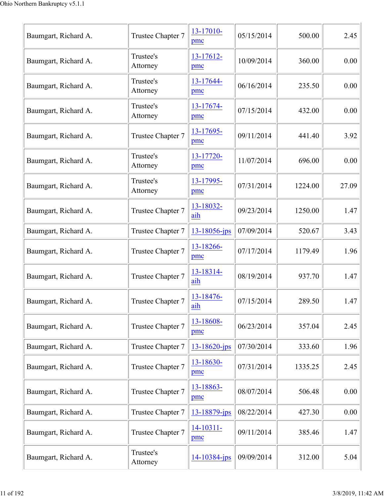| Baumgart, Richard A. | Trustee Chapter 7     | 13-17010-<br>pmc      | 05/15/2014 | 500.00  | 2.45  |
|----------------------|-----------------------|-----------------------|------------|---------|-------|
| Baumgart, Richard A. | Trustee's<br>Attorney | 13-17612-<br>pmc      | 10/09/2014 | 360.00  | 0.00  |
| Baumgart, Richard A. | Trustee's<br>Attorney | 13-17644-<br>pmc      | 06/16/2014 | 235.50  | 0.00  |
| Baumgart, Richard A. | Trustee's<br>Attorney | 13-17674-<br>pmc      | 07/15/2014 | 432.00  | 0.00  |
| Baumgart, Richard A. | Trustee Chapter 7     | 13-17695-<br>pmc      | 09/11/2014 | 441.40  | 3.92  |
| Baumgart, Richard A. | Trustee's<br>Attorney | 13-17720-<br>pmc      | 11/07/2014 | 696.00  | 0.00  |
| Baumgart, Richard A. | Trustee's<br>Attorney | 13-17995-<br>pmc      | 07/31/2014 | 1224.00 | 27.09 |
| Baumgart, Richard A. | Trustee Chapter 7     | 13-18032-<br>aih      | 09/23/2014 | 1250.00 | 1.47  |
| Baumgart, Richard A. | Trustee Chapter 7     | 13-18056-jps          | 07/09/2014 | 520.67  | 3.43  |
| Baumgart, Richard A. | Trustee Chapter 7     | 13-18266-<br>pmc      | 07/17/2014 | 1179.49 | 1.96  |
| Baumgart, Richard A. | Trustee Chapter 7     | 13-18314-<br>aih      | 08/19/2014 | 937.70  | 1.47  |
| Baumgart, Richard A. | Trustee Chapter 7     | 13-18476-<br>aih      | 07/15/2014 | 289.50  | 1.47  |
| Baumgart, Richard A. | Trustee Chapter 7     | 13-18608-<br>pmc      | 06/23/2014 | 357.04  | 2.45  |
| Baumgart, Richard A. | Trustee Chapter 7     | 13-18620-jps          | 07/30/2014 | 333.60  | 1.96  |
| Baumgart, Richard A. | Trustee Chapter 7     | 13-18630-<br>pmc      | 07/31/2014 | 1335.25 | 2.45  |
| Baumgart, Richard A. | Trustee Chapter 7     | 13-18863-<br>pmc      | 08/07/2014 | 506.48  | 0.00  |
| Baumgart, Richard A. | Trustee Chapter 7     | 13-18879-jps          | 08/22/2014 | 427.30  | 0.00  |
| Baumgart, Richard A. | Trustee Chapter 7     | $14 - 10311 -$<br>pmc | 09/11/2014 | 385.46  | 1.47  |
| Baumgart, Richard A. | Trustee's<br>Attorney | 14-10384-jps          | 09/09/2014 | 312.00  | 5.04  |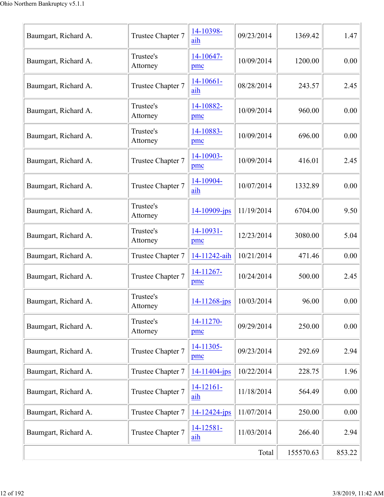| Baumgart, Richard A. | Trustee Chapter 7     | 14-10398-<br>aih      | 09/23/2014 | 1369.42   | 1.47   |
|----------------------|-----------------------|-----------------------|------------|-----------|--------|
| Baumgart, Richard A. | Trustee's<br>Attorney | 14-10647-<br>pmc      | 10/09/2014 | 1200.00   | 0.00   |
| Baumgart, Richard A. | Trustee Chapter 7     | $14-10661-$<br>aih    | 08/28/2014 | 243.57    | 2.45   |
| Baumgart, Richard A. | Trustee's<br>Attorney | 14-10882-<br>pmc      | 10/09/2014 | 960.00    | 0.00   |
| Baumgart, Richard A. | Trustee's<br>Attorney | 14-10883-<br>pmc      | 10/09/2014 | 696.00    | 0.00   |
| Baumgart, Richard A. | Trustee Chapter 7     | 14-10903-<br>pmc      | 10/09/2014 | 416.01    | 2.45   |
| Baumgart, Richard A. | Trustee Chapter 7     | 14-10904-<br>aih      | 10/07/2014 | 1332.89   | 0.00   |
| Baumgart, Richard A. | Trustee's<br>Attorney | 14-10909-jps          | 11/19/2014 | 6704.00   | 9.50   |
| Baumgart, Richard A. | Trustee's<br>Attorney | 14-10931-<br>pmc      | 12/23/2014 | 3080.00   | 5.04   |
| Baumgart, Richard A. | Trustee Chapter 7     | 14-11242-aih          | 10/21/2014 | 471.46    | 0.00   |
| Baumgart, Richard A. | Trustee Chapter 7     | 14-11267-<br>pmc      | 10/24/2014 | 500.00    | 2.45   |
| Baumgart, Richard A. | Trustee's<br>Attorney | $14 - 11268$ -jps     | 10/03/2014 | 96.00     | 0.00   |
| Baumgart, Richard A. | Trustee's<br>Attorney | 14-11270-<br>pmc      | 09/29/2014 | 250.00    | 0.00   |
| Baumgart, Richard A. | Trustee Chapter 7     | 14-11305-<br>pmc      | 09/23/2014 | 292.69    | 2.94   |
| Baumgart, Richard A. | Trustee Chapter 7     | $14 - 11404 - ips$    | 10/22/2014 | 228.75    | 1.96   |
| Baumgart, Richard A. | Trustee Chapter 7     | 14-12161-<br>aih      | 11/18/2014 | 564.49    | 0.00   |
| Baumgart, Richard A. | Trustee Chapter 7     | $14 - 12424 - ips$    | 11/07/2014 | 250.00    | 0.00   |
| Baumgart, Richard A. | Trustee Chapter 7     | $14 - 12581 -$<br>aih | 11/03/2014 | 266.40    | 2.94   |
|                      |                       |                       | Total      | 155570.63 | 853.22 |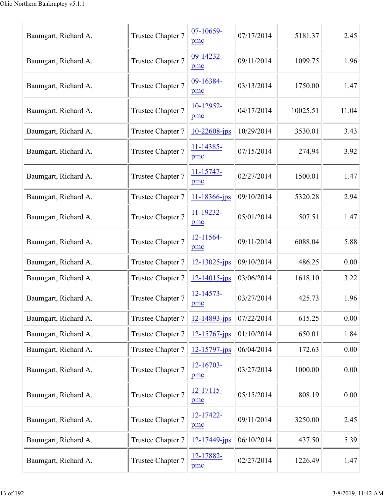| Baumgart, Richard A. | Trustee Chapter 7 | 07-10659-<br>pmc      | 07/17/2014 | 5181.37  | 2.45  |
|----------------------|-------------------|-----------------------|------------|----------|-------|
| Baumgart, Richard A. | Trustee Chapter 7 | 09-14232-<br>pmc      | 09/11/2014 | 1099.75  | 1.96  |
| Baumgart, Richard A. | Trustee Chapter 7 | 09-16384-<br>pmc      | 03/13/2014 | 1750.00  | 1.47  |
| Baumgart, Richard A. | Trustee Chapter 7 | 10-12952-<br>pmc      | 04/17/2014 | 10025.51 | 11.04 |
| Baumgart, Richard A. | Trustee Chapter 7 | $10 - 22608 - ips$    | 10/29/2014 | 3530.01  | 3.43  |
| Baumgart, Richard A. | Trustee Chapter 7 | 11-14385-<br>pmc      | 07/15/2014 | 274.94   | 3.92  |
| Baumgart, Richard A. | Trustee Chapter 7 | $11 - 15747 -$<br>pmc | 02/27/2014 | 1500.01  | 1.47  |
| Baumgart, Richard A. | Trustee Chapter 7 | 11-18366-jps          | 09/10/2014 | 5320.28  | 2.94  |
| Baumgart, Richard A. | Trustee Chapter 7 | 11-19232-<br>pmc      | 05/01/2014 | 507.51   | 1.47  |
| Baumgart, Richard A. | Trustee Chapter 7 | 12-11564-<br>pmc      | 09/11/2014 | 6088.04  | 5.88  |
| Baumgart, Richard A. | Trustee Chapter 7 | $12 - 13025 - ips$    | 09/10/2014 | 486.25   | 0.00  |
| Baumgart, Richard A. | Trustee Chapter 7 | $12 - 14015$ -jps     | 03/06/2014 | 1618.10  | 3.22  |
| Baumgart, Richard A. | Trustee Chapter 7 | 12-14573-<br>pmc      | 03/27/2014 | 425.73   | 1.96  |
| Baumgart, Richard A. | Trustee Chapter 7 | $12 - 14893 - ips$    | 07/22/2014 | 615.25   | 0.00  |
| Baumgart, Richard A. | Trustee Chapter 7 | $12 - 15767 - jps$    | 01/10/2014 | 650.01   | 1.84  |
| Baumgart, Richard A. | Trustee Chapter 7 | 12-15797-jps          | 06/04/2014 | 172.63   | 0.00  |
| Baumgart, Richard A. | Trustee Chapter 7 | 12-16703-<br>pmc      | 03/27/2014 | 1000.00  | 0.00  |
| Baumgart, Richard A. | Trustee Chapter 7 | $12 - 17115$<br>pmc   | 05/15/2014 | 808.19   | 0.00  |
| Baumgart, Richard A. | Trustee Chapter 7 | 12-17422-<br>pmc      | 09/11/2014 | 3250.00  | 2.45  |
| Baumgart, Richard A. | Trustee Chapter 7 | 12-17449-jps          | 06/10/2014 | 437.50   | 5.39  |
| Baumgart, Richard A. | Trustee Chapter 7 | 12-17882-<br>pmc      | 02/27/2014 | 1226.49  | 1.47  |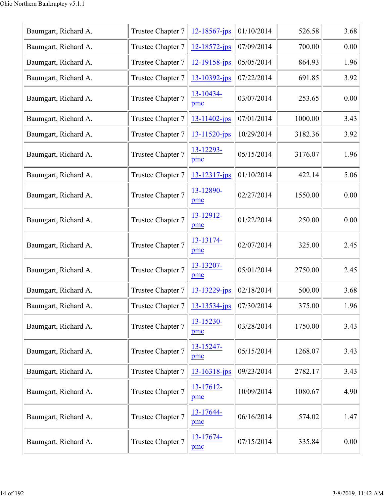| Baumgart, Richard A. | Trustee Chapter 7 | $12 - 18567$ -jps  | 01/10/2014 | 526.58  | 3.68 |
|----------------------|-------------------|--------------------|------------|---------|------|
| Baumgart, Richard A. | Trustee Chapter 7 | $12 - 18572$ -jps  | 07/09/2014 | 700.00  | 0.00 |
| Baumgart, Richard A. | Trustee Chapter 7 | $12 - 19158 - ips$ | 05/05/2014 | 864.93  | 1.96 |
| Baumgart, Richard A. | Trustee Chapter 7 | $13 - 10392$ -jps  | 07/22/2014 | 691.85  | 3.92 |
| Baumgart, Richard A. | Trustee Chapter 7 | 13-10434-<br>pmc   | 03/07/2014 | 253.65  | 0.00 |
| Baumgart, Richard A. | Trustee Chapter 7 | 13-11402-jps       | 07/01/2014 | 1000.00 | 3.43 |
| Baumgart, Richard A. | Trustee Chapter 7 | 13-11520-jps       | 10/29/2014 | 3182.36 | 3.92 |
| Baumgart, Richard A. | Trustee Chapter 7 | 13-12293-<br>pmc   | 05/15/2014 | 3176.07 | 1.96 |
| Baumgart, Richard A. | Trustee Chapter 7 | $13 - 12317$ -jps  | 01/10/2014 | 422.14  | 5.06 |
| Baumgart, Richard A. | Trustee Chapter 7 | 13-12890-<br>pmc   | 02/27/2014 | 1550.00 | 0.00 |
| Baumgart, Richard A. | Trustee Chapter 7 | 13-12912-<br>pmc   | 01/22/2014 | 250.00  | 0.00 |
| Baumgart, Richard A. | Trustee Chapter 7 | 13-13174-<br>pmc   | 02/07/2014 | 325.00  | 2.45 |
| Baumgart, Richard A. | Trustee Chapter 7 | 13-13207-<br>pmc   | 05/01/2014 | 2750.00 | 2.45 |
| Baumgart, Richard A. | Trustee Chapter 7 | $13 - 13229 - ips$ | 02/18/2014 | 500.00  | 3.68 |
| Baumgart, Richard A. | Trustee Chapter 7 | 13-13534-jps       | 07/30/2014 | 375.00  | 1.96 |
| Baumgart, Richard A. | Trustee Chapter 7 | 13-15230-<br>pmc   | 03/28/2014 | 1750.00 | 3.43 |
| Baumgart, Richard A. | Trustee Chapter 7 | 13-15247-<br>pmc   | 05/15/2014 | 1268.07 | 3.43 |
| Baumgart, Richard A. | Trustee Chapter 7 | $13 - 16318$ -jps  | 09/23/2014 | 2782.17 | 3.43 |
| Baumgart, Richard A. | Trustee Chapter 7 | 13-17612-<br>pmc   | 10/09/2014 | 1080.67 | 4.90 |
| Baumgart, Richard A. | Trustee Chapter 7 | 13-17644-<br>pmc   | 06/16/2014 | 574.02  | 1.47 |
| Baumgart, Richard A. | Trustee Chapter 7 | 13-17674-<br>pmc   | 07/15/2014 | 335.84  | 0.00 |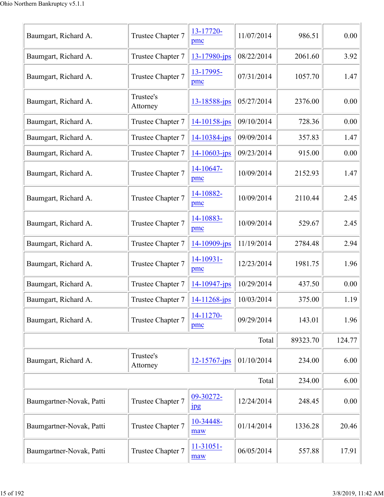| Baumgart, Richard A.     | Trustee Chapter 7     | 13-17720-                     | 11/07/2014 | 986.51   | 0.00   |
|--------------------------|-----------------------|-------------------------------|------------|----------|--------|
|                          |                       | pmc                           |            |          |        |
| Baumgart, Richard A.     | Trustee Chapter 7     | 13-17980-jps                  | 08/22/2014 | 2061.60  | 3.92   |
| Baumgart, Richard A.     | Trustee Chapter 7     | 13-17995-<br>pmc              | 07/31/2014 | 1057.70  | 1.47   |
| Baumgart, Richard A.     | Trustee's<br>Attorney | 13-18588-jps                  | 05/27/2014 | 2376.00  | 0.00   |
| Baumgart, Richard A.     | Trustee Chapter 7     | $14 - 10158 - ips$            | 09/10/2014 | 728.36   | 0.00   |
| Baumgart, Richard A.     | Trustee Chapter 7     | 14-10384-jps                  | 09/09/2014 | 357.83   | 1.47   |
| Baumgart, Richard A.     | Trustee Chapter 7     | 14-10603-jps                  | 09/23/2014 | 915.00   | 0.00   |
| Baumgart, Richard A.     | Trustee Chapter 7     | 14-10647-<br>pmc              | 10/09/2014 | 2152.93  | 1.47   |
| Baumgart, Richard A.     | Trustee Chapter 7     | 14-10882-<br>pmc              | 10/09/2014 | 2110.44  | 2.45   |
| Baumgart, Richard A.     | Trustee Chapter 7     | 14-10883-<br>pmc              | 10/09/2014 | 529.67   | 2.45   |
| Baumgart, Richard A.     | Trustee Chapter 7     | 14-10909-jps                  | 11/19/2014 | 2784.48  | 2.94   |
| Baumgart, Richard A.     | Trustee Chapter 7     | 14-10931-<br>pmc              | 12/23/2014 | 1981.75  | 1.96   |
| Baumgart, Richard A.     | Trustee Chapter 7     | 14-10947-jps                  | 10/29/2014 | 437.50   | 0.00   |
| Baumgart, Richard A.     | Trustee Chapter 7     | 14-11268-jps                  | 10/03/2014 | 375.00   | 1.19   |
| Baumgart, Richard A.     | Trustee Chapter 7     | 14-11270-<br>pmc              | 09/29/2014 | 143.01   | 1.96   |
|                          |                       |                               | Total      | 89323.70 | 124.77 |
| Baumgart, Richard A.     | Trustee's<br>Attorney | 12-15767-jps                  | 01/10/2014 | 234.00   | 6.00   |
|                          |                       |                               | Total      | 234.00   | 6.00   |
| Baumgartner-Novak, Patti | Trustee Chapter 7     | 09-30272-<br>$_{\rm 1\!P\!S}$ | 12/24/2014 | 248.45   | 0.00   |
| Baumgartner-Novak, Patti | Trustee Chapter 7     | 10-34448-<br>maw              | 01/14/2014 | 1336.28  | 20.46  |
| Baumgartner-Novak, Patti | Trustee Chapter 7     | $11-31051-$<br>maw            | 06/05/2014 | 557.88   | 17.91  |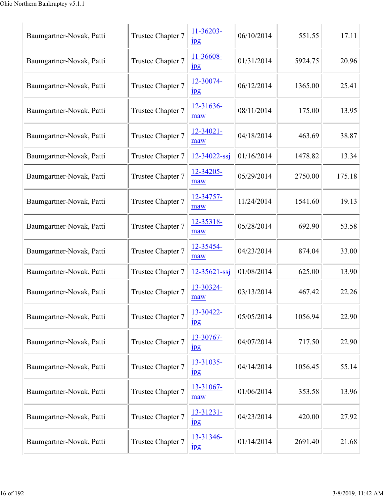| Baumgartner-Novak, Patti | Trustee Chapter 7 | 11-36203-<br>$_{\rm 1\!P\!S}$ | 06/10/2014 | 551.55  | 17.11  |
|--------------------------|-------------------|-------------------------------|------------|---------|--------|
| Baumgartner-Novak, Patti | Trustee Chapter 7 | 11-36608-<br>$_{\rm 1\!P\!S}$ | 01/31/2014 | 5924.75 | 20.96  |
| Baumgartner-Novak, Patti | Trustee Chapter 7 | 12-30074-<br>$\mathbf{u}$     | 06/12/2014 | 1365.00 | 25.41  |
| Baumgartner-Novak, Patti | Trustee Chapter 7 | 12-31636-<br>maw              | 08/11/2014 | 175.00  | 13.95  |
| Baumgartner-Novak, Patti | Trustee Chapter 7 | 12-34021-<br>maw              | 04/18/2014 | 463.69  | 38.87  |
| Baumgartner-Novak, Patti | Trustee Chapter 7 | $12 - 34022 - ssj$            | 01/16/2014 | 1478.82 | 13.34  |
| Baumgartner-Novak, Patti | Trustee Chapter 7 | 12-34205-<br>maw              | 05/29/2014 | 2750.00 | 175.18 |
| Baumgartner-Novak, Patti | Trustee Chapter 7 | 12-34757-<br>maw              | 11/24/2014 | 1541.60 | 19.13  |
| Baumgartner-Novak, Patti | Trustee Chapter 7 | 12-35318-<br>maw              | 05/28/2014 | 692.90  | 53.58  |
| Baumgartner-Novak, Patti | Trustee Chapter 7 | 12-35454-<br>maw              | 04/23/2014 | 874.04  | 33.00  |
| Baumgartner-Novak, Patti | Trustee Chapter 7 | $12 - 35621 - ssj$            | 01/08/2014 | 625.00  | 13.90  |
| Baumgartner-Novak, Patti | Trustee Chapter 7 | 13-30324-<br>maw              | 03/13/2014 | 467.42  | 22.26  |
| Baumgartner-Novak, Patti | Trustee Chapter 7 | 13-30422-<br>$_{\rm 1\!P\!S}$ | 05/05/2014 | 1056.94 | 22.90  |
| Baumgartner-Novak, Patti | Trustee Chapter 7 | 13-30767-<br>$_{\rm 1\!P\!S}$ | 04/07/2014 | 717.50  | 22.90  |
| Baumgartner-Novak, Patti | Trustee Chapter 7 | 13-31035-<br>1 <sub>p</sub> g | 04/14/2014 | 1056.45 | 55.14  |
| Baumgartner-Novak, Patti | Trustee Chapter 7 | 13-31067-<br>maw              | 01/06/2014 | 353.58  | 13.96  |
| Baumgartner-Novak, Patti | Trustee Chapter 7 | 13-31231-<br>$_{\rm 1pg}$     | 04/23/2014 | 420.00  | 27.92  |
| Baumgartner-Novak, Patti | Trustee Chapter 7 | 13-31346-<br><u>pp</u>        | 01/14/2014 | 2691.40 | 21.68  |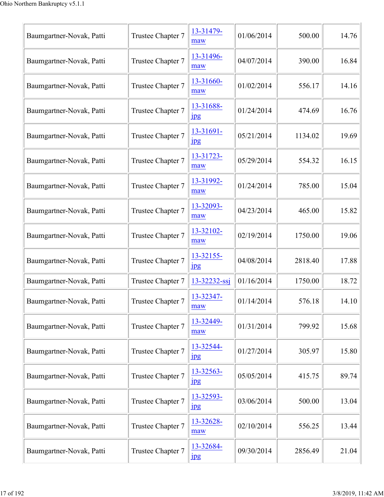| Baumgartner-Novak, Patti | Trustee Chapter 7 | 13-31479-<br>maw              | 01/06/2014 | 500.00  | 14.76 |
|--------------------------|-------------------|-------------------------------|------------|---------|-------|
| Baumgartner-Novak, Patti | Trustee Chapter 7 | 13-31496-<br>maw              | 04/07/2014 | 390.00  | 16.84 |
| Baumgartner-Novak, Patti | Trustee Chapter 7 | 13-31660-<br>maw              | 01/02/2014 | 556.17  | 14.16 |
| Baumgartner-Novak, Patti | Trustee Chapter 7 | 13-31688-<br>$_{\rm 1\!P\!S}$ | 01/24/2014 | 474.69  | 16.76 |
| Baumgartner-Novak, Patti | Trustee Chapter 7 | 13-31691-<br>$_{\rm 1pg}$     | 05/21/2014 | 1134.02 | 19.69 |
| Baumgartner-Novak, Patti | Trustee Chapter 7 | 13-31723-<br>maw              | 05/29/2014 | 554.32  | 16.15 |
| Baumgartner-Novak, Patti | Trustee Chapter 7 | 13-31992-<br>maw              | 01/24/2014 | 785.00  | 15.04 |
| Baumgartner-Novak, Patti | Trustee Chapter 7 | 13-32093-<br>maw              | 04/23/2014 | 465.00  | 15.82 |
| Baumgartner-Novak, Patti | Trustee Chapter 7 | 13-32102-<br>maw              | 02/19/2014 | 1750.00 | 19.06 |
| Baumgartner-Novak, Patti | Trustee Chapter 7 | 13-32155-<br><b>Jpg</b>       | 04/08/2014 | 2818.40 | 17.88 |
| Baumgartner-Novak, Patti | Trustee Chapter 7 | 13-32232-ssj                  | 01/16/2014 | 1750.00 | 18.72 |
| Baumgartner-Novak, Patti | Trustee Chapter 7 | 13-32347-<br>maw              | 01/14/2014 | 576.18  | 14.10 |
| Baumgartner-Novak, Patti | Trustee Chapter 7 | 13-32449-<br>maw              | 01/31/2014 | 799.92  | 15.68 |
| Baumgartner-Novak, Patti | Trustee Chapter 7 | 13-32544-<br>$_{\rm jpg}$     | 01/27/2014 | 305.97  | 15.80 |
| Baumgartner-Novak, Patti | Trustee Chapter 7 | 13-32563-<br>1 <sub>p</sub> g | 05/05/2014 | 415.75  | 89.74 |
| Baumgartner-Novak, Patti | Trustee Chapter 7 | 13-32593-<br>jpg              | 03/06/2014 | 500.00  | 13.04 |
| Baumgartner-Novak, Patti | Trustee Chapter 7 | 13-32628-<br>maw              | 02/10/2014 | 556.25  | 13.44 |
| Baumgartner-Novak, Patti | Trustee Chapter 7 | 13-32684-<br>$_{\rm 1\!P\!S}$ | 09/30/2014 | 2856.49 | 21.04 |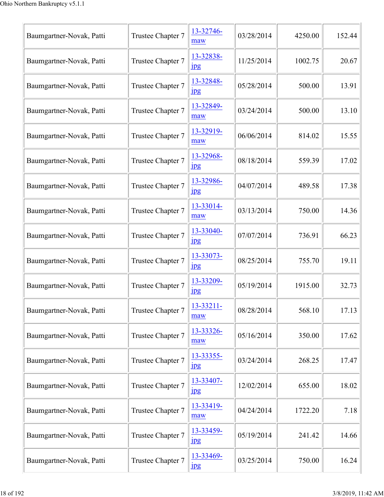| Baumgartner-Novak, Patti | Trustee Chapter 7 | 13-32746-<br>maw              | 03/28/2014 | 4250.00 | 152.44 |
|--------------------------|-------------------|-------------------------------|------------|---------|--------|
| Baumgartner-Novak, Patti | Trustee Chapter 7 | 13-32838-<br>$_{\rm 1pg}$     | 11/25/2014 | 1002.75 | 20.67  |
| Baumgartner-Novak, Patti | Trustee Chapter 7 | 13-32848-<br>$_{\rm 1\!P\!S}$ | 05/28/2014 | 500.00  | 13.91  |
| Baumgartner-Novak, Patti | Trustee Chapter 7 | 13-32849-<br>maw              | 03/24/2014 | 500.00  | 13.10  |
| Baumgartner-Novak, Patti | Trustee Chapter 7 | 13-32919-<br>maw              | 06/06/2014 | 814.02  | 15.55  |
| Baumgartner-Novak, Patti | Trustee Chapter 7 | 13-32968-<br>$_{\rm 1\!P\!S}$ | 08/18/2014 | 559.39  | 17.02  |
| Baumgartner-Novak, Patti | Trustee Chapter 7 | 13-32986-<br>$\frac{1}{2}$    | 04/07/2014 | 489.58  | 17.38  |
| Baumgartner-Novak, Patti | Trustee Chapter 7 | 13-33014-<br>maw              | 03/13/2014 | 750.00  | 14.36  |
| Baumgartner-Novak, Patti | Trustee Chapter 7 | 13-33040-<br>$_{\rm 1pg}$     | 07/07/2014 | 736.91  | 66.23  |
| Baumgartner-Novak, Patti | Trustee Chapter 7 | 13-33073-<br>jpg              | 08/25/2014 | 755.70  | 19.11  |
| Baumgartner-Novak, Patti | Trustee Chapter 7 | 13-33209-<br>$_{\rm 1pg}$     | 05/19/2014 | 1915.00 | 32.73  |
| Baumgartner-Novak, Patti | Trustee Chapter 7 | $13 - 33211 -$<br>maw         | 08/28/2014 | 568.10  | 17.13  |
| Baumgartner-Novak, Patti | Trustee Chapter 7 | 13-33326-<br>maw              | 05/16/2014 | 350.00  | 17.62  |
| Baumgartner-Novak, Patti | Trustee Chapter 7 | 13-33355-<br>1 <sub>p</sub> g | 03/24/2014 | 268.25  | 17.47  |
| Baumgartner-Novak, Patti | Trustee Chapter 7 | 13-33407-<br>jpg              | 12/02/2014 | 655.00  | 18.02  |
| Baumgartner-Novak, Patti | Trustee Chapter 7 | 13-33419-<br>maw              | 04/24/2014 | 1722.20 | 7.18   |
| Baumgartner-Novak, Patti | Trustee Chapter 7 | 13-33459-<br>$_{\rm 1pg}$     | 05/19/2014 | 241.42  | 14.66  |
| Baumgartner-Novak, Patti | Trustee Chapter 7 | 13-33469-<br>$\frac{1}{2}$    | 03/25/2014 | 750.00  | 16.24  |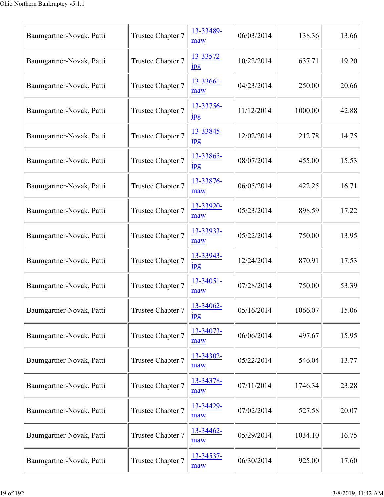| Baumgartner-Novak, Patti | Trustee Chapter 7 | 13-33489-<br>maw              | 06/03/2014 | 138.36  | 13.66 |
|--------------------------|-------------------|-------------------------------|------------|---------|-------|
| Baumgartner-Novak, Patti | Trustee Chapter 7 | 13-33572-<br>$_{\rm 1pg}$     | 10/22/2014 | 637.71  | 19.20 |
| Baumgartner-Novak, Patti | Trustee Chapter 7 | 13-33661-<br>maw              | 04/23/2014 | 250.00  | 20.66 |
| Baumgartner-Novak, Patti | Trustee Chapter 7 | 13-33756-<br>jpg              | 11/12/2014 | 1000.00 | 42.88 |
| Baumgartner-Novak, Patti | Trustee Chapter 7 | 13-33845-<br>$_{\rm 1pg}$     | 12/02/2014 | 212.78  | 14.75 |
| Baumgartner-Novak, Patti | Trustee Chapter 7 | 13-33865-<br>$_{\rm 1\!P\!S}$ | 08/07/2014 | 455.00  | 15.53 |
| Baumgartner-Novak, Patti | Trustee Chapter 7 | 13-33876-<br>maw              | 06/05/2014 | 422.25  | 16.71 |
| Baumgartner-Novak, Patti | Trustee Chapter 7 | 13-33920-<br>maw              | 05/23/2014 | 898.59  | 17.22 |
| Baumgartner-Novak, Patti | Trustee Chapter 7 | 13-33933-<br>maw              | 05/22/2014 | 750.00  | 13.95 |
| Baumgartner-Novak, Patti | Trustee Chapter 7 | 13-33943-<br>jpg              | 12/24/2014 | 870.91  | 17.53 |
| Baumgartner-Novak, Patti | Trustee Chapter 7 | $13 - 34051 -$<br>maw         | 07/28/2014 | 750.00  | 53.39 |
| Baumgartner-Novak, Patti | Trustee Chapter 7 | 13-34062-<br>$_{\rm 1pg}$     | 05/16/2014 | 1066.07 | 15.06 |
| Baumgartner-Novak, Patti | Trustee Chapter 7 | 13-34073-<br>maw              | 06/06/2014 | 497.67  | 15.95 |
| Baumgartner-Novak, Patti | Trustee Chapter 7 | 13-34302-<br>maw              | 05/22/2014 | 546.04  | 13.77 |
| Baumgartner-Novak, Patti | Trustee Chapter 7 | 13-34378-<br>maw              | 07/11/2014 | 1746.34 | 23.28 |
| Baumgartner-Novak, Patti | Trustee Chapter 7 | 13-34429-<br>maw              | 07/02/2014 | 527.58  | 20.07 |
| Baumgartner-Novak, Patti | Trustee Chapter 7 | 13-34462-<br>maw              | 05/29/2014 | 1034.10 | 16.75 |
| Baumgartner-Novak, Patti | Trustee Chapter 7 | 13-34537-<br>maw              | 06/30/2014 | 925.00  | 17.60 |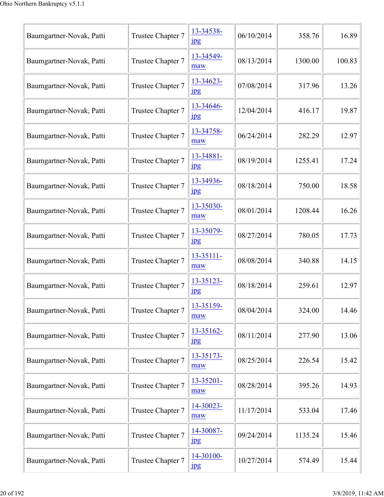| Baumgartner-Novak, Patti | Trustee Chapter 7 | 13-34538-<br>$_{\rm 1\,}$     | 06/10/2014 | 358.76  | 16.89  |
|--------------------------|-------------------|-------------------------------|------------|---------|--------|
| Baumgartner-Novak, Patti | Trustee Chapter 7 | 13-34549-<br>maw              | 08/13/2014 | 1300.00 | 100.83 |
| Baumgartner-Novak, Patti | Trustee Chapter 7 | 13-34623-<br>$_{\rm 1pg}$     | 07/08/2014 | 317.96  | 13.26  |
| Baumgartner-Novak, Patti | Trustee Chapter 7 | 13-34646-<br>jpg              | 12/04/2014 | 416.17  | 19.87  |
| Baumgartner-Novak, Patti | Trustee Chapter 7 | 13-34758-<br>maw              | 06/24/2014 | 282.29  | 12.97  |
| Baumgartner-Novak, Patti | Trustee Chapter 7 | 13-34881-<br>$_{\rm 1pg}$     | 08/19/2014 | 1255.41 | 17.24  |
| Baumgartner-Novak, Patti | Trustee Chapter 7 | 13-34936-<br>$_{\rm 1pg}$     | 08/18/2014 | 750.00  | 18.58  |
| Baumgartner-Novak, Patti | Trustee Chapter 7 | 13-35030-<br>maw              | 08/01/2014 | 1208.44 | 16.26  |
| Baumgartner-Novak, Patti | Trustee Chapter 7 | 13-35079-<br>$_{\rm 1\!P\!S}$ | 08/27/2014 | 780.05  | 17.73  |
| Baumgartner-Novak, Patti | Trustee Chapter 7 | 13-35111-<br>maw              | 08/08/2014 | 340.88  | 14.15  |
| Baumgartner-Novak, Patti | Trustee Chapter 7 | 13-35123-<br>$_{\rm 1pg}$     | 08/18/2014 | 259.61  | 12.97  |
| Baumgartner-Novak, Patti | Trustee Chapter 7 | 13-35159-<br>maw              | 08/04/2014 | 324.00  | 14.46  |
| Baumgartner-Novak, Patti | Trustee Chapter 7 | 13-35162-<br><u>Ipg</u>       | 08/11/2014 | 277.90  | 13.06  |
| Baumgartner-Novak, Patti | Trustee Chapter 7 | 13-35173-<br>maw              | 08/25/2014 | 226.54  | 15.42  |
| Baumgartner-Novak, Patti | Trustee Chapter 7 | 13-35201-<br>maw              | 08/28/2014 | 395.26  | 14.93  |
| Baumgartner-Novak, Patti | Trustee Chapter 7 | 14-30023-<br>maw              | 11/17/2014 | 533.04  | 17.46  |
| Baumgartner-Novak, Patti | Trustee Chapter 7 | 14-30087-<br>$_{\rm 1pg}$     | 09/24/2014 | 1135.24 | 15.46  |
| Baumgartner-Novak, Patti | Trustee Chapter 7 | 14-30100-<br>$_{\rm 1pg}$     | 10/27/2014 | 574.49  | 15.44  |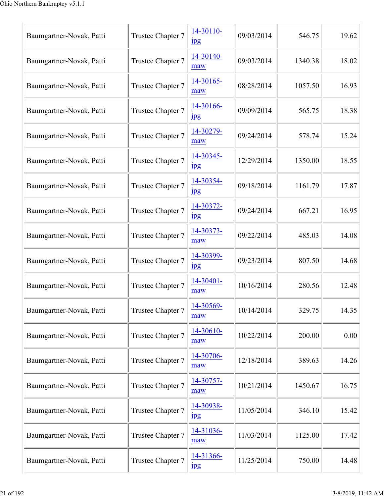| Baumgartner-Novak, Patti | Trustee Chapter 7 | 14-30110-<br>$_{\rm 1\!P\!S}$ | 09/03/2014 | 546.75  | 19.62 |
|--------------------------|-------------------|-------------------------------|------------|---------|-------|
| Baumgartner-Novak, Patti | Trustee Chapter 7 | 14-30140-<br>maw              | 09/03/2014 | 1340.38 | 18.02 |
| Baumgartner-Novak, Patti | Trustee Chapter 7 | 14-30165-<br>maw              | 08/28/2014 | 1057.50 | 16.93 |
| Baumgartner-Novak, Patti | Trustee Chapter 7 | 14-30166-<br>$_{\rm 1\,}$     | 09/09/2014 | 565.75  | 18.38 |
| Baumgartner-Novak, Patti | Trustee Chapter 7 | 14-30279-<br>maw              | 09/24/2014 | 578.74  | 15.24 |
| Baumgartner-Novak, Patti | Trustee Chapter 7 | 14-30345-<br>$_{\rm 1\!P\!S}$ | 12/29/2014 | 1350.00 | 18.55 |
| Baumgartner-Novak, Patti | Trustee Chapter 7 | 14-30354-<br>$\frac{1}{2}$    | 09/18/2014 | 1161.79 | 17.87 |
| Baumgartner-Novak, Patti | Trustee Chapter 7 | 14-30372-<br>$_{\rm 1\!P\!S}$ | 09/24/2014 | 667.21  | 16.95 |
| Baumgartner-Novak, Patti | Trustee Chapter 7 | 14-30373-<br>maw              | 09/22/2014 | 485.03  | 14.08 |
| Baumgartner-Novak, Patti | Trustee Chapter 7 | 14-30399-<br>jpg              | 09/23/2014 | 807.50  | 14.68 |
| Baumgartner-Novak, Patti | Trustee Chapter 7 | 14-30401-<br>maw              | 10/16/2014 | 280.56  | 12.48 |
| Baumgartner-Novak, Patti | Trustee Chapter 7 | 14-30569-<br>maw              | 10/14/2014 | 329.75  | 14.35 |
| Baumgartner-Novak, Patti | Trustee Chapter 7 | 14-30610-<br>maw              | 10/22/2014 | 200.00  | 0.00  |
| Baumgartner-Novak, Patti | Trustee Chapter 7 | 14-30706-<br>maw              | 12/18/2014 | 389.63  | 14.26 |
| Baumgartner-Novak, Patti | Trustee Chapter 7 | 14-30757-<br>maw              | 10/21/2014 | 1450.67 | 16.75 |
| Baumgartner-Novak, Patti | Trustee Chapter 7 | 14-30938-<br>1 <sub>p</sub> g | 11/05/2014 | 346.10  | 15.42 |
| Baumgartner-Novak, Patti | Trustee Chapter 7 | 14-31036-<br>maw              | 11/03/2014 | 1125.00 | 17.42 |
| Baumgartner-Novak, Patti | Trustee Chapter 7 | 14-31366-<br>jpg              | 11/25/2014 | 750.00  | 14.48 |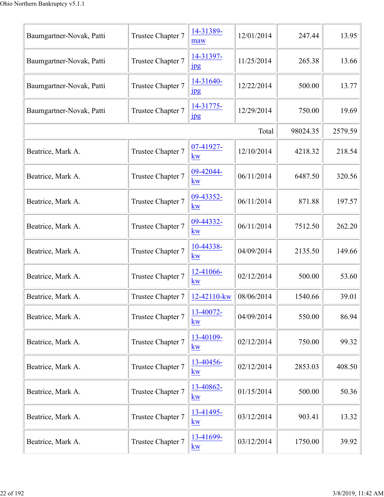| Baumgartner-Novak, Patti | Trustee Chapter 7 | 14-31389-<br>maw              | 12/01/2014 | 247.44   | 13.95   |
|--------------------------|-------------------|-------------------------------|------------|----------|---------|
| Baumgartner-Novak, Patti | Trustee Chapter 7 | 14-31397-<br>1 <sub>p</sub> g | 11/25/2014 | 265.38   | 13.66   |
| Baumgartner-Novak, Patti | Trustee Chapter 7 | 14-31640-<br>$_{\rm 1\,}$     | 12/22/2014 | 500.00   | 13.77   |
| Baumgartner-Novak, Patti | Trustee Chapter 7 | 14-31775-<br>$_{\rm 1\,}$     | 12/29/2014 | 750.00   | 19.69   |
|                          |                   |                               | Total      | 98024.35 | 2579.59 |
| Beatrice, Mark A.        | Trustee Chapter 7 | 07-41927-<br>kw               | 12/10/2014 | 4218.32  | 218.54  |
| Beatrice, Mark A.        | Trustee Chapter 7 | 09-42044-<br>kw               | 06/11/2014 | 6487.50  | 320.56  |
| Beatrice, Mark A.        | Trustee Chapter 7 | 09-43352-<br>kw               | 06/11/2014 | 871.88   | 197.57  |
| Beatrice, Mark A.        | Trustee Chapter 7 | 09-44332-<br>kw               | 06/11/2014 | 7512.50  | 262.20  |
| Beatrice, Mark A.        | Trustee Chapter 7 | 10-44338-<br>kw               | 04/09/2014 | 2135.50  | 149.66  |
| Beatrice, Mark A.        | Trustee Chapter 7 | 12-41066-<br><b>kw</b>        | 02/12/2014 | 500.00   | 53.60   |
| Beatrice, Mark A.        | Trustee Chapter 7 | 12-42110-kw                   | 08/06/2014 | 1540.66  | 39.01   |
| Beatrice, Mark A.        | Trustee Chapter 7 | 13-40072-<br>kw               | 04/09/2014 | 550.00   | 86.94   |
| Beatrice, Mark A.        | Trustee Chapter 7 | 13-40109-<br>kw               | 02/12/2014 | 750.00   | 99.32   |
| Beatrice, Mark A.        | Trustee Chapter 7 | 13-40456-<br>kw               | 02/12/2014 | 2853.03  | 408.50  |
| Beatrice, Mark A.        | Trustee Chapter 7 | 13-40862-<br>kw               | 01/15/2014 | 500.00   | 50.36   |
| Beatrice, Mark A.        | Trustee Chapter 7 | 13-41495-<br>kw               | 03/12/2014 | 903.41   | 13.32   |
| Beatrice, Mark A.        | Trustee Chapter 7 | 13-41699-<br>kw               | 03/12/2014 | 1750.00  | 39.92   |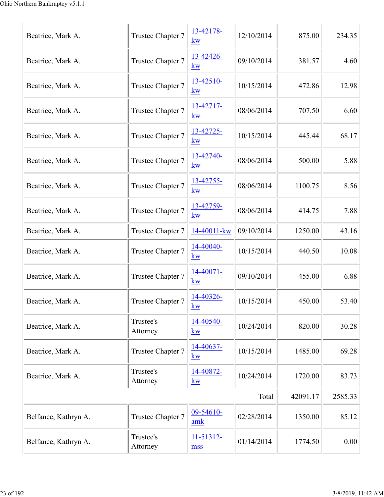| Beatrice, Mark A.    | Trustee Chapter 7     | 13-42178-<br><b>kw</b>            | 12/10/2014 | 875.00   | 234.35  |
|----------------------|-----------------------|-----------------------------------|------------|----------|---------|
| Beatrice, Mark A.    | Trustee Chapter 7     | 13-42426-<br>kw                   | 09/10/2014 | 381.57   | 4.60    |
| Beatrice, Mark A.    | Trustee Chapter 7     | 13-42510-<br>kw                   | 10/15/2014 | 472.86   | 12.98   |
| Beatrice, Mark A.    | Trustee Chapter 7     | 13-42717-<br>kw                   | 08/06/2014 | 707.50   | 6.60    |
| Beatrice, Mark A.    | Trustee Chapter 7     | 13-42725-<br><b>kw</b>            | 10/15/2014 | 445.44   | 68.17   |
| Beatrice, Mark A.    | Trustee Chapter 7     | 13-42740-<br><b>kw</b>            | 08/06/2014 | 500.00   | 5.88    |
| Beatrice, Mark A.    | Trustee Chapter 7     | 13-42755-<br><b>kw</b>            | 08/06/2014 | 1100.75  | 8.56    |
| Beatrice, Mark A.    | Trustee Chapter 7     | 13-42759-<br><b>kw</b>            | 08/06/2014 | 414.75   | 7.88    |
| Beatrice, Mark A.    | Trustee Chapter 7     | 14-40011-kw                       | 09/10/2014 | 1250.00  | 43.16   |
| Beatrice, Mark A.    | Trustee Chapter 7     | 14-40040-<br><u>kw</u>            | 10/15/2014 | 440.50   | 10.08   |
| Beatrice, Mark A.    | Trustee Chapter 7     | 14-40071-<br><b>kw</b>            | 09/10/2014 | 455.00   | 6.88    |
| Beatrice, Mark A.    | Trustee Chapter 7     | 14-40326-<br>$\underline{\bf KW}$ | 10/15/2014 | 450.00   | 53.40   |
| Beatrice, Mark A.    | Trustee's<br>Attorney | 14-40540-<br>kw                   | 10/24/2014 | 820.00   | 30.28   |
| Beatrice, Mark A.    | Trustee Chapter 7     | 14-40637-<br>kw                   | 10/15/2014 | 1485.00  | 69.28   |
| Beatrice, Mark A.    | Trustee's<br>Attorney | 14-40872-<br>kw                   | 10/24/2014 | 1720.00  | 83.73   |
|                      |                       |                                   | Total      | 42091.17 | 2585.33 |
| Belfance, Kathryn A. | Trustee Chapter 7     | 09-54610-<br>amk                  | 02/28/2014 | 1350.00  | 85.12   |
| Belfance, Kathryn A. | Trustee's<br>Attorney | 11-51312-<br>mss                  | 01/14/2014 | 1774.50  | 0.00    |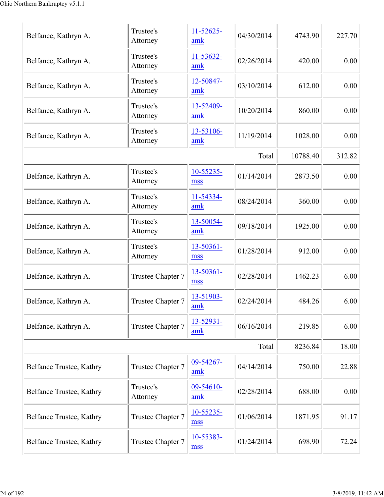| Belfance, Kathryn A.     | Trustee's<br>Attorney | $11 - 52625 -$<br>amk | 04/30/2014 | 4743.90  | 227.70 |
|--------------------------|-----------------------|-----------------------|------------|----------|--------|
| Belfance, Kathryn A.     | Trustee's<br>Attorney | 11-53632-<br>amk      | 02/26/2014 | 420.00   | 0.00   |
| Belfance, Kathryn A.     | Trustee's<br>Attorney | 12-50847-<br>amk      | 03/10/2014 | 612.00   | 0.00   |
| Belfance, Kathryn A.     | Trustee's<br>Attorney | 13-52409-<br>amk      | 10/20/2014 | 860.00   | 0.00   |
| Belfance, Kathryn A.     | Trustee's<br>Attorney | 13-53106-<br>amk      | 11/19/2014 | 1028.00  | 0.00   |
|                          |                       |                       | Total      | 10788.40 | 312.82 |
| Belfance, Kathryn A.     | Trustee's<br>Attorney | 10-55235-<br>mss      | 01/14/2014 | 2873.50  | 0.00   |
| Belfance, Kathryn A.     | Trustee's<br>Attorney | 11-54334-<br>amk      | 08/24/2014 | 360.00   | 0.00   |
| Belfance, Kathryn A.     | Trustee's<br>Attorney | 13-50054-<br>amk      | 09/18/2014 | 1925.00  | 0.00   |
| Belfance, Kathryn A.     | Trustee's<br>Attorney | 13-50361-<br>mss      | 01/28/2014 | 912.00   | 0.00   |
| Belfance, Kathryn A.     | Trustee Chapter 7     | 13-50361-<br>mss      | 02/28/2014 | 1462.23  | 6.00   |
| Belfance, Kathryn A.     | Trustee Chapter 7     | 13-51903-<br>amk      | 02/24/2014 | 484.26   | 6.00   |
| Belfance, Kathryn A.     | Trustee Chapter 7     | 13-52931-<br>amk      | 06/16/2014 | 219.85   | 6.00   |
|                          |                       |                       | Total      | 8236.84  | 18.00  |
| Belfance Trustee, Kathry | Trustee Chapter 7     | 09-54267-<br>amk      | 04/14/2014 | 750.00   | 22.88  |
| Belfance Trustee, Kathry | Trustee's<br>Attorney | 09-54610-<br>amk      | 02/28/2014 | 688.00   | 0.00   |
| Belfance Trustee, Kathry | Trustee Chapter 7     | 10-55235-<br>mss      | 01/06/2014 | 1871.95  | 91.17  |
| Belfance Trustee, Kathry | Trustee Chapter 7     | 10-55383-<br>mss      | 01/24/2014 | 698.90   | 72.24  |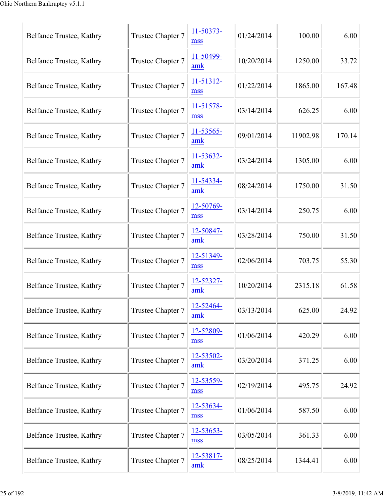| Belfance Trustee, Kathry | Trustee Chapter 7 | 11-50373-<br>mss      | 01/24/2014 | 100.00   | 6.00   |
|--------------------------|-------------------|-----------------------|------------|----------|--------|
| Belfance Trustee, Kathry | Trustee Chapter 7 | 11-50499-<br>amk      | 10/20/2014 | 1250.00  | 33.72  |
| Belfance Trustee, Kathry | Trustee Chapter 7 | 11-51312-<br>mss      | 01/22/2014 | 1865.00  | 167.48 |
| Belfance Trustee, Kathry | Trustee Chapter 7 | 11-51578-<br>mss      | 03/14/2014 | 626.25   | 6.00   |
| Belfance Trustee, Kathry | Trustee Chapter 7 | 11-53565-<br>amk      | 09/01/2014 | 11902.98 | 170.14 |
| Belfance Trustee, Kathry | Trustee Chapter 7 | 11-53632-<br>amk      | 03/24/2014 | 1305.00  | 6.00   |
| Belfance Trustee, Kathry | Trustee Chapter 7 | 11-54334-<br>amk      | 08/24/2014 | 1750.00  | 31.50  |
| Belfance Trustee, Kathry | Trustee Chapter 7 | 12-50769-<br>mss      | 03/14/2014 | 250.75   | 6.00   |
| Belfance Trustee, Kathry | Trustee Chapter 7 | 12-50847-<br>amk      | 03/28/2014 | 750.00   | 31.50  |
| Belfance Trustee, Kathry | Trustee Chapter 7 | 12-51349-<br>mss      | 02/06/2014 | 703.75   | 55.30  |
| Belfance Trustee, Kathry | Trustee Chapter 7 | 12-52327-<br>amk      | 10/20/2014 | 2315.18  | 61.58  |
| Belfance Trustee, Kathry | Trustee Chapter 7 | 12-52464-<br>amk      | 03/13/2014 | 625.00   | 24.92  |
| Belfance Trustee, Kathry | Trustee Chapter 7 | 12-52809-<br>mss      | 01/06/2014 | 420.29   | 6.00   |
| Belfance Trustee, Kathry | Trustee Chapter 7 | $12 - 53502 -$<br>amk | 03/20/2014 | 371.25   | 6.00   |
| Belfance Trustee, Kathry | Trustee Chapter 7 | 12-53559-<br>mss      | 02/19/2014 | 495.75   | 24.92  |
| Belfance Trustee, Kathry | Trustee Chapter 7 | 12-53634-<br>mss      | 01/06/2014 | 587.50   | 6.00   |
| Belfance Trustee, Kathry | Trustee Chapter 7 | $12 - 53653 -$<br>mss | 03/05/2014 | 361.33   | 6.00   |
| Belfance Trustee, Kathry | Trustee Chapter 7 | 12-53817-<br>amk      | 08/25/2014 | 1344.41  | 6.00   |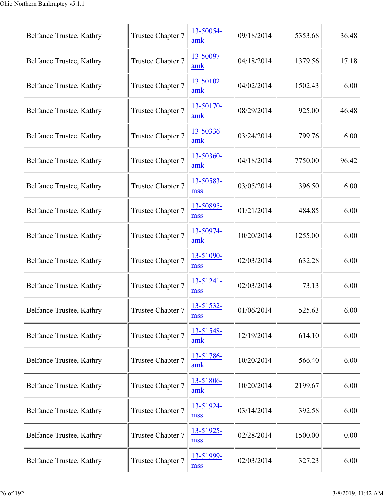| Belfance Trustee, Kathry | Trustee Chapter 7 | 13-50054-<br>amk      | 09/18/2014 | 5353.68 | 36.48 |
|--------------------------|-------------------|-----------------------|------------|---------|-------|
| Belfance Trustee, Kathry | Trustee Chapter 7 | 13-50097-<br>amk      | 04/18/2014 | 1379.56 | 17.18 |
| Belfance Trustee, Kathry | Trustee Chapter 7 | 13-50102-<br>amk      | 04/02/2014 | 1502.43 | 6.00  |
| Belfance Trustee, Kathry | Trustee Chapter 7 | 13-50170-<br>amk      | 08/29/2014 | 925.00  | 46.48 |
| Belfance Trustee, Kathry | Trustee Chapter 7 | 13-50336-<br>amk      | 03/24/2014 | 799.76  | 6.00  |
| Belfance Trustee, Kathry | Trustee Chapter 7 | 13-50360-<br>amk      | 04/18/2014 | 7750.00 | 96.42 |
| Belfance Trustee, Kathry | Trustee Chapter 7 | 13-50583-<br>mss      | 03/05/2014 | 396.50  | 6.00  |
| Belfance Trustee, Kathry | Trustee Chapter 7 | 13-50895-<br>mss      | 01/21/2014 | 484.85  | 6.00  |
| Belfance Trustee, Kathry | Trustee Chapter 7 | 13-50974-<br>amk      | 10/20/2014 | 1255.00 | 6.00  |
| Belfance Trustee, Kathry | Trustee Chapter 7 | 13-51090-<br>mss      | 02/03/2014 | 632.28  | 6.00  |
| Belfance Trustee, Kathry | Trustee Chapter 7 | $13 - 51241 -$<br>mss | 02/03/2014 | 73.13   | 6.00  |
| Belfance Trustee, Kathry | Trustee Chapter 7 | 13-51532-<br>mss      | 01/06/2014 | 525.63  | 6.00  |
| Belfance Trustee, Kathry | Trustee Chapter 7 | 13-51548-<br>amk      | 12/19/2014 | 614.10  | 6.00  |
| Belfance Trustee, Kathry | Trustee Chapter 7 | 13-51786-<br>amk      | 10/20/2014 | 566.40  | 6.00  |
| Belfance Trustee, Kathry | Trustee Chapter 7 | 13-51806-<br>amk      | 10/20/2014 | 2199.67 | 6.00  |
| Belfance Trustee, Kathry | Trustee Chapter 7 | 13-51924-<br>mss      | 03/14/2014 | 392.58  | 6.00  |
| Belfance Trustee, Kathry | Trustee Chapter 7 | 13-51925-<br>mss      | 02/28/2014 | 1500.00 | 0.00  |
| Belfance Trustee, Kathry | Trustee Chapter 7 | 13-51999-<br>mss      | 02/03/2014 | 327.23  | 6.00  |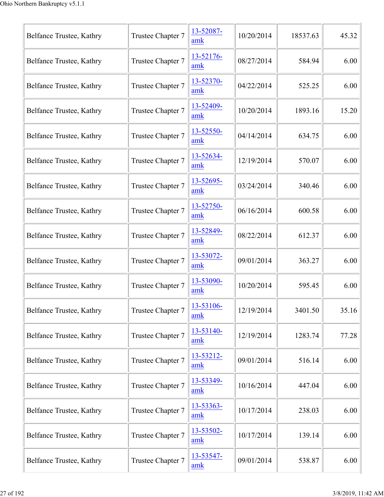| Belfance Trustee, Kathry | Trustee Chapter 7 | 13-52087-<br>amk | 10/20/2014 | 18537.63 | 45.32 |
|--------------------------|-------------------|------------------|------------|----------|-------|
| Belfance Trustee, Kathry | Trustee Chapter 7 | 13-52176-<br>amk | 08/27/2014 | 584.94   | 6.00  |
| Belfance Trustee, Kathry | Trustee Chapter 7 | 13-52370-<br>amk | 04/22/2014 | 525.25   | 6.00  |
| Belfance Trustee, Kathry | Trustee Chapter 7 | 13-52409-<br>amk | 10/20/2014 | 1893.16  | 15.20 |
| Belfance Trustee, Kathry | Trustee Chapter 7 | 13-52550-<br>amk | 04/14/2014 | 634.75   | 6.00  |
| Belfance Trustee, Kathry | Trustee Chapter 7 | 13-52634-<br>amk | 12/19/2014 | 570.07   | 6.00  |
| Belfance Trustee, Kathry | Trustee Chapter 7 | 13-52695-<br>amk | 03/24/2014 | 340.46   | 6.00  |
| Belfance Trustee, Kathry | Trustee Chapter 7 | 13-52750-<br>amk | 06/16/2014 | 600.58   | 6.00  |
| Belfance Trustee, Kathry | Trustee Chapter 7 | 13-52849-<br>amk | 08/22/2014 | 612.37   | 6.00  |
| Belfance Trustee, Kathry | Trustee Chapter 7 | 13-53072-<br>amk | 09/01/2014 | 363.27   | 6.00  |
| Belfance Trustee, Kathry | Trustee Chapter 7 | 13-53090-<br>amk | 10/20/2014 | 595.45   | 6.00  |
| Belfance Trustee, Kathry | Trustee Chapter 7 | 13-53106-<br>amk | 12/19/2014 | 3401.50  | 35.16 |
| Belfance Trustee, Kathry | Trustee Chapter 7 | 13-53140-<br>amk | 12/19/2014 | 1283.74  | 77.28 |
| Belfance Trustee, Kathry | Trustee Chapter 7 | 13-53212-<br>amk | 09/01/2014 | 516.14   | 6.00  |
| Belfance Trustee, Kathry | Trustee Chapter 7 | 13-53349-<br>amk | 10/16/2014 | 447.04   | 6.00  |
| Belfance Trustee, Kathry | Trustee Chapter 7 | 13-53363-<br>amk | 10/17/2014 | 238.03   | 6.00  |
| Belfance Trustee, Kathry | Trustee Chapter 7 | 13-53502-<br>amk | 10/17/2014 | 139.14   | 6.00  |
| Belfance Trustee, Kathry | Trustee Chapter 7 | 13-53547-<br>amk | 09/01/2014 | 538.87   | 6.00  |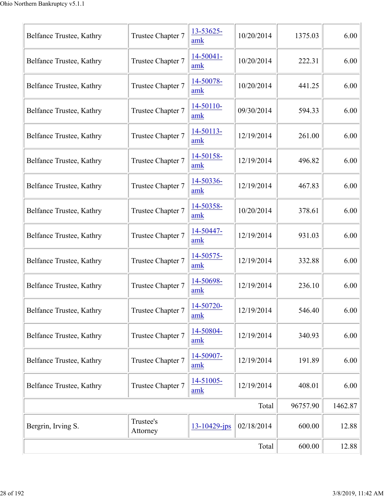| Belfance Trustee, Kathry | Trustee Chapter 7     | 13-53625-<br>amk            | 10/20/2014 | 1375.03  | 6.00    |
|--------------------------|-----------------------|-----------------------------|------------|----------|---------|
| Belfance Trustee, Kathry | Trustee Chapter 7     | 14-50041-<br>amk            | 10/20/2014 | 222.31   | 6.00    |
| Belfance Trustee, Kathry | Trustee Chapter 7     | 14-50078-<br>amk            | 10/20/2014 | 441.25   | 6.00    |
| Belfance Trustee, Kathry | Trustee Chapter 7     | 14-50110-<br>amk            | 09/30/2014 | 594.33   | 6.00    |
| Belfance Trustee, Kathry | Trustee Chapter 7     | 14-50113-<br>amk            | 12/19/2014 | 261.00   | 6.00    |
| Belfance Trustee, Kathry | Trustee Chapter 7     | 14-50158-<br>amk            | 12/19/2014 | 496.82   | 6.00    |
| Belfance Trustee, Kathry | Trustee Chapter 7     | 14-50336-<br>amk            | 12/19/2014 | 467.83   | 6.00    |
| Belfance Trustee, Kathry | Trustee Chapter 7     | 14-50358-<br>amk            | 10/20/2014 | 378.61   | 6.00    |
| Belfance Trustee, Kathry | Trustee Chapter 7     | 14-50447-<br>amk            | 12/19/2014 | 931.03   | 6.00    |
| Belfance Trustee, Kathry | Trustee Chapter 7     | 14-50575-<br>amk            | 12/19/2014 | 332.88   | 6.00    |
| Belfance Trustee, Kathry | Trustee Chapter 7     | 14-50698-<br>amk            | 12/19/2014 | 236.10   | 6.00    |
| Belfance Trustee, Kathry | Trustee Chapter 7     | 14-50720-<br>amk            | 12/19/2014 | 546.40   | 6.00    |
| Belfance Trustee, Kathry | Trustee Chapter 7     | 14-50804-<br>amk            | 12/19/2014 | 340.93   | 6.00    |
| Belfance Trustee, Kathry | Trustee Chapter 7     | 14-50907-<br>amk            | 12/19/2014 | 191.89   | 6.00    |
| Belfance Trustee, Kathry | Trustee Chapter 7     | 14-51005-<br>$\mathbf{amk}$ | 12/19/2014 | 408.01   | 6.00    |
|                          |                       |                             | Total      | 96757.90 | 1462.87 |
| Bergrin, Irving S.       | Trustee's<br>Attorney | 13-10429-jps                | 02/18/2014 | 600.00   | 12.88   |
|                          | Total                 | 600.00                      | 12.88      |          |         |
|                          |                       |                             |            |          |         |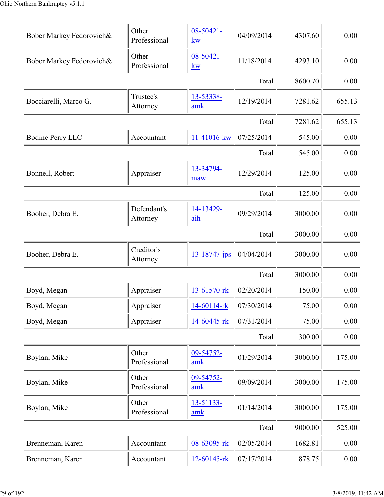| Bober Markey Fedorovich& | Other<br>Professional   | 08-50421-<br>kw    | 04/09/2014 | 4307.60 | 0.00   |
|--------------------------|-------------------------|--------------------|------------|---------|--------|
| Bober Markey Fedorovich& | Other<br>Professional   | 08-50421-<br>kw    | 11/18/2014 | 4293.10 | 0.00   |
|                          |                         |                    | Total      | 8600.70 | 0.00   |
| Bocciarelli, Marco G.    | Trustee's<br>Attorney   | 13-53338-<br>amk   | 12/19/2014 | 7281.62 | 655.13 |
|                          |                         |                    | Total      | 7281.62 | 655.13 |
| <b>Bodine Perry LLC</b>  | Accountant              | 11-41016-kw        | 07/25/2014 | 545.00  | 0.00   |
|                          | 545.00                  | 0.00               |            |         |        |
| Bonnell, Robert          | Appraiser               | 13-34794-<br>maw   | 12/29/2014 | 125.00  | 0.00   |
|                          |                         |                    | Total      | 125.00  | 0.00   |
| Booher, Debra E.         | Defendant's<br>Attorney | 14-13429-<br>aih   | 09/29/2014 | 3000.00 | 0.00   |
|                          |                         |                    | Total      | 3000.00 | 0.00   |
| Booher, Debra E.         | Creditor's<br>Attorney  | $13 - 18747 - ips$ | 04/04/2014 | 3000.00 | 0.00   |
|                          |                         |                    | Total      | 3000.00 | 0.00   |
| Boyd, Megan              | Appraiser               | 13-61570-rk        | 02/20/2014 | 150.00  | 0.00   |
| Boyd, Megan              | Appraiser               | 14-60114-rk        | 07/30/2014 | 75.00   | 0.00   |
| Boyd, Megan              | Appraiser               | 14-60445-rk        | 07/31/2014 | 75.00   | 0.00   |
|                          |                         |                    | Total      | 300.00  | 0.00   |
| Boylan, Mike             | Other<br>Professional   | 09-54752-<br>amk   | 01/29/2014 | 3000.00 | 175.00 |
| Boylan, Mike             | Other<br>Professional   | 09-54752-<br>amk   | 09/09/2014 | 3000.00 | 175.00 |
| Boylan, Mike             | Other<br>Professional   | 13-51133-<br>amk   | 01/14/2014 | 3000.00 | 175.00 |
|                          |                         |                    | Total      | 9000.00 | 525.00 |
| Brenneman, Karen         | Accountant              | 08-63095-rk        | 02/05/2014 | 1682.81 | 0.00   |
| Brenneman, Karen         | Accountant              | 12-60145-rk        | 07/17/2014 | 878.75  | 0.00   |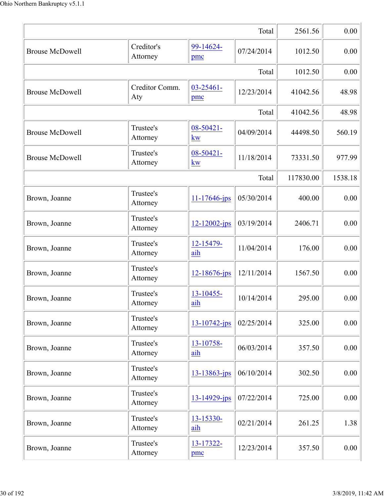|                        |                        |                        | Total      | 2561.56   | 0.00    |
|------------------------|------------------------|------------------------|------------|-----------|---------|
| <b>Brouse McDowell</b> | Creditor's<br>Attorney | 99-14624-<br>pmc       | 07/24/2014 | 1012.50   | 0.00    |
|                        |                        |                        | Total      | 1012.50   | 0.00    |
| <b>Brouse McDowell</b> | Creditor Comm.<br>Aty  | $03 - 25461 -$<br>pmc  | 12/23/2014 | 41042.56  | 48.98   |
|                        |                        |                        | Total      | 41042.56  | 48.98   |
| <b>Brouse McDowell</b> | Trustee's<br>Attorney  | 08-50421-<br>kw        | 04/09/2014 | 44498.50  | 560.19  |
| <b>Brouse McDowell</b> | Trustee's<br>Attorney  | 08-50421-<br><u>kw</u> | 11/18/2014 | 73331.50  | 977.99  |
|                        |                        |                        | Total      | 117830.00 | 1538.18 |
| Brown, Joanne          | Trustee's<br>Attorney  | $11 - 17646$ -jps      | 05/30/2014 | 400.00    | 0.00    |
| Brown, Joanne          | Trustee's<br>Attorney  | $12 - 12002 - ips$     | 03/19/2014 | 2406.71   | 0.00    |
| Brown, Joanne          | Trustee's<br>Attorney  | 12-15479-<br>aih       | 11/04/2014 | 176.00    | 0.00    |
| Brown, Joanne          | Trustee's<br>Attorney  | $12 - 18676$ -jps      | 12/11/2014 | 1567.50   | 0.00    |
| Brown, Joanne          | Trustee's<br>Attorney  | 13-10455-<br>aih       | 10/14/2014 | 295.00    | 0.00    |
| Brown, Joanne          | Trustee's<br>Attorney  | 13-10742-jps           | 02/25/2014 | 325.00    | 0.00    |
| Brown, Joanne          | Trustee's<br>Attorney  | 13-10758-<br>aih       | 06/03/2014 | 357.50    | 0.00    |
| Brown, Joanne          | Trustee's<br>Attorney  | 13-13863-jps           | 06/10/2014 | 302.50    | 0.00    |
| Brown, Joanne          | Trustee's<br>Attorney  | 13-14929-jps           | 07/22/2014 | 725.00    | 0.00    |
| Brown, Joanne          | Trustee's<br>Attorney  | 13-15330-<br>aih       | 02/21/2014 | 261.25    | 1.38    |
| Brown, Joanne          | Trustee's<br>Attorney  | 13-17322-<br>pmc       | 12/23/2014 | 357.50    | 0.00    |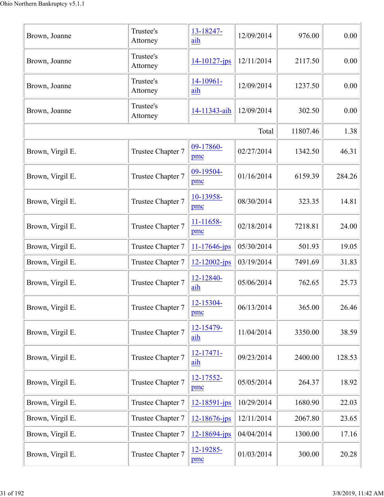| Brown, Joanne    | Trustee's<br>Attorney | 13-18247-<br>aih      | 12/09/2014 | 976.00   | 0.00   |
|------------------|-----------------------|-----------------------|------------|----------|--------|
| Brown, Joanne    | Trustee's<br>Attorney | $14 - 10127$ -jps     | 12/11/2014 | 2117.50  | 0.00   |
| Brown, Joanne    | Trustee's<br>Attorney | 14-10961-<br>aih      | 12/09/2014 | 1237.50  | 0.00   |
| Brown, Joanne    | Trustee's<br>Attorney | 14-11343-aih          | 12/09/2014 | 302.50   | 0.00   |
|                  |                       |                       | Total      | 11807.46 | 1.38   |
| Brown, Virgil E. | Trustee Chapter 7     | 09-17860-<br>pmc      | 02/27/2014 | 1342.50  | 46.31  |
| Brown, Virgil E. | Trustee Chapter 7     | 09-19504-<br>pmc      | 01/16/2014 | 6159.39  | 284.26 |
| Brown, Virgil E. | Trustee Chapter 7     | 10-13958-<br>pmc      | 08/30/2014 | 323.35   | 14.81  |
| Brown, Virgil E. | Trustee Chapter 7     | 11-11658-<br>pmc      | 02/18/2014 | 7218.81  | 24.00  |
| Brown, Virgil E. | Trustee Chapter 7     | 11-17646-jps          | 05/30/2014 | 501.93   | 19.05  |
| Brown, Virgil E. | Trustee Chapter 7     | 12-12002-jps          | 03/19/2014 | 7491.69  | 31.83  |
| Brown, Virgil E. | Trustee Chapter 7     | 12-12840-<br>aih      | 05/06/2014 | 762.65   | 25.73  |
| Brown, Virgil E. | Trustee Chapter 7     | 12-15304-<br>pmc      | 06/13/2014 | 365.00   | 26.46  |
| Brown, Virgil E. | Trustee Chapter 7     | 12-15479-<br>aih      | 11/04/2014 | 3350.00  | 38.59  |
| Brown, Virgil E. | Trustee Chapter 7     | $12 - 17471 -$<br>aih | 09/23/2014 | 2400.00  | 128.53 |
| Brown, Virgil E. | Trustee Chapter 7     | 12-17552-<br>pmc      | 05/05/2014 | 264.37   | 18.92  |
| Brown, Virgil E. | Trustee Chapter 7     | 12-18591-jps          | 10/29/2014 | 1680.90  | 22.03  |
| Brown, Virgil E. | Trustee Chapter 7     | $12 - 18676$ -jps     | 12/11/2014 | 2067.80  | 23.65  |
| Brown, Virgil E. | Trustee Chapter 7     | $12 - 18694 - ips$    | 04/04/2014 | 1300.00  | 17.16  |
| Brown, Virgil E. | Trustee Chapter 7     | 12-19285-<br>pmc      | 01/03/2014 | 300.00   | 20.28  |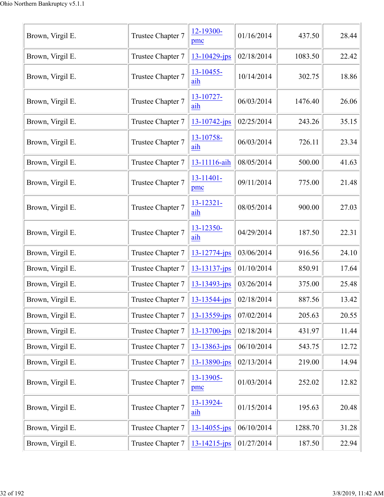| Brown, Virgil E. | Trustee Chapter 7 | 12-19300-<br>pmc      | 01/16/2014 | 437.50  | 28.44 |
|------------------|-------------------|-----------------------|------------|---------|-------|
| Brown, Virgil E. | Trustee Chapter 7 | 13-10429-jps          | 02/18/2014 | 1083.50 | 22.42 |
| Brown, Virgil E. | Trustee Chapter 7 | 13-10455-<br>aih      | 10/14/2014 | 302.75  | 18.86 |
| Brown, Virgil E. | Trustee Chapter 7 | 13-10727-<br>aih      | 06/03/2014 | 1476.40 | 26.06 |
| Brown, Virgil E. | Trustee Chapter 7 | $13 - 10742$ -jps     | 02/25/2014 | 243.26  | 35.15 |
| Brown, Virgil E. | Trustee Chapter 7 | 13-10758-<br>aih      | 06/03/2014 | 726.11  | 23.34 |
| Brown, Virgil E. | Trustee Chapter 7 | 13-11116-aih          | 08/05/2014 | 500.00  | 41.63 |
| Brown, Virgil E. | Trustee Chapter 7 | $13 - 11401 -$<br>pmc | 09/11/2014 | 775.00  | 21.48 |
| Brown, Virgil E. | Trustee Chapter 7 | 13-12321-<br>aih      | 08/05/2014 | 900.00  | 27.03 |
| Brown, Virgil E. | Trustee Chapter 7 | $13 - 12350 -$<br>aih | 04/29/2014 | 187.50  | 22.31 |
| Brown, Virgil E. | Trustee Chapter 7 | 13-12774-jps          | 03/06/2014 | 916.56  | 24.10 |
| Brown, Virgil E. | Trustee Chapter 7 | $13 - 13137 - ips$    | 01/10/2014 | 850.91  | 17.64 |
| Brown, Virgil E. | Trustee Chapter 7 | 13-13493-jps          | 03/26/2014 | 375.00  | 25.48 |
| Brown, Virgil E. | Trustee Chapter 7 | $13 - 13544 - jps$    | 02/18/2014 | 887.56  | 13.42 |
| Brown, Virgil E. | Trustee Chapter 7 | $13 - 13559$ -jps     | 07/02/2014 | 205.63  | 20.55 |
| Brown, Virgil E. | Trustee Chapter 7 | 13-13700-jps          | 02/18/2014 | 431.97  | 11.44 |
| Brown, Virgil E. | Trustee Chapter 7 | $13 - 13863$ -jps     | 06/10/2014 | 543.75  | 12.72 |
| Brown, Virgil E. | Trustee Chapter 7 | 13-13890-jps          | 02/13/2014 | 219.00  | 14.94 |
| Brown, Virgil E. | Trustee Chapter 7 | 13-13905-<br>pmc      | 01/03/2014 | 252.02  | 12.82 |
| Brown, Virgil E. | Trustee Chapter 7 | 13-13924-<br>aih      | 01/15/2014 | 195.63  | 20.48 |
| Brown, Virgil E. | Trustee Chapter 7 | $13 - 14055 - ips$    | 06/10/2014 | 1288.70 | 31.28 |
| Brown, Virgil E. | Trustee Chapter 7 | $13 - 14215$ -jps     | 01/27/2014 | 187.50  | 22.94 |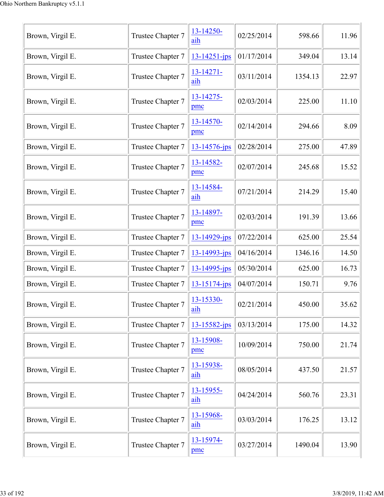| Brown, Virgil E. | Trustee Chapter 7 | 13-14250-<br>aih    | 02/25/2014 | 598.66  | 11.96 |
|------------------|-------------------|---------------------|------------|---------|-------|
| Brown, Virgil E. | Trustee Chapter 7 | $13 - 14251 - ips$  | 01/17/2014 | 349.04  | 13.14 |
| Brown, Virgil E. | Trustee Chapter 7 | 13-14271-<br>aih    | 03/11/2014 | 1354.13 | 22.97 |
| Brown, Virgil E. | Trustee Chapter 7 | 13-14275-<br>pmc    | 02/03/2014 | 225.00  | 11.10 |
| Brown, Virgil E. | Trustee Chapter 7 | 13-14570-<br>pmc    | 02/14/2014 | 294.66  | 8.09  |
| Brown, Virgil E. | Trustee Chapter 7 | $13 - 14576$ -jps   | 02/28/2014 | 275.00  | 47.89 |
| Brown, Virgil E. | Trustee Chapter 7 | 13-14582-<br>pmc    | 02/07/2014 | 245.68  | 15.52 |
| Brown, Virgil E. | Trustee Chapter 7 | 13-14584-<br>aih    | 07/21/2014 | 214.29  | 15.40 |
| Brown, Virgil E. | Trustee Chapter 7 | 13-14897-<br>pmc    | 02/03/2014 | 191.39  | 13.66 |
| Brown, Virgil E. | Trustee Chapter 7 | $13 - 14929 - ips$  | 07/22/2014 | 625.00  | 25.54 |
| Brown, Virgil E. | Trustee Chapter 7 | $13 - 14993 - ips$  | 04/16/2014 | 1346.16 | 14.50 |
| Brown, Virgil E. | Trustee Chapter 7 | 13-14995-jps        | 05/30/2014 | 625.00  | 16.73 |
| Brown, Virgil E. | Trustee Chapter 7 | $13 - 15174 - ips$  | 04/07/2014 | 150.71  | 9.76  |
| Brown, Virgil E. | Trustee Chapter 7 | 13-15330-<br>aih    | 02/21/2014 | 450.00  | 35.62 |
| Brown, Virgil E. | Trustee Chapter 7 | $13 - 15582 - jps$  | 03/13/2014 | 175.00  | 14.32 |
| Brown, Virgil E. | Trustee Chapter 7 | 13-15908-<br>pmc    | 10/09/2014 | 750.00  | 21.74 |
| Brown, Virgil E. | Trustee Chapter 7 | 13-15938-<br>aih    | 08/05/2014 | 437.50  | 21.57 |
| Brown, Virgil E. | Trustee Chapter 7 | $13 - 15955$<br>aih | 04/24/2014 | 560.76  | 23.31 |
| Brown, Virgil E. | Trustee Chapter 7 | 13-15968-<br>aih    | 03/03/2014 | 176.25  | 13.12 |
| Brown, Virgil E. | Trustee Chapter 7 | 13-15974-<br>pmc    | 03/27/2014 | 1490.04 | 13.90 |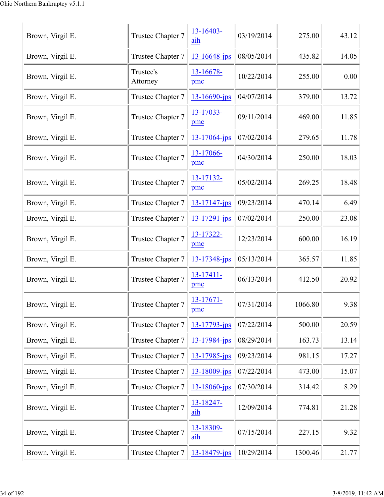| Brown, Virgil E. | Trustee Chapter 7     | $13 - 16403 -$<br>aih | 03/19/2014 | 275.00  | 43.12 |
|------------------|-----------------------|-----------------------|------------|---------|-------|
| Brown, Virgil E. | Trustee Chapter 7     | $13 - 16648$ -jps     | 08/05/2014 | 435.82  | 14.05 |
| Brown, Virgil E. | Trustee's<br>Attorney | 13-16678-<br>pmc      | 10/22/2014 | 255.00  | 0.00  |
| Brown, Virgil E. | Trustee Chapter 7     | $13 - 16690 - ips$    | 04/07/2014 | 379.00  | 13.72 |
| Brown, Virgil E. | Trustee Chapter 7     | 13-17033-<br>pmc      | 09/11/2014 | 469.00  | 11.85 |
| Brown, Virgil E. | Trustee Chapter 7     | 13-17064-jps          | 07/02/2014 | 279.65  | 11.78 |
| Brown, Virgil E. | Trustee Chapter 7     | 13-17066-<br>pmc      | 04/30/2014 | 250.00  | 18.03 |
| Brown, Virgil E. | Trustee Chapter 7     | 13-17132-<br>pmc      | 05/02/2014 | 269.25  | 18.48 |
| Brown, Virgil E. | Trustee Chapter 7     | $13 - 17147$ -jps     | 09/23/2014 | 470.14  | 6.49  |
| Brown, Virgil E. | Trustee Chapter 7     | $13 - 17291 - ips$    | 07/02/2014 | 250.00  | 23.08 |
| Brown, Virgil E. | Trustee Chapter 7     | 13-17322-<br>pmc      | 12/23/2014 | 600.00  | 16.19 |
| Brown, Virgil E. | Trustee Chapter 7     | 13-17348-jps          | 05/13/2014 | 365.57  | 11.85 |
| Brown, Virgil E. | Trustee Chapter 7     | $13 - 17411 -$<br>pmc | 06/13/2014 | 412.50  | 20.92 |
| Brown, Virgil E. | Trustee Chapter 7     | 13-17671-<br>pmc      | 07/31/2014 | 1066.80 | 9.38  |
| Brown, Virgil E. | Trustee Chapter 7     | $13 - 17793 - ips$    | 07/22/2014 | 500.00  | 20.59 |
| Brown, Virgil E. | Trustee Chapter 7     | 13-17984-jps          | 08/29/2014 | 163.73  | 13.14 |
| Brown, Virgil E. | Trustee Chapter 7     | 13-17985-jps          | 09/23/2014 | 981.15  | 17.27 |
| Brown, Virgil E. | Trustee Chapter 7     | 13-18009-jps          | 07/22/2014 | 473.00  | 15.07 |
| Brown, Virgil E. | Trustee Chapter 7     | 13-18060-jps          | 07/30/2014 | 314.42  | 8.29  |
| Brown, Virgil E. | Trustee Chapter 7     | 13-18247-<br>aih      | 12/09/2014 | 774.81  | 21.28 |
| Brown, Virgil E. | Trustee Chapter 7     | 13-18309-<br>aih      | 07/15/2014 | 227.15  | 9.32  |
| Brown, Virgil E. | Trustee Chapter 7     | 13-18479-jps          | 10/29/2014 | 1300.46 | 21.77 |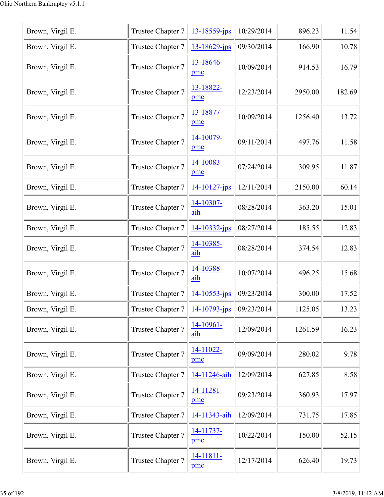| Brown, Virgil E. | Trustee Chapter 7 | 13-18559-jps       | 10/29/2014 | 896.23  | 11.54  |
|------------------|-------------------|--------------------|------------|---------|--------|
| Brown, Virgil E. | Trustee Chapter 7 | 13-18629-jps       | 09/30/2014 | 166.90  | 10.78  |
| Brown, Virgil E. | Trustee Chapter 7 | 13-18646-<br>pmc   | 10/09/2014 | 914.53  | 16.79  |
| Brown, Virgil E. | Trustee Chapter 7 | 13-18822-<br>pmc   | 12/23/2014 | 2950.00 | 182.69 |
| Brown, Virgil E. | Trustee Chapter 7 | 13-18877-<br>pmc   | 10/09/2014 | 1256.40 | 13.72  |
| Brown, Virgil E. | Trustee Chapter 7 | 14-10079-<br>pmc   | 09/11/2014 | 497.76  | 11.58  |
| Brown, Virgil E. | Trustee Chapter 7 | 14-10083-<br>pmc   | 07/24/2014 | 309.95  | 11.87  |
| Brown, Virgil E. | Trustee Chapter 7 | $14 - 10127$ -jps  | 12/11/2014 | 2150.00 | 60.14  |
| Brown, Virgil E. | Trustee Chapter 7 | 14-10307-<br>aih   | 08/28/2014 | 363.20  | 15.01  |
| Brown, Virgil E. | Trustee Chapter 7 | $14 - 10332 - ips$ | 08/27/2014 | 185.55  | 12.83  |
| Brown, Virgil E. | Trustee Chapter 7 | 14-10385-<br>aih   | 08/28/2014 | 374.54  | 12.83  |
| Brown, Virgil E. | Trustee Chapter 7 | 14-10388-<br>aih   | 10/07/2014 | 496.25  | 15.68  |
| Brown, Virgil E. | Trustee Chapter 7 | $14 - 10553 - jps$ | 09/23/2014 | 300.00  | 17.52  |
| Brown, Virgil E. | Trustee Chapter 7 | $14 - 10793 - ips$ | 09/23/2014 | 1125.05 | 13.23  |
| Brown, Virgil E. | Trustee Chapter 7 | 14-10961-<br>aih   | 12/09/2014 | 1261.59 | 16.23  |
| Brown, Virgil E. | Trustee Chapter 7 | 14-11022-<br>pmc   | 09/09/2014 | 280.02  | 9.78   |
| Brown, Virgil E. | Trustee Chapter 7 | 14-11246-aih       | 12/09/2014 | 627.85  | 8.58   |
| Brown, Virgil E. | Trustee Chapter 7 | 14-11281-<br>pmc   | 09/23/2014 | 360.93  | 17.97  |
| Brown, Virgil E. | Trustee Chapter 7 | 14-11343-aih       | 12/09/2014 | 731.75  | 17.85  |
| Brown, Virgil E. | Trustee Chapter 7 | 14-11737-<br>pmc   | 10/22/2014 | 150.00  | 52.15  |
| Brown, Virgil E. | Trustee Chapter 7 | 14-11811-<br>pmc   | 12/17/2014 | 626.40  | 19.73  |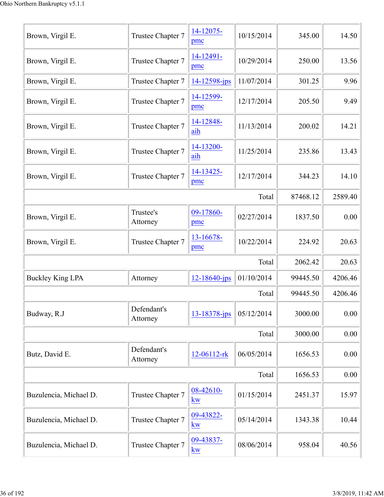| Brown, Virgil E.        | Trustee Chapter 7       | 14-12075-<br>pmc       | 10/15/2014 | 345.00   | 14.50   |
|-------------------------|-------------------------|------------------------|------------|----------|---------|
| Brown, Virgil E.        | Trustee Chapter 7       | 14-12491-<br>pmc       | 10/29/2014 | 250.00   | 13.56   |
| Brown, Virgil E.        | Trustee Chapter 7       | $14 - 12598 - jps$     | 11/07/2014 | 301.25   | 9.96    |
| Brown, Virgil E.        | Trustee Chapter 7       | 14-12599-<br>pmc       | 12/17/2014 | 205.50   | 9.49    |
| Brown, Virgil E.        | Trustee Chapter 7       | 14-12848-<br>aih       | 11/13/2014 | 200.02   | 14.21   |
| Brown, Virgil E.        | Trustee Chapter 7       | 14-13200-<br>aih       | 11/25/2014 | 235.86   | 13.43   |
| Brown, Virgil E.        | Trustee Chapter 7       | 14-13425-<br>pmc       | 12/17/2014 | 344.23   | 14.10   |
|                         |                         |                        | Total      | 87468.12 | 2589.40 |
| Brown, Virgil E.        | Trustee's<br>Attorney   | 09-17860-<br>pmc       | 02/27/2014 | 1837.50  | 0.00    |
| Brown, Virgil E.        | Trustee Chapter 7       | 13-16678-<br>pmc       | 10/22/2014 | 224.92   | 20.63   |
|                         |                         |                        | Total      | 2062.42  | 20.63   |
| <b>Buckley King LPA</b> | Attorney                | $12 - 18640$ -jps      | 01/10/2014 | 99445.50 | 4206.46 |
|                         |                         |                        | Total      | 99445.50 | 4206.46 |
| Budway, R.J             | Defendant's<br>Attorney | 13-18378-jps           | 05/12/2014 | 3000.00  | 0.00    |
|                         |                         |                        | Total      | 3000.00  | 0.00    |
| Butz, David E.          | Defendant's<br>Attorney | 12-06112-rk            | 06/05/2014 | 1656.53  | 0.00    |
|                         |                         |                        | Total      | 1656.53  | 0.00    |
| Buzulencia, Michael D.  | Trustee Chapter 7       | 08-42610-<br><b>kw</b> | 01/15/2014 | 2451.37  | 15.97   |
| Buzulencia, Michael D.  | Trustee Chapter 7       | 09-43822-<br>kw        | 05/14/2014 | 1343.38  | 10.44   |
| Buzulencia, Michael D.  | Trustee Chapter 7       | 09-43837-<br>kw        | 08/06/2014 | 958.04   | 40.56   |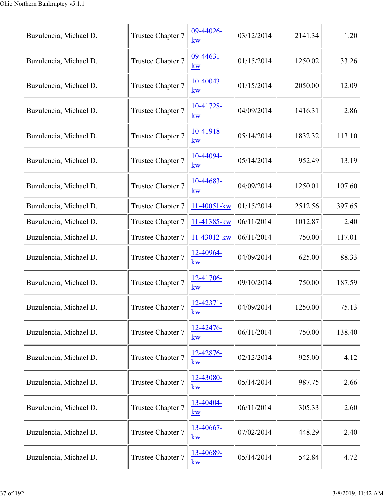| Buzulencia, Michael D. | Trustee Chapter 7 | 09-44026-<br><b>kw</b>             | 03/12/2014 | 2141.34 | 1.20   |
|------------------------|-------------------|------------------------------------|------------|---------|--------|
| Buzulencia, Michael D. | Trustee Chapter 7 | $09-44631-$<br>kw                  | 01/15/2014 | 1250.02 | 33.26  |
| Buzulencia, Michael D. | Trustee Chapter 7 | $10-40043-$<br><b>kw</b>           | 01/15/2014 | 2050.00 | 12.09  |
| Buzulencia, Michael D. | Trustee Chapter 7 | 10-41728-<br>kw                    | 04/09/2014 | 1416.31 | 2.86   |
| Buzulencia, Michael D. | Trustee Chapter 7 | 10-41918-<br>kw                    | 05/14/2014 | 1832.32 | 113.10 |
| Buzulencia, Michael D. | Trustee Chapter 7 | 10-44094-<br><b>kw</b>             | 05/14/2014 | 952.49  | 13.19  |
| Buzulencia, Michael D. | Trustee Chapter 7 | 10-44683-<br><b>kw</b>             | 04/09/2014 | 1250.01 | 107.60 |
| Buzulencia, Michael D. | Trustee Chapter 7 | 11-40051-kw                        | 01/15/2014 | 2512.56 | 397.65 |
| Buzulencia, Michael D. | Trustee Chapter 7 | 11-41385-kw                        | 06/11/2014 | 1012.87 | 2.40   |
| Buzulencia, Michael D. | Trustee Chapter 7 | 11-43012-kw                        | 06/11/2014 | 750.00  | 117.01 |
| Buzulencia, Michael D. | Trustee Chapter 7 | 12-40964-<br>kw                    | 04/09/2014 | 625.00  | 88.33  |
| Buzulencia, Michael D. | Trustee Chapter 7 | 12-41706-<br>kw                    | 09/10/2014 | 750.00  | 187.59 |
| Buzulencia, Michael D. | Trustee Chapter 7 | $12 - 42371 -$<br>$k\underline{w}$ | 04/09/2014 | 1250.00 | 75.13  |
| Buzulencia, Michael D. | Trustee Chapter 7 | 12-42476-<br>kw                    | 06/11/2014 | 750.00  | 138.40 |
| Buzulencia, Michael D. | Trustee Chapter 7 | 12-42876-<br>kw                    | 02/12/2014 | 925.00  | 4.12   |
| Buzulencia, Michael D. | Trustee Chapter 7 | 12-43080-<br>kw                    | 05/14/2014 | 987.75  | 2.66   |
| Buzulencia, Michael D. | Trustee Chapter 7 | 13-40404-<br>kw                    | 06/11/2014 | 305.33  | 2.60   |
| Buzulencia, Michael D. | Trustee Chapter 7 | 13-40667-<br>kw                    | 07/02/2014 | 448.29  | 2.40   |
| Buzulencia, Michael D. | Trustee Chapter 7 | 13-40689-<br>kw                    | 05/14/2014 | 542.84  | 4.72   |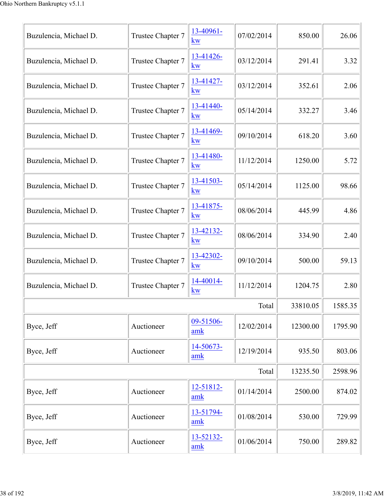| Buzulencia, Michael D. | Trustee Chapter 7 | 13-40961-<br><b>kw</b>            | 07/02/2014 | 850.00   | 26.06   |
|------------------------|-------------------|-----------------------------------|------------|----------|---------|
| Buzulencia, Michael D. | Trustee Chapter 7 | 13-41426-<br>kw                   | 03/12/2014 | 291.41   | 3.32    |
| Buzulencia, Michael D. | Trustee Chapter 7 | 13-41427-<br><b>kw</b>            | 03/12/2014 | 352.61   | 2.06    |
| Buzulencia, Michael D. | Trustee Chapter 7 | 13-41440-<br>kw                   | 05/14/2014 | 332.27   | 3.46    |
| Buzulencia, Michael D. | Trustee Chapter 7 | 13-41469-<br><b>kw</b>            | 09/10/2014 | 618.20   | 3.60    |
| Buzulencia, Michael D. | Trustee Chapter 7 | 13-41480-<br>$\underline{\bf kw}$ | 11/12/2014 | 1250.00  | 5.72    |
| Buzulencia, Michael D. | Trustee Chapter 7 | 13-41503-<br>kw                   | 05/14/2014 | 1125.00  | 98.66   |
| Buzulencia, Michael D. | Trustee Chapter 7 | 13-41875-<br><b>kw</b>            | 08/06/2014 | 445.99   | 4.86    |
| Buzulencia, Michael D. | Trustee Chapter 7 | 13-42132-<br>kw                   | 08/06/2014 | 334.90   | 2.40    |
| Buzulencia, Michael D. | Trustee Chapter 7 | 13-42302-<br><b>kw</b>            | 09/10/2014 | 500.00   | 59.13   |
| Buzulencia, Michael D. | Trustee Chapter 7 | 14-40014-<br><b>kw</b>            | 11/12/2014 | 1204.75  | 2.80    |
|                        |                   |                                   | Total      | 33810.05 | 1585.35 |
| Byce, Jeff             | Auctioneer        | 09-51506-<br>amk                  | 12/02/2014 | 12300.00 | 1795.90 |
| Byce, Jeff             | Auctioneer        | 14-50673-<br>$\mathbf{amk}$       | 12/19/2014 | 935.50   | 803.06  |
|                        |                   |                                   | Total      | 13235.50 | 2598.96 |
| Byce, Jeff             | Auctioneer        | 12-51812-<br>amk                  | 01/14/2014 | 2500.00  | 874.02  |
| Byce, Jeff             | Auctioneer        | 13-51794-<br>amk                  | 01/08/2014 | 530.00   | 729.99  |
| Byce, Jeff             | Auctioneer        | 13-52132-<br>$\mathbf{amk}$       | 01/06/2014 | 750.00   | 289.82  |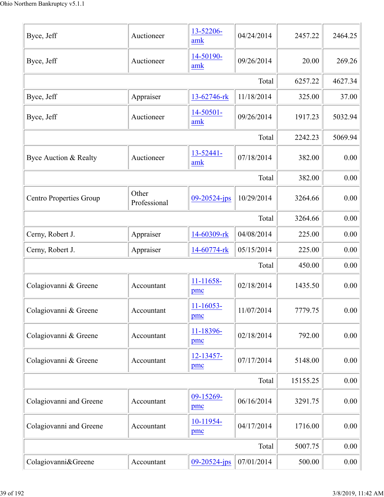| Byce, Jeff                     | Auctioneer            | 13-52206-<br>amk      | 04/24/2014 | 2457.22  | 2464.25 |
|--------------------------------|-----------------------|-----------------------|------------|----------|---------|
| Byce, Jeff                     | Auctioneer            | 14-50190-<br>amk      | 09/26/2014 | 20.00    | 269.26  |
|                                |                       |                       | Total      | 6257.22  | 4627.34 |
| Byce, Jeff                     | Appraiser             | 13-62746-rk           | 11/18/2014 | 325.00   | 37.00   |
| Byce, Jeff                     | Auctioneer            | 14-50501-<br>amk      | 09/26/2014 | 1917.23  | 5032.94 |
|                                |                       |                       | Total      | 2242.23  | 5069.94 |
| Byce Auction & Realty          | Auctioneer            | 13-52441-<br>amk      | 07/18/2014 | 382.00   | 0.00    |
|                                |                       |                       | Total      | 382.00   | 0.00    |
| <b>Centro Properties Group</b> | Other<br>Professional | $09 - 20524 - jps$    | 10/29/2014 | 3264.66  | 0.00    |
|                                |                       |                       | Total      | 3264.66  | 0.00    |
| Cerny, Robert J.               | Appraiser             | 14-60309-rk           | 04/08/2014 | 225.00   | 0.00    |
| Cerny, Robert J.               | Appraiser             | 14-60774-rk           | 05/15/2014 | 225.00   | 0.00    |
|                                |                       |                       | Total      | 450.00   | 0.00    |
| Colagiovanni & Greene          | Accountant            | 11-11658-<br>pmc      | 02/18/2014 | 1435.50  | 0.00    |
| Colagiovanni & Greene          | Accountant            | $11 - 16053 -$<br>pmc | 11/07/2014 | 7779.75  | 0.00    |
| Colagiovanni & Greene          | Accountant            | 11-18396-<br>pmc      | 02/18/2014 | 792.00   | 0.00    |
| Colagiovanni & Greene          | Accountant            | 12-13457-<br>pmc      | 07/17/2014 | 5148.00  | 0.00    |
|                                |                       |                       | Total      | 15155.25 | 0.00    |
| Colagiovanni and Greene        | Accountant            | 09-15269-<br>pmc      | 06/16/2014 | 3291.75  | 0.00    |
| Colagiovanni and Greene        | Accountant            | 10-11954-<br>pmc      | 04/17/2014 | 1716.00  | 0.00    |
|                                |                       |                       | Total      | 5007.75  | 0.00    |
| Colagiovanni&Greene            | Accountant            | 09-20524-jps          | 07/01/2014 | 500.00   | 0.00    |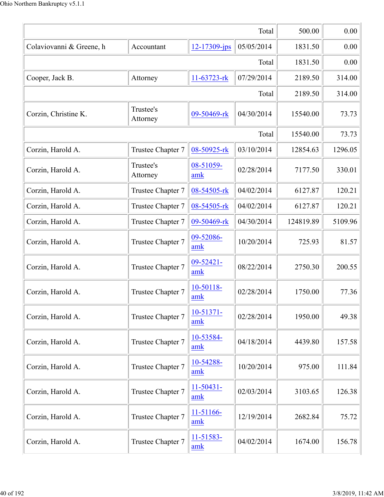|                          |                       |                       | Total      | 500.00    | 0.00    |
|--------------------------|-----------------------|-----------------------|------------|-----------|---------|
| Colaviovanni & Greene, h | Accountant            | 12-17309-jps          | 05/05/2014 | 1831.50   | 0.00    |
|                          | 1831.50               | 0.00                  |            |           |         |
| Cooper, Jack B.          | Attorney              | 11-63723-rk           | 07/29/2014 | 2189.50   | 314.00  |
|                          |                       |                       | Total      | 2189.50   | 314.00  |
| Corzin, Christine K.     | Trustee's<br>Attorney | 09-50469-rk           | 04/30/2014 | 15540.00  | 73.73   |
|                          |                       |                       | Total      | 15540.00  | 73.73   |
| Corzin, Harold A.        | Trustee Chapter 7     | 08-50925-rk           | 03/10/2014 | 12854.63  | 1296.05 |
| Corzin, Harold A.        | Trustee's<br>Attorney | 08-51059-<br>amk      | 02/28/2014 | 7177.50   | 330.01  |
| Corzin, Harold A.        | Trustee Chapter 7     | 08-54505-rk           | 04/02/2014 | 6127.87   | 120.21  |
| Corzin, Harold A.        | Trustee Chapter 7     | 08-54505-rk           | 04/02/2014 | 6127.87   | 120.21  |
| Corzin, Harold A.        | Trustee Chapter 7     | 09-50469-rk           | 04/30/2014 | 124819.89 | 5109.96 |
| Corzin, Harold A.        | Trustee Chapter 7     | 09-52086-<br>amk      | 10/20/2014 | 725.93    | 81.57   |
| Corzin, Harold A.        | Trustee Chapter 7     | 09-52421-<br>amk      | 08/22/2014 | 2750.30   | 200.55  |
| Corzin, Harold A.        | Trustee Chapter 7     | 10-50118-<br>amk      | 02/28/2014 | 1750.00   | 77.36   |
| Corzin, Harold A.        | Trustee Chapter 7     | 10-51371-<br>amk      | 02/28/2014 | 1950.00   | 49.38   |
| Corzin, Harold A.        | Trustee Chapter 7     | 10-53584-<br>amk      | 04/18/2014 | 4439.80   | 157.58  |
| Corzin, Harold A.        | Trustee Chapter 7     | 10-54288-<br>amk      | 10/20/2014 | 975.00    | 111.84  |
| Corzin, Harold A.        | Trustee Chapter 7     | $11 - 50431 -$<br>amk | 02/03/2014 | 3103.65   | 126.38  |
| Corzin, Harold A.        | Trustee Chapter 7     | 11-51166-<br>amk      | 12/19/2014 | 2682.84   | 75.72   |
| Corzin, Harold A.        | Trustee Chapter 7     | 11-51583-<br>amk      | 04/02/2014 | 1674.00   | 156.78  |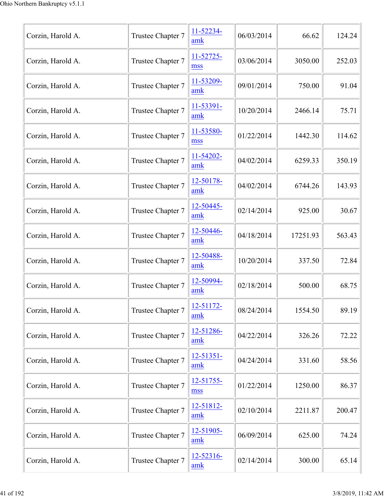| Corzin, Harold A. | Trustee Chapter 7 | 11-52234-<br>amk      | 06/03/2014 | 66.62    | 124.24 |
|-------------------|-------------------|-----------------------|------------|----------|--------|
| Corzin, Harold A. | Trustee Chapter 7 | 11-52725-<br>mss      | 03/06/2014 | 3050.00  | 252.03 |
| Corzin, Harold A. | Trustee Chapter 7 | 11-53209-<br>amk      | 09/01/2014 | 750.00   | 91.04  |
| Corzin, Harold A. | Trustee Chapter 7 | 11-53391-<br>amk      | 10/20/2014 | 2466.14  | 75.71  |
| Corzin, Harold A. | Trustee Chapter 7 | 11-53580-<br>mss      | 01/22/2014 | 1442.30  | 114.62 |
| Corzin, Harold A. | Trustee Chapter 7 | 11-54202-<br>amk      | 04/02/2014 | 6259.33  | 350.19 |
| Corzin, Harold A. | Trustee Chapter 7 | 12-50178-<br>amk      | 04/02/2014 | 6744.26  | 143.93 |
| Corzin, Harold A. | Trustee Chapter 7 | 12-50445-<br>amk      | 02/14/2014 | 925.00   | 30.67  |
| Corzin, Harold A. | Trustee Chapter 7 | 12-50446-<br>amk      | 04/18/2014 | 17251.93 | 563.43 |
| Corzin, Harold A. | Trustee Chapter 7 | 12-50488-<br>amk      | 10/20/2014 | 337.50   | 72.84  |
| Corzin, Harold A. | Trustee Chapter 7 | 12-50994-<br>amk      | 02/18/2014 | 500.00   | 68.75  |
| Corzin, Harold A. | Trustee Chapter 7 | 12-51172-<br>amk      | 08/24/2014 | 1554.50  | 89.19  |
| Corzin, Harold A. | Trustee Chapter 7 | 12-51286-<br>amk      | 04/22/2014 | 326.26   | 72.22  |
| Corzin, Harold A. | Trustee Chapter 7 | $12 - 51351 -$<br>amk | 04/24/2014 | 331.60   | 58.56  |
| Corzin, Harold A. | Trustee Chapter 7 | 12-51755-<br>mss      | 01/22/2014 | 1250.00  | 86.37  |
| Corzin, Harold A. | Trustee Chapter 7 | 12-51812-<br>amk      | 02/10/2014 | 2211.87  | 200.47 |
| Corzin, Harold A. | Trustee Chapter 7 | 12-51905-<br>amk      | 06/09/2014 | 625.00   | 74.24  |
| Corzin, Harold A. | Trustee Chapter 7 | 12-52316-<br>amk      | 02/14/2014 | 300.00   | 65.14  |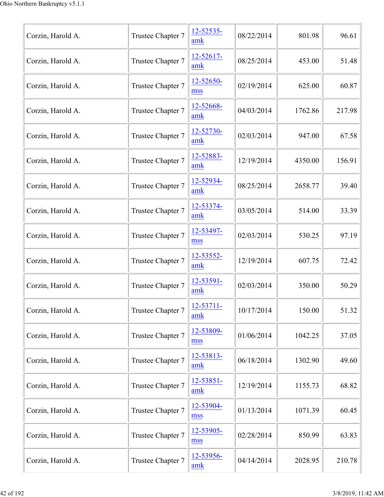| Corzin, Harold A. | Trustee Chapter 7 | 12-52535-<br>amk      | 08/22/2014 | 801.98  | 96.61  |
|-------------------|-------------------|-----------------------|------------|---------|--------|
| Corzin, Harold A. | Trustee Chapter 7 | 12-52617-<br>amk      | 08/25/2014 | 453.00  | 51.48  |
| Corzin, Harold A. | Trustee Chapter 7 | 12-52650-<br>mss      | 02/19/2014 | 625.00  | 60.87  |
| Corzin, Harold A. | Trustee Chapter 7 | 12-52668-<br>amk      | 04/03/2014 | 1762.86 | 217.98 |
| Corzin, Harold A. | Trustee Chapter 7 | 12-52730-<br>amk      | 02/03/2014 | 947.00  | 67.58  |
| Corzin, Harold A. | Trustee Chapter 7 | 12-52883-<br>amk      | 12/19/2014 | 4350.00 | 156.91 |
| Corzin, Harold A. | Trustee Chapter 7 | 12-52934-<br>amk      | 08/25/2014 | 2658.77 | 39.40  |
| Corzin, Harold A. | Trustee Chapter 7 | 12-53374-<br>amk      | 03/05/2014 | 514.00  | 33.39  |
| Corzin, Harold A. | Trustee Chapter 7 | 12-53497-<br>mss      | 02/03/2014 | 530.25  | 97.19  |
| Corzin, Harold A. | Trustee Chapter 7 | 12-53552-<br>amk      | 12/19/2014 | 607.75  | 72.42  |
| Corzin, Harold A. | Trustee Chapter 7 | 12-53591-<br>amk      | 02/03/2014 | 350.00  | 50.29  |
| Corzin, Harold A. | Trustee Chapter 7 | $12 - 53711 -$<br>amk | 10/17/2014 | 150.00  | 51.32  |
| Corzin, Harold A. | Trustee Chapter 7 | 12-53809-<br>mss      | 01/06/2014 | 1042.25 | 37.05  |
| Corzin, Harold A. | Trustee Chapter 7 | $12 - 53813 -$<br>amk | 06/18/2014 | 1302.90 | 49.60  |
| Corzin, Harold A. | Trustee Chapter 7 | 12-53851-<br>amk      | 12/19/2014 | 1155.73 | 68.82  |
| Corzin, Harold A. | Trustee Chapter 7 | 12-53904-<br>mss      | 01/13/2014 | 1071.39 | 60.45  |
| Corzin, Harold A. | Trustee Chapter 7 | 12-53905-<br>mss      | 02/28/2014 | 850.99  | 63.83  |
| Corzin, Harold A. | Trustee Chapter 7 | 12-53956-<br>amk      | 04/14/2014 | 2028.95 | 210.78 |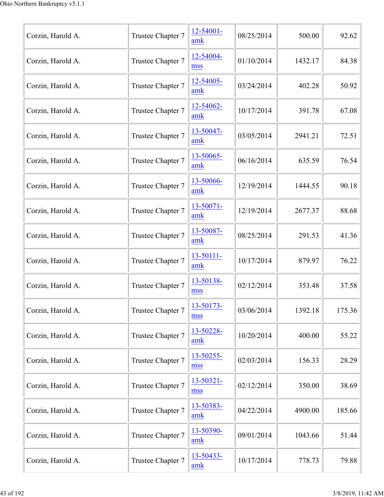| Corzin, Harold A. | Trustee Chapter 7 | $12 - 54001 -$<br>amk | 08/25/2014 | 500.00  | 92.62  |
|-------------------|-------------------|-----------------------|------------|---------|--------|
| Corzin, Harold A. | Trustee Chapter 7 | 12-54004-<br>mss      | 01/10/2014 | 1432.17 | 84.38  |
| Corzin, Harold A. | Trustee Chapter 7 | 12-54005-<br>amk      | 03/24/2014 | 402.28  | 50.92  |
| Corzin, Harold A. | Trustee Chapter 7 | 12-54062-<br>amk      | 10/17/2014 | 391.78  | 67.08  |
| Corzin, Harold A. | Trustee Chapter 7 | 13-50047-<br>amk      | 03/05/2014 | 2941.21 | 72.51  |
| Corzin, Harold A. | Trustee Chapter 7 | 13-50065-<br>amk      | 06/16/2014 | 635.59  | 76.54  |
| Corzin, Harold A. | Trustee Chapter 7 | 13-50066-<br>amk      | 12/19/2014 | 1444.55 | 90.18  |
| Corzin, Harold A. | Trustee Chapter 7 | 13-50071-<br>amk      | 12/19/2014 | 2677.37 | 88.68  |
| Corzin, Harold A. | Trustee Chapter 7 | 13-50087-<br>amk      | 08/25/2014 | 291.53  | 41.36  |
| Corzin, Harold A. | Trustee Chapter 7 | $13 - 50111 -$<br>amk | 10/17/2014 | 879.97  | 76.22  |
| Corzin, Harold A. | Trustee Chapter 7 | 13-50138-<br>mss      | 02/12/2014 | 353.48  | 37.58  |
| Corzin, Harold A. | Trustee Chapter 7 | 13-50173-<br>mss      | 03/06/2014 | 1392.18 | 175.36 |
| Corzin, Harold A. | Trustee Chapter 7 | 13-50228-<br>amk      | 10/20/2014 | 400.00  | 55.22  |
| Corzin, Harold A. | Trustee Chapter 7 | 13-50255-<br>mss      | 02/03/2014 | 156.33  | 28.29  |
| Corzin, Harold A. | Trustee Chapter 7 | 13-50321-<br>mss      | 02/12/2014 | 350.00  | 38.69  |
| Corzin, Harold A. | Trustee Chapter 7 | 13-50383-<br>amk      | 04/22/2014 | 4900.00 | 185.66 |
| Corzin, Harold A. | Trustee Chapter 7 | 13-50390-<br>amk      | 09/01/2014 | 1043.66 | 51.44  |
| Corzin, Harold A. | Trustee Chapter 7 | 13-50433-<br>amk      | 10/17/2014 | 778.73  | 79.88  |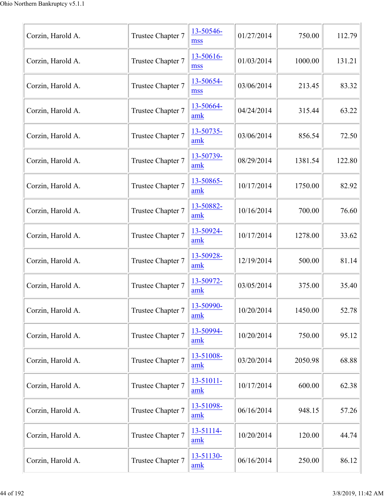| Corzin, Harold A. | Trustee Chapter 7 | 13-50546-<br>mss            | 01/27/2014 | 750.00  | 112.79 |
|-------------------|-------------------|-----------------------------|------------|---------|--------|
| Corzin, Harold A. | Trustee Chapter 7 | 13-50616-<br>mss            | 01/03/2014 | 1000.00 | 131.21 |
| Corzin, Harold A. | Trustee Chapter 7 | 13-50654-<br>mss            | 03/06/2014 | 213.45  | 83.32  |
| Corzin, Harold A. | Trustee Chapter 7 | 13-50664-<br>amk            | 04/24/2014 | 315.44  | 63.22  |
| Corzin, Harold A. | Trustee Chapter 7 | 13-50735-<br>amk            | 03/06/2014 | 856.54  | 72.50  |
| Corzin, Harold A. | Trustee Chapter 7 | 13-50739-<br>$\mathbf{amk}$ | 08/29/2014 | 1381.54 | 122.80 |
| Corzin, Harold A. | Trustee Chapter 7 | 13-50865-<br>amk            | 10/17/2014 | 1750.00 | 82.92  |
| Corzin, Harold A. | Trustee Chapter 7 | 13-50882-<br>amk            | 10/16/2014 | 700.00  | 76.60  |
| Corzin, Harold A. | Trustee Chapter 7 | 13-50924-<br>amk            | 10/17/2014 | 1278.00 | 33.62  |
| Corzin, Harold A. | Trustee Chapter 7 | 13-50928-<br>amk            | 12/19/2014 | 500.00  | 81.14  |
| Corzin, Harold A. | Trustee Chapter 7 | 13-50972-<br>amk            | 03/05/2014 | 375.00  | 35.40  |
| Corzin, Harold A. | Trustee Chapter 7 | 13-50990-<br>amk            | 10/20/2014 | 1450.00 | 52.78  |
| Corzin, Harold A. | Trustee Chapter 7 | 13-50994-<br>amk            | 10/20/2014 | 750.00  | 95.12  |
| Corzin, Harold A. | Trustee Chapter 7 | 13-51008-<br>amk            | 03/20/2014 | 2050.98 | 68.88  |
| Corzin, Harold A. | Trustee Chapter 7 | $13 - 51011 -$<br>amk       | 10/17/2014 | 600.00  | 62.38  |
| Corzin, Harold A. | Trustee Chapter 7 | 13-51098-<br>amk            | 06/16/2014 | 948.15  | 57.26  |
| Corzin, Harold A. | Trustee Chapter 7 | 13-51114-<br>amk            | 10/20/2014 | 120.00  | 44.74  |
| Corzin, Harold A. | Trustee Chapter 7 | 13-51130-<br>amk            | 06/16/2014 | 250.00  | 86.12  |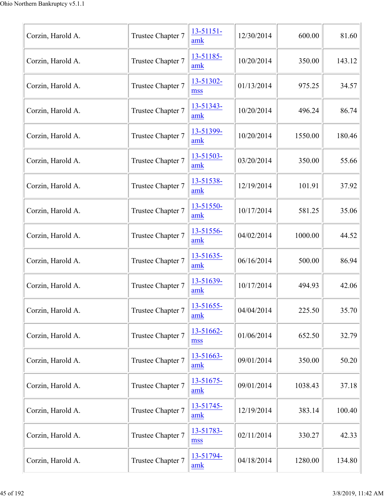| Corzin, Harold A. | Trustee Chapter 7 | $13 - 51151 -$<br>amk | 12/30/2014 | 600.00  | 81.60  |
|-------------------|-------------------|-----------------------|------------|---------|--------|
| Corzin, Harold A. | Trustee Chapter 7 | 13-51185-<br>amk      | 10/20/2014 | 350.00  | 143.12 |
| Corzin, Harold A. | Trustee Chapter 7 | 13-51302-<br>mss      | 01/13/2014 | 975.25  | 34.57  |
| Corzin, Harold A. | Trustee Chapter 7 | 13-51343-<br>amk      | 10/20/2014 | 496.24  | 86.74  |
| Corzin, Harold A. | Trustee Chapter 7 | 13-51399-<br>amk      | 10/20/2014 | 1550.00 | 180.46 |
| Corzin, Harold A. | Trustee Chapter 7 | 13-51503-<br>amk      | 03/20/2014 | 350.00  | 55.66  |
| Corzin, Harold A. | Trustee Chapter 7 | 13-51538-<br>amk      | 12/19/2014 | 101.91  | 37.92  |
| Corzin, Harold A. | Trustee Chapter 7 | 13-51550-<br>amk      | 10/17/2014 | 581.25  | 35.06  |
| Corzin, Harold A. | Trustee Chapter 7 | 13-51556-<br>amk      | 04/02/2014 | 1000.00 | 44.52  |
| Corzin, Harold A. | Trustee Chapter 7 | 13-51635-<br>amk      | 06/16/2014 | 500.00  | 86.94  |
| Corzin, Harold A. | Trustee Chapter 7 | 13-51639-<br>amk      | 10/17/2014 | 494.93  | 42.06  |
| Corzin, Harold A. | Trustee Chapter 7 | 13-51655-<br>amk      | 04/04/2014 | 225.50  | 35.70  |
| Corzin, Harold A. | Trustee Chapter 7 | 13-51662-<br>mss      | 01/06/2014 | 652.50  | 32.79  |
| Corzin, Harold A. | Trustee Chapter 7 | $13 - 51663 -$<br>amk | 09/01/2014 | 350.00  | 50.20  |
| Corzin, Harold A. | Trustee Chapter 7 | 13-51675-<br>amk      | 09/01/2014 | 1038.43 | 37.18  |
| Corzin, Harold A. | Trustee Chapter 7 | 13-51745-<br>amk      | 12/19/2014 | 383.14  | 100.40 |
| Corzin, Harold A. | Trustee Chapter 7 | 13-51783-<br>mss      | 02/11/2014 | 330.27  | 42.33  |
| Corzin, Harold A. | Trustee Chapter 7 | 13-51794-<br>amk      | 04/18/2014 | 1280.00 | 134.80 |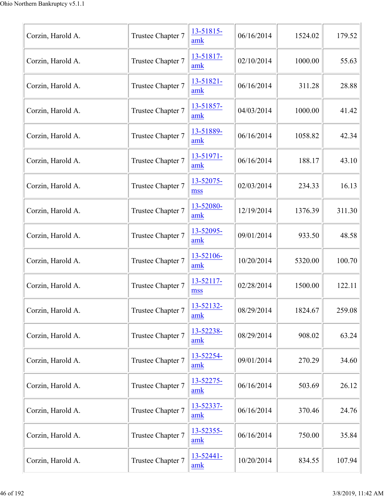| Corzin, Harold A. | Trustee Chapter 7 | 13-51815-<br>amk      | 06/16/2014 | 1524.02 | 179.52 |
|-------------------|-------------------|-----------------------|------------|---------|--------|
| Corzin, Harold A. | Trustee Chapter 7 | 13-51817-<br>amk      | 02/10/2014 | 1000.00 | 55.63  |
| Corzin, Harold A. | Trustee Chapter 7 | 13-51821-<br>amk      | 06/16/2014 | 311.28  | 28.88  |
| Corzin, Harold A. | Trustee Chapter 7 | 13-51857-<br>amk      | 04/03/2014 | 1000.00 | 41.42  |
| Corzin, Harold A. | Trustee Chapter 7 | 13-51889-<br>amk      | 06/16/2014 | 1058.82 | 42.34  |
| Corzin, Harold A. | Trustee Chapter 7 | 13-51971-<br>amk      | 06/16/2014 | 188.17  | 43.10  |
| Corzin, Harold A. | Trustee Chapter 7 | 13-52075-<br>mss      | 02/03/2014 | 234.33  | 16.13  |
| Corzin, Harold A. | Trustee Chapter 7 | 13-52080-<br>amk      | 12/19/2014 | 1376.39 | 311.30 |
| Corzin, Harold A. | Trustee Chapter 7 | 13-52095-<br>amk      | 09/01/2014 | 933.50  | 48.58  |
| Corzin, Harold A. | Trustee Chapter 7 | 13-52106-<br>amk      | 10/20/2014 | 5320.00 | 100.70 |
| Corzin, Harold A. | Trustee Chapter 7 | 13-52117-<br>mss      | 02/28/2014 | 1500.00 | 122.11 |
| Corzin, Harold A. | Trustee Chapter 7 | 13-52132-<br>amk      | 08/29/2014 | 1824.67 | 259.08 |
| Corzin, Harold A. | Trustee Chapter 7 | 13-52238-<br>amk      | 08/29/2014 | 908.02  | 63.24  |
| Corzin, Harold A. | Trustee Chapter 7 | 13-52254-<br>amk      | 09/01/2014 | 270.29  | 34.60  |
| Corzin, Harold A. | Trustee Chapter 7 | 13-52275-<br>amk      | 06/16/2014 | 503.69  | 26.12  |
| Corzin, Harold A. | Trustee Chapter 7 | 13-52337-<br>amk      | 06/16/2014 | 370.46  | 24.76  |
| Corzin, Harold A. | Trustee Chapter 7 | 13-52355-<br>amk      | 06/16/2014 | 750.00  | 35.84  |
| Corzin, Harold A. | Trustee Chapter 7 | $13 - 52441 -$<br>amk | 10/20/2014 | 834.55  | 107.94 |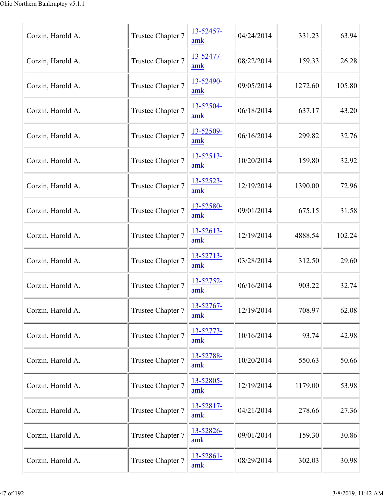| Corzin, Harold A. | Trustee Chapter 7 | 13-52457-<br>amk | 04/24/2014 | 331.23  | 63.94  |
|-------------------|-------------------|------------------|------------|---------|--------|
| Corzin, Harold A. | Trustee Chapter 7 | 13-52477-<br>amk | 08/22/2014 | 159.33  | 26.28  |
| Corzin, Harold A. | Trustee Chapter 7 | 13-52490-<br>amk | 09/05/2014 | 1272.60 | 105.80 |
| Corzin, Harold A. | Trustee Chapter 7 | 13-52504-<br>amk | 06/18/2014 | 637.17  | 43.20  |
| Corzin, Harold A. | Trustee Chapter 7 | 13-52509-<br>amk | 06/16/2014 | 299.82  | 32.76  |
| Corzin, Harold A. | Trustee Chapter 7 | 13-52513-<br>amk | 10/20/2014 | 159.80  | 32.92  |
| Corzin, Harold A. | Trustee Chapter 7 | 13-52523-<br>amk | 12/19/2014 | 1390.00 | 72.96  |
| Corzin, Harold A. | Trustee Chapter 7 | 13-52580-<br>amk | 09/01/2014 | 675.15  | 31.58  |
| Corzin, Harold A. | Trustee Chapter 7 | 13-52613-<br>amk | 12/19/2014 | 4888.54 | 102.24 |
| Corzin, Harold A. | Trustee Chapter 7 | 13-52713-<br>amk | 03/28/2014 | 312.50  | 29.60  |
| Corzin, Harold A. | Trustee Chapter 7 | 13-52752-<br>amk | 06/16/2014 | 903.22  | 32.74  |
| Corzin, Harold A. | Trustee Chapter 7 | 13-52767-<br>amk | 12/19/2014 | 708.97  | 62.08  |
| Corzin, Harold A. | Trustee Chapter 7 | 13-52773-<br>amk | 10/16/2014 | 93.74   | 42.98  |
| Corzin, Harold A. | Trustee Chapter 7 | 13-52788-<br>amk | 10/20/2014 | 550.63  | 50.66  |
| Corzin, Harold A. | Trustee Chapter 7 | 13-52805-<br>amk | 12/19/2014 | 1179.00 | 53.98  |
| Corzin, Harold A. | Trustee Chapter 7 | 13-52817-<br>amk | 04/21/2014 | 278.66  | 27.36  |
| Corzin, Harold A. | Trustee Chapter 7 | 13-52826-<br>amk | 09/01/2014 | 159.30  | 30.86  |
| Corzin, Harold A. | Trustee Chapter 7 | 13-52861-<br>amk | 08/29/2014 | 302.03  | 30.98  |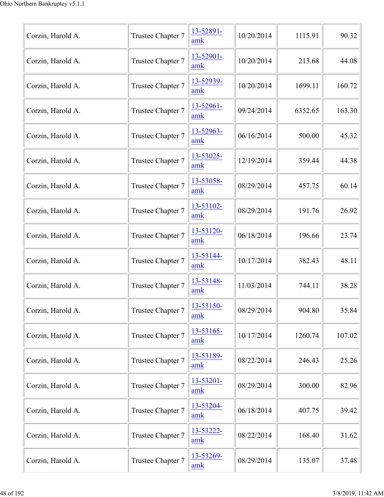| Corzin, Harold A. | Trustee Chapter 7 | 13-52891-<br>amk | 10/20/2014 | 1115.91 | 90.32  |
|-------------------|-------------------|------------------|------------|---------|--------|
| Corzin, Harold A. | Trustee Chapter 7 | 13-52901-<br>amk | 10/20/2014 | 213.68  | 44.08  |
| Corzin, Harold A. | Trustee Chapter 7 | 13-52939-<br>amk | 10/20/2014 | 1699.11 | 160.72 |
| Corzin, Harold A. | Trustee Chapter 7 | 13-52961-<br>amk | 09/24/2014 | 6352.65 | 163.30 |
| Corzin, Harold A. | Trustee Chapter 7 | 13-52963-<br>amk | 06/16/2014 | 500.00  | 45.32  |
| Corzin, Harold A. | Trustee Chapter 7 | 13-53025-<br>amk | 12/19/2014 | 359.44  | 44.38  |
| Corzin, Harold A. | Trustee Chapter 7 | 13-53058-<br>amk | 08/29/2014 | 457.75  | 60.14  |
| Corzin, Harold A. | Trustee Chapter 7 | 13-53102-<br>amk | 08/29/2014 | 191.76  | 26.92  |
| Corzin, Harold A. | Trustee Chapter 7 | 13-53120-<br>amk | 06/18/2014 | 196.66  | 23.74  |
| Corzin, Harold A. | Trustee Chapter 7 | 13-53144-<br>amk | 10/17/2014 | 382.43  | 48.11  |
| Corzin, Harold A. | Trustee Chapter 7 | 13-53148-<br>amk | 11/03/2014 | 744.11  | 38.28  |
| Corzin, Harold A. | Trustee Chapter 7 | 13-53150-<br>amk | 08/29/2014 | 904.80  | 35.84  |
| Corzin, Harold A. | Trustee Chapter 7 | 13-53165-<br>amk | 10/17/2014 | 1260.74 | 107.02 |
| Corzin, Harold A. | Trustee Chapter 7 | 13-53189-<br>amk | 08/22/2014 | 246.43  | 25.26  |
| Corzin, Harold A. | Trustee Chapter 7 | 13-53201-<br>amk | 08/29/2014 | 300.00  | 82.96  |
| Corzin, Harold A. | Trustee Chapter 7 | 13-53204-<br>amk | 06/18/2014 | 407.75  | 39.42  |
| Corzin, Harold A. | Trustee Chapter 7 | 13-53222-<br>amk | 08/22/2014 | 168.40  | 31.62  |
| Corzin, Harold A. | Trustee Chapter 7 | 13-53269-<br>amk | 08/29/2014 | 135.07  | 37.48  |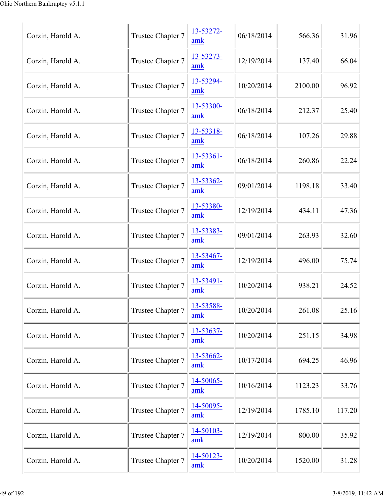| Corzin, Harold A. | Trustee Chapter 7 | 13-53272-<br>amk | 06/18/2014 | 566.36  | 31.96  |
|-------------------|-------------------|------------------|------------|---------|--------|
| Corzin, Harold A. | Trustee Chapter 7 | 13-53273-<br>amk | 12/19/2014 | 137.40  | 66.04  |
| Corzin, Harold A. | Trustee Chapter 7 | 13-53294-<br>amk | 10/20/2014 | 2100.00 | 96.92  |
| Corzin, Harold A. | Trustee Chapter 7 | 13-53300-<br>amk | 06/18/2014 | 212.37  | 25.40  |
| Corzin, Harold A. | Trustee Chapter 7 | 13-53318-<br>amk | 06/18/2014 | 107.26  | 29.88  |
| Corzin, Harold A. | Trustee Chapter 7 | 13-53361-<br>amk | 06/18/2014 | 260.86  | 22.24  |
| Corzin, Harold A. | Trustee Chapter 7 | 13-53362-<br>amk | 09/01/2014 | 1198.18 | 33.40  |
| Corzin, Harold A. | Trustee Chapter 7 | 13-53380-<br>amk | 12/19/2014 | 434.11  | 47.36  |
| Corzin, Harold A. | Trustee Chapter 7 | 13-53383-<br>amk | 09/01/2014 | 263.93  | 32.60  |
| Corzin, Harold A. | Trustee Chapter 7 | 13-53467-<br>amk | 12/19/2014 | 496.00  | 75.74  |
| Corzin, Harold A. | Trustee Chapter 7 | 13-53491-<br>amk | 10/20/2014 | 938.21  | 24.52  |
| Corzin, Harold A. | Trustee Chapter 7 | 13-53588-<br>amk | 10/20/2014 | 261.08  | 25.16  |
| Corzin, Harold A. | Trustee Chapter 7 | 13-53637-<br>amk | 10/20/2014 | 251.15  | 34.98  |
| Corzin, Harold A. | Trustee Chapter 7 | 13-53662-<br>amk | 10/17/2014 | 694.25  | 46.96  |
| Corzin, Harold A. | Trustee Chapter 7 | 14-50065-<br>amk | 10/16/2014 | 1123.23 | 33.76  |
| Corzin, Harold A. | Trustee Chapter 7 | 14-50095-<br>amk | 12/19/2014 | 1785.10 | 117.20 |
| Corzin, Harold A. | Trustee Chapter 7 | 14-50103-<br>amk | 12/19/2014 | 800.00  | 35.92  |
| Corzin, Harold A. | Trustee Chapter 7 | 14-50123-<br>amk | 10/20/2014 | 1520.00 | 31.28  |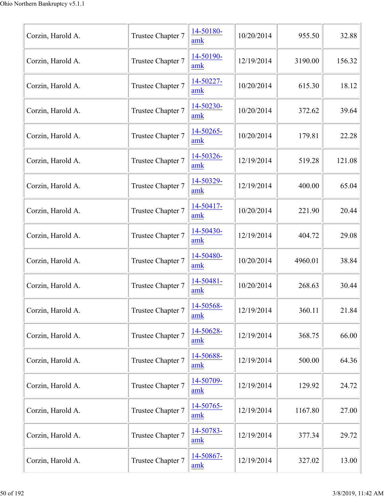| Corzin, Harold A. | Trustee Chapter 7 | 14-50180-<br>amk | 10/20/2014 | 955.50  | 32.88  |
|-------------------|-------------------|------------------|------------|---------|--------|
| Corzin, Harold A. | Trustee Chapter 7 | 14-50190-<br>amk | 12/19/2014 | 3190.00 | 156.32 |
| Corzin, Harold A. | Trustee Chapter 7 | 14-50227-<br>amk | 10/20/2014 | 615.30  | 18.12  |
| Corzin, Harold A. | Trustee Chapter 7 | 14-50230-<br>amk | 10/20/2014 | 372.62  | 39.64  |
| Corzin, Harold A. | Trustee Chapter 7 | 14-50265-<br>amk | 10/20/2014 | 179.81  | 22.28  |
| Corzin, Harold A. | Trustee Chapter 7 | 14-50326-<br>amk | 12/19/2014 | 519.28  | 121.08 |
| Corzin, Harold A. | Trustee Chapter 7 | 14-50329-<br>amk | 12/19/2014 | 400.00  | 65.04  |
| Corzin, Harold A. | Trustee Chapter 7 | 14-50417-<br>amk | 10/20/2014 | 221.90  | 20.44  |
| Corzin, Harold A. | Trustee Chapter 7 | 14-50430-<br>amk | 12/19/2014 | 404.72  | 29.08  |
| Corzin, Harold A. | Trustee Chapter 7 | 14-50480-<br>amk | 10/20/2014 | 4960.01 | 38.84  |
| Corzin, Harold A. | Trustee Chapter 7 | 14-50481-<br>amk | 10/20/2014 | 268.63  | 30.44  |
| Corzin, Harold A. | Trustee Chapter 7 | 14-50568-<br>amk | 12/19/2014 | 360.11  | 21.84  |
| Corzin, Harold A. | Trustee Chapter 7 | 14-50628-<br>amk | 12/19/2014 | 368.75  | 66.00  |
| Corzin, Harold A. | Trustee Chapter 7 | 14-50688-<br>amk | 12/19/2014 | 500.00  | 64.36  |
| Corzin, Harold A. | Trustee Chapter 7 | 14-50709-<br>amk | 12/19/2014 | 129.92  | 24.72  |
| Corzin, Harold A. | Trustee Chapter 7 | 14-50765-<br>amk | 12/19/2014 | 1167.80 | 27.00  |
| Corzin, Harold A. | Trustee Chapter 7 | 14-50783-<br>amk | 12/19/2014 | 377.34  | 29.72  |
| Corzin, Harold A. | Trustee Chapter 7 | 14-50867-<br>amk | 12/19/2014 | 327.02  | 13.00  |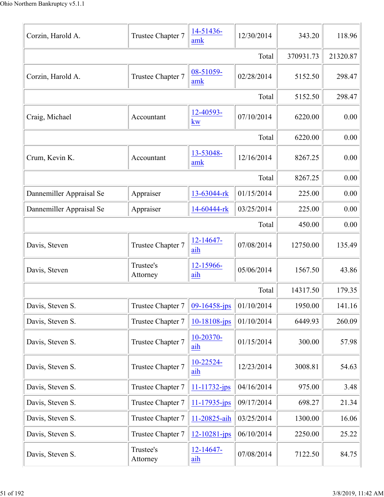| Corzin, Harold A.        | Trustee Chapter 7     | 14-51436-<br>amk      | 12/30/2014 | 343.20    | 118.96   |
|--------------------------|-----------------------|-----------------------|------------|-----------|----------|
|                          |                       |                       | Total      | 370931.73 | 21320.87 |
| Corzin, Harold A.        | Trustee Chapter 7     | 08-51059-<br>amk      | 02/28/2014 | 5152.50   | 298.47   |
|                          |                       |                       | Total      | 5152.50   | 298.47   |
| Craig, Michael           | Accountant            | 12-40593-<br>kw       | 07/10/2014 | 6220.00   | 0.00     |
|                          |                       |                       | Total      | 6220.00   | 0.00     |
| Crum, Kevin K.           | Accountant            | 13-53048-<br>amk      | 12/16/2014 | 8267.25   | 0.00     |
|                          |                       |                       | Total      | 8267.25   | 0.00     |
| Dannemiller Appraisal Se | Appraiser             | 13-63044-rk           | 01/15/2014 | 225.00    | 0.00     |
| Dannemiller Appraisal Se | Appraiser             | 14-60444-rk           | 03/25/2014 | 225.00    | 0.00     |
|                          |                       |                       | Total      | 450.00    | 0.00     |
| Davis, Steven            | Trustee Chapter 7     | $12 - 14647 -$<br>aih | 07/08/2014 | 12750.00  | 135.49   |
| Davis, Steven            | Trustee's<br>Attorney | 12-15966-<br>aih      | 05/06/2014 | 1567.50   | 43.86    |
|                          |                       |                       | Total      | 14317.50  | 179.35   |
| Davis, Steven S.         | Trustee Chapter 7     | $09 - 16458 - ips$    | 01/10/2014 | 1950.00   | 141.16   |
| Davis, Steven S.         | Trustee Chapter 7     | 10-18108-jps          | 01/10/2014 | 6449.93   | 260.09   |
| Davis, Steven S.         | Trustee Chapter 7     | 10-20370-<br>aih      | 01/15/2014 | 300.00    | 57.98    |
| Davis, Steven S.         | Trustee Chapter 7     | 10-22524-<br>aih      | 12/23/2014 | 3008.81   | 54.63    |
| Davis, Steven S.         | Trustee Chapter 7     | 11-11732-jps          | 04/16/2014 | 975.00    | 3.48     |
| Davis, Steven S.         | Trustee Chapter 7     | 11-17935-jps          | 09/17/2014 | 698.27    | 21.34    |
| Davis, Steven S.         | Trustee Chapter 7     | 11-20825-aih          | 03/25/2014 | 1300.00   | 16.06    |
| Davis, Steven S.         | Trustee Chapter 7     | 12-10281-jps          | 06/10/2014 | 2250.00   | 25.22    |
| Davis, Steven S.         | Trustee's<br>Attorney | 12-14647-<br>aih      | 07/08/2014 | 7122.50   | 84.75    |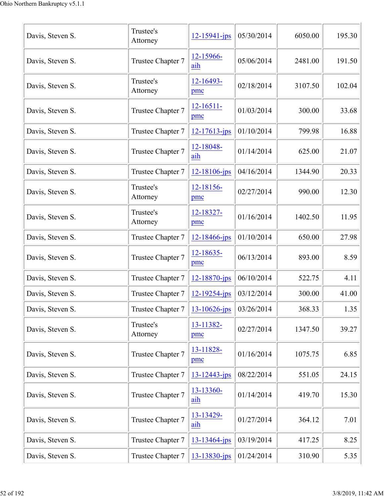| Davis, Steven S. | Trustee's<br>Attorney | $12 - 15941 - ips$    | 05/30/2014 | 6050.00 | 195.30 |
|------------------|-----------------------|-----------------------|------------|---------|--------|
| Davis, Steven S. | Trustee Chapter 7     | 12-15966-<br>aih      | 05/06/2014 | 2481.00 | 191.50 |
| Davis, Steven S. | Trustee's<br>Attorney | 12-16493-<br>pmc      | 02/18/2014 | 3107.50 | 102.04 |
| Davis, Steven S. | Trustee Chapter 7     | $12 - 16511 -$<br>pmc | 01/03/2014 | 300.00  | 33.68  |
| Davis, Steven S. | Trustee Chapter 7     | 12-17613-jps          | 01/10/2014 | 799.98  | 16.88  |
| Davis, Steven S. | Trustee Chapter 7     | 12-18048-<br>aih      | 01/14/2014 | 625.00  | 21.07  |
| Davis, Steven S. | Trustee Chapter 7     | $12 - 18106 - ips$    | 04/16/2014 | 1344.90 | 20.33  |
| Davis, Steven S. | Trustee's<br>Attorney | 12-18156-<br>pmc      | 02/27/2014 | 990.00  | 12.30  |
| Davis, Steven S. | Trustee's<br>Attorney | 12-18327-<br>pmc      | 01/16/2014 | 1402.50 | 11.95  |
| Davis, Steven S. | Trustee Chapter 7     | 12-18466-jps          | 01/10/2014 | 650.00  | 27.98  |
| Davis, Steven S. | Trustee Chapter 7     | 12-18635-<br>pmc      | 06/13/2014 | 893.00  | 8.59   |
| Davis, Steven S. | Trustee Chapter 7     | 12-18870-jps          | 06/10/2014 | 522.75  | 4.11   |
| Davis, Steven S. | Trustee Chapter 7     | 12-19254-jps          | 03/12/2014 | 300.00  | 41.00  |
| Davis, Steven S. | Trustee Chapter 7     | $13 - 10626$ -jps     | 03/26/2014 | 368.33  | 1.35   |
| Davis, Steven S. | Trustee's<br>Attorney | 13-11382-<br>pmc      | 02/27/2014 | 1347.50 | 39.27  |
| Davis, Steven S. | Trustee Chapter 7     | 13-11828-<br>pmc      | 01/16/2014 | 1075.75 | 6.85   |
| Davis, Steven S. | Trustee Chapter 7     | $13 - 12443 - ips$    | 08/22/2014 | 551.05  | 24.15  |
| Davis, Steven S. | Trustee Chapter 7     | 13-13360-<br>aih      | 01/14/2014 | 419.70  | 15.30  |
| Davis, Steven S. | Trustee Chapter 7     | 13-13429-<br>aih      | 01/27/2014 | 364.12  | 7.01   |
| Davis, Steven S. | Trustee Chapter 7     | $13 - 13464$ -jps     | 03/19/2014 | 417.25  | 8.25   |
| Davis, Steven S. | Trustee Chapter 7     | 13-13830-jps          | 01/24/2014 | 310.90  | 5.35   |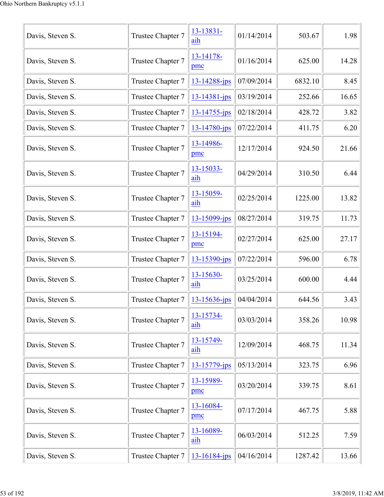| Davis, Steven S. | Trustee Chapter 7 | 13-13831-<br>aih      | 01/14/2014 | 503.67  | 1.98  |
|------------------|-------------------|-----------------------|------------|---------|-------|
| Davis, Steven S. | Trustee Chapter 7 | 13-14178-<br>pmc      | 01/16/2014 | 625.00  | 14.28 |
| Davis, Steven S. | Trustee Chapter 7 | 13-14288-jps          | 07/09/2014 | 6832.10 | 8.45  |
| Davis, Steven S. | Trustee Chapter 7 | 13-14381-jps          | 03/19/2014 | 252.66  | 16.65 |
| Davis, Steven S. | Trustee Chapter 7 | 13-14755-jps          | 02/18/2014 | 428.72  | 3.82  |
| Davis, Steven S. | Trustee Chapter 7 | 13-14780-jps          | 07/22/2014 | 411.75  | 6.20  |
| Davis, Steven S. | Trustee Chapter 7 | 13-14986-<br>pmc      | 12/17/2014 | 924.50  | 21.66 |
| Davis, Steven S. | Trustee Chapter 7 | 13-15033-<br>aih      | 04/29/2014 | 310.50  | 6.44  |
| Davis, Steven S. | Trustee Chapter 7 | $13 - 15059$ -<br>aih | 02/25/2014 | 1225.00 | 13.82 |
| Davis, Steven S. | Trustee Chapter 7 | 13-15099-jps          | 08/27/2014 | 319.75  | 11.73 |
| Davis, Steven S. | Trustee Chapter 7 | 13-15194-<br>pmc      | 02/27/2014 | 625.00  | 27.17 |
| Davis, Steven S. | Trustee Chapter 7 | 13-15390-jps          | 07/22/2014 | 596.00  | 6.78  |
| Davis, Steven S. | Trustee Chapter 7 | 13-15630-<br>aih      | 03/25/2014 | 600.00  | 4.44  |
| Davis, Steven S. | Trustee Chapter 7 | $13 - 15636$ -jps     | 04/04/2014 | 644.56  | 3.43  |
| Davis, Steven S. | Trustee Chapter 7 | 13-15734-<br>aih      | 03/03/2014 | 358.26  | 10.98 |
| Davis, Steven S. | Trustee Chapter 7 | 13-15749-<br>aih      | 12/09/2014 | 468.75  | 11.34 |
| Davis, Steven S. | Trustee Chapter 7 | 13-15779-jps          | 05/13/2014 | 323.75  | 6.96  |
| Davis, Steven S. | Trustee Chapter 7 | 13-15989-<br>pmc      | 03/20/2014 | 339.75  | 8.61  |
| Davis, Steven S. | Trustee Chapter 7 | 13-16084-<br>pmc      | 07/17/2014 | 467.75  | 5.88  |
| Davis, Steven S. | Trustee Chapter 7 | 13-16089-<br>aih      | 06/03/2014 | 512.25  | 7.59  |
| Davis, Steven S. | Trustee Chapter 7 | 13-16184-jps          | 04/16/2014 | 1287.42 | 13.66 |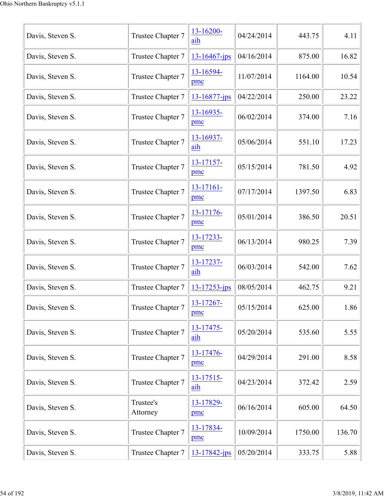| Davis, Steven S. | Trustee Chapter 7     | 13-16200-<br>aih    | 04/24/2014 | 443.75  | 4.11   |
|------------------|-----------------------|---------------------|------------|---------|--------|
| Davis, Steven S. | Trustee Chapter 7     | $13 - 16467$ -jps   | 04/16/2014 | 875.00  | 16.82  |
| Davis, Steven S. | Trustee Chapter 7     | 13-16594-<br>pmc    | 11/07/2014 | 1164.00 | 10.54  |
| Davis, Steven S. | Trustee Chapter 7     | 13-16877-jps        | 04/22/2014 | 250.00  | 23.22  |
| Davis, Steven S. | Trustee Chapter 7     | 13-16935-<br>pmc    | 06/02/2014 | 374.00  | 7.16   |
| Davis, Steven S. | Trustee Chapter 7     | 13-16937-<br>aih    | 05/06/2014 | 551.10  | 17.23  |
| Davis, Steven S. | Trustee Chapter 7     | 13-17157-<br>pmc    | 05/15/2014 | 781.50  | 4.92   |
| Davis, Steven S. | Trustee Chapter 7     | 13-17161-<br>pmc    | 07/17/2014 | 1397.50 | 6.83   |
| Davis, Steven S. | Trustee Chapter 7     | 13-17176-<br>pmc    | 05/01/2014 | 386.50  | 20.51  |
| Davis, Steven S. | Trustee Chapter 7     | 13-17233-<br>pmc    | 06/13/2014 | 980.25  | 7.39   |
| Davis, Steven S. | Trustee Chapter 7     | 13-17237-<br>aih    | 06/03/2014 | 542.00  | 7.62   |
| Davis, Steven S. | Trustee Chapter 7     | $13 - 17253 - ips$  | 08/05/2014 | 462.75  | 9.21   |
| Davis, Steven S. | Trustee Chapter 7     | 13-17267-<br>pmc    | 05/15/2014 | 625.00  | 1.86   |
| Davis, Steven S. | Trustee Chapter 7     | 13-17475-<br>aih    | 05/20/2014 | 535.60  | 5.55   |
| Davis, Steven S. | Trustee Chapter 7     | 13-17476-<br>pmc    | 04/29/2014 | 291.00  | 8.58   |
| Davis, Steven S. | Trustee Chapter 7     | $13 - 17515$<br>aih | 04/23/2014 | 372.42  | 2.59   |
| Davis, Steven S. | Trustee's<br>Attorney | 13-17829-<br>pmc    | 06/16/2014 | 605.00  | 64.50  |
| Davis, Steven S. | Trustee Chapter 7     | 13-17834-<br>pmc    | 10/09/2014 | 1750.00 | 136.70 |
| Davis, Steven S. | Trustee Chapter 7     | $13 - 17842$ -jps   | 05/20/2014 | 333.75  | 5.88   |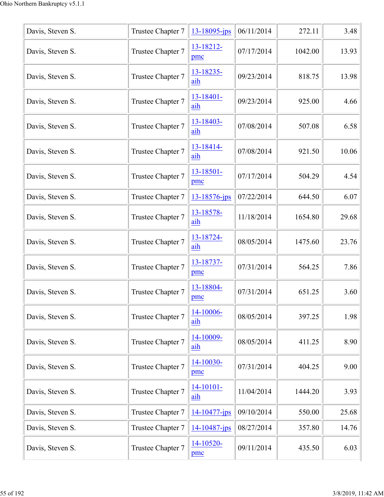| Davis, Steven S. | Trustee Chapter 7 | $13 - 18095$ -jps     | 06/11/2014 | 272.11  | 3.48  |
|------------------|-------------------|-----------------------|------------|---------|-------|
| Davis, Steven S. | Trustee Chapter 7 | 13-18212-<br>pmc      | 07/17/2014 | 1042.00 | 13.93 |
| Davis, Steven S. | Trustee Chapter 7 | 13-18235-<br>aih      | 09/23/2014 | 818.75  | 13.98 |
| Davis, Steven S. | Trustee Chapter 7 | 13-18401-<br>aih      | 09/23/2014 | 925.00  | 4.66  |
| Davis, Steven S. | Trustee Chapter 7 | 13-18403-<br>aih      | 07/08/2014 | 507.08  | 6.58  |
| Davis, Steven S. | Trustee Chapter 7 | 13-18414-<br>aih      | 07/08/2014 | 921.50  | 10.06 |
| Davis, Steven S. | Trustee Chapter 7 | 13-18501-<br>pmc      | 07/17/2014 | 504.29  | 4.54  |
| Davis, Steven S. | Trustee Chapter 7 | 13-18576-jps          | 07/22/2014 | 644.50  | 6.07  |
| Davis, Steven S. | Trustee Chapter 7 | 13-18578-<br>aih      | 11/18/2014 | 1654.80 | 29.68 |
| Davis, Steven S. | Trustee Chapter 7 | 13-18724-<br>aih      | 08/05/2014 | 1475.60 | 23.76 |
| Davis, Steven S. | Trustee Chapter 7 | 13-18737-<br>pmc      | 07/31/2014 | 564.25  | 7.86  |
| Davis, Steven S. | Trustee Chapter 7 | 13-18804-<br>pmc      | 07/31/2014 | 651.25  | 3.60  |
| Davis, Steven S. | Trustee Chapter 7 | 14-10006-<br>aih      | 08/05/2014 | 397.25  | 1.98  |
| Davis, Steven S. | Trustee Chapter 7 | 14-10009-<br>aih      | 08/05/2014 | 411.25  | 8.90  |
| Davis, Steven S. | Trustee Chapter 7 | 14-10030-<br>pmc      | 07/31/2014 | 404.25  | 9.00  |
| Davis, Steven S. | Trustee Chapter 7 | $14 - 10101 -$<br>aih | 11/04/2014 | 1444.20 | 3.93  |
| Davis, Steven S. | Trustee Chapter 7 | 14-10477-jps          | 09/10/2014 | 550.00  | 25.68 |
| Davis, Steven S. | Trustee Chapter 7 | 14-10487-jps          | 08/27/2014 | 357.80  | 14.76 |
| Davis, Steven S. | Trustee Chapter 7 | 14-10520-<br>pmc      | 09/11/2014 | 435.50  | 6.03  |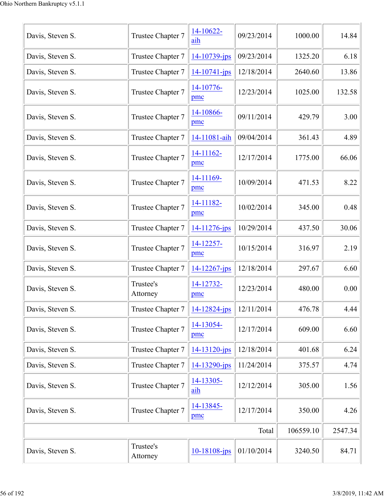| Davis, Steven S. | Trustee Chapter 7     | 14-10622-<br>aih   | 09/23/2014 | 1000.00   | 14.84   |
|------------------|-----------------------|--------------------|------------|-----------|---------|
| Davis, Steven S. | Trustee Chapter 7     | 14-10739-jps       | 09/23/2014 | 1325.20   | 6.18    |
| Davis, Steven S. | Trustee Chapter 7     | $14 - 10741 - ips$ | 12/18/2014 | 2640.60   | 13.86   |
| Davis, Steven S. | Trustee Chapter 7     | 14-10776-<br>pmc   | 12/23/2014 | 1025.00   | 132.58  |
| Davis, Steven S. | Trustee Chapter 7     | 14-10866-<br>pmc   | 09/11/2014 | 429.79    | 3.00    |
| Davis, Steven S. | Trustee Chapter 7     | 14-11081-aih       | 09/04/2014 | 361.43    | 4.89    |
| Davis, Steven S. | Trustee Chapter 7     | 14-11162-<br>pmc   | 12/17/2014 | 1775.00   | 66.06   |
| Davis, Steven S. | Trustee Chapter 7     | 14-11169-<br>pmc   | 10/09/2014 | 471.53    | 8.22    |
| Davis, Steven S. | Trustee Chapter 7     | 14-11182-<br>pmc   | 10/02/2014 | 345.00    | 0.48    |
| Davis, Steven S. | Trustee Chapter 7     | 14-11276-jps       | 10/29/2014 | 437.50    | 30.06   |
| Davis, Steven S. | Trustee Chapter 7     | 14-12257-<br>pmc   | 10/15/2014 | 316.97    | 2.19    |
| Davis, Steven S. | Trustee Chapter 7     | $14 - 12267$ -jps  | 12/18/2014 | 297.67    | 6.60    |
| Davis, Steven S. | Trustee's<br>Attorney | 14-12732-<br>pmc   | 12/23/2014 | 480.00    | 0.00    |
| Davis, Steven S. | Trustee Chapter 7     | $14 - 12824 - ips$ | 12/11/2014 | 476.78    | 4.44    |
| Davis, Steven S. | Trustee Chapter 7     | 14-13054-<br>pmc   | 12/17/2014 | 609.00    | 6.60    |
| Davis, Steven S. | Trustee Chapter 7     | 14-13120-jps       | 12/18/2014 | 401.68    | 6.24    |
| Davis, Steven S. | Trustee Chapter 7     | 14-13290-jps       | 11/24/2014 | 375.57    | 4.74    |
| Davis, Steven S. | Trustee Chapter 7     | 14-13305-<br>aih   | 12/12/2014 | 305.00    | 1.56    |
| Davis, Steven S. | Trustee Chapter 7     | 14-13845-<br>pmc   | 12/17/2014 | 350.00    | 4.26    |
|                  |                       |                    | Total      | 106559.10 | 2547.34 |
| Davis, Steven S. | Trustee's<br>Attorney | 10-18108-jps       | 01/10/2014 | 3240.50   | 84.71   |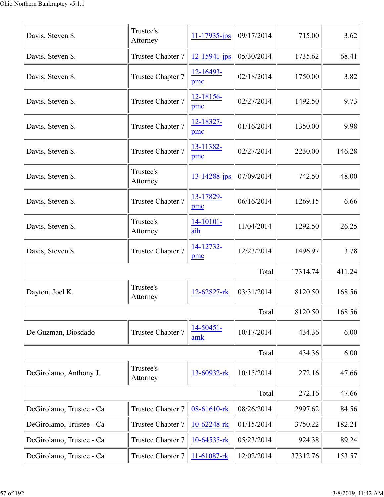| Davis, Steven S.         | Trustee's<br>Attorney | $11 - 17935 - ips$ | 09/17/2014 | 715.00   | 3.62   |
|--------------------------|-----------------------|--------------------|------------|----------|--------|
| Davis, Steven S.         | Trustee Chapter 7     | $12 - 15941 - ips$ | 05/30/2014 | 1735.62  | 68.41  |
| Davis, Steven S.         | Trustee Chapter 7     | 12-16493-<br>pmc   | 02/18/2014 | 1750.00  | 3.82   |
| Davis, Steven S.         | Trustee Chapter 7     | 12-18156-<br>pmc   | 02/27/2014 | 1492.50  | 9.73   |
| Davis, Steven S.         | Trustee Chapter 7     | 12-18327-<br>pmc   | 01/16/2014 | 1350.00  | 9.98   |
| Davis, Steven S.         | Trustee Chapter 7     | 13-11382-<br>pmc   | 02/27/2014 | 2230.00  | 146.28 |
| Davis, Steven S.         | Trustee's<br>Attorney | $13 - 14288 - ips$ | 07/09/2014 | 742.50   | 48.00  |
| Davis, Steven S.         | Trustee Chapter 7     | 13-17829-<br>pmc   | 06/16/2014 | 1269.15  | 6.66   |
| Davis, Steven S.         | Trustee's<br>Attorney | 14-10101-<br>aih   | 11/04/2014 | 1292.50  | 26.25  |
| Davis, Steven S.         | Trustee Chapter 7     | 14-12732-<br>pmc   | 12/23/2014 | 1496.97  | 3.78   |
|                          |                       |                    | Total      | 17314.74 | 411.24 |
| Dayton, Joel K.          | Trustee's<br>Attorney | 12-62827-rk        | 03/31/2014 | 8120.50  | 168.56 |
|                          |                       |                    | Total      | 8120.50  | 168.56 |
| De Guzman, Diosdado      | Trustee Chapter 7     | 14-50451-<br>amk   | 10/17/2014 | 434.36   | 6.00   |
|                          |                       |                    | Total      | 434.36   | 6.00   |
| DeGirolamo, Anthony J.   | Trustee's<br>Attorney | 13-60932-rk        | 10/15/2014 | 272.16   | 47.66  |
|                          |                       |                    | Total      | 272.16   | 47.66  |
| DeGirolamo, Trustee - Ca | Trustee Chapter 7     | 08-61610-rk        | 08/26/2014 | 2997.62  | 84.56  |
| DeGirolamo, Trustee - Ca | Trustee Chapter 7     | 10-62248-rk        | 01/15/2014 | 3750.22  | 182.21 |
| DeGirolamo, Trustee - Ca | Trustee Chapter 7     | 10-64535-rk        | 05/23/2014 | 924.38   | 89.24  |
| DeGirolamo, Trustee - Ca | Trustee Chapter 7     | 11-61087-rk        | 12/02/2014 | 37312.76 | 153.57 |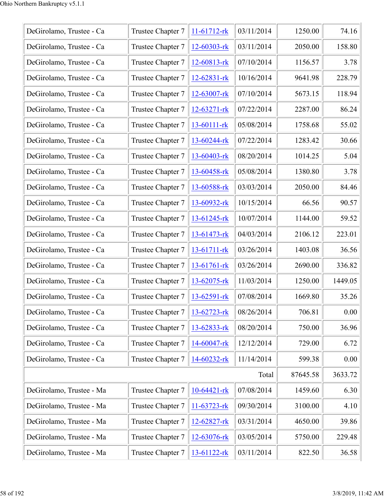| DeGirolamo, Trustee - Ca | Trustee Chapter 7 | $11-61712$ -rk    | 03/11/2014 | 1250.00  | 74.16   |
|--------------------------|-------------------|-------------------|------------|----------|---------|
| DeGirolamo, Trustee - Ca | Trustee Chapter 7 | 12-60303-rk       | 03/11/2014 | 2050.00  | 158.80  |
| DeGirolamo, Trustee - Ca | Trustee Chapter 7 | 12-60813-rk       | 07/10/2014 | 1156.57  | 3.78    |
| DeGirolamo, Trustee - Ca | Trustee Chapter 7 | $12 - 62831 - rk$ | 10/16/2014 | 9641.98  | 228.79  |
| DeGirolamo, Trustee - Ca | Trustee Chapter 7 | 12-63007-rk       | 07/10/2014 | 5673.15  | 118.94  |
| DeGirolamo, Trustee - Ca | Trustee Chapter 7 | $12 - 63271 - rk$ | 07/22/2014 | 2287.00  | 86.24   |
| DeGirolamo, Trustee - Ca | Trustee Chapter 7 | 13-60111-rk       | 05/08/2014 | 1758.68  | 55.02   |
| DeGirolamo, Trustee - Ca | Trustee Chapter 7 | $13 - 60244 - rk$ | 07/22/2014 | 1283.42  | 30.66   |
| DeGirolamo, Trustee - Ca | Trustee Chapter 7 | 13-60403-rk       | 08/20/2014 | 1014.25  | 5.04    |
| DeGirolamo, Trustee - Ca | Trustee Chapter 7 | 13-60458-rk       | 05/08/2014 | 1380.80  | 3.78    |
| DeGirolamo, Trustee - Ca | Trustee Chapter 7 | 13-60588-rk       | 03/03/2014 | 2050.00  | 84.46   |
| DeGirolamo, Trustee - Ca | Trustee Chapter 7 | 13-60932-rk       | 10/15/2014 | 66.56    | 90.57   |
| DeGirolamo, Trustee - Ca | Trustee Chapter 7 | 13-61245-rk       | 10/07/2014 | 1144.00  | 59.52   |
| DeGirolamo, Trustee - Ca | Trustee Chapter 7 | 13-61473-rk       | 04/03/2014 | 2106.12  | 223.01  |
| DeGirolamo, Trustee - Ca | Trustee Chapter 7 | 13-61711-rk       | 03/26/2014 | 1403.08  | 36.56   |
| DeGirolamo, Trustee - Ca | Trustee Chapter 7 | 13-61761-rk       | 03/26/2014 | 2690.00  | 336.82  |
| DeGirolamo, Trustee - Ca | Trustee Chapter 7 | 13-62075-rk       | 11/03/2014 | 1250.00  | 1449.05 |
| DeGirolamo, Trustee - Ca | Trustee Chapter 7 | 13-62591-rk       | 07/08/2014 | 1669.80  | 35.26   |
| DeGirolamo, Trustee - Ca | Trustee Chapter 7 | 13-62723-rk       | 08/26/2014 | 706.81   | 0.00    |
| DeGirolamo, Trustee - Ca | Trustee Chapter 7 | 13-62833-rk       | 08/20/2014 | 750.00   | 36.96   |
| DeGirolamo, Trustee - Ca | Trustee Chapter 7 | 14-60047-rk       | 12/12/2014 | 729.00   | 6.72    |
| DeGirolamo, Trustee - Ca | Trustee Chapter 7 | 14-60232-rk       | 11/14/2014 | 599.38   | 0.00    |
|                          |                   |                   | Total      | 87645.58 | 3633.72 |
| DeGirolamo, Trustee - Ma | Trustee Chapter 7 | $10-64421$ -rk    | 07/08/2014 | 1459.60  | 6.30    |
| DeGirolamo, Trustee - Ma | Trustee Chapter 7 | 11-63723-rk       | 09/30/2014 | 3100.00  | 4.10    |
| DeGirolamo, Trustee - Ma | Trustee Chapter 7 | 12-62827-rk       | 03/31/2014 | 4650.00  | 39.86   |
| DeGirolamo, Trustee - Ma | Trustee Chapter 7 | 12-63076-rk       | 03/05/2014 | 5750.00  | 229.48  |
| DeGirolamo, Trustee - Ma | Trustee Chapter 7 | $13-61122-rk$     | 03/11/2014 | 822.50   | 36.58   |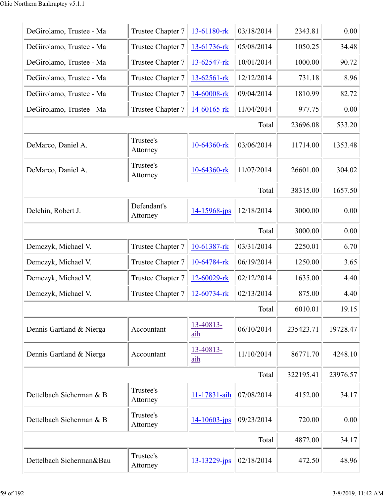| DeGirolamo, Trustee - Ma | Trustee Chapter 7       | 13-61180-rk       | 03/18/2014 | 2343.81   | 0.00     |
|--------------------------|-------------------------|-------------------|------------|-----------|----------|
| DeGirolamo, Trustee - Ma | Trustee Chapter 7       | 13-61736-rk       | 05/08/2014 | 1050.25   | 34.48    |
| DeGirolamo, Trustee - Ma | Trustee Chapter 7       | 13-62547-rk       | 10/01/2014 | 1000.00   | 90.72    |
| DeGirolamo, Trustee - Ma | Trustee Chapter 7       | 13-62561-rk       | 12/12/2014 | 731.18    | 8.96     |
| DeGirolamo, Trustee - Ma | Trustee Chapter 7       | 14-60008-rk       | 09/04/2014 | 1810.99   | 82.72    |
| DeGirolamo, Trustee - Ma | Trustee Chapter 7       | 14-60165-rk       | 11/04/2014 | 977.75    | 0.00     |
|                          |                         |                   | Total      | 23696.08  | 533.20   |
| DeMarco, Daniel A.       | Trustee's<br>Attorney   | 10-64360-rk       | 03/06/2014 | 11714.00  | 1353.48  |
| DeMarco, Daniel A.       | Trustee's<br>Attorney   | 10-64360-rk       | 11/07/2014 | 26601.00  | 304.02   |
|                          |                         |                   | Total      | 38315.00  | 1657.50  |
| Delchin, Robert J.       | Defendant's<br>Attorney | 14-15968-jps      | 12/18/2014 | 3000.00   | 0.00     |
|                          |                         |                   | Total      | 3000.00   | 0.00     |
| Demczyk, Michael V.      | Trustee Chapter 7       | 10-61387-rk       | 03/31/2014 | 2250.01   | 6.70     |
| Demczyk, Michael V.      | Trustee Chapter 7       | 10-64784-rk       | 06/19/2014 | 1250.00   | 3.65     |
| Demczyk, Michael V.      | Trustee Chapter 7       | 12-60029-rk       | 02/12/2014 | 1635.00   | 4.40     |
| Demczyk, Michael V.      | Trustee Chapter 7       | 12-60734-rk       | 02/13/2014 | 875.00    | 4.40     |
|                          |                         |                   | Total      | 6010.01   | 19.15    |
| Dennis Gartland & Nierga | Accountant              | 13-40813-<br>aih  | 06/10/2014 | 235423.71 | 19728.47 |
| Dennis Gartland & Nierga | Accountant              | 13-40813-<br>aih  | 11/10/2014 | 86771.70  | 4248.10  |
|                          |                         |                   | Total      | 322195.41 | 23976.57 |
| Dettelbach Sicherman & B | Trustee's<br>Attorney   | 11-17831-aih      | 07/08/2014 | 4152.00   | 34.17    |
| Dettelbach Sicherman & B | Trustee's<br>Attorney   | 14-10603-jps      | 09/23/2014 | 720.00    | 0.00     |
|                          |                         |                   | Total      | 4872.00   | 34.17    |
| Dettelbach Sicherman&Bau | Trustee's<br>Attorney   | $13 - 13229$ -jps | 02/18/2014 | 472.50    | 48.96    |
|                          |                         |                   |            |           |          |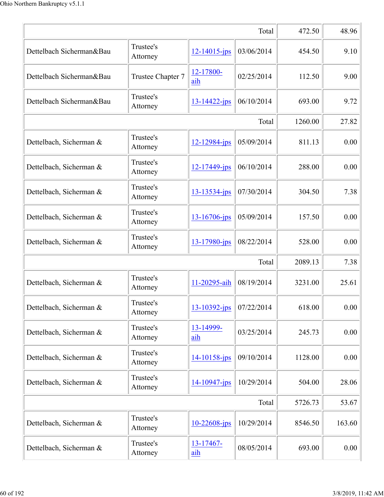|                          | 472.50                | 48.96              |            |         |        |
|--------------------------|-----------------------|--------------------|------------|---------|--------|
| Dettelbach Sicherman&Bau | Trustee's<br>Attorney | $12 - 14015$ -jps  | 03/06/2014 | 454.50  | 9.10   |
| Dettelbach Sicherman&Bau | Trustee Chapter 7     | 12-17800-<br>aih   | 02/25/2014 | 112.50  | 9.00   |
| Dettelbach Sicherman&Bau | Trustee's<br>Attorney | $13 - 14422 - ips$ | 06/10/2014 | 693.00  | 9.72   |
|                          |                       |                    | Total      | 1260.00 | 27.82  |
| Dettelbach, Sicherman &  | Trustee's<br>Attorney | 12-12984-jps       | 05/09/2014 | 811.13  | 0.00   |
| Dettelbach, Sicherman &  | Trustee's<br>Attorney | $12 - 17449$ -jps  | 06/10/2014 | 288.00  | 0.00   |
| Dettelbach, Sicherman &  | Trustee's<br>Attorney | $13 - 13534 - jps$ | 07/30/2014 | 304.50  | 7.38   |
| Dettelbach, Sicherman &  | Trustee's<br>Attorney | 13-16706-jps       | 05/09/2014 | 157.50  | 0.00   |
| Dettelbach, Sicherman &  | Trustee's<br>Attorney | 13-17980-jps       | 08/22/2014 | 528.00  | 0.00   |
|                          |                       |                    | Total      | 2089.13 | 7.38   |
| Dettelbach, Sicherman &  | Trustee's<br>Attorney | 11-20295-aih       | 08/19/2014 | 3231.00 | 25.61  |
| Dettelbach, Sicherman &  | Trustee's<br>Attorney | $13 - 10392 - jps$ | 07/22/2014 | 618.00  | 0.00   |
| Dettelbach, Sicherman &  | Trustee's<br>Attorney | 13-14999-<br>aih   | 03/25/2014 | 245.73  | 0.00   |
| Dettelbach, Sicherman &  | Trustee's<br>Attorney | $14 - 10158 - ips$ | 09/10/2014 | 1128.00 | 0.00   |
| Dettelbach, Sicherman &  | Trustee's<br>Attorney | $14 - 10947 - ips$ | 10/29/2014 | 504.00  | 28.06  |
|                          | Total                 |                    |            |         |        |
| Dettelbach, Sicherman &  | Trustee's<br>Attorney | $10 - 22608 - ips$ | 10/29/2014 | 8546.50 | 163.60 |
| Dettelbach, Sicherman &  | Trustee's<br>Attorney | 13-17467-<br>aih   | 08/05/2014 | 693.00  | 0.00   |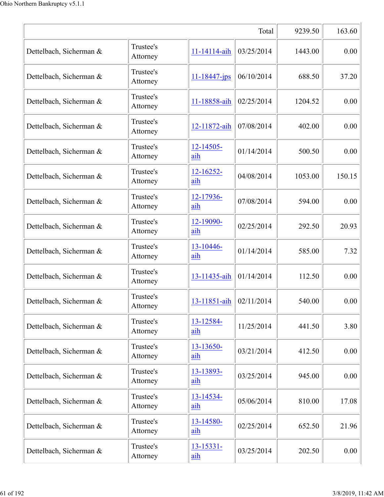|                         | 9239.50               | 163.60             |            |         |        |
|-------------------------|-----------------------|--------------------|------------|---------|--------|
| Dettelbach, Sicherman & | Trustee's<br>Attorney | 11-14114-aih       | 03/25/2014 | 1443.00 | 0.00   |
| Dettelbach, Sicherman & | Trustee's<br>Attorney | $11 - 18447 - ips$ | 06/10/2014 | 688.50  | 37.20  |
| Dettelbach, Sicherman & | Trustee's<br>Attorney | 11-18858-aih       | 02/25/2014 | 1204.52 | 0.00   |
| Dettelbach, Sicherman & | Trustee's<br>Attorney | 12-11872-aih       | 07/08/2014 | 402.00  | 0.00   |
| Dettelbach, Sicherman & | Trustee's<br>Attorney | 12-14505-<br>aih   | 01/14/2014 | 500.50  | 0.00   |
| Dettelbach, Sicherman & | Trustee's<br>Attorney | 12-16252-<br>aih   | 04/08/2014 | 1053.00 | 150.15 |
| Dettelbach, Sicherman & | Trustee's<br>Attorney | 12-17936-<br>aih   | 07/08/2014 | 594.00  | 0.00   |
| Dettelbach, Sicherman & | Trustee's<br>Attorney | 12-19090-<br>aih   | 02/25/2014 | 292.50  | 20.93  |
| Dettelbach, Sicherman & | Trustee's<br>Attorney | 13-10446-<br>aih   | 01/14/2014 | 585.00  | 7.32   |
| Dettelbach, Sicherman & | Trustee's<br>Attorney | 13-11435-aih       | 01/14/2014 | 112.50  | 0.00   |
| Dettelbach, Sicherman & | Trustee's<br>Attorney | 13-11851-aih       | 02/11/2014 | 540.00  | 0.00   |
| Dettelbach, Sicherman & | Trustee's<br>Attorney | 13-12584-<br>aih   | 11/25/2014 | 441.50  | 3.80   |
| Dettelbach, Sicherman & | Trustee's<br>Attorney | 13-13650-<br>aih   | 03/21/2014 | 412.50  | 0.00   |
| Dettelbach, Sicherman & | Trustee's<br>Attorney | 13-13893-<br>aih   | 03/25/2014 | 945.00  | 0.00   |
| Dettelbach, Sicherman & | Trustee's<br>Attorney | 13-14534-<br>aih   | 05/06/2014 | 810.00  | 17.08  |
| Dettelbach, Sicherman & | Trustee's<br>Attorney | 13-14580-<br>aih   | 02/25/2014 | 652.50  | 21.96  |
| Dettelbach, Sicherman & | Trustee's<br>Attorney | 13-15331-<br>aih   | 03/25/2014 | 202.50  | 0.00   |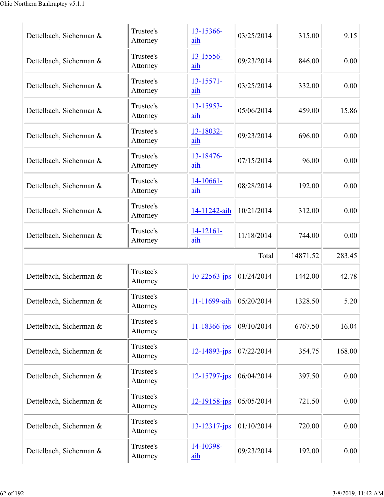| Dettelbach, Sicherman & | Trustee's<br>Attorney | 13-15366-<br>aih      | 03/25/2014 | 315.00   | 9.15   |
|-------------------------|-----------------------|-----------------------|------------|----------|--------|
| Dettelbach, Sicherman & | Trustee's<br>Attorney | 13-15556-<br>aih      | 09/23/2014 | 846.00   | 0.00   |
| Dettelbach, Sicherman & | Trustee's<br>Attorney | $13 - 15571 -$<br>aih | 03/25/2014 | 332.00   | 0.00   |
| Dettelbach, Sicherman & | Trustee's<br>Attorney | 13-15953-<br>aih      | 05/06/2014 | 459.00   | 15.86  |
| Dettelbach, Sicherman & | Trustee's<br>Attorney | 13-18032-<br>aih      | 09/23/2014 | 696.00   | 0.00   |
| Dettelbach, Sicherman & | Trustee's<br>Attorney | 13-18476-<br>aih      | 07/15/2014 | 96.00    | 0.00   |
| Dettelbach, Sicherman & | Trustee's<br>Attorney | $14-10661-$<br>aih    | 08/28/2014 | 192.00   | 0.00   |
| Dettelbach, Sicherman & | Trustee's<br>Attorney | 14-11242-aih          | 10/21/2014 | 312.00   | 0.00   |
| Dettelbach, Sicherman & | Trustee's<br>Attorney | $14-12161-$<br>aih    | 11/18/2014 | 744.00   | 0.00   |
|                         |                       |                       |            |          |        |
|                         |                       |                       | Total      | 14871.52 | 283.45 |
| Dettelbach, Sicherman & | Trustee's<br>Attorney | $10 - 22563$ -jps     | 01/24/2014 | 1442.00  | 42.78  |
| Dettelbach, Sicherman & | Trustee's<br>Attorney | 11-11699-aih          | 05/20/2014 | 1328.50  | 5.20   |
| Dettelbach, Sicherman & | Trustee's<br>Attorney | 11-18366-jps          | 09/10/2014 | 6767.50  | 16.04  |
| Dettelbach, Sicherman & | Trustee's<br>Attorney | 12-14893-jps          | 07/22/2014 | 354.75   | 168.00 |
| Dettelbach, Sicherman & | Trustee's<br>Attorney | 12-15797-jps          | 06/04/2014 | 397.50   | 0.00   |
| Dettelbach, Sicherman & | Trustee's<br>Attorney | $12 - 19158 - jps$    | 05/05/2014 | 721.50   | 0.00   |
| Dettelbach, Sicherman & | Trustee's<br>Attorney | 13-12317-jps          | 01/10/2014 | 720.00   | 0.00   |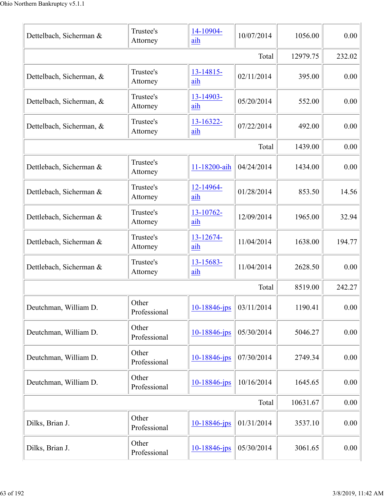| Dettelbach, Sicherman &  | Trustee's<br>Attorney | 14-10904-<br>aih  | 10/07/2014 | 1056.00 | 0.00   |
|--------------------------|-----------------------|-------------------|------------|---------|--------|
|                          | 12979.75              | 232.02            |            |         |        |
| Dettelbach, Sicherman, & | Trustee's<br>Attorney | 13-14815-<br>aih  | 02/11/2014 | 395.00  | 0.00   |
| Dettelbach, Sicherman, & | Trustee's<br>Attorney | 13-14903-<br>aih  | 05/20/2014 | 552.00  | 0.00   |
| Dettelbach, Sicherman, & | Trustee's<br>Attorney | 13-16322-<br>aih  | 07/22/2014 | 492.00  | 0.00   |
|                          |                       |                   | Total      | 1439.00 | 0.00   |
| Dettlebach, Sicherman &  | Trustee's<br>Attorney | 11-18200-aih      | 04/24/2014 | 1434.00 | 0.00   |
| Dettlebach, Sicherman &  | Trustee's<br>Attorney | 12-14964-<br>aih  | 01/28/2014 | 853.50  | 14.56  |
| Dettlebach, Sicherman &  | Trustee's<br>Attorney | 13-10762-<br>aih  | 12/09/2014 | 1965.00 | 32.94  |
| Dettlebach, Sicherman &  | Trustee's<br>Attorney | 13-12674-<br>aih  | 11/04/2014 | 1638.00 | 194.77 |
| Dettlebach, Sicherman &  | Trustee's<br>Attorney | 13-15683-<br>aih  | 11/04/2014 | 2628.50 | 0.00   |
|                          |                       |                   | Total      | 8519.00 | 242.27 |
| Deutchman, William D.    | Other<br>Professional | $10 - 18846$ -jps | 03/11/2014 | 1190.41 | 0.00   |
| Deutchman, William D.    | Other<br>Professional | 10-18846-jps      | 05/30/2014 | 5046.27 | 0.00   |
| Deutchman, William D.    | Other<br>Professional | $10 - 18846$ -jps | 07/30/2014 | 2749.34 | 0.00   |
| Deutchman, William D.    | Other<br>Professional | 10-18846-jps      | 10/16/2014 | 1645.65 | 0.00   |
|                          | Total                 |                   |            |         |        |
| Dilks, Brian J.          | Other<br>Professional | 10-18846-jps      | 01/31/2014 | 3537.10 | 0.00   |
| Dilks, Brian J.          | Other<br>Professional | $10 - 18846$ -jps | 05/30/2014 | 3061.65 | 0.00   |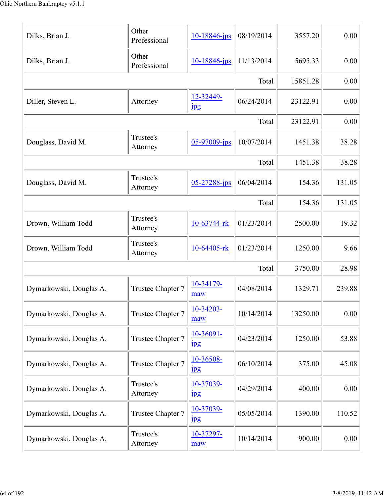| Dilks, Brian J.         | Other<br>Professional | 10-18846-jps                  | 08/19/2014 | 3557.20  | 0.00   |
|-------------------------|-----------------------|-------------------------------|------------|----------|--------|
| Dilks, Brian J.         | Other<br>Professional | 10-18846-jps                  | 11/13/2014 | 5695.33  | 0.00   |
|                         |                       |                               | Total      | 15851.28 | 0.00   |
| Diller, Steven L.       | Attorney              | 12-32449-<br>$_{\rm 1\,}$     | 06/24/2014 | 23122.91 | 0.00   |
|                         |                       |                               | Total      | 23122.91 | 0.00   |
| Douglass, David M.      | Trustee's<br>Attorney | 05-97009-jps                  | 10/07/2014 | 1451.38  | 38.28  |
|                         |                       |                               | Total      | 1451.38  | 38.28  |
| Douglass, David M.      | Trustee's<br>Attorney | 05-27288-jps                  | 06/04/2014 | 154.36   | 131.05 |
|                         |                       |                               | Total      | 154.36   | 131.05 |
| Drown, William Todd     | Trustee's<br>Attorney | 10-63744-rk                   | 01/23/2014 | 2500.00  | 19.32  |
| Drown, William Todd     | Trustee's<br>Attorney | 10-64405-rk                   | 01/23/2014 | 1250.00  | 9.66   |
|                         |                       |                               | Total      | 3750.00  | 28.98  |
| Dymarkowski, Douglas A. | Trustee Chapter 7     | 10-34179-<br>maw              | 04/08/2014 | 1329.71  | 239.88 |
| Dymarkowski, Douglas A. | Trustee Chapter 7     | 10-34203-<br>maw              | 10/14/2014 | 13250.00 | 0.00   |
| Dymarkowski, Douglas A. | Trustee Chapter 7     | 10-36091-<br><b>Jpg</b>       | 04/23/2014 | 1250.00  | 53.88  |
| Dymarkowski, Douglas A. | Trustee Chapter 7     | 10-36508-<br>jpg              | 06/10/2014 | 375.00   | 45.08  |
| Dymarkowski, Douglas A. | Trustee's<br>Attorney | 10-37039-<br>$_{\rm 1\!P\!S}$ | 04/29/2014 | 400.00   | 0.00   |
| Dymarkowski, Douglas A. | Trustee Chapter 7     | 10-37039-<br>$_{\rm 1\!P\!S}$ | 05/05/2014 | 1390.00  | 110.52 |
| Dymarkowski, Douglas A. | Trustee's<br>Attorney | 10-37297-<br>maw              | 10/14/2014 | 900.00   | 0.00   |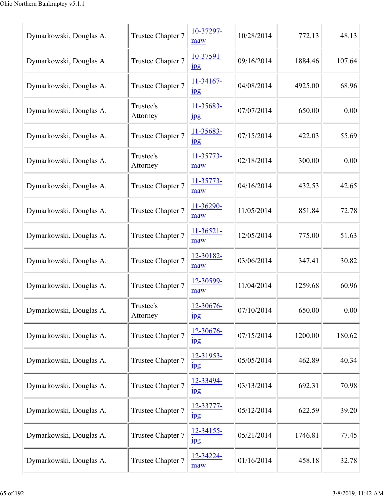| Dymarkowski, Douglas A. | Trustee Chapter 7     | 10-37297-<br>maw              | 10/28/2014 | 772.13  | 48.13  |
|-------------------------|-----------------------|-------------------------------|------------|---------|--------|
| Dymarkowski, Douglas A. | Trustee Chapter 7     | 10-37591-<br>$_{\rm 1\!P\!S}$ | 09/16/2014 | 1884.46 | 107.64 |
| Dymarkowski, Douglas A. | Trustee Chapter 7     | 11-34167-<br>$_{\rm 1pg}$     | 04/08/2014 | 4925.00 | 68.96  |
| Dymarkowski, Douglas A. | Trustee's<br>Attorney | 11-35683-<br>jpg              | 07/07/2014 | 650.00  | 0.00   |
| Dymarkowski, Douglas A. | Trustee Chapter 7     | 11-35683-<br>$_{\rm 1\!P\!S}$ | 07/15/2014 | 422.03  | 55.69  |
| Dymarkowski, Douglas A. | Trustee's<br>Attorney | 11-35773-<br>maw              | 02/18/2014 | 300.00  | 0.00   |
| Dymarkowski, Douglas A. | Trustee Chapter 7     | 11-35773-<br>maw              | 04/16/2014 | 432.53  | 42.65  |
| Dymarkowski, Douglas A. | Trustee Chapter 7     | 11-36290-<br>maw              | 11/05/2014 | 851.84  | 72.78  |
| Dymarkowski, Douglas A. | Trustee Chapter 7     | $11-36521-$<br>maw            | 12/05/2014 | 775.00  | 51.63  |
| Dymarkowski, Douglas A. | Trustee Chapter 7     | 12-30182-<br>maw              | 03/06/2014 | 347.41  | 30.82  |
| Dymarkowski, Douglas A. | Trustee Chapter 7     | 12-30599-<br>maw              | 11/04/2014 | 1259.68 | 60.96  |
| Dymarkowski, Douglas A. | Trustee's<br>Attorney | 12-30676-<br>jpg              | 07/10/2014 | 650.00  | 0.00   |
| Dymarkowski, Douglas A. | Trustee Chapter 7     | 12-30676-<br>$_{\rm 1\!P\!S}$ | 07/15/2014 | 1200.00 | 180.62 |
| Dymarkowski, Douglas A. | Trustee Chapter 7     | 12-31953-<br>$_{\rm 1\!P\!S}$ | 05/05/2014 | 462.89  | 40.34  |
| Dymarkowski, Douglas A. | Trustee Chapter 7     | 12-33494-<br>$_{\rm 1\!P\!S}$ | 03/13/2014 | 692.31  | 70.98  |
| Dymarkowski, Douglas A. | Trustee Chapter 7     | 12-33777-<br>$_{\rm 1\!P\!S}$ | 05/12/2014 | 622.59  | 39.20  |
| Dymarkowski, Douglas A. | Trustee Chapter 7     | 12-34155-<br>$_{\rm 1\!P\!S}$ | 05/21/2014 | 1746.81 | 77.45  |
| Dymarkowski, Douglas A. | Trustee Chapter 7     | 12-34224-<br>maw              | 01/16/2014 | 458.18  | 32.78  |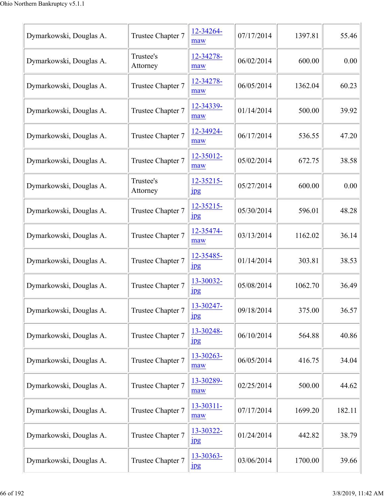| Dymarkowski, Douglas A. | Trustee Chapter 7     | 12-34264-<br>maw                | 07/17/2014 | 1397.81 | 55.46  |
|-------------------------|-----------------------|---------------------------------|------------|---------|--------|
| Dymarkowski, Douglas A. | Trustee's<br>Attorney | 12-34278-<br>maw                | 06/02/2014 | 600.00  | 0.00   |
| Dymarkowski, Douglas A. | Trustee Chapter 7     | 12-34278-<br>maw                | 06/05/2014 | 1362.04 | 60.23  |
| Dymarkowski, Douglas A. | Trustee Chapter 7     | 12-34339-<br>maw                | 01/14/2014 | 500.00  | 39.92  |
| Dymarkowski, Douglas A. | Trustee Chapter 7     | 12-34924-<br>maw                | 06/17/2014 | 536.55  | 47.20  |
| Dymarkowski, Douglas A. | Trustee Chapter 7     | 12-35012-<br>maw                | 05/02/2014 | 672.75  | 38.58  |
| Dymarkowski, Douglas A. | Trustee's<br>Attorney | 12-35215-<br>$_{\rm 1\!P\!S}$   | 05/27/2014 | 600.00  | 0.00   |
| Dymarkowski, Douglas A. | Trustee Chapter 7     | 12-35215-<br>$_{\rm 1\!P\!S}$   | 05/30/2014 | 596.01  | 48.28  |
| Dymarkowski, Douglas A. | Trustee Chapter 7     | 12-35474-<br>maw                | 03/13/2014 | 1162.02 | 36.14  |
| Dymarkowski, Douglas A. | Trustee Chapter 7     | 12-35485-<br>jpg                | 01/14/2014 | 303.81  | 38.53  |
| Dymarkowski, Douglas A. | Trustee Chapter 7     | 13-30032-<br>$_{\rm 1pg}$       | 05/08/2014 | 1062.70 | 36.49  |
| Dymarkowski, Douglas A. | Trustee Chapter 7     | 13-30247-<br>$_{\rm 1\!P\!S}$   | 09/18/2014 | 375.00  | 36.57  |
| Dymarkowski, Douglas A. | Trustee Chapter 7     | 13-30248-<br>$_{\rm 1\!P\rm 2}$ | 06/10/2014 | 564.88  | 40.86  |
| Dymarkowski, Douglas A. | Trustee Chapter 7     | 13-30263-<br>maw                | 06/05/2014 | 416.75  | 34.04  |
| Dymarkowski, Douglas A. | Trustee Chapter 7     | 13-30289-<br>maw                | 02/25/2014 | 500.00  | 44.62  |
| Dymarkowski, Douglas A. | Trustee Chapter 7     | 13-30311-<br>maw                | 07/17/2014 | 1699.20 | 182.11 |
| Dymarkowski, Douglas A. | Trustee Chapter 7     | 13-30322-<br>$_{\rm 1\!P\!S}$   | 01/24/2014 | 442.82  | 38.79  |
| Dymarkowski, Douglas A. | Trustee Chapter 7     | 13-30363-<br>jpg                | 03/06/2014 | 1700.00 | 39.66  |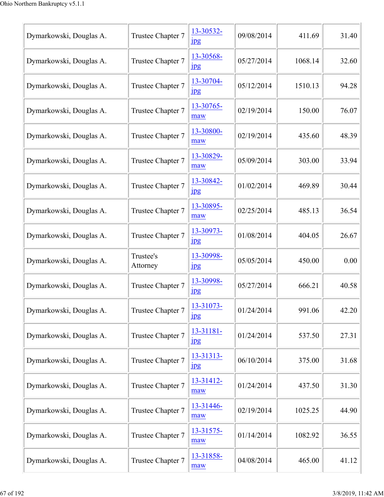| Dymarkowski, Douglas A. | Trustee Chapter 7     | 13-30532-<br>$_{\rm 1\!P\!S}$ | 09/08/2014 | 411.69  | 31.40 |
|-------------------------|-----------------------|-------------------------------|------------|---------|-------|
| Dymarkowski, Douglas A. | Trustee Chapter 7     | 13-30568-<br>$_{\rm 1pg}$     | 05/27/2014 | 1068.14 | 32.60 |
| Dymarkowski, Douglas A. | Trustee Chapter 7     | 13-30704-<br>$_{\rm 1pg}$     | 05/12/2014 | 1510.13 | 94.28 |
| Dymarkowski, Douglas A. | Trustee Chapter 7     | 13-30765-<br>maw              | 02/19/2014 | 150.00  | 76.07 |
| Dymarkowski, Douglas A. | Trustee Chapter 7     | 13-30800-<br>maw              | 02/19/2014 | 435.60  | 48.39 |
| Dymarkowski, Douglas A. | Trustee Chapter 7     | 13-30829-<br>maw              | 05/09/2014 | 303.00  | 33.94 |
| Dymarkowski, Douglas A. | Trustee Chapter 7     | 13-30842-<br>$_{\rm 1\!P\!S}$ | 01/02/2014 | 469.89  | 30.44 |
| Dymarkowski, Douglas A. | Trustee Chapter 7     | 13-30895-<br>maw              | 02/25/2014 | 485.13  | 36.54 |
| Dymarkowski, Douglas A. | Trustee Chapter 7     | 13-30973-<br>$\frac{1}{2}$    | 01/08/2014 | 404.05  | 26.67 |
| Dymarkowski, Douglas A. | Trustee's<br>Attorney | 13-30998-<br>$_{\rm 1pg}$     | 05/05/2014 | 450.00  | 0.00  |
| Dymarkowski, Douglas A. | Trustee Chapter 7     | 13-30998-<br>$_{\rm 1pg}$     | 05/27/2014 | 666.21  | 40.58 |
| Dymarkowski, Douglas A. | Trustee Chapter 7     | 13-31073-<br>$_{\rm 1pg}$     | 01/24/2014 | 991.06  | 42.20 |
| Dymarkowski, Douglas A. | Trustee Chapter 7     | 13-31181-<br>$_{\rm 1\!P\!S}$ | 01/24/2014 | 537.50  | 27.31 |
| Dymarkowski, Douglas A. | Trustee Chapter 7     | 13-31313-<br>$_{\rm 1pg}$     | 06/10/2014 | 375.00  | 31.68 |
| Dymarkowski, Douglas A. | Trustee Chapter 7     | 13-31412-<br>maw              | 01/24/2014 | 437.50  | 31.30 |
| Dymarkowski, Douglas A. | Trustee Chapter 7     | 13-31446-<br>maw              | 02/19/2014 | 1025.25 | 44.90 |
| Dymarkowski, Douglas A. | Trustee Chapter 7     | 13-31575-<br>maw              | 01/14/2014 | 1082.92 | 36.55 |
| Dymarkowski, Douglas A. | Trustee Chapter 7     | 13-31858-<br>maw              | 04/08/2014 | 465.00  | 41.12 |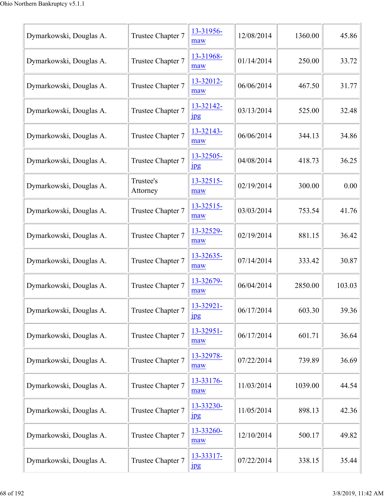| Dymarkowski, Douglas A. | Trustee Chapter 7     | 13-31956-<br>maw              | 12/08/2014 | 1360.00 | 45.86  |
|-------------------------|-----------------------|-------------------------------|------------|---------|--------|
| Dymarkowski, Douglas A. | Trustee Chapter 7     | 13-31968-<br>maw              | 01/14/2014 | 250.00  | 33.72  |
| Dymarkowski, Douglas A. | Trustee Chapter 7     | 13-32012-<br>maw              | 06/06/2014 | 467.50  | 31.77  |
| Dymarkowski, Douglas A. | Trustee Chapter 7     | 13-32142-<br>$_{\rm 1\,}$     | 03/13/2014 | 525.00  | 32.48  |
| Dymarkowski, Douglas A. | Trustee Chapter 7     | 13-32143-<br>maw              | 06/06/2014 | 344.13  | 34.86  |
| Dymarkowski, Douglas A. | Trustee Chapter 7     | 13-32505-<br>$_{\rm 1\!P\!S}$ | 04/08/2014 | 418.73  | 36.25  |
| Dymarkowski, Douglas A. | Trustee's<br>Attorney | 13-32515-<br>maw              | 02/19/2014 | 300.00  | 0.00   |
| Dymarkowski, Douglas A. | Trustee Chapter 7     | 13-32515-<br>maw              | 03/03/2014 | 753.54  | 41.76  |
| Dymarkowski, Douglas A. | Trustee Chapter 7     | 13-32529-<br>maw              | 02/19/2014 | 881.15  | 36.42  |
| Dymarkowski, Douglas A. | Trustee Chapter 7     | 13-32635-<br>maw              | 07/14/2014 | 333.42  | 30.87  |
| Dymarkowski, Douglas A. | Trustee Chapter 7     | 13-32679-<br>maw              | 06/04/2014 | 2850.00 | 103.03 |
| Dymarkowski, Douglas A. | Trustee Chapter 7     | 13-32921-<br>$_{\rm 1pg}$     | 06/17/2014 | 603.30  | 39.36  |
| Dymarkowski, Douglas A. | Trustee Chapter 7     | 13-32951-<br>maw              | 06/17/2014 | 601.71  | 36.64  |
| Dymarkowski, Douglas A. | Trustee Chapter 7     | 13-32978-<br>maw              | 07/22/2014 | 739.89  | 36.69  |
| Dymarkowski, Douglas A. | Trustee Chapter 7     | 13-33176-<br>maw              | 11/03/2014 | 1039.00 | 44.54  |
| Dymarkowski, Douglas A. | Trustee Chapter 7     | 13-33230-<br>1 <sub>p</sub> g | 11/05/2014 | 898.13  | 42.36  |
| Dymarkowski, Douglas A. | Trustee Chapter 7     | 13-33260-<br>maw              | 12/10/2014 | 500.17  | 49.82  |
| Dymarkowski, Douglas A. | Trustee Chapter 7     | 13-33317-<br>1 <sub>p</sub> g | 07/22/2014 | 338.15  | 35.44  |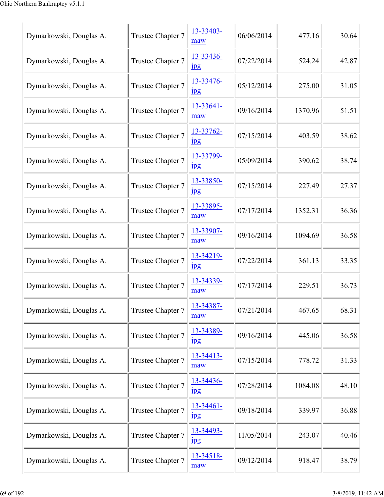| Dymarkowski, Douglas A. | Trustee Chapter 7 | 13-33403-<br>maw              | 06/06/2014 | 477.16  | 30.64 |
|-------------------------|-------------------|-------------------------------|------------|---------|-------|
| Dymarkowski, Douglas A. | Trustee Chapter 7 | 13-33436-<br>$_{\rm 1pg}$     | 07/22/2014 | 524.24  | 42.87 |
| Dymarkowski, Douglas A. | Trustee Chapter 7 | 13-33476-<br>$_{\rm 1\,}$     | 05/12/2014 | 275.00  | 31.05 |
| Dymarkowski, Douglas A. | Trustee Chapter 7 | 13-33641-<br>maw              | 09/16/2014 | 1370.96 | 51.51 |
| Dymarkowski, Douglas A. | Trustee Chapter 7 | 13-33762-<br>$_{\rm 1pg}$     | 07/15/2014 | 403.59  | 38.62 |
| Dymarkowski, Douglas A. | Trustee Chapter 7 | 13-33799-<br>$_{\rm 1\!P\!S}$ | 05/09/2014 | 390.62  | 38.74 |
| Dymarkowski, Douglas A. | Trustee Chapter 7 | 13-33850-<br>$\frac{1}{2}$    | 07/15/2014 | 227.49  | 27.37 |
| Dymarkowski, Douglas A. | Trustee Chapter 7 | 13-33895-<br>maw              | 07/17/2014 | 1352.31 | 36.36 |
| Dymarkowski, Douglas A. | Trustee Chapter 7 | 13-33907-<br>maw              | 09/16/2014 | 1094.69 | 36.58 |
| Dymarkowski, Douglas A. | Trustee Chapter 7 | 13-34219-<br>$_{\rm 1\!P\!S}$ | 07/22/2014 | 361.13  | 33.35 |
| Dymarkowski, Douglas A. | Trustee Chapter 7 | 13-34339-<br>maw              | 07/17/2014 | 229.51  | 36.73 |
| Dymarkowski, Douglas A. | Trustee Chapter 7 | 13-34387-<br>maw              | 07/21/2014 | 467.65  | 68.31 |
| Dymarkowski, Douglas A. | Trustee Chapter 7 | 13-34389-<br>$_{\rm 1\!P\!S}$ | 09/16/2014 | 445.06  | 36.58 |
| Dymarkowski, Douglas A. | Trustee Chapter 7 | 13-34413-<br>maw              | 07/15/2014 | 778.72  | 31.33 |
| Dymarkowski, Douglas A. | Trustee Chapter 7 | 13-34436-<br>$\frac{1}{2}$    | 07/28/2014 | 1084.08 | 48.10 |
| Dymarkowski, Douglas A. | Trustee Chapter 7 | 13-34461-<br>1 <sub>p</sub> g | 09/18/2014 | 339.97  | 36.88 |
| Dymarkowski, Douglas A. | Trustee Chapter 7 | 13-34493-<br>$_{\rm 1\!P\!S}$ | 11/05/2014 | 243.07  | 40.46 |
| Dymarkowski, Douglas A. | Trustee Chapter 7 | 13-34518-<br>maw              | 09/12/2014 | 918.47  | 38.79 |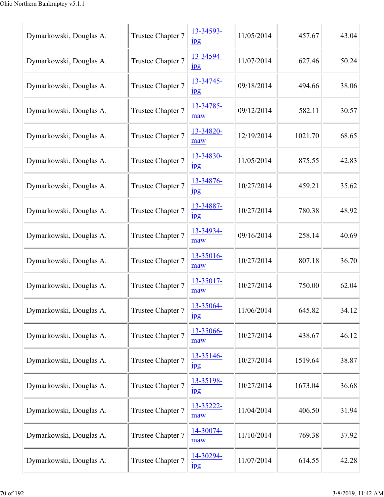| Dymarkowski, Douglas A. | Trustee Chapter 7 | 13-34593-<br>$_{\rm 1\!P\!S}$ | 11/05/2014 | 457.67  | 43.04 |
|-------------------------|-------------------|-------------------------------|------------|---------|-------|
| Dymarkowski, Douglas A. | Trustee Chapter 7 | 13-34594-<br>$_{\rm 1pg}$     | 11/07/2014 | 627.46  | 50.24 |
| Dymarkowski, Douglas A. | Trustee Chapter 7 | 13-34745-<br>$_{\rm 1\,}$     | 09/18/2014 | 494.66  | 38.06 |
| Dymarkowski, Douglas A. | Trustee Chapter 7 | 13-34785-<br>maw              | 09/12/2014 | 582.11  | 30.57 |
| Dymarkowski, Douglas A. | Trustee Chapter 7 | 13-34820-<br>maw              | 12/19/2014 | 1021.70 | 68.65 |
| Dymarkowski, Douglas A. | Trustee Chapter 7 | 13-34830-<br>$_{\rm 1\!P\!S}$ | 11/05/2014 | 875.55  | 42.83 |
| Dymarkowski, Douglas A. | Trustee Chapter 7 | 13-34876-<br>$\frac{1}{2}$    | 10/27/2014 | 459.21  | 35.62 |
| Dymarkowski, Douglas A. | Trustee Chapter 7 | 13-34887-<br>$_{\rm 1\!P\!S}$ | 10/27/2014 | 780.38  | 48.92 |
| Dymarkowski, Douglas A. | Trustee Chapter 7 | 13-34934-<br>maw              | 09/16/2014 | 258.14  | 40.69 |
| Dymarkowski, Douglas A. | Trustee Chapter 7 | 13-35016-<br>maw              | 10/27/2014 | 807.18  | 36.70 |
| Dymarkowski, Douglas A. | Trustee Chapter 7 | 13-35017-<br>maw              | 10/27/2014 | 750.00  | 62.04 |
| Dymarkowski, Douglas A. | Trustee Chapter 7 | 13-35064-<br>$_{\rm 1pg}$     | 11/06/2014 | 645.82  | 34.12 |
| Dymarkowski, Douglas A. | Trustee Chapter 7 | 13-35066-<br>maw              | 10/27/2014 | 438.67  | 46.12 |
| Dymarkowski, Douglas A. | Trustee Chapter 7 | 13-35146-<br>$_{\rm 1\!P\!S}$ | 10/27/2014 | 1519.64 | 38.87 |
| Dymarkowski, Douglas A. | Trustee Chapter 7 | 13-35198-<br>$\frac{1}{2}$    | 10/27/2014 | 1673.04 | 36.68 |
| Dymarkowski, Douglas A. | Trustee Chapter 7 | 13-35222-<br>maw              | 11/04/2014 | 406.50  | 31.94 |
| Dymarkowski, Douglas A. | Trustee Chapter 7 | 14-30074-<br>maw              | 11/10/2014 | 769.38  | 37.92 |
| Dymarkowski, Douglas A. | Trustee Chapter 7 | 14-30294-<br>1 <sub>p</sub> g | 11/07/2014 | 614.55  | 42.28 |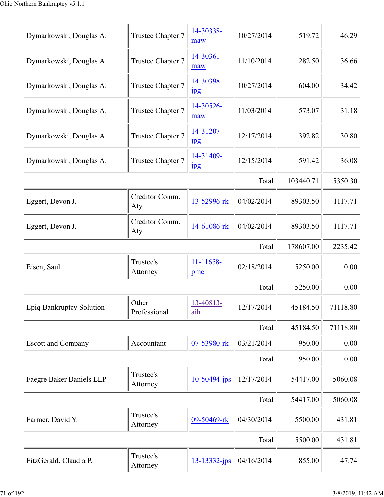| Dymarkowski, Douglas A.   | Trustee Chapter 7     | 14-30338-<br>maw              | 10/27/2014 | 519.72    | 46.29    |
|---------------------------|-----------------------|-------------------------------|------------|-----------|----------|
| Dymarkowski, Douglas A.   | Trustee Chapter 7     | 14-30361-<br>maw              | 11/10/2014 | 282.50    | 36.66    |
| Dymarkowski, Douglas A.   | Trustee Chapter 7     | 14-30398-<br>$_{\rm 1\,}$     | 10/27/2014 | 604.00    | 34.42    |
| Dymarkowski, Douglas A.   | Trustee Chapter 7     | 14-30526-<br>maw              | 11/03/2014 | 573.07    | 31.18    |
| Dymarkowski, Douglas A.   | Trustee Chapter 7     | 14-31207-<br>$_{\rm 1\!P\!S}$ | 12/17/2014 | 392.82    | 30.80    |
| Dymarkowski, Douglas A.   | Trustee Chapter 7     | 14-31409-<br>$_{\rm 1\!P\!S}$ | 12/15/2014 | 591.42    | 36.08    |
|                           |                       |                               | Total      | 103440.71 | 5350.30  |
| Eggert, Devon J.          | Creditor Comm.<br>Aty | 13-52996-rk                   | 04/02/2014 | 89303.50  | 1117.71  |
| Eggert, Devon J.          | Creditor Comm.<br>Aty | 14-61086-rk                   | 04/02/2014 | 89303.50  | 1117.71  |
|                           |                       |                               | Total      | 178607.00 | 2235.42  |
| Eisen, Saul               | Trustee's<br>Attorney | 11-11658-<br>pmc              | 02/18/2014 | 5250.00   | 0.00     |
|                           |                       |                               | Total      | 5250.00   | 0.00     |
| Epiq Bankruptcy Solution  | Other<br>Professional | 13-40813-<br>aih              | 12/17/2014 | 45184.50  | 71118.80 |
|                           |                       |                               | Total      | 45184.50  | 71118.80 |
| <b>Escott and Company</b> | Accountant            | 07-53980-rk                   | 03/21/2014 | 950.00    | 0.00     |
|                           |                       |                               | Total      | 950.00    | 0.00     |
| Faegre Baker Daniels LLP  | Trustee's<br>Attorney | 10-50494-jps                  | 12/17/2014 | 54417.00  | 5060.08  |
|                           |                       |                               | Total      | 54417.00  | 5060.08  |
| Farmer, David Y.          | Trustee's<br>Attorney | 09-50469-rk                   | 04/30/2014 | 5500.00   | 431.81   |
|                           |                       |                               | Total      | 5500.00   | 431.81   |
|                           | Trustee's             | 13-13332-jps                  | 04/16/2014 | 855.00    | 47.74    |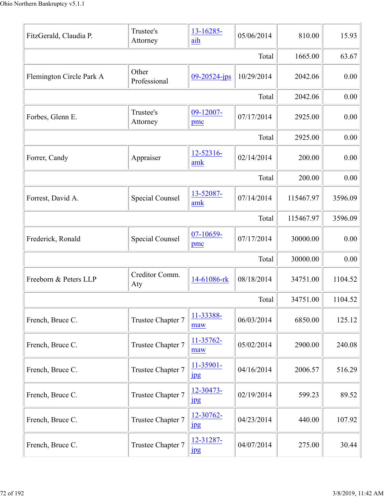| FitzGerald, Claudia P.   | Trustee's<br>Attorney  | 13-16285-<br>aih                   | 05/06/2014 | 810.00    | 15.93   |
|--------------------------|------------------------|------------------------------------|------------|-----------|---------|
|                          |                        |                                    | Total      | 1665.00   | 63.67   |
| Flemington Circle Park A | Other<br>Professional  | $09 - 20524 - ips$                 | 10/29/2014 | 2042.06   | 0.00    |
|                          |                        |                                    | Total      | 2042.06   | 0.00    |
| Forbes, Glenn E.         | Trustee's<br>Attorney  | 09-12007-<br>pmc                   | 07/17/2014 | 2925.00   | 0.00    |
|                          |                        |                                    | Total      | 2925.00   | 0.00    |
| Forrer, Candy            | Appraiser              | 12-52316-<br>amk                   | 02/14/2014 | 200.00    | 0.00    |
|                          |                        |                                    | Total      | 200.00    | 0.00    |
| Forrest, David A.        | <b>Special Counsel</b> | 13-52087-<br>amk                   | 07/14/2014 | 115467.97 | 3596.09 |
|                          |                        |                                    | Total      | 115467.97 | 3596.09 |
| Frederick, Ronald        | <b>Special Counsel</b> | 07-10659-<br>pmc                   | 07/17/2014 | 30000.00  | 0.00    |
|                          |                        |                                    | Total      | 30000.00  | 0.00    |
| Freeborn & Peters LLP    | Creditor Comm.<br>Aty  | 14-61086-rk                        | 08/18/2014 | 34751.00  | 1104.52 |
|                          |                        |                                    | Total      | 34751.00  | 1104.52 |
| French, Bruce C.         | Trustee Chapter 7      | 11-33388-<br>maw                   | 06/03/2014 | 6850.00   | 125.12  |
| French, Bruce C.         | Trustee Chapter 7      | 11-35762-<br>maw                   | 05/02/2014 | 2900.00   | 240.08  |
| French, Bruce C.         | Trustee Chapter 7      | 11-35901-<br>1 <sub>p</sub> g      | 04/16/2014 | 2006.57   | 516.29  |
| French, Bruce C.         | Trustee Chapter 7      | $12 - 30473 -$<br>1 <sub>p</sub> g | 02/19/2014 | 599.23    | 89.52   |
| French, Bruce C.         | Trustee Chapter 7      | 12-30762-<br>$_{\rm 1\!P\!S}$      | 04/23/2014 | 440.00    | 107.92  |
| French, Bruce C.         | Trustee Chapter 7      | 12-31287-<br>1 <sub>p</sub> g      | 04/07/2014 | 275.00    | 30.44   |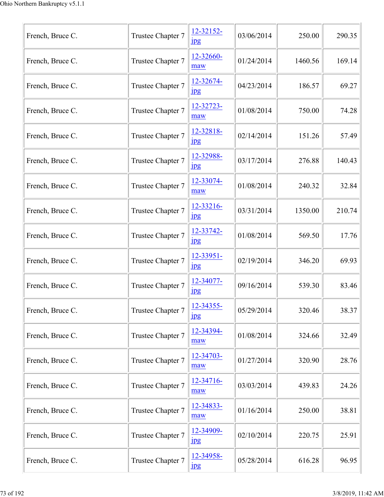| French, Bruce C. | Trustee Chapter 7 | 12-32152-<br>$_{\rm 1pg}$     | 03/06/2014 | 250.00  | 290.35 |
|------------------|-------------------|-------------------------------|------------|---------|--------|
| French, Bruce C. | Trustee Chapter 7 | 12-32660-<br>maw              | 01/24/2014 | 1460.56 | 169.14 |
| French, Bruce C. | Trustee Chapter 7 | 12-32674-<br>$_{\rm 1pg}$     | 04/23/2014 | 186.57  | 69.27  |
| French, Bruce C. | Trustee Chapter 7 | 12-32723-<br>maw              | 01/08/2014 | 750.00  | 74.28  |
| French, Bruce C. | Trustee Chapter 7 | 12-32818-<br>$_{\rm 1pg}$     | 02/14/2014 | 151.26  | 57.49  |
| French, Bruce C. | Trustee Chapter 7 | 12-32988-<br>$_{\rm 1\!P\!S}$ | 03/17/2014 | 276.88  | 140.43 |
| French, Bruce C. | Trustee Chapter 7 | 12-33074-<br>maw              | 01/08/2014 | 240.32  | 32.84  |
| French, Bruce C. | Trustee Chapter 7 | 12-33216-<br>$_{\rm 1pg}$     | 03/31/2014 | 1350.00 | 210.74 |
| French, Bruce C. | Trustee Chapter 7 | 12-33742-<br>$_{\rm 1\!P\!S}$ | 01/08/2014 | 569.50  | 17.76  |
| French, Bruce C. | Trustee Chapter 7 | 12-33951-<br>$_{\rm 1pg}$     | 02/19/2014 | 346.20  | 69.93  |
| French, Bruce C. | Trustee Chapter 7 | 12-34077-<br>$_{\rm 1pg}$     | 09/16/2014 | 539.30  | 83.46  |
| French, Bruce C. | Trustee Chapter 7 | 12-34355-<br>$_{\rm 1pg}$     | 05/29/2014 | 320.46  | 38.37  |
| French, Bruce C. | Trustee Chapter 7 | 12-34394-<br>maw              | 01/08/2014 | 324.66  | 32.49  |
| French, Bruce C. | Trustee Chapter 7 | 12-34703-<br>maw              | 01/27/2014 | 320.90  | 28.76  |
| French, Bruce C. | Trustee Chapter 7 | 12-34716-<br>maw              | 03/03/2014 | 439.83  | 24.26  |
| French, Bruce C. | Trustee Chapter 7 | 12-34833-<br>maw              | 01/16/2014 | 250.00  | 38.81  |
| French, Bruce C. | Trustee Chapter 7 | 12-34909-<br>$_{\rm 1\!P\!S}$ | 02/10/2014 | 220.75  | 25.91  |
| French, Bruce C. | Trustee Chapter 7 | 12-34958-<br>jpg              | 05/28/2014 | 616.28  | 96.95  |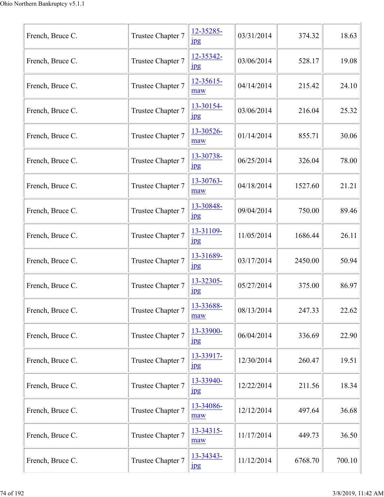| French, Bruce C. | Trustee Chapter 7 | 12-35285-<br>$_{\rm 1pg}$     | 03/31/2014 | 374.32  | 18.63  |
|------------------|-------------------|-------------------------------|------------|---------|--------|
| French, Bruce C. | Trustee Chapter 7 | 12-35342-<br>jpg              | 03/06/2014 | 528.17  | 19.08  |
| French, Bruce C. | Trustee Chapter 7 | 12-35615-<br>maw              | 04/14/2014 | 215.42  | 24.10  |
| French, Bruce C. | Trustee Chapter 7 | 13-30154-<br>jpg              | 03/06/2014 | 216.04  | 25.32  |
| French, Bruce C. | Trustee Chapter 7 | 13-30526-<br>maw              | 01/14/2014 | 855.71  | 30.06  |
| French, Bruce C. | Trustee Chapter 7 | 13-30738-<br>$_{\rm 1\!P\!S}$ | 06/25/2014 | 326.04  | 78.00  |
| French, Bruce C. | Trustee Chapter 7 | 13-30763-<br>maw              | 04/18/2014 | 1527.60 | 21.21  |
| French, Bruce C. | Trustee Chapter 7 | 13-30848-<br>$_{\rm 1pg}$     | 09/04/2014 | 750.00  | 89.46  |
| French, Bruce C. | Trustee Chapter 7 | 13-31109-<br>$_{\rm 1pg}$     | 11/05/2014 | 1686.44 | 26.11  |
| French, Bruce C. | Trustee Chapter 7 | 13-31689-<br>$_{\rm 1\!P\!S}$ | 03/17/2014 | 2450.00 | 50.94  |
| French, Bruce C. | Trustee Chapter 7 | 13-32305-<br>$_{\rm 1\,}$     | 05/27/2014 | 375.00  | 86.97  |
| French, Bruce C. | Trustee Chapter 7 | 13-33688-<br>maw              | 08/13/2014 | 247.33  | 22.62  |
| French, Bruce C. | Trustee Chapter 7 | 13-33900-<br>$_{\rm 1\!P\!S}$ | 06/04/2014 | 336.69  | 22.90  |
| French, Bruce C. | Trustee Chapter 7 | 13-33917-<br>$_{\rm 1\!P\!S}$ | 12/30/2014 | 260.47  | 19.51  |
| French, Bruce C. | Trustee Chapter 7 | 13-33940-<br>jpg              | 12/22/2014 | 211.56  | 18.34  |
| French, Bruce C. | Trustee Chapter 7 | 13-34086-<br>maw              | 12/12/2014 | 497.64  | 36.68  |
| French, Bruce C. | Trustee Chapter 7 | 13-34315-<br>maw              | 11/17/2014 | 449.73  | 36.50  |
| French, Bruce C. | Trustee Chapter 7 | 13-34343-<br>jpg              | 11/12/2014 | 6768.70 | 700.10 |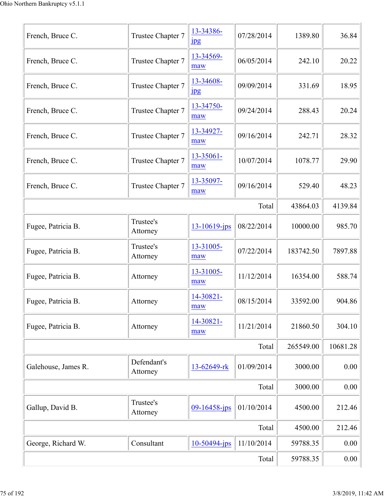| French, Bruce C.    | Trustee Chapter 7       | 13-34386-<br>$_{\rm 1\!P\!S}$ | 07/28/2014 | 1389.80   | 36.84    |
|---------------------|-------------------------|-------------------------------|------------|-----------|----------|
| French, Bruce C.    | Trustee Chapter 7       | 13-34569-<br>maw              | 06/05/2014 | 242.10    | 20.22    |
| French, Bruce C.    | Trustee Chapter 7       | 13-34608-<br>$_{\rm 1\!P\!S}$ | 09/09/2014 | 331.69    | 18.95    |
| French, Bruce C.    | Trustee Chapter 7       | 13-34750-<br>maw              | 09/24/2014 | 288.43    | 20.24    |
| French, Bruce C.    | Trustee Chapter 7       | 13-34927-<br>maw              | 09/16/2014 | 242.71    | 28.32    |
| French, Bruce C.    | Trustee Chapter 7       | 13-35061-<br>maw              | 10/07/2014 | 1078.77   | 29.90    |
| French, Bruce C.    | Trustee Chapter 7       | 13-35097-<br>maw              | 09/16/2014 | 529.40    | 48.23    |
|                     |                         |                               | Total      | 43864.03  | 4139.84  |
| Fugee, Patricia B.  | Trustee's<br>Attorney   | $13 - 10619$ -jps             | 08/22/2014 | 10000.00  | 985.70   |
| Fugee, Patricia B.  | Trustee's<br>Attorney   | 13-31005-<br>maw              | 07/22/2014 | 183742.50 | 7897.88  |
| Fugee, Patricia B.  | Attorney                | 13-31005-<br>maw              | 11/12/2014 | 16354.00  | 588.74   |
| Fugee, Patricia B.  | Attorney                | 14-30821-<br>maw              | 08/15/2014 | 33592.00  | 904.86   |
| Fugee, Patricia B.  | Attorney                | 14-30821-<br>maw              | 11/21/2014 | 21860.50  | 304.10   |
|                     |                         |                               | Total      | 265549.00 | 10681.28 |
| Galehouse, James R. | Defendant's<br>Attorney | 13-62649-rk                   | 01/09/2014 | 3000.00   | 0.00     |
|                     |                         |                               | Total      | 3000.00   | 0.00     |
| Gallup, David B.    | Trustee's<br>Attorney   | $09 - 16458 - ips$            | 01/10/2014 | 4500.00   | 212.46   |
|                     |                         |                               | Total      | 4500.00   | 212.46   |
| George, Richard W.  | Consultant              | 10-50494-jps                  | 11/10/2014 | 59788.35  | 0.00     |
|                     | 59788.35                | $0.00\,$                      |            |           |          |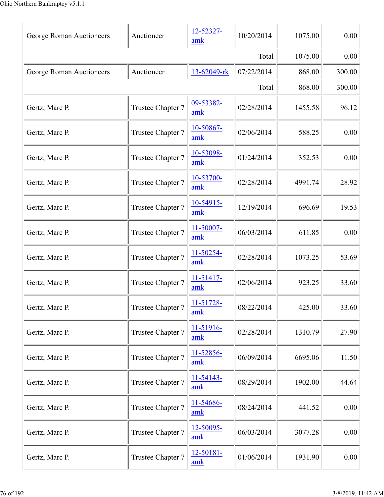| George Roman Auctioneers | Auctioneer        | 12-52327-<br>amk      | 10/20/2014 | 1075.00 | 0.00   |
|--------------------------|-------------------|-----------------------|------------|---------|--------|
|                          | 1075.00           | 0.00                  |            |         |        |
| George Roman Auctioneers | Auctioneer        | 13-62049-rk           | 07/22/2014 | 868.00  | 300.00 |
|                          |                   |                       | Total      | 868.00  | 300.00 |
| Gertz, Marc P.           | Trustee Chapter 7 | 09-53382-<br>amk      | 02/28/2014 | 1455.58 | 96.12  |
| Gertz, Marc P.           | Trustee Chapter 7 | 10-50867-<br>amk      | 02/06/2014 | 588.25  | 0.00   |
| Gertz, Marc P.           | Trustee Chapter 7 | 10-53098-<br>amk      | 01/24/2014 | 352.53  | 0.00   |
| Gertz, Marc P.           | Trustee Chapter 7 | 10-53700-<br>amk      | 02/28/2014 | 4991.74 | 28.92  |
| Gertz, Marc P.           | Trustee Chapter 7 | 10-54915-<br>amk      | 12/19/2014 | 696.69  | 19.53  |
| Gertz, Marc P.           | Trustee Chapter 7 | 11-50007-<br>amk      | 06/03/2014 | 611.85  | 0.00   |
| Gertz, Marc P.           | Trustee Chapter 7 | 11-50254-<br>amk      | 02/28/2014 | 1073.25 | 53.69  |
| Gertz, Marc P.           | Trustee Chapter 7 | $11-51417-$<br>amk    | 02/06/2014 | 923.25  | 33.60  |
| Gertz, Marc P.           | Trustee Chapter 7 | 11-51728-<br>amk      | 08/22/2014 | 425.00  | 33.60  |
| Gertz, Marc P.           | Trustee Chapter 7 | 11-51916-<br>amk      | 02/28/2014 | 1310.79 | 27.90  |
| Gertz, Marc P.           | Trustee Chapter 7 | 11-52856-<br>amk      | 06/09/2014 | 6695.06 | 11.50  |
| Gertz, Marc P.           | Trustee Chapter 7 | 11-54143-<br>amk      | 08/29/2014 | 1902.00 | 44.64  |
| Gertz, Marc P.           | Trustee Chapter 7 | 11-54686-<br>amk      | 08/24/2014 | 441.52  | 0.00   |
| Gertz, Marc P.           | Trustee Chapter 7 | $12 - 50095 -$<br>amk | 06/03/2014 | 3077.28 | 0.00   |
| Gertz, Marc P.           | Trustee Chapter 7 | 12-50181-<br>amk      | 01/06/2014 | 1931.90 | 0.00   |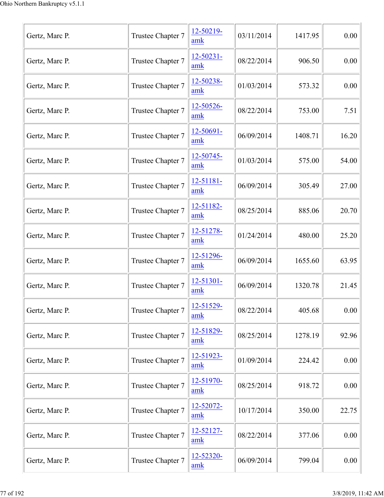| Gertz, Marc P. | Trustee Chapter 7 | 12-50219-<br>amk      | 03/11/2014 | 1417.95 | 0.00  |
|----------------|-------------------|-----------------------|------------|---------|-------|
| Gertz, Marc P. | Trustee Chapter 7 | 12-50231-<br>amk      | 08/22/2014 | 906.50  | 0.00  |
| Gertz, Marc P. | Trustee Chapter 7 | 12-50238-<br>amk      | 01/03/2014 | 573.32  | 0.00  |
| Gertz, Marc P. | Trustee Chapter 7 | 12-50526-<br>amk      | 08/22/2014 | 753.00  | 7.51  |
| Gertz, Marc P. | Trustee Chapter 7 | 12-50691-<br>amk      | 06/09/2014 | 1408.71 | 16.20 |
| Gertz, Marc P. | Trustee Chapter 7 | $12 - 50745 -$<br>amk | 01/03/2014 | 575.00  | 54.00 |
| Gertz, Marc P. | Trustee Chapter 7 | 12-51181-<br>amk      | 06/09/2014 | 305.49  | 27.00 |
| Gertz, Marc P. | Trustee Chapter 7 | 12-51182-<br>amk      | 08/25/2014 | 885.06  | 20.70 |
| Gertz, Marc P. | Trustee Chapter 7 | 12-51278-<br>amk      | 01/24/2014 | 480.00  | 25.20 |
| Gertz, Marc P. | Trustee Chapter 7 | 12-51296-<br>amk      | 06/09/2014 | 1655.60 | 63.95 |
| Gertz, Marc P. | Trustee Chapter 7 | $12 - 51301 -$<br>amk | 06/09/2014 | 1320.78 | 21.45 |
| Gertz, Marc P. | Trustee Chapter 7 | 12-51529-<br>amk      | 08/22/2014 | 405.68  | 0.00  |
| Gertz, Marc P. | Trustee Chapter 7 | 12-51829-<br>amk      | 08/25/2014 | 1278.19 | 92.96 |
| Gertz, Marc P. | Trustee Chapter 7 | 12-51923-<br>amk      | 01/09/2014 | 224.42  | 0.00  |
| Gertz, Marc P. | Trustee Chapter 7 | 12-51970-<br>amk      | 08/25/2014 | 918.72  | 0.00  |
| Gertz, Marc P. | Trustee Chapter 7 | 12-52072-<br>amk      | 10/17/2014 | 350.00  | 22.75 |
| Gertz, Marc P. | Trustee Chapter 7 | 12-52127-<br>amk      | 08/22/2014 | 377.06  | 0.00  |
| Gertz, Marc P. | Trustee Chapter 7 | 12-52320-<br>amk      | 06/09/2014 | 799.04  | 0.00  |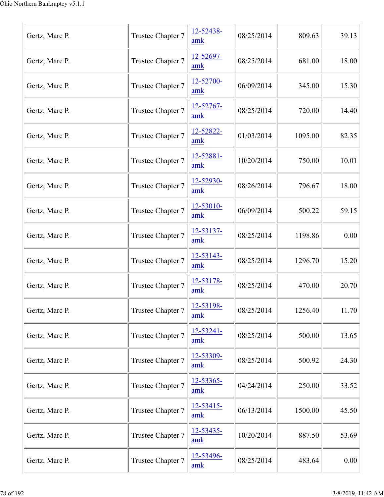| Gertz, Marc P. | Trustee Chapter 7 | 12-52438-<br>amk      | 08/25/2014 | 809.63  | 39.13 |
|----------------|-------------------|-----------------------|------------|---------|-------|
| Gertz, Marc P. | Trustee Chapter 7 | 12-52697-<br>amk      | 08/25/2014 | 681.00  | 18.00 |
| Gertz, Marc P. | Trustee Chapter 7 | 12-52700-<br>amk      | 06/09/2014 | 345.00  | 15.30 |
| Gertz, Marc P. | Trustee Chapter 7 | 12-52767-<br>amk      | 08/25/2014 | 720.00  | 14.40 |
| Gertz, Marc P. | Trustee Chapter 7 | 12-52822-<br>amk      | 01/03/2014 | 1095.00 | 82.35 |
| Gertz, Marc P. | Trustee Chapter 7 | 12-52881-<br>amk      | 10/20/2014 | 750.00  | 10.01 |
| Gertz, Marc P. | Trustee Chapter 7 | 12-52930-<br>amk      | 08/26/2014 | 796.67  | 18.00 |
| Gertz, Marc P. | Trustee Chapter 7 | 12-53010-<br>amk      | 06/09/2014 | 500.22  | 59.15 |
| Gertz, Marc P. | Trustee Chapter 7 | 12-53137-<br>amk      | 08/25/2014 | 1198.86 | 0.00  |
| Gertz, Marc P. | Trustee Chapter 7 | 12-53143-<br>amk      | 08/25/2014 | 1296.70 | 15.20 |
| Gertz, Marc P. | Trustee Chapter 7 | 12-53178-<br>amk      | 08/25/2014 | 470.00  | 20.70 |
| Gertz, Marc P. | Trustee Chapter 7 | 12-53198-<br>amk      | 08/25/2014 | 1256.40 | 11.70 |
| Gertz, Marc P. | Trustee Chapter 7 | 12-53241-<br>amk      | 08/25/2014 | 500.00  | 13.65 |
| Gertz, Marc P. | Trustee Chapter 7 | 12-53309-<br>amk      | 08/25/2014 | 500.92  | 24.30 |
| Gertz, Marc P. | Trustee Chapter 7 | 12-53365-<br>amk      | 04/24/2014 | 250.00  | 33.52 |
| Gertz, Marc P. | Trustee Chapter 7 | $12 - 53415 -$<br>amk | 06/13/2014 | 1500.00 | 45.50 |
| Gertz, Marc P. | Trustee Chapter 7 | 12-53435-<br>amk      | 10/20/2014 | 887.50  | 53.69 |
| Gertz, Marc P. | Trustee Chapter 7 | 12-53496-<br>amk      | 08/25/2014 | 483.64  | 0.00  |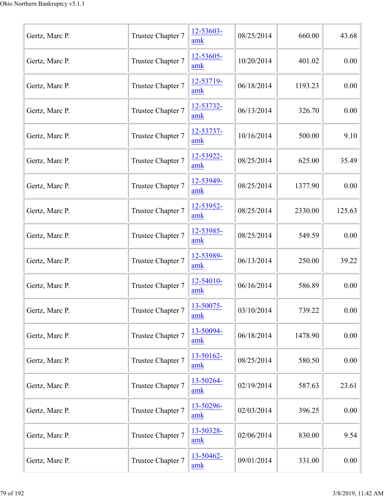| Gertz, Marc P. | Trustee Chapter 7 | 12-53603-<br>amk | 08/25/2014 | 660.00  | 43.68  |
|----------------|-------------------|------------------|------------|---------|--------|
| Gertz, Marc P. | Trustee Chapter 7 | 12-53605-<br>amk | 10/20/2014 | 401.02  | 0.00   |
| Gertz, Marc P. | Trustee Chapter 7 | 12-53719-<br>amk | 06/18/2014 | 1193.23 | 0.00   |
| Gertz, Marc P. | Trustee Chapter 7 | 12-53732-<br>amk | 06/13/2014 | 326.70  | 0.00   |
| Gertz, Marc P. | Trustee Chapter 7 | 12-53737-<br>amk | 10/16/2014 | 500.00  | 9.10   |
| Gertz, Marc P. | Trustee Chapter 7 | 12-53922-<br>amk | 08/25/2014 | 625.00  | 35.49  |
| Gertz, Marc P. | Trustee Chapter 7 | 12-53949-<br>amk | 08/25/2014 | 1377.90 | 0.00   |
| Gertz, Marc P. | Trustee Chapter 7 | 12-53952-<br>amk | 08/25/2014 | 2330.00 | 125.63 |
| Gertz, Marc P. | Trustee Chapter 7 | 12-53985-<br>amk | 08/25/2014 | 549.59  | 0.00   |
| Gertz, Marc P. | Trustee Chapter 7 | 12-53989-<br>amk | 06/13/2014 | 250.00  | 39.22  |
| Gertz, Marc P. | Trustee Chapter 7 | 12-54010-<br>amk | 06/16/2014 | 586.89  | 0.00   |
| Gertz, Marc P. | Trustee Chapter 7 | 13-50075-<br>amk | 03/10/2014 | 739.22  | 0.00   |
| Gertz, Marc P. | Trustee Chapter 7 | 13-50094-<br>amk | 06/18/2014 | 1478.90 | 0.00   |
| Gertz, Marc P. | Trustee Chapter 7 | 13-50162-<br>amk | 08/25/2014 | 580.50  | 0.00   |
| Gertz, Marc P. | Trustee Chapter 7 | 13-50264-<br>amk | 02/19/2014 | 587.63  | 23.61  |
| Gertz, Marc P. | Trustee Chapter 7 | 13-50296-<br>amk | 02/03/2014 | 396.25  | 0.00   |
| Gertz, Marc P. | Trustee Chapter 7 | 13-50328-<br>amk | 02/06/2014 | 830.00  | 9.54   |
| Gertz, Marc P. | Trustee Chapter 7 | 13-50462-<br>amk | 09/01/2014 | 331.00  | 0.00   |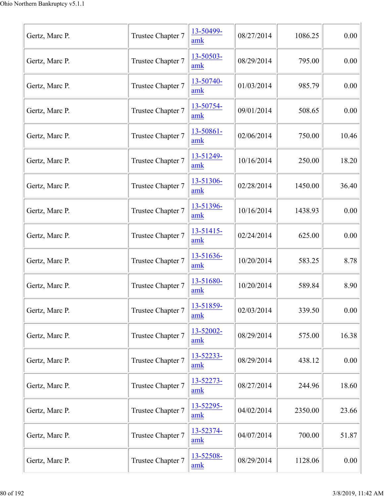| Gertz, Marc P. | Trustee Chapter 7 | 13-50499-<br>amk | 08/27/2014 | 1086.25 | 0.00  |
|----------------|-------------------|------------------|------------|---------|-------|
| Gertz, Marc P. | Trustee Chapter 7 | 13-50503-<br>amk | 08/29/2014 | 795.00  | 0.00  |
| Gertz, Marc P. | Trustee Chapter 7 | 13-50740-<br>amk | 01/03/2014 | 985.79  | 0.00  |
| Gertz, Marc P. | Trustee Chapter 7 | 13-50754-<br>amk | 09/01/2014 | 508.65  | 0.00  |
| Gertz, Marc P. | Trustee Chapter 7 | 13-50861-<br>amk | 02/06/2014 | 750.00  | 10.46 |
| Gertz, Marc P. | Trustee Chapter 7 | 13-51249-<br>amk | 10/16/2014 | 250.00  | 18.20 |
| Gertz, Marc P. | Trustee Chapter 7 | 13-51306-<br>amk | 02/28/2014 | 1450.00 | 36.40 |
| Gertz, Marc P. | Trustee Chapter 7 | 13-51396-<br>amk | 10/16/2014 | 1438.93 | 0.00  |
| Gertz, Marc P. | Trustee Chapter 7 | 13-51415-<br>amk | 02/24/2014 | 625.00  | 0.00  |
| Gertz, Marc P. | Trustee Chapter 7 | 13-51636-<br>amk | 10/20/2014 | 583.25  | 8.78  |
| Gertz, Marc P. | Trustee Chapter 7 | 13-51680-<br>amk | 10/20/2014 | 589.84  | 8.90  |
| Gertz, Marc P. | Trustee Chapter 7 | 13-51859-<br>amk | 02/03/2014 | 339.50  | 0.00  |
| Gertz, Marc P. | Trustee Chapter 7 | 13-52002-<br>amk | 08/29/2014 | 575.00  | 16.38 |
| Gertz, Marc P. | Trustee Chapter 7 | 13-52233-<br>amk | 08/29/2014 | 438.12  | 0.00  |
| Gertz, Marc P. | Trustee Chapter 7 | 13-52273-<br>amk | 08/27/2014 | 244.96  | 18.60 |
| Gertz, Marc P. | Trustee Chapter 7 | 13-52295-<br>amk | 04/02/2014 | 2350.00 | 23.66 |
| Gertz, Marc P. | Trustee Chapter 7 | 13-52374-<br>amk | 04/07/2014 | 700.00  | 51.87 |
| Gertz, Marc P. | Trustee Chapter 7 | 13-52508-<br>amk | 08/29/2014 | 1128.06 | 0.00  |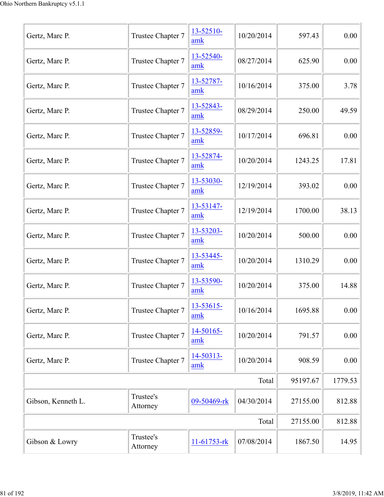| Gertz, Marc P.     | Trustee Chapter 7     | 13-52510-<br>amk            | 10/20/2014 | 597.43   | 0.00     |
|--------------------|-----------------------|-----------------------------|------------|----------|----------|
| Gertz, Marc P.     | Trustee Chapter 7     | 13-52540-<br>amk            | 08/27/2014 | 625.90   | 0.00     |
| Gertz, Marc P.     | Trustee Chapter 7     | 13-52787-<br>amk            | 10/16/2014 | 375.00   | 3.78     |
| Gertz, Marc P.     | Trustee Chapter 7     | 13-52843-<br>amk            | 08/29/2014 | 250.00   | 49.59    |
| Gertz, Marc P.     | Trustee Chapter 7     | 13-52859-<br>amk            | 10/17/2014 | 696.81   | 0.00     |
| Gertz, Marc P.     | Trustee Chapter 7     | 13-52874-<br>amk            | 10/20/2014 | 1243.25  | 17.81    |
| Gertz, Marc P.     | Trustee Chapter 7     | 13-53030-<br>amk            | 12/19/2014 | 393.02   | 0.00     |
| Gertz, Marc P.     | Trustee Chapter 7     | 13-53147-<br>amk            | 12/19/2014 | 1700.00  | 38.13    |
| Gertz, Marc P.     | Trustee Chapter 7     | 13-53203-<br>amk            | 10/20/2014 | 500.00   | 0.00     |
| Gertz, Marc P.     | Trustee Chapter 7     | 13-53445-<br>amk            | 10/20/2014 | 1310.29  | 0.00     |
| Gertz, Marc P.     | Trustee Chapter 7     | 13-53590-<br>amk            | 10/20/2014 | 375.00   | 14.88    |
| Gertz, Marc P.     | Trustee Chapter 7     | 13-53615-<br>amk            | 10/16/2014 | 1695.88  | 0.00     |
| Gertz, Marc P.     | Trustee Chapter 7     | 14-50165-<br>amk            | 10/20/2014 | 791.57   | 0.00     |
| Gertz, Marc P.     | Trustee Chapter 7     | 14-50313-<br>$\mathbf{amk}$ | 10/20/2014 | 908.59   | $0.00\,$ |
|                    |                       |                             | Total      | 95197.67 | 1779.53  |
| Gibson, Kenneth L. | Trustee's<br>Attorney | 09-50469-rk                 | 04/30/2014 | 27155.00 | 812.88   |
|                    |                       |                             | Total      | 27155.00 | 812.88   |
| Gibson & Lowry     | Trustee's<br>Attorney | $11 - 61753 -$ rk           | 07/08/2014 | 1867.50  | 14.95    |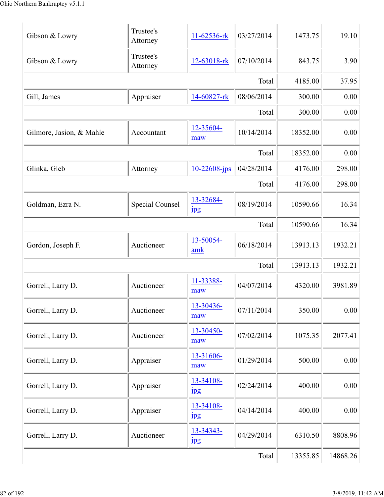| Gibson & Lowry           | Trustee's<br>Attorney  | 11-62536-rk                   | 03/27/2014 | 1473.75  | 19.10    |
|--------------------------|------------------------|-------------------------------|------------|----------|----------|
| Gibson & Lowry           | Trustee's<br>Attorney  | 12-63018-rk                   | 07/10/2014 | 843.75   | 3.90     |
|                          |                        |                               | Total      | 4185.00  | 37.95    |
| Gill, James              | Appraiser              | 14-60827-rk                   | 08/06/2014 | 300.00   | 0.00     |
|                          |                        |                               | Total      | 300.00   | 0.00     |
| Gilmore, Jasion, & Mahle | Accountant             | 12-35604-<br>maw              | 10/14/2014 | 18352.00 | 0.00     |
|                          |                        |                               | Total      | 18352.00 | 0.00     |
| Glinka, Gleb             | Attorney               | $10 - 22608 - ips$            | 04/28/2014 | 4176.00  | 298.00   |
|                          |                        |                               | Total      | 4176.00  | 298.00   |
| Goldman, Ezra N.         | <b>Special Counsel</b> | 13-32684-<br>jpg              | 08/19/2014 | 10590.66 | 16.34    |
|                          |                        |                               | Total      | 10590.66 | 16.34    |
| Gordon, Joseph F.        | Auctioneer             | 13-50054-<br>amk              | 06/18/2014 | 13913.13 | 1932.21  |
|                          |                        |                               | Total      | 13913.13 | 1932.21  |
| Gorrell, Larry D.        | Auctioneer             | 11-33388-<br>maw              | 04/07/2014 | 4320.00  | 3981.89  |
| Gorrell, Larry D.        | Auctioneer             | 13-30436-<br>maw              | 07/11/2014 | 350.00   | 0.00     |
| Gorrell, Larry D.        | Auctioneer             | 13-30450-<br>maw              | 07/02/2014 | 1075.35  | 2077.41  |
| Gorrell, Larry D.        | Appraiser              | 13-31606-<br>maw              | 01/29/2014 | 500.00   | 0.00     |
| Gorrell, Larry D.        | Appraiser              | 13-34108-<br>$_{\rm 1\!P\!S}$ | 02/24/2014 | 400.00   | 0.00     |
| Gorrell, Larry D.        | Appraiser              | 13-34108-<br>$\frac{1}{2}$    | 04/14/2014 | 400.00   | 0.00     |
| Gorrell, Larry D.        | Auctioneer             | 13-34343-<br>$_{\rm 1\!P\!S}$ | 04/29/2014 | 6310.50  | 8808.96  |
|                          |                        |                               | Total      | 13355.85 | 14868.26 |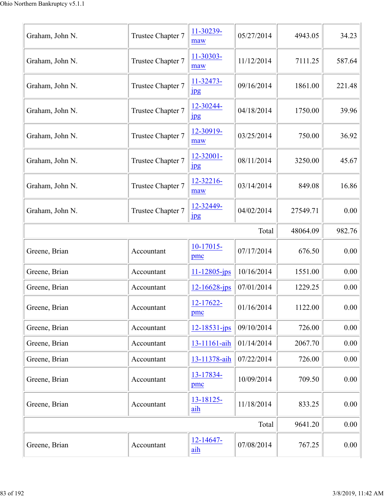| Graham, John N. | Trustee Chapter 7 | 11-30239-<br>maw              | 05/27/2014 | 4943.05  | 34.23  |
|-----------------|-------------------|-------------------------------|------------|----------|--------|
| Graham, John N. | Trustee Chapter 7 | 11-30303-<br>maw              | 11/12/2014 | 7111.25  | 587.64 |
| Graham, John N. | Trustee Chapter 7 | 11-32473-<br>$_{\rm 1\!P\!S}$ | 09/16/2014 | 1861.00  | 221.48 |
| Graham, John N. | Trustee Chapter 7 | 12-30244-<br>jpg              | 04/18/2014 | 1750.00  | 39.96  |
| Graham, John N. | Trustee Chapter 7 | 12-30919-<br>maw              | 03/25/2014 | 750.00   | 36.92  |
| Graham, John N. | Trustee Chapter 7 | 12-32001-<br>$_{\rm 1\!P\!S}$ | 08/11/2014 | 3250.00  | 45.67  |
| Graham, John N. | Trustee Chapter 7 | 12-32216-<br>maw              | 03/14/2014 | 849.08   | 16.86  |
| Graham, John N. | Trustee Chapter 7 | 12-32449-<br>$_{\rm 1\!P\!S}$ | 04/02/2014 | 27549.71 | 0.00   |
|                 |                   |                               | Total      | 48064.09 | 982.76 |
| Greene, Brian   | Accountant        | $10-17015$ -<br>pmc           | 07/17/2014 | 676.50   | 0.00   |
| Greene, Brian   | Accountant        | $11 - 12805$ -jps             | 10/16/2014 | 1551.00  | 0.00   |
| Greene, Brian   | Accountant        | $12 - 16628$ -jps             | 07/01/2014 | 1229.25  | 0.00   |
| Greene, Brian   | Accountant        | 12-17622-<br>pmc              | 01/16/2014 | 1122.00  | 0.00   |
| Greene, Brian   | Accountant        | 12-18531-jps                  | 09/10/2014 | 726.00   | 0.00   |
| Greene, Brian   | Accountant        | 13-11161-aih                  | 01/14/2014 | 2067.70  | 0.00   |
| Greene, Brian   | Accountant        | 13-11378-aih                  | 07/22/2014 | 726.00   | 0.00   |
| Greene, Brian   | Accountant        | 13-17834-<br>pmc              | 10/09/2014 | 709.50   | 0.00   |
| Greene, Brian   | Accountant        | 13-18125-<br>aih              | 11/18/2014 | 833.25   | 0.00   |
|                 |                   |                               | Total      | 9641.20  | 0.00   |
| Greene, Brian   | Accountant        | 12-14647-<br>aih              | 07/08/2014 | 767.25   | 0.00   |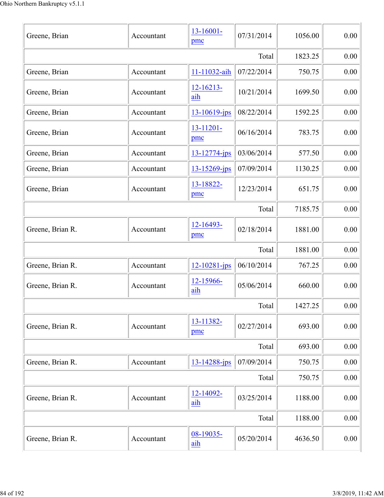| Greene, Brian    | Accountant | $13 - 16001 -$<br>pmc | 07/31/2014 | 1056.00 | 0.00     |
|------------------|------------|-----------------------|------------|---------|----------|
|                  |            |                       | Total      | 1823.25 | 0.00     |
| Greene, Brian    | Accountant | 11-11032-aih          | 07/22/2014 | 750.75  | 0.00     |
| Greene, Brian    | Accountant | $12 - 16213 -$<br>aih | 10/21/2014 | 1699.50 | 0.00     |
| Greene, Brian    | Accountant | 13-10619-jps          | 08/22/2014 | 1592.25 | 0.00     |
| Greene, Brian    | Accountant | 13-11201-<br>pmc      | 06/16/2014 | 783.75  | 0.00     |
| Greene, Brian    | Accountant | 13-12774-jps          | 03/06/2014 | 577.50  | 0.00     |
| Greene, Brian    | Accountant | 13-15269-jps          | 07/09/2014 | 1130.25 | 0.00     |
| Greene, Brian    | Accountant | 13-18822-<br>pmc      | 12/23/2014 | 651.75  | 0.00     |
|                  |            |                       | Total      | 7185.75 | 0.00     |
| Greene, Brian R. | Accountant | 12-16493-<br>pmc      | 02/18/2014 | 1881.00 | 0.00     |
|                  |            |                       | Total      | 1881.00 | 0.00     |
| Greene, Brian R. | Accountant | $12 - 10281 - ips$    | 06/10/2014 | 767.25  | 0.00     |
| Greene, Brian R. | Accountant | 12-15966-<br>aih      | 05/06/2014 | 660.00  | 0.00     |
|                  |            |                       | Total      | 1427.25 | $0.00\,$ |
| Greene, Brian R. | Accountant | 13-11382-<br>pmc      | 02/27/2014 | 693.00  | 0.00     |
|                  |            |                       | Total      | 693.00  | 0.00     |
| Greene, Brian R. | Accountant | 13-14288-jps          | 07/09/2014 | 750.75  | 0.00     |
|                  |            |                       | Total      | 750.75  | 0.00     |
| Greene, Brian R. | Accountant | 12-14092-<br>aih      | 03/25/2014 | 1188.00 | 0.00     |
|                  |            |                       | Total      | 1188.00 | 0.00     |
| Greene, Brian R. | Accountant | 08-19035-<br>aih      | 05/20/2014 | 4636.50 | 0.00     |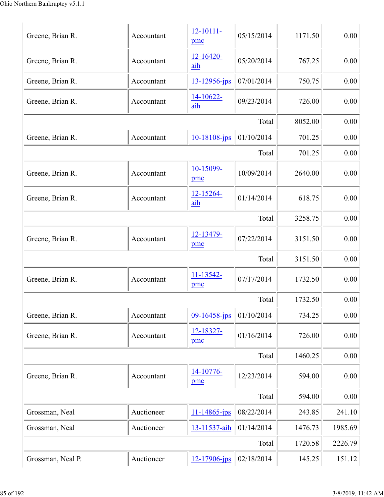| Greene, Brian R.  | Accountant | 12-10111-<br>pmc      | 05/15/2014 | 1171.50 | 0.00    |
|-------------------|------------|-----------------------|------------|---------|---------|
| Greene, Brian R.  | Accountant | 12-16420-<br>aih      | 05/20/2014 | 767.25  | 0.00    |
| Greene, Brian R.  | Accountant | $13 - 12956$ -jps     | 07/01/2014 | 750.75  | 0.00    |
| Greene, Brian R.  | Accountant | $14 - 10622 -$<br>aih | 09/23/2014 | 726.00  | 0.00    |
|                   |            |                       | Total      | 8052.00 | 0.00    |
| Greene, Brian R.  | Accountant | $10 - 18108$ -jps     | 01/10/2014 | 701.25  | 0.00    |
|                   |            |                       | Total      | 701.25  | 0.00    |
| Greene, Brian R.  | Accountant | 10-15099-<br>pmc      | 10/09/2014 | 2640.00 | 0.00    |
| Greene, Brian R.  | Accountant | 12-15264-<br>aih      | 01/14/2014 | 618.75  | 0.00    |
|                   |            |                       | Total      | 3258.75 | 0.00    |
| Greene, Brian R.  | Accountant | 12-13479-<br>pmc      | 07/22/2014 | 3151.50 | 0.00    |
|                   |            |                       | Total      | 3151.50 | 0.00    |
| Greene, Brian R.  | Accountant | 11-13542-<br>pmc      | 07/17/2014 | 1732.50 | 0.00    |
|                   |            |                       | Total      | 1732.50 | 0.00    |
| Greene, Brian R.  | Accountant | 09-16458-jps          | 01/10/2014 | 734.25  | 0.00    |
| Greene, Brian R.  | Accountant | 12-18327-<br>pmc      | 01/16/2014 | 726.00  | 0.00    |
|                   |            |                       | Total      | 1460.25 | 0.00    |
| Greene, Brian R.  | Accountant | 14-10776-<br>pmc      | 12/23/2014 | 594.00  | 0.00    |
|                   |            |                       | Total      | 594.00  | 0.00    |
| Grossman, Neal    | Auctioneer | $11 - 14865 - ips$    | 08/22/2014 | 243.85  | 241.10  |
| Grossman, Neal    | Auctioneer | 13-11537-aih          | 01/14/2014 | 1476.73 | 1985.69 |
|                   |            |                       | Total      | 1720.58 | 2226.79 |
| Grossman, Neal P. | Auctioneer | 12-17906-jps          | 02/18/2014 | 145.25  | 151.12  |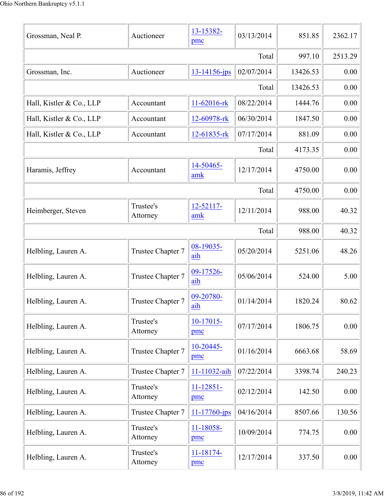| Grossman, Neal P.        | Auctioneer            | 13-15382-<br>pmc   | 03/13/2014 | 851.85   | 2362.17 |
|--------------------------|-----------------------|--------------------|------------|----------|---------|
|                          | 997.10                | 2513.29            |            |          |         |
| Grossman, Inc.           | Auctioneer            | $13 - 14156 - ips$ | 02/07/2014 | 13426.53 | 0.00    |
|                          |                       |                    | Total      | 13426.53 | 0.00    |
| Hall, Kistler & Co., LLP | Accountant            | 11-62016-rk        | 08/22/2014 | 1444.76  | 0.00    |
| Hall, Kistler & Co., LLP | Accountant            | 12-60978-rk        | 06/30/2014 | 1847.50  | 0.00    |
| Hall, Kistler & Co., LLP | Accountant            | 12-61835-rk        | 07/17/2014 | 881.09   | 0.00    |
|                          |                       |                    | Total      | 4173.35  | 0.00    |
| Haramis, Jeffrey         | Accountant            | 14-50465-<br>amk   | 12/17/2014 | 4750.00  | 0.00    |
|                          |                       |                    | Total      | 4750.00  | 0.00    |
| Heimberger, Steven       | Trustee's<br>Attorney | 12-52117-<br>amk   | 12/11/2014 | 988.00   | 40.32   |
|                          |                       |                    | Total      | 988.00   | 40.32   |
| Helbling, Lauren A.      | Trustee Chapter 7     | 08-19035-<br>aih   | 05/20/2014 | 5251.06  | 48.26   |
| Helbling, Lauren A.      | Trustee Chapter 7     | 09-17526-<br>aih   | 05/06/2014 | 524.00   | 5.00    |
| Helbling, Lauren A.      | Trustee Chapter 7     | 09-20780-<br>aih   | 01/14/2014 | 1820.24  | 80.62   |
| Helbling, Lauren A.      | Trustee's<br>Attorney | $10-17015-$<br>pmc | 07/17/2014 | 1806.75  | 0.00    |
| Helbling, Lauren A.      | Trustee Chapter 7     | 10-20445-<br>pmc   | 01/16/2014 | 6663.68  | 58.69   |
| Helbling, Lauren A.      | Trustee Chapter 7     | 11-11032-aih       | 07/22/2014 | 3398.74  | 240.23  |
| Helbling, Lauren A.      | Trustee's<br>Attorney | 11-12851-<br>pmc   | 02/12/2014 | 142.50   | 0.00    |
| Helbling, Lauren A.      | Trustee Chapter 7     | 11-17760-jps       | 04/16/2014 | 8507.66  | 130.56  |
| Helbling, Lauren A.      | Trustee's<br>Attorney | 11-18058-<br>pmc   | 10/09/2014 | 774.75   | 0.00    |
| Helbling, Lauren A.      | Trustee's<br>Attorney | 11-18174-<br>pmc   | 12/17/2014 | 337.50   | 0.00    |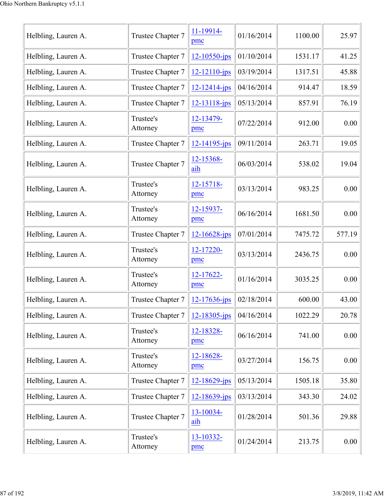| Helbling, Lauren A. | Trustee Chapter 7     | 11-19914-<br>pmc   | 01/16/2014 | 1100.00 | 25.97  |
|---------------------|-----------------------|--------------------|------------|---------|--------|
| Helbling, Lauren A. | Trustee Chapter 7     | $12 - 10550 - jps$ | 01/10/2014 | 1531.17 | 41.25  |
| Helbling, Lauren A. | Trustee Chapter 7     | 12-12110-jps       | 03/19/2014 | 1317.51 | 45.88  |
| Helbling, Lauren A. | Trustee Chapter 7     | $12 - 12414 - ips$ | 04/16/2014 | 914.47  | 18.59  |
| Helbling, Lauren A. | Trustee Chapter 7     | 12-13118-jps       | 05/13/2014 | 857.91  | 76.19  |
| Helbling, Lauren A. | Trustee's<br>Attorney | 12-13479-<br>pmc   | 07/22/2014 | 912.00  | 0.00   |
| Helbling, Lauren A. | Trustee Chapter 7     | $12 - 14195 - ips$ | 09/11/2014 | 263.71  | 19.05  |
| Helbling, Lauren A. | Trustee Chapter 7     | 12-15368-<br>aih   | 06/03/2014 | 538.02  | 19.04  |
| Helbling, Lauren A. | Trustee's<br>Attorney | 12-15718-<br>pmc   | 03/13/2014 | 983.25  | 0.00   |
| Helbling, Lauren A. | Trustee's<br>Attorney | 12-15937-<br>pmc   | 06/16/2014 | 1681.50 | 0.00   |
| Helbling, Lauren A. | Trustee Chapter 7     | $12 - 16628$ -jps  | 07/01/2014 | 7475.72 | 577.19 |
| Helbling, Lauren A. | Trustee's<br>Attorney | 12-17220-<br>pmc   | 03/13/2014 | 2436.75 | 0.00   |
| Helbling, Lauren A. | Trustee's<br>Attorney | 12-17622-<br>pmc   | 01/16/2014 | 3035.25 | 0.00   |
| Helbling, Lauren A. | Trustee Chapter 7     | $12 - 17636$ -jps  | 02/18/2014 | 600.00  | 43.00  |
| Helbling, Lauren A. | Trustee Chapter 7     | $12 - 18305$ -jps  | 04/16/2014 | 1022.29 | 20.78  |
| Helbling, Lauren A. | Trustee's<br>Attorney | 12-18328-<br>pmc   | 06/16/2014 | 741.00  | 0.00   |
| Helbling, Lauren A. | Trustee's<br>Attorney | 12-18628-<br>pmc   | 03/27/2014 | 156.75  | 0.00   |
| Helbling, Lauren A. | Trustee Chapter 7     | $12 - 18629$ -jps  | 05/13/2014 | 1505.18 | 35.80  |
| Helbling, Lauren A. | Trustee Chapter 7     | $12 - 18639$ -jps  | 03/13/2014 | 343.30  | 24.02  |
| Helbling, Lauren A. | Trustee Chapter 7     | 13-10034-<br>aih   | 01/28/2014 | 501.36  | 29.88  |
| Helbling, Lauren A. | Trustee's<br>Attorney | 13-10332-<br>pmc   | 01/24/2014 | 213.75  | 0.00   |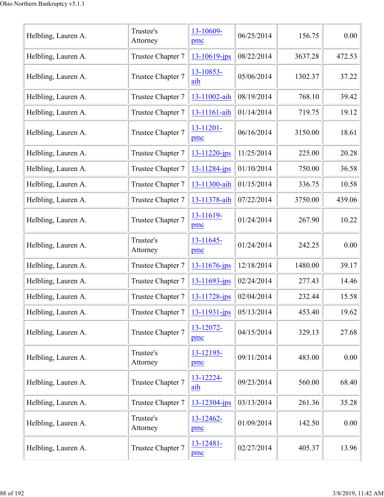| Helbling, Lauren A. | Trustee's<br>Attorney | 13-10609-<br>pmc   | 06/25/2014 | 156.75  | 0.00   |
|---------------------|-----------------------|--------------------|------------|---------|--------|
| Helbling, Lauren A. | Trustee Chapter 7     | $13 - 10619$ -jps  | 08/22/2014 | 3637.28 | 472.53 |
| Helbling, Lauren A. | Trustee Chapter 7     | 13-10853-<br>aih   | 05/06/2014 | 1302.37 | 37.22  |
| Helbling, Lauren A. | Trustee Chapter 7     | 13-11002-aih       | 08/19/2014 | 768.10  | 39.42  |
| Helbling, Lauren A. | Trustee Chapter 7     | 13-11161-aih       | 01/14/2014 | 719.75  | 19.12  |
| Helbling, Lauren A. | Trustee Chapter 7     | 13-11201-<br>pmc   | 06/16/2014 | 3150.00 | 18.61  |
| Helbling, Lauren A. | Trustee Chapter 7     | 13-11220-jps       | 11/25/2014 | 225.00  | 20.28  |
| Helbling, Lauren A. | Trustee Chapter 7     | 13-11284-jps       | 01/10/2014 | 750.00  | 36.58  |
| Helbling, Lauren A. | Trustee Chapter 7     | 13-11300-aih       | 01/15/2014 | 336.75  | 10.58  |
| Helbling, Lauren A. | Trustee Chapter 7     | 13-11378-aih       | 07/22/2014 | 3750.00 | 439.06 |
| Helbling, Lauren A. | Trustee Chapter 7     | 13-11619-<br>pmc   | 01/24/2014 | 267.90  | 10.22  |
| Helbling, Lauren A. | Trustee's<br>Attorney | 13-11645-<br>pmc   | 01/24/2014 | 242.25  | 0.00   |
| Helbling, Lauren A. | Trustee Chapter 7     | $13 - 11676$ -jps  | 12/18/2014 | 1480.00 | 39.17  |
| Helbling, Lauren A. | Trustee Chapter 7     | 13-11693-jps       | 02/24/2014 | 277.43  | 14.46  |
| Helbling, Lauren A. | Trustee Chapter 7     | 13-11728-jps       | 02/04/2014 | 232.44  | 15.58  |
| Helbling, Lauren A. | Trustee Chapter 7     | 13-11931-jps       | 05/13/2014 | 453.40  | 19.62  |
| Helbling, Lauren A. | Trustee Chapter 7     | 13-12072-<br>pmc   | 04/15/2014 | 329.13  | 27.68  |
| Helbling, Lauren A. | Trustee's<br>Attorney | 13-12195-<br>pmc   | 09/11/2014 | 483.00  | 0.00   |
| Helbling, Lauren A. | Trustee Chapter 7     | 13-12224-<br>aih   | 09/23/2014 | 560.00  | 68.40  |
| Helbling, Lauren A. | Trustee Chapter 7     | $13 - 12304 - ips$ | 03/13/2014 | 261.36  | 35.28  |
| Helbling, Lauren A. | Trustee's<br>Attorney | 13-12462-<br>pmc   | 01/09/2014 | 142.50  | 0.00   |
| Helbling, Lauren A. | Trustee Chapter 7     | 13-12481-<br>pmc   | 02/27/2014 | 405.37  | 13.96  |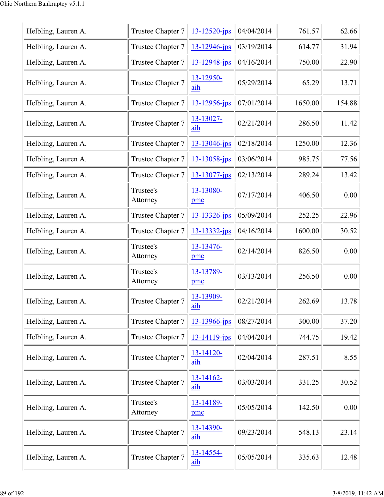| Helbling, Lauren A. | Trustee Chapter 7     | 13-12520-jps          | 04/04/2014 | 761.57  | 62.66  |
|---------------------|-----------------------|-----------------------|------------|---------|--------|
| Helbling, Lauren A. | Trustee Chapter 7     | 13-12946-jps          | 03/19/2014 | 614.77  | 31.94  |
| Helbling, Lauren A. | Trustee Chapter 7     | 13-12948-jps          | 04/16/2014 | 750.00  | 22.90  |
| Helbling, Lauren A. | Trustee Chapter 7     | 13-12950-<br>aih      | 05/29/2014 | 65.29   | 13.71  |
| Helbling, Lauren A. | Trustee Chapter 7     | 13-12956-jps          | 07/01/2014 | 1650.00 | 154.88 |
| Helbling, Lauren A. | Trustee Chapter 7     | $13 - 13027 -$<br>aih | 02/21/2014 | 286.50  | 11.42  |
| Helbling, Lauren A. | Trustee Chapter 7     | $13 - 13046$ -jps     | 02/18/2014 | 1250.00 | 12.36  |
| Helbling, Lauren A. | Trustee Chapter 7     | 13-13058-jps          | 03/06/2014 | 985.75  | 77.56  |
| Helbling, Lauren A. | Trustee Chapter 7     | 13-13077-jps          | 02/13/2014 | 289.24  | 13.42  |
| Helbling, Lauren A. | Trustee's<br>Attorney | 13-13080-<br>pmc      | 07/17/2014 | 406.50  | 0.00   |
| Helbling, Lauren A. | Trustee Chapter 7     | 13-13326-jps          | 05/09/2014 | 252.25  | 22.96  |
| Helbling, Lauren A. | Trustee Chapter 7     | 13-13332-jps          | 04/16/2014 | 1600.00 | 30.52  |
| Helbling, Lauren A. | Trustee's<br>Attorney | 13-13476-<br>pmc      | 02/14/2014 | 826.50  | 0.00   |
| Helbling, Lauren A. | Trustee's<br>Attorney | 13-13789-<br>pmc      | 03/13/2014 | 256.50  | 0.00   |
| Helbling, Lauren A. | Trustee Chapter 7     | 13-13909-<br>aih      | 02/21/2014 | 262.69  | 13.78  |
| Helbling, Lauren A. | Trustee Chapter 7     | 13-13966-jps          | 08/27/2014 | 300.00  | 37.20  |
| Helbling, Lauren A. | Trustee Chapter 7     | 13-14119-jps          | 04/04/2014 | 744.75  | 19.42  |
| Helbling, Lauren A. | Trustee Chapter 7     | 13-14120-<br>aih      | 02/04/2014 | 287.51  | 8.55   |
| Helbling, Lauren A. | Trustee Chapter 7     | $13 - 14162$<br>aih   | 03/03/2014 | 331.25  | 30.52  |
| Helbling, Lauren A. | Trustee's<br>Attorney | 13-14189-<br>pmc      | 05/05/2014 | 142.50  | 0.00   |
| Helbling, Lauren A. | Trustee Chapter 7     | 13-14390-<br>aih      | 09/23/2014 | 548.13  | 23.14  |
| Helbling, Lauren A. | Trustee Chapter 7     | 13-14554-<br>aih      | 05/05/2014 | 335.63  | 12.48  |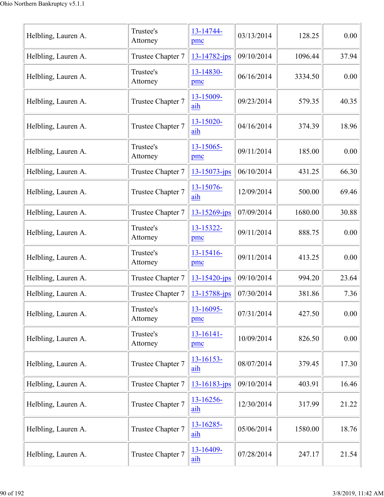| Helbling, Lauren A. | Trustee's<br>Attorney | 13-14744-<br>pmc      | 03/13/2014 | 128.25  | 0.00  |
|---------------------|-----------------------|-----------------------|------------|---------|-------|
| Helbling, Lauren A. | Trustee Chapter 7     | 13-14782-jps          | 09/10/2014 | 1096.44 | 37.94 |
| Helbling, Lauren A. | Trustee's<br>Attorney | 13-14830-<br>pmc      | 06/16/2014 | 3334.50 | 0.00  |
| Helbling, Lauren A. | Trustee Chapter 7     | 13-15009-<br>aih      | 09/23/2014 | 579.35  | 40.35 |
| Helbling, Lauren A. | Trustee Chapter 7     | 13-15020-<br>aih      | 04/16/2014 | 374.39  | 18.96 |
| Helbling, Lauren A. | Trustee's<br>Attorney | 13-15065-<br>pmc      | 09/11/2014 | 185.00  | 0.00  |
| Helbling, Lauren A. | Trustee Chapter 7     | $13 - 15073 - ips$    | 06/10/2014 | 431.25  | 66.30 |
| Helbling, Lauren A. | Trustee Chapter 7     | 13-15076-<br>aih      | 12/09/2014 | 500.00  | 69.46 |
| Helbling, Lauren A. | Trustee Chapter 7     | 13-15269-jps          | 07/09/2014 | 1680.00 | 30.88 |
| Helbling, Lauren A. | Trustee's<br>Attorney | 13-15322-<br>pmc      | 09/11/2014 | 888.75  | 0.00  |
| Helbling, Lauren A. | Trustee's<br>Attorney | 13-15416-<br>pmc      | 09/11/2014 | 413.25  | 0.00  |
| Helbling, Lauren A. | Trustee Chapter 7     | 13-15420-jps          | 09/10/2014 | 994.20  | 23.64 |
| Helbling, Lauren A. | Trustee Chapter 7     | 13-15788-jps          | 07/30/2014 | 381.86  | 7.36  |
| Helbling, Lauren A. | Trustee's<br>Attorney | 13-16095-<br>pmc      | 07/31/2014 | 427.50  | 0.00  |
| Helbling, Lauren A. | Trustee's<br>Attorney | $13 - 16141 -$<br>pmc | 10/09/2014 | 826.50  | 0.00  |
| Helbling, Lauren A. | Trustee Chapter 7     | $13 - 16153 -$<br>aih | 08/07/2014 | 379.45  | 17.30 |
| Helbling, Lauren A. | Trustee Chapter 7     | 13-16183-jps          | 09/10/2014 | 403.91  | 16.46 |
| Helbling, Lauren A. | Trustee Chapter 7     | $13 - 16256 -$<br>aih | 12/30/2014 | 317.99  | 21.22 |
| Helbling, Lauren A. | Trustee Chapter 7     | 13-16285-<br>aih      | 05/06/2014 | 1580.00 | 18.76 |
| Helbling, Lauren A. | Trustee Chapter 7     | 13-16409-<br>aih      | 07/28/2014 | 247.17  | 21.54 |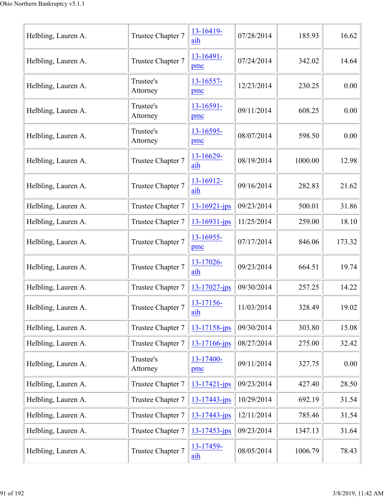| Helbling, Lauren A. | Trustee Chapter 7     | 13-16419-<br>aih      | 07/28/2014 | 185.93  | 16.62  |
|---------------------|-----------------------|-----------------------|------------|---------|--------|
| Helbling, Lauren A. | Trustee Chapter 7     | 13-16491-<br>pmc      | 07/24/2014 | 342.02  | 14.64  |
| Helbling, Lauren A. | Trustee's<br>Attorney | $13 - 16557 -$<br>pmc | 12/23/2014 | 230.25  | 0.00   |
| Helbling, Lauren A. | Trustee's<br>Attorney | 13-16591-<br>pmc      | 09/11/2014 | 608.25  | 0.00   |
| Helbling, Lauren A. | Trustee's<br>Attorney | 13-16595-<br>pmc      | 08/07/2014 | 598.50  | 0.00   |
| Helbling, Lauren A. | Trustee Chapter 7     | 13-16629-<br>aih      | 08/19/2014 | 1000.00 | 12.98  |
| Helbling, Lauren A. | Trustee Chapter 7     | 13-16912-<br>aih      | 09/16/2014 | 282.83  | 21.62  |
| Helbling, Lauren A. | Trustee Chapter 7     | $13 - 16921 - ips$    | 09/23/2014 | 500.01  | 31.86  |
| Helbling, Lauren A. | Trustee Chapter 7     | $13 - 16931 - ips$    | 11/25/2014 | 259.00  | 18.10  |
| Helbling, Lauren A. | Trustee Chapter 7     | 13-16955-<br>pmc      | 07/17/2014 | 846.06  | 173.32 |
| Helbling, Lauren A. | Trustee Chapter 7     | 13-17026-<br>aih      | 09/23/2014 | 664.51  | 19.74  |
| Helbling, Lauren A. | Trustee Chapter 7     | $13 - 17027$ -jps     | 09/30/2014 | 257.25  | 14.22  |
| Helbling, Lauren A. | Trustee Chapter 7     | 13-17156-<br>aih      | 11/03/2014 | 328.49  | 19.02  |
| Helbling, Lauren A. | Trustee Chapter 7     | 13-17158-jps          | 09/30/2014 | 303.80  | 15.08  |
| Helbling, Lauren A. | Trustee Chapter 7     | 13-17166-jps          | 08/27/2014 | 275.00  | 32.42  |
| Helbling, Lauren A. | Trustee's<br>Attorney | 13-17400-<br>pmc      | 09/11/2014 | 327.75  | 0.00   |
| Helbling, Lauren A. | Trustee Chapter 7     | 13-17421-jps          | 09/23/2014 | 427.40  | 28.50  |
| Helbling, Lauren A. | Trustee Chapter 7     | $13 - 17443 - ips$    | 10/29/2014 | 692.19  | 31.54  |
| Helbling, Lauren A. | Trustee Chapter 7     | 13-17443-jps          | 12/11/2014 | 785.46  | 31.54  |
| Helbling, Lauren A. | Trustee Chapter 7     | $13 - 17453$ -jps     | 09/23/2014 | 1347.13 | 31.64  |
| Helbling, Lauren A. | Trustee Chapter 7     | 13-17459-<br>aih      | 08/05/2014 | 1006.79 | 78.43  |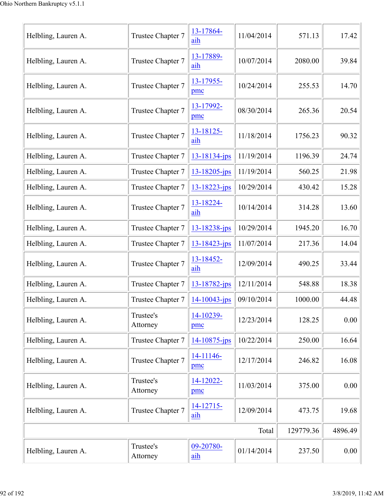| Helbling, Lauren A. | Trustee Chapter 7     | 13-17864-<br>aih   | 11/04/2014 | 571.13    | 17.42   |
|---------------------|-----------------------|--------------------|------------|-----------|---------|
| Helbling, Lauren A. | Trustee Chapter 7     | 13-17889-<br>aih   | 10/07/2014 | 2080.00   | 39.84   |
| Helbling, Lauren A. | Trustee Chapter 7     | 13-17955-<br>pmc   | 10/24/2014 | 255.53    | 14.70   |
| Helbling, Lauren A. | Trustee Chapter 7     | 13-17992-<br>pmc   | 08/30/2014 | 265.36    | 20.54   |
| Helbling, Lauren A. | Trustee Chapter 7     | 13-18125-<br>aih   | 11/18/2014 | 1756.23   | 90.32   |
| Helbling, Lauren A. | Trustee Chapter 7     | 13-18134-jps       | 11/19/2014 | 1196.39   | 24.74   |
| Helbling, Lauren A. | Trustee Chapter 7     | $13 - 18205$ -jps  | 11/19/2014 | 560.25    | 21.98   |
| Helbling, Lauren A. | Trustee Chapter 7     | $13 - 18223 - jps$ | 10/29/2014 | 430.42    | 15.28   |
| Helbling, Lauren A. | Trustee Chapter 7     | 13-18224-<br>aih   | 10/14/2014 | 314.28    | 13.60   |
| Helbling, Lauren A. | Trustee Chapter 7     | 13-18238-jps       | 10/29/2014 | 1945.20   | 16.70   |
| Helbling, Lauren A. | Trustee Chapter 7     | 13-18423-jps       | 11/07/2014 | 217.36    | 14.04   |
| Helbling, Lauren A. | Trustee Chapter 7     | 13-18452-<br>aih   | 12/09/2014 | 490.25    | 33.44   |
| Helbling, Lauren A. | Trustee Chapter 7     | 13-18782-jps       | 12/11/2014 | 548.88    | 18.38   |
| Helbling, Lauren A. | Trustee Chapter 7     | $14 - 10043$ -jps  | 09/10/2014 | 1000.00   | 44.48   |
| Helbling, Lauren A. | Trustee's<br>Attorney | 14-10239-<br>pmc   | 12/23/2014 | 128.25    | 0.00    |
| Helbling, Lauren A. | Trustee Chapter 7     | $14 - 10875$ -jps  | 10/22/2014 | 250.00    | 16.64   |
| Helbling, Lauren A. | Trustee Chapter 7     | 14-11146-<br>pmc   | 12/17/2014 | 246.82    | 16.08   |
| Helbling, Lauren A. | Trustee's<br>Attorney | 14-12022-<br>pmc   | 11/03/2014 | 375.00    | 0.00    |
| Helbling, Lauren A. | Trustee Chapter 7     | 14-12715-<br>aih   | 12/09/2014 | 473.75    | 19.68   |
|                     |                       |                    | Total      | 129779.36 | 4896.49 |
| Helbling, Lauren A. | Trustee's<br>Attorney | 09-20780-<br>aih   | 01/14/2014 | 237.50    | 0.00    |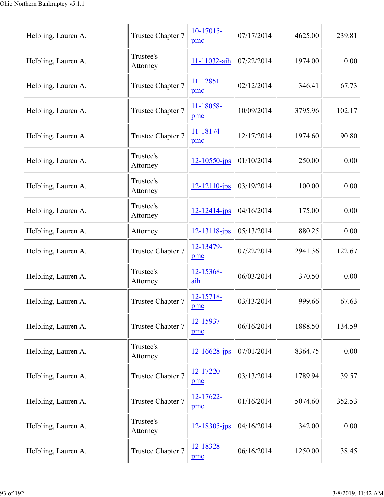| Helbling, Lauren A. | Trustee Chapter 7     | 10-17015-<br>pmc      | 07/17/2014 | 4625.00 | 239.81 |
|---------------------|-----------------------|-----------------------|------------|---------|--------|
| Helbling, Lauren A. | Trustee's<br>Attorney | 11-11032-aih          | 07/22/2014 | 1974.00 | 0.00   |
| Helbling, Lauren A. | Trustee Chapter 7     | $11 - 12851 -$<br>pmc | 02/12/2014 | 346.41  | 67.73  |
| Helbling, Lauren A. | Trustee Chapter 7     | 11-18058-<br>pmc      | 10/09/2014 | 3795.96 | 102.17 |
| Helbling, Lauren A. | Trustee Chapter 7     | 11-18174-<br>pmc      | 12/17/2014 | 1974.60 | 90.80  |
| Helbling, Lauren A. | Trustee's<br>Attorney | $12 - 10550 - ips$    | 01/10/2014 | 250.00  | 0.00   |
| Helbling, Lauren A. | Trustee's<br>Attorney | $12 - 12110 - ips$    | 03/19/2014 | 100.00  | 0.00   |
| Helbling, Lauren A. | Trustee's<br>Attorney | $12 - 12414 - ips$    | 04/16/2014 | 175.00  | 0.00   |
| Helbling, Lauren A. | Attorney              | $12 - 13118$ -jps     | 05/13/2014 | 880.25  | 0.00   |
| Helbling, Lauren A. | Trustee Chapter 7     | 12-13479-<br>pmc      | 07/22/2014 | 2941.36 | 122.67 |
| Helbling, Lauren A. | Trustee's<br>Attorney | 12-15368-<br>aih      | 06/03/2014 | 370.50  | 0.00   |
| Helbling, Lauren A. | Trustee Chapter 7     | 12-15718-<br>pmc      | 03/13/2014 | 999.66  | 67.63  |
| Helbling, Lauren A. | Trustee Chapter 7     | 12-15937-<br>pmc      | 06/16/2014 | 1888.50 | 134.59 |
| Helbling, Lauren A. | Trustee's<br>Attorney | $12 - 16628$ -jps     | 07/01/2014 | 8364.75 | 0.00   |
| Helbling, Lauren A. | Trustee Chapter 7     | 12-17220-<br>pmc      | 03/13/2014 | 1789.94 | 39.57  |
| Helbling, Lauren A. | Trustee Chapter 7     | 12-17622-<br>pmc      | 01/16/2014 | 5074.60 | 352.53 |
| Helbling, Lauren A. | Trustee's<br>Attorney | $12 - 18305$ -jps     | 04/16/2014 | 342.00  | 0.00   |
| Helbling, Lauren A. | Trustee Chapter 7     | 12-18328-<br>pmc      | 06/16/2014 | 1250.00 | 38.45  |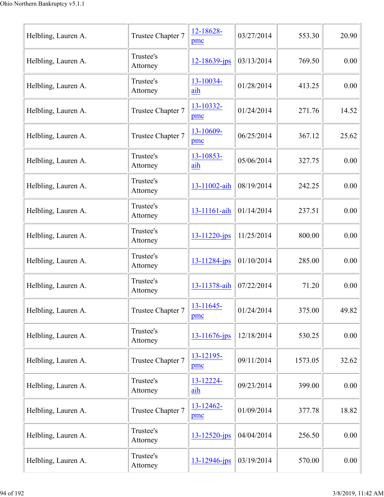| Trustee Chapter 7     | 12-18628-<br>pmc    | 03/27/2014 | 553.30  | 20.90 |
|-----------------------|---------------------|------------|---------|-------|
| Trustee's<br>Attorney | $12 - 18639$ -jps   | 03/13/2014 | 769.50  | 0.00  |
| Trustee's<br>Attorney | 13-10034-<br>aih    | 01/28/2014 | 413.25  | 0.00  |
| Trustee Chapter 7     | 13-10332-<br>pmc    | 01/24/2014 | 271.76  | 14.52 |
| Trustee Chapter 7     | 13-10609-<br>pmc    | 06/25/2014 | 367.12  | 25.62 |
| Trustee's<br>Attorney | 13-10853-<br>aih    | 05/06/2014 | 327.75  | 0.00  |
| Trustee's<br>Attorney | 13-11002-aih        | 08/19/2014 | 242.25  | 0.00  |
| Trustee's<br>Attorney | 13-11161-aih        | 01/14/2014 | 237.51  | 0.00  |
| Trustee's<br>Attorney | $13 - 11220$ -jps   | 11/25/2014 | 800.00  | 0.00  |
| Trustee's<br>Attorney | $13 - 11284$ -jps   | 01/10/2014 | 285.00  | 0.00  |
| Trustee's<br>Attorney | 13-11378-aih        | 07/22/2014 | 71.20   | 0.00  |
| Trustee Chapter 7     | $13 - 11645$<br>pmc | 01/24/2014 | 375.00  | 49.82 |
| Trustee's<br>Attorney | 13-11676-jps        | 12/18/2014 | 530.25  | 0.00  |
| Trustee Chapter 7     | 13-12195-<br>pmc    | 09/11/2014 | 1573.05 | 32.62 |
| Trustee's<br>Attorney | 13-12224-<br>aih    | 09/23/2014 | 399.00  | 0.00  |
| Trustee Chapter 7     | 13-12462-<br>pmc    | 01/09/2014 | 377.78  | 18.82 |
| Trustee's<br>Attorney | 13-12520-jps        | 04/04/2014 | 256.50  | 0.00  |
| Trustee's<br>Attorney | 13-12946-jps        | 03/19/2014 | 570.00  | 0.00  |
|                       |                     |            |         |       |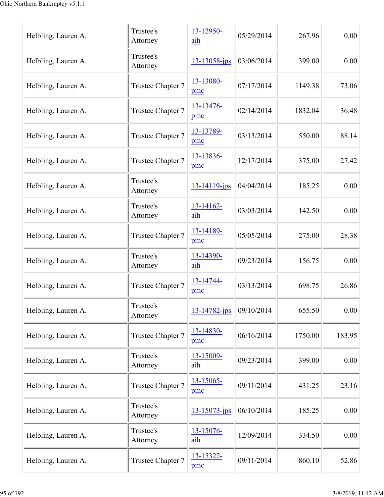| Helbling, Lauren A. | Trustee's<br>Attorney | 13-12950-<br>aih   | 05/29/2014 | 267.96  | 0.00   |
|---------------------|-----------------------|--------------------|------------|---------|--------|
| Helbling, Lauren A. | Trustee's<br>Attorney | $13 - 13058$ -jps  | 03/06/2014 | 399.00  | 0.00   |
| Helbling, Lauren A. | Trustee Chapter 7     | 13-13080-<br>pmc   | 07/17/2014 | 1149.38 | 73.06  |
| Helbling, Lauren A. | Trustee Chapter 7     | 13-13476-<br>pmc   | 02/14/2014 | 1832.04 | 36.48  |
| Helbling, Lauren A. | Trustee Chapter 7     | 13-13789-<br>pmc   | 03/13/2014 | 550.00  | 88.14  |
| Helbling, Lauren A. | Trustee Chapter 7     | 13-13836-<br>pmc   | 12/17/2014 | 375.00  | 27.42  |
| Helbling, Lauren A. | Trustee's<br>Attorney | $13 - 14119$ -jps  | 04/04/2014 | 185.25  | 0.00   |
| Helbling, Lauren A. | Trustee's<br>Attorney | 13-14162-<br>aih   | 03/03/2014 | 142.50  | 0.00   |
| Helbling, Lauren A. | Trustee Chapter 7     | 13-14189-<br>pmc   | 05/05/2014 | 275.00  | 28.38  |
| Helbling, Lauren A. | Trustee's<br>Attorney | 13-14390-<br>aih   | 09/23/2014 | 156.75  | 0.00   |
| Helbling, Lauren A. | Trustee Chapter 7     | 13-14744-<br>pmc   | 03/13/2014 | 698.75  | 26.86  |
| Helbling, Lauren A. | Trustee's<br>Attorney | $13 - 14782$ -jps  | 09/10/2014 | 655.50  | 0.00   |
| Helbling, Lauren A. | Trustee Chapter 7     | 13-14830-<br>pmc   | 06/16/2014 | 1750.00 | 183.95 |
| Helbling, Lauren A. | Trustee's<br>Attorney | 13-15009-<br>aih   | 09/23/2014 | 399.00  | 0.00   |
| Helbling, Lauren A. | Trustee Chapter 7     | 13-15065-<br>pmc   | 09/11/2014 | 431.25  | 23.16  |
| Helbling, Lauren A. | Trustee's<br>Attorney | $13 - 15073 - ips$ | 06/10/2014 | 185.25  | 0.00   |
| Helbling, Lauren A. | Trustee's<br>Attorney | 13-15076-<br>aih   | 12/09/2014 | 334.50  | 0.00   |
| Helbling, Lauren A. | Trustee Chapter 7     | 13-15322-<br>pmc   | 09/11/2014 | 860.10  | 52.86  |
|                     |                       |                    |            |         |        |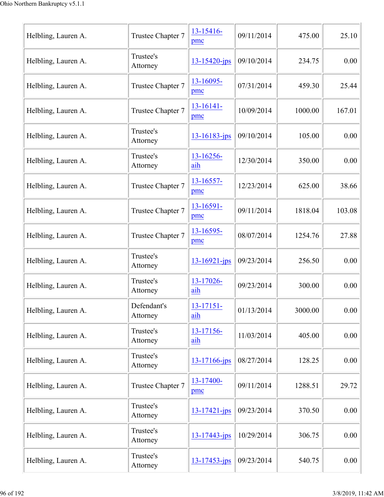| Helbling, Lauren A. | Trustee Chapter 7       | 13-15416-<br>pmc      | 09/11/2014 | 475.00  | 25.10  |
|---------------------|-------------------------|-----------------------|------------|---------|--------|
| Helbling, Lauren A. | Trustee's<br>Attorney   | $13 - 15420 - jps$    | 09/10/2014 | 234.75  | 0.00   |
| Helbling, Lauren A. | Trustee Chapter 7       | 13-16095-<br>pmc      | 07/31/2014 | 459.30  | 25.44  |
| Helbling, Lauren A. | Trustee Chapter 7       | 13-16141-<br>pmc      | 10/09/2014 | 1000.00 | 167.01 |
| Helbling, Lauren A. | Trustee's<br>Attorney   | $13 - 16183 - ips$    | 09/10/2014 | 105.00  | 0.00   |
| Helbling, Lauren A. | Trustee's<br>Attorney   | 13-16256-<br>aih      | 12/30/2014 | 350.00  | 0.00   |
| Helbling, Lauren A. | Trustee Chapter 7       | 13-16557-<br>pmc      | 12/23/2014 | 625.00  | 38.66  |
| Helbling, Lauren A. | Trustee Chapter 7       | 13-16591-<br>pmc      | 09/11/2014 | 1818.04 | 103.08 |
| Helbling, Lauren A. | Trustee Chapter 7       | 13-16595-<br>pmc      | 08/07/2014 | 1254.76 | 27.88  |
| Helbling, Lauren A. | Trustee's<br>Attorney   | $13 - 16921 - ips$    | 09/23/2014 | 256.50  | 0.00   |
| Helbling, Lauren A. | Trustee's<br>Attorney   | 13-17026-<br>aih      | 09/23/2014 | 300.00  | 0.00   |
| Helbling, Lauren A. | Defendant's<br>Attorney | $13 - 17151 -$<br>aih | 01/13/2014 | 3000.00 | 0.00   |
| Helbling, Lauren A. | Trustee's<br>Attorney   | 13-17156-<br>aih      | 11/03/2014 | 405.00  | 0.00   |
| Helbling, Lauren A. | Trustee's<br>Attorney   | 13-17166-jps          | 08/27/2014 | 128.25  | 0.00   |
| Helbling, Lauren A. | Trustee Chapter 7       | 13-17400-<br>pmc      | 09/11/2014 | 1288.51 | 29.72  |
| Helbling, Lauren A. | Trustee's<br>Attorney   | 13-17421-jps          | 09/23/2014 | 370.50  | 0.00   |
| Helbling, Lauren A. | Trustee's<br>Attorney   | 13-17443-jps          | 10/29/2014 | 306.75  | 0.00   |
| Helbling, Lauren A. | Trustee's<br>Attorney   | <u>13-17453-jps</u>   | 09/23/2014 | 540.75  | 0.00   |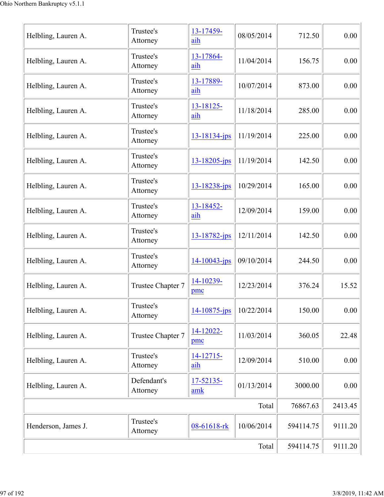| Helbling, Lauren A. | Trustee's<br>Attorney   | 13-17459-<br>aih   | 08/05/2014 | 712.50    | 0.00    |
|---------------------|-------------------------|--------------------|------------|-----------|---------|
| Helbling, Lauren A. | Trustee's<br>Attorney   | 13-17864-<br>aih   | 11/04/2014 | 156.75    | 0.00    |
| Helbling, Lauren A. | Trustee's<br>Attorney   | 13-17889-<br>aih   | 10/07/2014 | 873.00    | 0.00    |
| Helbling, Lauren A. | Trustee's<br>Attorney   | 13-18125-<br>aih   | 11/18/2014 | 285.00    | 0.00    |
| Helbling, Lauren A. | Trustee's<br>Attorney   | 13-18134-jps       | 11/19/2014 | 225.00    | 0.00    |
| Helbling, Lauren A. | Trustee's<br>Attorney   | $13 - 18205 - ips$ | 11/19/2014 | 142.50    | 0.00    |
| Helbling, Lauren A. | Trustee's<br>Attorney   | 13-18238-jps       | 10/29/2014 | 165.00    | 0.00    |
| Helbling, Lauren A. | Trustee's<br>Attorney   | 13-18452-<br>aih   | 12/09/2014 | 159.00    | 0.00    |
| Helbling, Lauren A. | Trustee's<br>Attorney   | 13-18782-jps       | 12/11/2014 | 142.50    | 0.00    |
| Helbling, Lauren A. | Trustee's<br>Attorney   | $14 - 10043$ -jps  | 09/10/2014 | 244.50    | 0.00    |
| Helbling, Lauren A. | Trustee Chapter 7       | 14-10239-<br>pmc   | 12/23/2014 | 376.24    | 15.52   |
| Helbling, Lauren A. | Trustee's<br>Attorney   | 14-10875-jps       | 10/22/2014 | 150.00    | 0.00    |
| Helbling, Lauren A. | Trustee Chapter 7       | 14-12022-<br>pmc   | 11/03/2014 | 360.05    | 22.48   |
| Helbling, Lauren A. | Trustee's<br>Attorney   | 14-12715-<br>aih   | 12/09/2014 | 510.00    | 0.00    |
| Helbling, Lauren A. | Defendant's<br>Attorney | 17-52135-<br>amk   | 01/13/2014 | 3000.00   | 0.00    |
|                     |                         |                    | Total      | 76867.63  | 2413.45 |
| Henderson, James J. | Trustee's<br>Attorney   | 08-61618-rk        | 10/06/2014 | 594114.75 | 9111.20 |
|                     |                         |                    | Total      | 594114.75 | 9111.20 |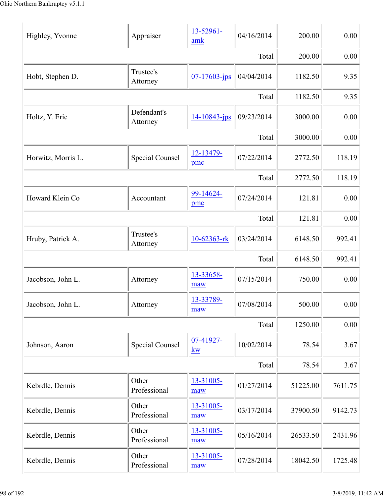| Highley, Yvonne    | Appraiser               | 13-52961-<br>amk      | 04/16/2014 | 200.00   | 0.00     |
|--------------------|-------------------------|-----------------------|------------|----------|----------|
|                    |                         |                       | Total      | 200.00   | 0.00     |
| Hobt, Stephen D.   | Trustee's<br>Attorney   | $07 - 17603 - ips$    | 04/04/2014 | 1182.50  | 9.35     |
|                    |                         |                       | Total      | 1182.50  | 9.35     |
| Holtz, Y. Eric     | Defendant's<br>Attorney | $14 - 10843 - ips$    | 09/23/2014 | 3000.00  | 0.00     |
|                    |                         |                       | Total      | 3000.00  | 0.00     |
| Horwitz, Morris L. | <b>Special Counsel</b>  | 12-13479-<br>pmc      | 07/22/2014 | 2772.50  | 118.19   |
|                    |                         |                       | Total      | 2772.50  | 118.19   |
| Howard Klein Co    | Accountant              | 99-14624-<br>pmc      | 07/24/2014 | 121.81   | 0.00     |
|                    |                         |                       | Total      | 121.81   | 0.00     |
| Hruby, Patrick A.  | Trustee's<br>Attorney   | 10-62363-rk           | 03/24/2014 | 6148.50  | 992.41   |
|                    |                         |                       | Total      | 6148.50  | 992.41   |
| Jacobson, John L.  | Attorney                | 13-33658-<br>maw      | 07/15/2014 | 750.00   | 0.00     |
| Jacobson, John L.  | Attorney                | 13-33789-<br>maw      | 07/08/2014 | 500.00   | $0.00\,$ |
|                    |                         |                       | Total      | 1250.00  | 0.00     |
| Johnson, Aaron     | <b>Special Counsel</b>  | 07-41927-<br>kw       | 10/02/2014 | 78.54    | 3.67     |
|                    |                         |                       | Total      | 78.54    | 3.67     |
| Kebrdle, Dennis    | Other<br>Professional   | 13-31005-<br>maw      | 01/27/2014 | 51225.00 | 7611.75  |
| Kebrdle, Dennis    | Other<br>Professional   | 13-31005-<br>maw      | 03/17/2014 | 37900.50 | 9142.73  |
| Kebrdle, Dennis    | Other<br>Professional   | 13-31005-<br>maw      | 05/16/2014 | 26533.50 | 2431.96  |
| Kebrdle, Dennis    | Other<br>Professional   | $13 - 31005 -$<br>maw | 07/28/2014 | 18042.50 | 1725.48  |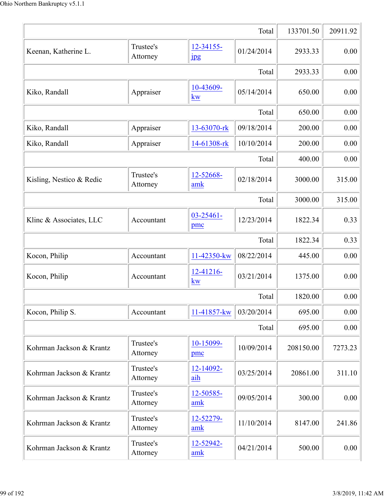|                          |                       |                               | Total      | 133701.50 | 20911.92 |
|--------------------------|-----------------------|-------------------------------|------------|-----------|----------|
| Keenan, Katherine L.     | Trustee's<br>Attorney | 12-34155-<br>$_{\rm 1\!P\!S}$ | 01/24/2014 | 2933.33   | 0.00     |
|                          |                       |                               | Total      | 2933.33   | 0.00     |
| Kiko, Randall            | Appraiser             | 10-43609-<br>kw               | 05/14/2014 | 650.00    | 0.00     |
|                          |                       |                               | Total      | 650.00    | 0.00     |
| Kiko, Randall            | Appraiser             | 13-63070-rk                   | 09/18/2014 | 200.00    | 0.00     |
| Kiko, Randall            | Appraiser             | 14-61308-rk                   | 10/10/2014 | 200.00    | 0.00     |
|                          |                       |                               | Total      | 400.00    | 0.00     |
| Kisling, Nestico & Redic | Trustee's<br>Attorney | 12-52668-<br>amk              | 02/18/2014 | 3000.00   | 315.00   |
|                          |                       |                               | Total      | 3000.00   | 315.00   |
| Klinc & Associates, LLC  | Accountant            | $03 - 25461 -$<br>pmc         | 12/23/2014 | 1822.34   | 0.33     |
|                          |                       |                               | Total      | 1822.34   | 0.33     |
| Kocon, Philip            | Accountant            | 11-42350-kw                   | 08/22/2014 | 445.00    | 0.00     |
| Kocon, Philip            | Accountant            | 12-41216-<br><b>kw</b>        | 03/21/2014 | 1375.00   | 0.00     |
|                          |                       |                               | Total      | 1820.00   | 0.00     |
| Kocon, Philip S.         | Accountant            | 11-41857-kw                   | 03/20/2014 | 695.00    | 0.00     |
|                          |                       |                               | Total      | 695.00    | 0.00     |
| Kohrman Jackson & Krantz | Trustee's<br>Attorney | 10-15099-<br>pmc              | 10/09/2014 | 208150.00 | 7273.23  |
| Kohrman Jackson & Krantz | Trustee's<br>Attorney | 12-14092-<br>aih              | 03/25/2014 | 20861.00  | 311.10   |
| Kohrman Jackson & Krantz | Trustee's<br>Attorney | 12-50585-<br>amk              | 09/05/2014 | 300.00    | 0.00     |
| Kohrman Jackson & Krantz | Trustee's<br>Attorney | 12-52279-<br>amk              | 11/10/2014 | 8147.00   | 241.86   |
| Kohrman Jackson & Krantz | Trustee's<br>Attorney | 12-52942-<br>amk              | 04/21/2014 | 500.00    | 0.00     |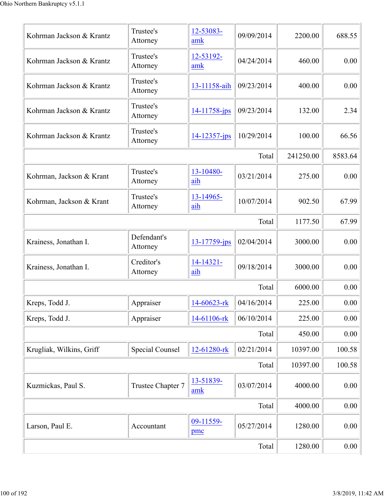| Kohrman Jackson & Krantz | Trustee's<br>Attorney   | 12-53083-<br>amk            | 09/09/2014 | 2200.00   | 688.55  |
|--------------------------|-------------------------|-----------------------------|------------|-----------|---------|
| Kohrman Jackson & Krantz | Trustee's<br>Attorney   | 12-53192-<br>amk            | 04/24/2014 | 460.00    | 0.00    |
| Kohrman Jackson & Krantz | Trustee's<br>Attorney   | 13-11158-aih                | 09/23/2014 | 400.00    | 0.00    |
| Kohrman Jackson & Krantz | Trustee's<br>Attorney   | 14-11758-jps                | 09/23/2014 | 132.00    | 2.34    |
| Kohrman Jackson & Krantz | Trustee's<br>Attorney   | $14 - 12357 - ips$          | 10/29/2014 | 100.00    | 66.56   |
|                          |                         |                             | Total      | 241250.00 | 8583.64 |
| Kohrman, Jackson & Krant | Trustee's<br>Attorney   | 13-10480-<br>aih            | 03/21/2014 | 275.00    | 0.00    |
| Kohrman, Jackson & Krant | Trustee's<br>Attorney   | 13-14965-<br>aih            | 10/07/2014 | 902.50    | 67.99   |
|                          |                         |                             | Total      | 1177.50   | 67.99   |
| Krainess, Jonathan I.    | Defendant's<br>Attorney | 13-17759-jps                | 02/04/2014 | 3000.00   | 0.00    |
| Krainess, Jonathan I.    | Creditor's<br>Attorney  | 14-14321-<br>aih            | 09/18/2014 | 3000.00   | 0.00    |
|                          |                         |                             | Total      | 6000.00   | 0.00    |
| Kreps, Todd J.           | Appraiser               | 14-60623-rk                 | 04/16/2014 | 225.00    | 0.00    |
| Kreps, Todd J.           | Appraiser               | 14-61106-rk                 | 06/10/2014 | 225.00    | 0.00    |
|                          |                         |                             | Total      | 450.00    | 0.00    |
| Krugliak, Wilkins, Griff | <b>Special Counsel</b>  | 12-61280-rk                 | 02/21/2014 | 10397.00  | 100.58  |
|                          |                         |                             | Total      | 10397.00  | 100.58  |
| Kuzmickas, Paul S.       | Trustee Chapter 7       | 13-51839-<br>$\mathbf{amk}$ | 03/07/2014 | 4000.00   | 0.00    |
|                          |                         |                             | Total      | 4000.00   | 0.00    |
| Larson, Paul E.          | Accountant              | 09-11559-<br>pmc            | 05/27/2014 | 1280.00   | 0.00    |
|                          |                         |                             | Total      | 1280.00   | 0.00    |
|                          |                         |                             |            |           |         |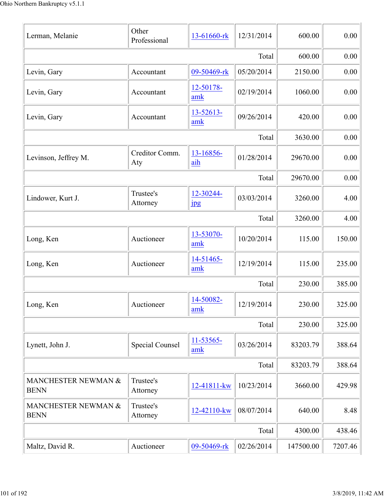| Lerman, Melanie                    | Other<br>Professional  | 13-61660-rk                | 12/31/2014 | 600.00    | 0.00     |
|------------------------------------|------------------------|----------------------------|------------|-----------|----------|
|                                    |                        |                            | Total      | 600.00    | $0.00\,$ |
| Levin, Gary                        | Accountant             | 09-50469-rk                | 05/20/2014 | 2150.00   | 0.00     |
| Levin, Gary                        | Accountant             | 12-50178-<br>amk           | 02/19/2014 | 1060.00   | 0.00     |
| Levin, Gary                        | Accountant             | 13-52613-<br>amk           | 09/26/2014 | 420.00    | 0.00     |
|                                    |                        |                            | Total      | 3630.00   | 0.00     |
| Levinson, Jeffrey M.               | Creditor Comm.<br>Aty  | 13-16856-<br>aih           | 01/28/2014 | 29670.00  | 0.00     |
|                                    |                        |                            | Total      | 29670.00  | 0.00     |
| Lindower, Kurt J.                  | Trustee's<br>Attorney  | 12-30244-<br>$\frac{1}{2}$ | 03/03/2014 | 3260.00   | 4.00     |
|                                    |                        |                            | Total      | 3260.00   | 4.00     |
| Long, Ken                          | Auctioneer             | 13-53070-<br>amk           | 10/20/2014 | 115.00    | 150.00   |
| Long, Ken                          | Auctioneer             | 14-51465-<br>amk           | 12/19/2014 | 115.00    | 235.00   |
|                                    |                        |                            | Total      | 230.00    | 385.00   |
| Long, Ken                          | Auctioneer             | 14-50082-<br>amk           | 12/19/2014 | 230.00    | 325.00   |
|                                    |                        |                            | Total      | 230.00    | 325.00   |
| Lynett, John J.                    | <b>Special Counsel</b> | 11-53565-<br>amk           | 03/26/2014 | 83203.79  | 388.64   |
|                                    |                        |                            | Total      | 83203.79  | 388.64   |
| MANCHESTER NEWMAN &<br><b>BENN</b> | Trustee's<br>Attorney  | 12-41811-kw                | 10/23/2014 | 3660.00   | 429.98   |
| MANCHESTER NEWMAN &<br><b>BENN</b> | Trustee's<br>Attorney  | 12-42110-kw                | 08/07/2014 | 640.00    | 8.48     |
|                                    |                        |                            | Total      | 4300.00   | 438.46   |
| Maltz, David R.                    | Auctioneer             | 09-50469-rk                | 02/26/2014 | 147500.00 | 7207.46  |
|                                    |                        |                            |            |           |          |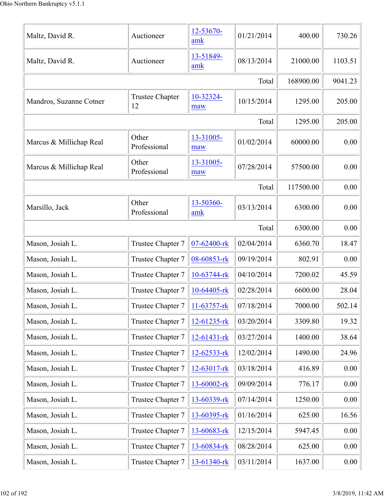| Maltz, David R.         | Auctioneer                   | 12-53670-<br>amk  | 01/21/2014 | 400.00    | 730.26  |
|-------------------------|------------------------------|-------------------|------------|-----------|---------|
| Maltz, David R.         | Auctioneer                   | 13-51849-<br>amk  | 08/13/2014 | 21000.00  | 1103.51 |
|                         |                              |                   | Total      | 168900.00 | 9041.23 |
| Mandros, Suzanne Cotner | <b>Trustee Chapter</b><br>12 | 10-32324-<br>maw  | 10/15/2014 | 1295.00   | 205.00  |
|                         |                              |                   | Total      | 1295.00   | 205.00  |
| Marcus & Millichap Real | Other<br>Professional        | 13-31005-<br>maw  | 01/02/2014 | 60000.00  | 0.00    |
| Marcus & Millichap Real | Other<br>Professional        | 13-31005-<br>maw  | 07/28/2014 | 57500.00  | 0.00    |
|                         |                              |                   | Total      | 117500.00 | 0.00    |
| Marsillo, Jack          | Other<br>Professional        | 13-50360-<br>amk  | 03/13/2014 | 6300.00   | 0.00    |
|                         |                              |                   | Total      | 6300.00   | 0.00    |
| Mason, Josiah L.        | Trustee Chapter 7            | 07-62400-rk       | 02/04/2014 | 6360.70   | 18.47   |
| Mason, Josiah L.        | Trustee Chapter 7            | 08-60853-rk       | 09/19/2014 | 802.91    | 0.00    |
| Mason, Josiah L.        | Trustee Chapter 7            | 10-63744-rk       | 04/10/2014 | 7200.02   | 45.59   |
| Mason, Josiah L.        | Trustee Chapter 7            | 10-64405-rk       | 02/28/2014 | 6600.00   | 28.04   |
| Mason, Josiah L.        | Trustee Chapter 7            | 11-63757-rk       | 07/18/2014 | 7000.00   | 502.14  |
| Mason, Josiah L.        | Trustee Chapter 7            | 12-61235-rk       | 03/20/2014 | 3309.80   | 19.32   |
| Mason, Josiah L.        | Trustee Chapter 7            | $12 - 61431 - rk$ | 03/27/2014 | 1400.00   | 38.64   |
| Mason, Josiah L.        | Trustee Chapter 7            | 12-62533-rk       | 12/02/2014 | 1490.00   | 24.96   |
| Mason, Josiah L.        | Trustee Chapter 7            | 12-63017-rk       | 03/18/2014 | 416.89    | 0.00    |
| Mason, Josiah L.        | Trustee Chapter 7            | 13-60002-rk       | 09/09/2014 | 776.17    | 0.00    |
| Mason, Josiah L.        | Trustee Chapter 7            | 13-60339-rk       | 07/14/2014 | 1250.00   | 0.00    |
| Mason, Josiah L.        | Trustee Chapter 7            | 13-60395-rk       | 01/16/2014 | 625.00    | 16.56   |
| Mason, Josiah L.        | Trustee Chapter 7            | 13-60683-rk       | 12/15/2014 | 5947.45   | 0.00    |
| Mason, Josiah L.        | Trustee Chapter 7            | 13-60834-rk       | 08/28/2014 | 625.00    | 0.00    |
| Mason, Josiah L.        | Trustee Chapter 7            | 13-61340-rk       | 03/11/2014 | 1637.00   | 0.00    |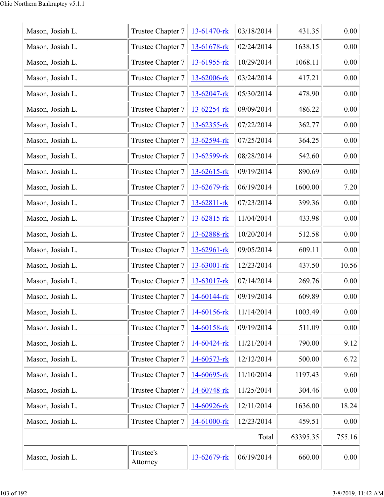| Mason, Josiah L. | Trustee Chapter 7     | 13-61470-rk      | 03/18/2014 | 431.35   | 0.00   |
|------------------|-----------------------|------------------|------------|----------|--------|
| Mason, Josiah L. | Trustee Chapter 7     | 13-61678-rk      | 02/24/2014 | 1638.15  | 0.00   |
| Mason, Josiah L. | Trustee Chapter 7     | 13-61955-rk      | 10/29/2014 | 1068.11  | 0.00   |
| Mason, Josiah L. | Trustee Chapter 7     | 13-62006-rk      | 03/24/2014 | 417.21   | 0.00   |
| Mason, Josiah L. | Trustee Chapter 7     | 13-62047-rk      | 05/30/2014 | 478.90   | 0.00   |
| Mason, Josiah L. | Trustee Chapter 7     | 13-62254-rk      | 09/09/2014 | 486.22   | 0.00   |
| Mason, Josiah L. | Trustee Chapter 7     | 13-62355-rk      | 07/22/2014 | 362.77   | 0.00   |
| Mason, Josiah L. | Trustee Chapter 7     | 13-62594-rk      | 07/25/2014 | 364.25   | 0.00   |
| Mason, Josiah L. | Trustee Chapter 7     | 13-62599-rk      | 08/28/2014 | 542.60   | 0.00   |
| Mason, Josiah L. | Trustee Chapter 7     | $13 - 62615$ -rk | 09/19/2014 | 890.69   | 0.00   |
| Mason, Josiah L. | Trustee Chapter 7     | 13-62679-rk      | 06/19/2014 | 1600.00  | 7.20   |
| Mason, Josiah L. | Trustee Chapter 7     | 13-62811-rk      | 07/23/2014 | 399.36   | 0.00   |
| Mason, Josiah L. | Trustee Chapter 7     | 13-62815-rk      | 11/04/2014 | 433.98   | 0.00   |
| Mason, Josiah L. | Trustee Chapter 7     | 13-62888-rk      | 10/20/2014 | 512.58   | 0.00   |
| Mason, Josiah L. | Trustee Chapter 7     | 13-62961-rk      | 09/05/2014 | 609.11   | 0.00   |
| Mason, Josiah L. | Trustee Chapter 7     | 13-63001-rk      | 12/23/2014 | 437.50   | 10.56  |
| Mason, Josiah L. | Trustee Chapter 7     | 13-63017-rk      | 07/14/2014 | 269.76   | 0.00   |
| Mason, Josiah L. | Trustee Chapter 7     | 14-60144-rk      | 09/19/2014 | 609.89   | 0.00   |
| Mason, Josiah L. | Trustee Chapter 7     | 14-60156-rk      | 11/14/2014 | 1003.49  | 0.00   |
| Mason, Josiah L. | Trustee Chapter 7     | 14-60158-rk      | 09/19/2014 | 511.09   | 0.00   |
| Mason, Josiah L. | Trustee Chapter 7     | 14-60424-rk      | 11/21/2014 | 790.00   | 9.12   |
| Mason, Josiah L. | Trustee Chapter 7     | 14-60573-rk      | 12/12/2014 | 500.00   | 6.72   |
| Mason, Josiah L. | Trustee Chapter 7     | 14-60695-rk      | 11/10/2014 | 1197.43  | 9.60   |
| Mason, Josiah L. | Trustee Chapter 7     | 14-60748-rk      | 11/25/2014 | 304.46   | 0.00   |
| Mason, Josiah L. | Trustee Chapter 7     | 14-60926-rk      | 12/11/2014 | 1636.00  | 18.24  |
| Mason, Josiah L. | Trustee Chapter 7     | 14-61000-rk      | 12/23/2014 | 459.51   | 0.00   |
|                  |                       |                  | Total      | 63395.35 | 755.16 |
| Mason, Josiah L. | Trustee's<br>Attorney | 13-62679-rk      | 06/19/2014 | 660.00   | 0.00   |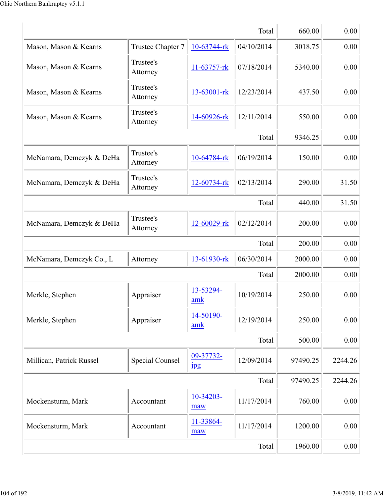|                          |                        |                               | Total      | 660.00   | 0.00    |
|--------------------------|------------------------|-------------------------------|------------|----------|---------|
| Mason, Mason & Kearns    | Trustee Chapter 7      | 10-63744-rk                   | 04/10/2014 | 3018.75  | 0.00    |
| Mason, Mason & Kearns    | Trustee's<br>Attorney  | 11-63757-rk                   | 07/18/2014 | 5340.00  | 0.00    |
| Mason, Mason & Kearns    | Trustee's<br>Attorney  | 13-63001-rk                   | 12/23/2014 | 437.50   | 0.00    |
| Mason, Mason & Kearns    | Trustee's<br>Attorney  | 14-60926-rk                   | 12/11/2014 | 550.00   | 0.00    |
|                          |                        |                               | Total      | 9346.25  | 0.00    |
| McNamara, Demczyk & DeHa | Trustee's<br>Attorney  | 10-64784-rk                   | 06/19/2014 | 150.00   | 0.00    |
| McNamara, Demczyk & DeHa | Trustee's<br>Attorney  | 12-60734-rk                   | 02/13/2014 | 290.00   | 31.50   |
|                          |                        |                               | Total      | 440.00   | 31.50   |
| McNamara, Demczyk & DeHa | Trustee's<br>Attorney  | 12-60029-rk                   | 02/12/2014 | 200.00   | 0.00    |
|                          |                        |                               | Total      | 200.00   | 0.00    |
| McNamara, Demczyk Co., L | Attorney               | 13-61930-rk                   | 06/30/2014 | 2000.00  | 0.00    |
|                          |                        |                               | Total      | 2000.00  | 0.00    |
| Merkle, Stephen          | Appraiser              | 13-53294-<br>amk              | 10/19/2014 | 250.00   | 0.00    |
| Merkle, Stephen          | Appraiser              | 14-50190-<br>amk              | 12/19/2014 | 250.00   | 0.00    |
|                          |                        |                               | Total      | 500.00   | 0.00    |
| Millican, Patrick Russel | <b>Special Counsel</b> | 09-37732-<br>$_{\rm 1\!P\!S}$ | 12/09/2014 | 97490.25 | 2244.26 |
|                          |                        |                               | Total      | 97490.25 | 2244.26 |
| Mockensturm, Mark        | Accountant             | 10-34203-<br>maw              | 11/17/2014 | 760.00   | 0.00    |
| Mockensturm, Mark        | Accountant             | 11-33864-<br>maw              | 11/17/2014 | 1200.00  | 0.00    |
|                          |                        |                               | Total      | 1960.00  | 0.00    |
|                          |                        |                               |            |          |         |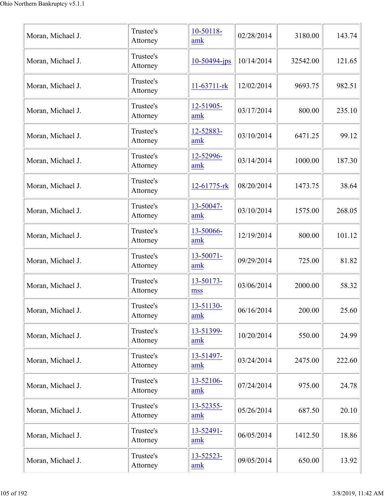| Moran, Michael J. | Trustee's<br>Attorney | 10-50118-<br>amk | 02/28/2014 | 3180.00  | 143.74 |
|-------------------|-----------------------|------------------|------------|----------|--------|
| Moran, Michael J. | Trustee's<br>Attorney | $10-50494$ -jps  | 10/14/2014 | 32542.00 | 121.65 |
| Moran, Michael J. | Trustee's<br>Attorney | 11-63711-rk      | 12/02/2014 | 9693.75  | 982.51 |
| Moran, Michael J. | Trustee's<br>Attorney | 12-51905-<br>amk | 03/17/2014 | 800.00   | 235.10 |
| Moran, Michael J. | Trustee's<br>Attorney | 12-52883-<br>amk | 03/10/2014 | 6471.25  | 99.12  |
| Moran, Michael J. | Trustee's<br>Attorney | 12-52996-<br>amk | 03/14/2014 | 1000.00  | 187.30 |
| Moran, Michael J. | Trustee's<br>Attorney | 12-61775-rk      | 08/20/2014 | 1473.75  | 38.64  |
| Moran, Michael J. | Trustee's<br>Attorney | 13-50047-<br>amk | 03/10/2014 | 1575.00  | 268.05 |
| Moran, Michael J. | Trustee's<br>Attorney | 13-50066-<br>amk | 12/19/2014 | 800.00   | 101.12 |
| Moran, Michael J. | Trustee's<br>Attorney | 13-50071-<br>amk | 09/29/2014 | 725.00   | 81.82  |
| Moran, Michael J. | Trustee's<br>Attorney | 13-50173-<br>mss | 03/06/2014 | 2000.00  | 58.32  |
| Moran, Michael J. | Trustee's<br>Attorney | 13-51130-<br>amk | 06/16/2014 | 200.00   | 25.60  |
| Moran, Michael J. | Trustee's<br>Attorney | 13-51399-<br>amk | 10/20/2014 | 550.00   | 24.99  |
| Moran, Michael J. | Trustee's<br>Attorney | 13-51497-<br>amk | 03/24/2014 | 2475.00  | 222.60 |
| Moran, Michael J. | Trustee's<br>Attorney | 13-52106-<br>amk | 07/24/2014 | 975.00   | 24.78  |
| Moran, Michael J. | Trustee's<br>Attorney | 13-52355-<br>amk | 05/26/2014 | 687.50   | 20.10  |
| Moran, Michael J. | Trustee's<br>Attorney | 13-52491-<br>amk | 06/05/2014 | 1412.50  | 18.86  |
| Moran, Michael J. | Trustee's<br>Attorney | 13-52523-<br>amk | 09/05/2014 | 650.00   | 13.92  |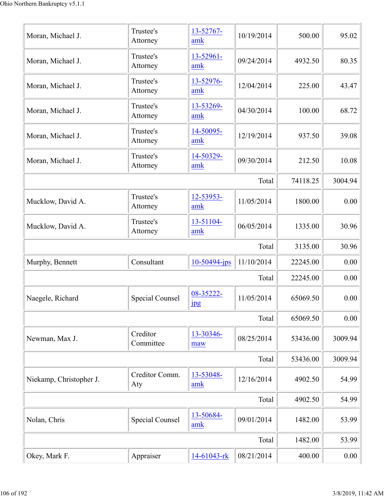| Okey, Mark F.           | Appraiser             | 14-61043-rk                   | 08/21/2014 | 400.00   | 0.00    |
|-------------------------|-----------------------|-------------------------------|------------|----------|---------|
|                         |                       |                               | Total      | 1482.00  | 53.99   |
| Nolan, Chris            | Special Counsel       | 13-50684-<br>amk              | 09/01/2014 | 1482.00  | 53.99   |
|                         |                       |                               | Total      | 4902.50  | 54.99   |
| Niekamp, Christopher J. | Creditor Comm.<br>Aty | 13-53048-<br>amk              | 12/16/2014 | 4902.50  | 54.99   |
|                         |                       |                               | Total      | 53436.00 | 3009.94 |
| Newman, Max J.          | Creditor<br>Committee | 13-30346-<br>maw              | 08/25/2014 | 53436.00 | 3009.94 |
|                         |                       |                               | Total      | 65069.50 | 0.00    |
| Naegele, Richard        | Special Counsel       | 08-35222-<br>$_{\rm 1\!P\!S}$ | 11/05/2014 | 65069.50 | 0.00    |
|                         |                       |                               | Total      | 22245.00 | 0.00    |
| Murphy, Bennett         | Consultant            | $10-50494$ -jps               | 11/10/2014 | 22245.00 | 0.00    |
|                         |                       |                               | Total      | 3135.00  | 30.96   |
| Mucklow, David A.       | Trustee's<br>Attorney | 13-51104-<br>amk              | 06/05/2014 | 1335.00  | 30.96   |
| Mucklow, David A.       | Trustee's<br>Attorney | 12-53953-<br>amk              | 11/05/2014 | 1800.00  | 0.00    |
|                         |                       |                               | Total      | 74118.25 | 3004.94 |
| Moran, Michael J.       | Trustee's<br>Attorney | 14-50329-<br>amk              | 09/30/2014 | 212.50   | 10.08   |
| Moran, Michael J.       | Trustee's<br>Attorney | 14-50095-<br>amk              | 12/19/2014 | 937.50   | 39.08   |
| Moran, Michael J.       | Trustee's<br>Attorney | 13-53269-<br>amk              | 04/30/2014 | 100.00   | 68.72   |
| Moran, Michael J.       | Trustee's<br>Attorney | 13-52976-<br>amk              | 12/04/2014 | 225.00   | 43.47   |
| Moran, Michael J.       | Trustee's<br>Attorney | 13-52961-<br>amk              | 09/24/2014 | 4932.50  | 80.35   |
| Moran, Michael J.       | Trustee's<br>Attorney | 13-52767-<br>amk              | 10/19/2014 | 500.00   | 95.02   |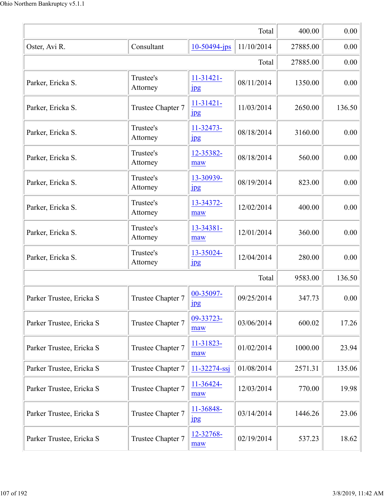|                          |                       |                               | Total      | 400.00   | 0.00   |
|--------------------------|-----------------------|-------------------------------|------------|----------|--------|
| Oster, Avi R.            | Consultant            | 10-50494-jps                  | 11/10/2014 | 27885.00 | 0.00   |
|                          | 27885.00              | 0.00                          |            |          |        |
| Parker, Ericka S.        | Trustee's<br>Attorney | $11-31421-$<br>$_{\rm 1pg}$   | 08/11/2014 | 1350.00  | 0.00   |
| Parker, Ericka S.        | Trustee Chapter 7     | $11-31421-$<br><u>Ipg</u>     | 11/03/2014 | 2650.00  | 136.50 |
| Parker, Ericka S.        | Trustee's<br>Attorney | 11-32473-<br>1 <sub>pg</sub>  | 08/18/2014 | 3160.00  | 0.00   |
| Parker, Ericka S.        | Trustee's<br>Attorney | 12-35382-<br>maw              | 08/18/2014 | 560.00   | 0.00   |
| Parker, Ericka S.        | Trustee's<br>Attorney | 13-30939-<br>$_{\rm 1\!P\!S}$ | 08/19/2014 | 823.00   | 0.00   |
| Parker, Ericka S.        | Trustee's<br>Attorney | 13-34372-<br>maw              | 12/02/2014 | 400.00   | 0.00   |
| Parker, Ericka S.        | Trustee's<br>Attorney | 13-34381-<br>maw              | 12/01/2014 | 360.00   | 0.00   |
| Parker, Ericka S.        | Trustee's<br>Attorney | 13-35024-<br>1 <sub>p</sub> g | 12/04/2014 | 280.00   | 0.00   |
|                          |                       |                               | Total      | 9583.00  | 136.50 |
| Parker Trustee, Ericka S | Trustee Chapter 7     | 00-35097-<br><u> 1pg</u>      | 09/25/2014 | 347.73   | 0.00   |
| Parker Trustee, Ericka S | Trustee Chapter 7     | 09-33723-<br>maw              | 03/06/2014 | 600.02   | 17.26  |
| Parker Trustee, Ericka S | Trustee Chapter 7     | 11-31823-<br>maw              | 01/02/2014 | 1000.00  | 23.94  |
| Parker Trustee, Ericka S | Trustee Chapter 7     | 11-32274-ssj                  | 01/08/2014 | 2571.31  | 135.06 |
| Parker Trustee, Ericka S | Trustee Chapter 7     | 11-36424-<br>maw              | 12/03/2014 | 770.00   | 19.98  |
| Parker Trustee, Ericka S | Trustee Chapter 7     | 11-36848-<br>$_{\rm 1\!P\!S}$ | 03/14/2014 | 1446.26  | 23.06  |
| Parker Trustee, Ericka S | Trustee Chapter 7     | 12-32768-<br>maw              | 02/19/2014 | 537.23   | 18.62  |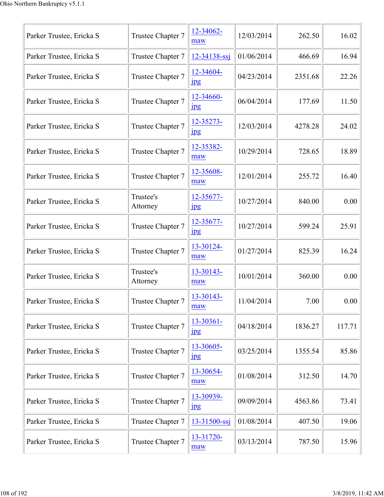| Parker Trustee, Ericka S | Trustee Chapter 7     | 12-34062-<br>maw              | 12/03/2014 | 262.50  | 16.02  |
|--------------------------|-----------------------|-------------------------------|------------|---------|--------|
| Parker Trustee, Ericka S | Trustee Chapter 7     | 12-34138-ssj                  | 01/06/2014 | 466.69  | 16.94  |
| Parker Trustee, Ericka S | Trustee Chapter 7     | 12-34604-<br>$_{\rm 1pg}$     | 04/23/2014 | 2351.68 | 22.26  |
| Parker Trustee, Ericka S | Trustee Chapter 7     | 12-34660-<br>$_{\rm 1pg}$     | 06/04/2014 | 177.69  | 11.50  |
| Parker Trustee, Ericka S | Trustee Chapter 7     | 12-35273-<br>$_{\rm 1\!P\!S}$ | 12/03/2014 | 4278.28 | 24.02  |
| Parker Trustee, Ericka S | Trustee Chapter 7     | 12-35382-<br>maw              | 10/29/2014 | 728.65  | 18.89  |
| Parker Trustee, Ericka S | Trustee Chapter 7     | 12-35608-<br>maw              | 12/01/2014 | 255.72  | 16.40  |
| Parker Trustee, Ericka S | Trustee's<br>Attorney | 12-35677-<br>$_{\rm 1\!P\!S}$ | 10/27/2014 | 840.00  | 0.00   |
| Parker Trustee, Ericka S | Trustee Chapter 7     | 12-35677-<br>$_{\rm 1pg}$     | 10/27/2014 | 599.24  | 25.91  |
| Parker Trustee, Ericka S | Trustee Chapter 7     | 13-30124-<br>maw              | 01/27/2014 | 825.39  | 16.24  |
| Parker Trustee, Ericka S | Trustee's<br>Attorney | 13-30143-<br>maw              | 10/01/2014 | 360.00  | 0.00   |
| Parker Trustee, Ericka S | Trustee Chapter 7     | 13-30143-<br>maw              | 11/04/2014 | 7.00    | 0.00   |
| Parker Trustee, Ericka S | Trustee Chapter 7     | 13-30361-<br>$_{\rm 1\!P\!S}$ | 04/18/2014 | 1836.27 | 117.71 |
| Parker Trustee, Ericka S | Trustee Chapter 7     | 13-30605-<br>$_{\rm 1\!P\!S}$ | 03/25/2014 | 1355.54 | 85.86  |
| Parker Trustee, Ericka S | Trustee Chapter 7     | 13-30654-<br>maw              | 01/08/2014 | 312.50  | 14.70  |
| Parker Trustee, Ericka S | Trustee Chapter 7     | 13-30939-<br>$_{\rm 1\!P\!S}$ | 09/09/2014 | 4563.86 | 73.41  |
| Parker Trustee, Ericka S | Trustee Chapter 7     | 13-31500-ssj                  | 01/08/2014 | 407.50  | 19.06  |
| Parker Trustee, Ericka S | Trustee Chapter 7     | 13-31720-<br>maw              | 03/13/2014 | 787.50  | 15.96  |
|                          |                       |                               |            |         |        |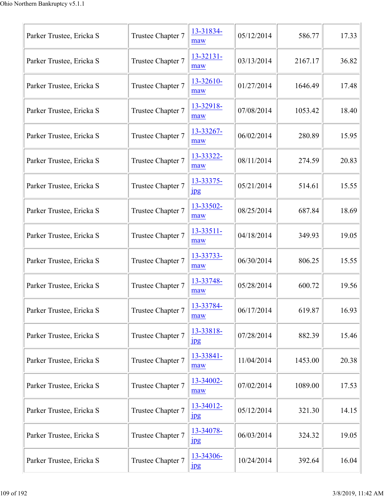| Parker Trustee, Ericka S | Trustee Chapter 7 | 13-31834-<br>maw              | 05/12/2014 | 586.77  | 17.33 |
|--------------------------|-------------------|-------------------------------|------------|---------|-------|
| Parker Trustee, Ericka S | Trustee Chapter 7 | 13-32131-<br>maw              | 03/13/2014 | 2167.17 | 36.82 |
| Parker Trustee, Ericka S | Trustee Chapter 7 | 13-32610-<br>maw              | 01/27/2014 | 1646.49 | 17.48 |
| Parker Trustee, Ericka S | Trustee Chapter 7 | 13-32918-<br>maw              | 07/08/2014 | 1053.42 | 18.40 |
| Parker Trustee, Ericka S | Trustee Chapter 7 | 13-33267-<br>maw              | 06/02/2014 | 280.89  | 15.95 |
| Parker Trustee, Ericka S | Trustee Chapter 7 | 13-33322-<br>maw              | 08/11/2014 | 274.59  | 20.83 |
| Parker Trustee, Ericka S | Trustee Chapter 7 | 13-33375-<br>$_{\rm 1\!P\!S}$ | 05/21/2014 | 514.61  | 15.55 |
| Parker Trustee, Ericka S | Trustee Chapter 7 | 13-33502-<br>maw              | 08/25/2014 | 687.84  | 18.69 |
| Parker Trustee, Ericka S | Trustee Chapter 7 | 13-33511-<br>maw              | 04/18/2014 | 349.93  | 19.05 |
| Parker Trustee, Ericka S | Trustee Chapter 7 | 13-33733-<br>maw              | 06/30/2014 | 806.25  | 15.55 |
| Parker Trustee, Ericka S | Trustee Chapter 7 | 13-33748-<br>maw              | 05/28/2014 | 600.72  | 19.56 |
| Parker Trustee, Ericka S | Trustee Chapter 7 | 13-33784-<br>maw              | 06/17/2014 | 619.87  | 16.93 |
| Parker Trustee, Ericka S | Trustee Chapter 7 | 13-33818-<br>$_{\rm 1\!P\!S}$ | 07/28/2014 | 882.39  | 15.46 |
| Parker Trustee, Ericka S | Trustee Chapter 7 | 13-33841-<br>maw              | 11/04/2014 | 1453.00 | 20.38 |
| Parker Trustee, Ericka S | Trustee Chapter 7 | 13-34002-<br>maw              | 07/02/2014 | 1089.00 | 17.53 |
| Parker Trustee, Ericka S | Trustee Chapter 7 | 13-34012-<br>$_{\rm 1\!P\!S}$ | 05/12/2014 | 321.30  | 14.15 |
| Parker Trustee, Ericka S | Trustee Chapter 7 | 13-34078-<br>$_{\rm 1\!P\!S}$ | 06/03/2014 | 324.32  | 19.05 |
| Parker Trustee, Ericka S | Trustee Chapter 7 | 13-34306-<br>1 <sub>p</sub> g | 10/24/2014 | 392.64  | 16.04 |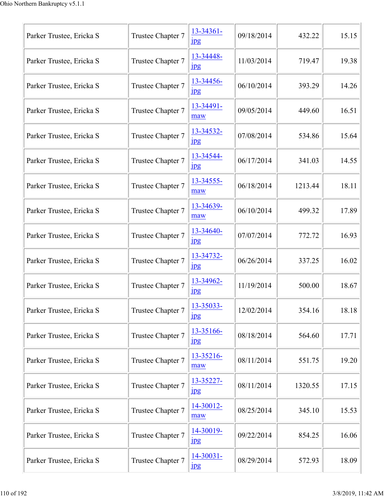| Parker Trustee, Ericka S | Trustee Chapter 7 | 13-34361-<br>$_{\rm 1\!P\!S}$ | 09/18/2014 | 432.22  | 15.15 |
|--------------------------|-------------------|-------------------------------|------------|---------|-------|
| Parker Trustee, Ericka S | Trustee Chapter 7 | 13-34448-<br>$_{\rm 1pg}$     | 11/03/2014 | 719.47  | 19.38 |
| Parker Trustee, Ericka S | Trustee Chapter 7 | 13-34456-<br>$_{\rm 1\,}$     | 06/10/2014 | 393.29  | 14.26 |
| Parker Trustee, Ericka S | Trustee Chapter 7 | 13-34491-<br>maw              | 09/05/2014 | 449.60  | 16.51 |
| Parker Trustee, Ericka S | Trustee Chapter 7 | 13-34532-<br>$_{\rm 1pg}$     | 07/08/2014 | 534.86  | 15.64 |
| Parker Trustee, Ericka S | Trustee Chapter 7 | 13-34544-<br>$_{\rm 1\!P\!S}$ | 06/17/2014 | 341.03  | 14.55 |
| Parker Trustee, Ericka S | Trustee Chapter 7 | 13-34555-<br>maw              | 06/18/2014 | 1213.44 | 18.11 |
| Parker Trustee, Ericka S | Trustee Chapter 7 | 13-34639-<br>maw              | 06/10/2014 | 499.32  | 17.89 |
| Parker Trustee, Ericka S | Trustee Chapter 7 | 13-34640-<br>$_{\rm 1\!P\!S}$ | 07/07/2014 | 772.72  | 16.93 |
| Parker Trustee, Ericka S | Trustee Chapter 7 | 13-34732-<br>$_{\rm 1\!P\!S}$ | 06/26/2014 | 337.25  | 16.02 |
| Parker Trustee, Ericka S | Trustee Chapter 7 | 13-34962-<br>$_{\rm 1pg}$     | 11/19/2014 | 500.00  | 18.67 |
| Parker Trustee, Ericka S | Trustee Chapter 7 | 13-35033-<br>$_{\rm 1pg}$     | 12/02/2014 | 354.16  | 18.18 |
| Parker Trustee, Ericka S | Trustee Chapter 7 | 13-35166-<br>$_{\rm 1\!P\!S}$ | 08/18/2014 | 564.60  | 17.71 |
| Parker Trustee, Ericka S | Trustee Chapter 7 | 13-35216-<br>maw              | 08/11/2014 | 551.75  | 19.20 |
| Parker Trustee, Ericka S | Trustee Chapter 7 | 13-35227-<br>$_{\rm 1\!P\!S}$ | 08/11/2014 | 1320.55 | 17.15 |
| Parker Trustee, Ericka S | Trustee Chapter 7 | 14-30012-<br>maw              | 08/25/2014 | 345.10  | 15.53 |
| Parker Trustee, Ericka S | Trustee Chapter 7 | 14-30019-<br>$_{\rm 1\!P\!S}$ | 09/22/2014 | 854.25  | 16.06 |
| Parker Trustee, Ericka S | Trustee Chapter 7 | 14-30031-<br>$_{\rm 1\!P\!S}$ | 08/29/2014 | 572.93  | 18.09 |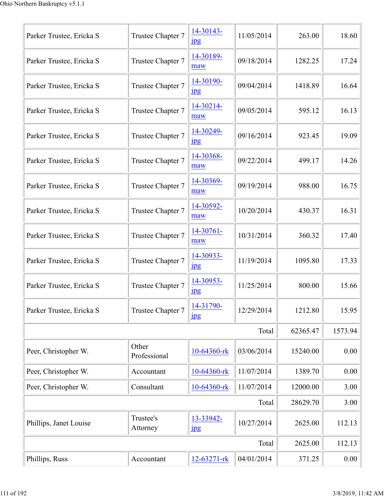| Parker Trustee, Ericka S | Trustee Chapter 7     | 14-30143-<br>$_{\rm 1\!P\!S}$ | 11/05/2014 | 263.00   | 18.60   |
|--------------------------|-----------------------|-------------------------------|------------|----------|---------|
| Parker Trustee, Ericka S | Trustee Chapter 7     | 14-30189-<br>maw              | 09/18/2014 | 1282.25  | 17.24   |
| Parker Trustee, Ericka S | Trustee Chapter 7     | 14-30190-<br>$_{\rm 1\,}$     | 09/04/2014 | 1418.89  | 16.64   |
| Parker Trustee, Ericka S | Trustee Chapter 7     | 14-30214-<br>maw              | 09/05/2014 | 595.12   | 16.13   |
| Parker Trustee, Ericka S | Trustee Chapter 7     | 14-30249-<br>$_{\rm 1pg}$     | 09/16/2014 | 923.45   | 19.09   |
| Parker Trustee, Ericka S | Trustee Chapter 7     | 14-30368-<br>maw              | 09/22/2014 | 499.17   | 14.26   |
| Parker Trustee, Ericka S | Trustee Chapter 7     | 14-30369-<br>maw              | 09/19/2014 | 988.00   | 16.75   |
| Parker Trustee, Ericka S | Trustee Chapter 7     | 14-30592-<br>maw              | 10/20/2014 | 430.37   | 16.31   |
| Parker Trustee, Ericka S | Trustee Chapter 7     | 14-30761-<br>maw              | 10/31/2014 | 360.32   | 17.40   |
| Parker Trustee, Ericka S | Trustee Chapter 7     | 14-30933-<br>jpg              | 11/19/2014 | 1095.80  | 17.33   |
| Parker Trustee, Ericka S | Trustee Chapter 7     | 14-30953-<br>$_{\rm 1pg}$     | 11/25/2014 | 800.00   | 15.66   |
| Parker Trustee, Ericka S | Trustee Chapter 7     | 14-31790-<br>$_{\rm 1\!P\!S}$ | 12/29/2014 | 1212.80  | 15.95   |
|                          |                       |                               | Total      | 62365.47 | 1573.94 |
| Peer, Christopher W.     | Other<br>Professional | 10-64360-rk                   | 03/06/2014 | 15240.00 | 0.00    |
| Peer, Christopher W.     | Accountant            | 10-64360-rk                   | 11/07/2014 | 1389.70  | 0.00    |
| Peer, Christopher W.     | Consultant            | 10-64360-rk                   | 11/07/2014 | 12000.00 | 3.00    |
|                          |                       |                               | Total      | 28629.70 | 3.00    |
| Phillips, Janet Louise   | Trustee's<br>Attorney | 13-33942-<br>$_{\rm 1pg}$     | 10/27/2014 | 2625.00  | 112.13  |
|                          |                       |                               | Total      | 2625.00  | 112.13  |
| Phillips, Russ           | Accountant            | 12-63271-rk                   | 04/01/2014 | 371.25   | 0.00    |
|                          |                       |                               |            |          |         |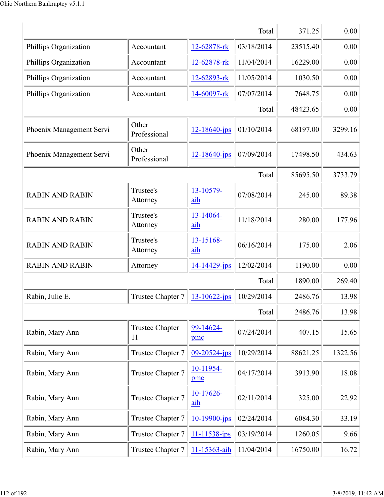|                          | 371.25                       | 0.00               |            |          |         |
|--------------------------|------------------------------|--------------------|------------|----------|---------|
| Phillips Organization    | Accountant                   | 12-62878-rk        | 03/18/2014 | 23515.40 | 0.00    |
| Phillips Organization    | Accountant                   | 12-62878-rk        | 11/04/2014 | 16229.00 | 0.00    |
| Phillips Organization    | Accountant                   | 12-62893-rk        | 11/05/2014 | 1030.50  | 0.00    |
| Phillips Organization    | Accountant                   | 14-60097-rk        | 07/07/2014 | 7648.75  | 0.00    |
|                          |                              |                    | Total      | 48423.65 | 0.00    |
| Phoenix Management Servi | Other<br>Professional        | $12 - 18640$ -jps  | 01/10/2014 | 68197.00 | 3299.16 |
| Phoenix Management Servi | Other<br>Professional        | 12-18640-jps       | 07/09/2014 | 17498.50 | 434.63  |
|                          |                              |                    | Total      | 85695.50 | 3733.79 |
| <b>RABIN AND RABIN</b>   | Trustee's<br>Attorney        | 13-10579-<br>aih   | 07/08/2014 | 245.00   | 89.38   |
| <b>RABIN AND RABIN</b>   | Trustee's<br>Attorney        | 13-14064-<br>aih   | 11/18/2014 | 280.00   | 177.96  |
| <b>RABIN AND RABIN</b>   | Trustee's<br>Attorney        | 13-15168-<br>aih   | 06/16/2014 | 175.00   | 2.06    |
| <b>RABIN AND RABIN</b>   | Attorney                     | 14-14429-jps       | 12/02/2014 | 1190.00  | 0.00    |
|                          |                              |                    | Total      | 1890.00  | 269.40  |
| Rabin, Julie E.          | Trustee Chapter 7            | 13-10622-jps       | 10/29/2014 | 2486.76  | 13.98   |
|                          |                              |                    | Total      | 2486.76  | 13.98   |
| Rabin, Mary Ann          | <b>Trustee Chapter</b><br>11 | 99-14624-<br>pmc   | 07/24/2014 | 407.15   | 15.65   |
| Rabin, Mary Ann          | Trustee Chapter 7            | $09 - 20524 - ips$ | 10/29/2014 | 88621.25 | 1322.56 |
| Rabin, Mary Ann          | Trustee Chapter 7            | 10-11954-<br>pmc   | 04/17/2014 | 3913.90  | 18.08   |
| Rabin, Mary Ann          | Trustee Chapter 7            | 10-17626-<br>aih   | 02/11/2014 | 325.00   | 22.92   |
| Rabin, Mary Ann          | Trustee Chapter 7            | 10-19900-jps       | 02/24/2014 | 6084.30  | 33.19   |
| Rabin, Mary Ann          | Trustee Chapter 7            | 11-11538-jps       | 03/19/2014 | 1260.05  | 9.66    |
| Rabin, Mary Ann          | Trustee Chapter 7            | 11-15363-aih       | 11/04/2014 | 16750.00 | 16.72   |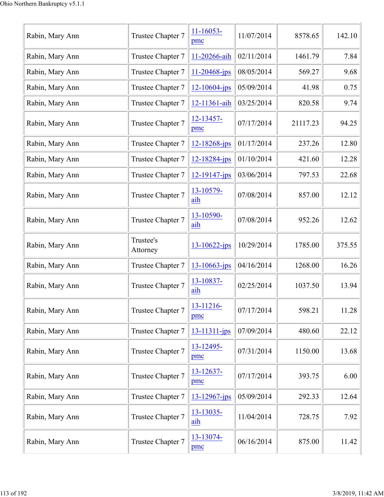| Rabin, Mary Ann | Trustee Chapter 7     | $11 - 16053 -$<br>pmc | 11/07/2014 | 8578.65  | 142.10 |
|-----------------|-----------------------|-----------------------|------------|----------|--------|
| Rabin, Mary Ann | Trustee Chapter 7     | 11-20266-aih          | 02/11/2014 | 1461.79  | 7.84   |
| Rabin, Mary Ann | Trustee Chapter 7     | 11-20468-jps          | 08/05/2014 | 569.27   | 9.68   |
| Rabin, Mary Ann | Trustee Chapter 7     | $12 - 10604 - ips$    | 05/09/2014 | 41.98    | 0.75   |
| Rabin, Mary Ann | Trustee Chapter 7     | 12-11361-aih          | 03/25/2014 | 820.58   | 9.74   |
| Rabin, Mary Ann | Trustee Chapter 7     | 12-13457-<br>pmc      | 07/17/2014 | 21117.23 | 94.25  |
| Rabin, Mary Ann | Trustee Chapter 7     | 12-18268-jps          | 01/17/2014 | 237.26   | 12.80  |
| Rabin, Mary Ann | Trustee Chapter 7     | $12 - 18284$ -jps     | 01/10/2014 | 421.60   | 12.28  |
| Rabin, Mary Ann | Trustee Chapter 7     | $12 - 19147$ -jps     | 03/06/2014 | 797.53   | 22.68  |
| Rabin, Mary Ann | Trustee Chapter 7     | 13-10579-<br>aih      | 07/08/2014 | 857.00   | 12.12  |
| Rabin, Mary Ann | Trustee Chapter 7     | 13-10590-<br>aih      | 07/08/2014 | 952.26   | 12.62  |
| Rabin, Mary Ann | Trustee's<br>Attorney | $13 - 10622 - ips$    | 10/29/2014 | 1785.00  | 375.55 |
| Rabin, Mary Ann | Trustee Chapter 7     | $13 - 10663$ -jps     | 04/16/2014 | 1268.00  | 16.26  |
| Rabin, Mary Ann | Trustee Chapter 7     | 13-10837-<br>aih      | 02/25/2014 | 1037.50  | 13.94  |
| Rabin, Mary Ann | Trustee Chapter 7     | 13-11216-<br>pmc      | 07/17/2014 | 598.21   | 11.28  |
| Rabin, Mary Ann | Trustee Chapter 7     | 13-11311-jps          | 07/09/2014 | 480.60   | 22.12  |
| Rabin, Mary Ann | Trustee Chapter 7     | 13-12495-<br>pmc      | 07/31/2014 | 1150.00  | 13.68  |
| Rabin, Mary Ann | Trustee Chapter 7     | 13-12637-<br>pmc      | 07/17/2014 | 393.75   | 6.00   |
| Rabin, Mary Ann | Trustee Chapter 7     | $13 - 12967$ -jps     | 05/09/2014 | 292.33   | 12.64  |
| Rabin, Mary Ann | Trustee Chapter 7     | 13-13035-<br>aih      | 11/04/2014 | 728.75   | 7.92   |
| Rabin, Mary Ann | Trustee Chapter 7     | 13-13074-<br>pmc      | 06/16/2014 | 875.00   | 11.42  |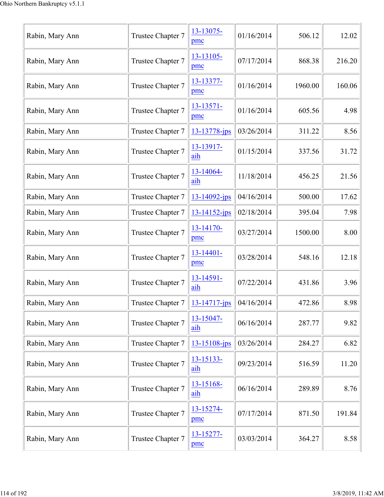| Rabin, Mary Ann | Trustee Chapter 7                                                                             | 13-13075-<br>pmc      | 01/16/2014 | 506.12  | 12.02  |
|-----------------|-----------------------------------------------------------------------------------------------|-----------------------|------------|---------|--------|
| Rabin, Mary Ann | Trustee Chapter 7                                                                             | 13-13105-<br>pmc      | 07/17/2014 | 868.38  | 216.20 |
| Rabin, Mary Ann | Trustee Chapter 7                                                                             | 13-13377-<br>pmc      | 01/16/2014 | 1960.00 | 160.06 |
| Rabin, Mary Ann | Trustee Chapter 7                                                                             | 13-13571-<br>pmc      | 01/16/2014 | 605.56  | 4.98   |
| Rabin, Mary Ann | Trustee Chapter 7                                                                             | 13-13778-jps          | 03/26/2014 | 311.22  | 8.56   |
| Rabin, Mary Ann | Trustee Chapter 7                                                                             | 13-13917-<br>aih      | 01/15/2014 | 337.56  | 31.72  |
| Rabin, Mary Ann | Trustee Chapter 7                                                                             | 13-14064-<br>aih      | 11/18/2014 | 456.25  | 21.56  |
| Rabin, Mary Ann | Trustee Chapter 7                                                                             | $13 - 14092$ -jps     | 04/16/2014 | 500.00  | 17.62  |
| Rabin, Mary Ann | Trustee Chapter 7                                                                             | $13 - 14152 - ips$    | 02/18/2014 | 395.04  | 7.98   |
| Rabin, Mary Ann | Trustee Chapter 7                                                                             | 13-14170-<br>pmc      | 03/27/2014 | 1500.00 | 8.00   |
| Rabin, Mary Ann | Trustee Chapter 7                                                                             | $13 - 14401 -$<br>pmc | 03/28/2014 | 548.16  | 12.18  |
| Rabin, Mary Ann | Trustee Chapter 7                                                                             | 13-14591-<br>aih      | 07/22/2014 | 431.86  | 3.96   |
| Rabin, Mary Ann | Trustee Chapter 7 $\left  \frac{13-14717-\text{jps}}{13-14717-\text{jps}} \right $ 04/16/2014 |                       |            | 472.86  | 8.98   |
| Rabin, Mary Ann | Trustee Chapter 7                                                                             | 13-15047-<br>aih      | 06/16/2014 | 287.77  | 9.82   |
| Rabin, Mary Ann | Trustee Chapter 7                                                                             | 13-15108-jps          | 03/26/2014 | 284.27  | 6.82   |
| Rabin, Mary Ann | Trustee Chapter 7                                                                             | 13-15133-<br>aih      | 09/23/2014 | 516.59  | 11.20  |
| Rabin, Mary Ann | Trustee Chapter 7                                                                             | 13-15168-<br>aih      | 06/16/2014 | 289.89  | 8.76   |
| Rabin, Mary Ann | Trustee Chapter 7                                                                             | 13-15274-<br>pmc      | 07/17/2014 | 871.50  | 191.84 |
| Rabin, Mary Ann | Trustee Chapter 7                                                                             | 13-15277-<br>pmc      | 03/03/2014 | 364.27  | 8.58   |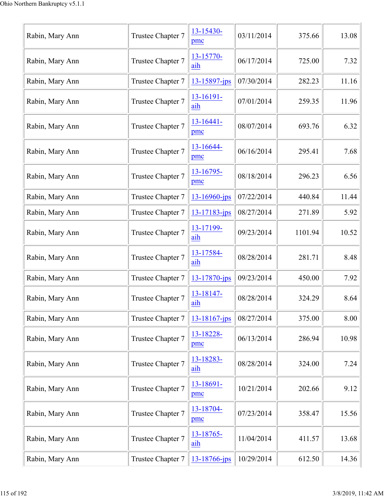| Rabin, Mary Ann | Trustee Chapter 7 | 13-15430-<br>pmc      | 03/11/2014 | 375.66  | 13.08 |
|-----------------|-------------------|-----------------------|------------|---------|-------|
| Rabin, Mary Ann | Trustee Chapter 7 | 13-15770-<br>aih      | 06/17/2014 | 725.00  | 7.32  |
| Rabin, Mary Ann | Trustee Chapter 7 | 13-15897-jps          | 07/30/2014 | 282.23  | 11.16 |
| Rabin, Mary Ann | Trustee Chapter 7 | 13-16191-<br>aih      | 07/01/2014 | 259.35  | 11.96 |
| Rabin, Mary Ann | Trustee Chapter 7 | $13 - 16441 -$<br>pmc | 08/07/2014 | 693.76  | 6.32  |
| Rabin, Mary Ann | Trustee Chapter 7 | 13-16644-<br>pmc      | 06/16/2014 | 295.41  | 7.68  |
| Rabin, Mary Ann | Trustee Chapter 7 | 13-16795-<br>pmc      | 08/18/2014 | 296.23  | 6.56  |
| Rabin, Mary Ann | Trustee Chapter 7 | $13 - 16960$ -jps     | 07/22/2014 | 440.84  | 11.44 |
| Rabin, Mary Ann | Trustee Chapter 7 | $13 - 17183 - ips$    | 08/27/2014 | 271.89  | 5.92  |
| Rabin, Mary Ann | Trustee Chapter 7 | 13-17199-<br>aih      | 09/23/2014 | 1101.94 | 10.52 |
| Rabin, Mary Ann | Trustee Chapter 7 | 13-17584-<br>aih      | 08/28/2014 | 281.71  | 8.48  |
| Rabin, Mary Ann | Trustee Chapter 7 | 13-17870-jps          | 09/23/2014 | 450.00  | 7.92  |
| Rabin, Mary Ann | Trustee Chapter 7 | 13-18147-<br>aih      | 08/28/2014 | 324.29  | 8.64  |
| Rabin, Mary Ann | Trustee Chapter 7 | 13-18167-jps          | 08/27/2014 | 375.00  | 8.00  |
| Rabin, Mary Ann | Trustee Chapter 7 | 13-18228-<br>pmc      | 06/13/2014 | 286.94  | 10.98 |
| Rabin, Mary Ann | Trustee Chapter 7 | 13-18283-<br>aih      | 08/28/2014 | 324.00  | 7.24  |
| Rabin, Mary Ann | Trustee Chapter 7 | 13-18691-<br>pmc      | 10/21/2014 | 202.66  | 9.12  |
| Rabin, Mary Ann | Trustee Chapter 7 | 13-18704-<br>pmc      | 07/23/2014 | 358.47  | 15.56 |
| Rabin, Mary Ann | Trustee Chapter 7 | 13-18765-<br>aih      | 11/04/2014 | 411.57  | 13.68 |
| Rabin, Mary Ann | Trustee Chapter 7 | 13-18766-jps          | 10/29/2014 | 612.50  | 14.36 |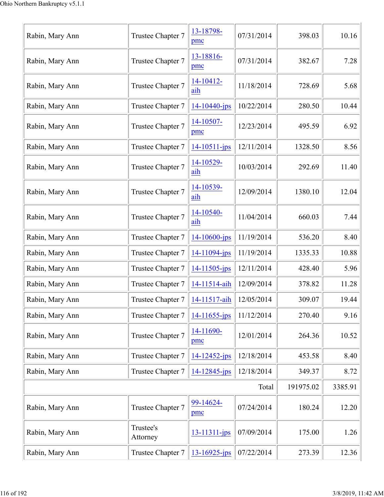| Rabin, Mary Ann | Trustee Chapter 7     | 13-18798-<br>pmc   | 07/31/2014 | 398.03    | 10.16   |
|-----------------|-----------------------|--------------------|------------|-----------|---------|
| Rabin, Mary Ann | Trustee Chapter 7     | 13-18816-<br>pmc   | 07/31/2014 | 382.67    | 7.28    |
| Rabin, Mary Ann | Trustee Chapter 7     | 14-10412-<br>aih   | 11/18/2014 | 728.69    | 5.68    |
| Rabin, Mary Ann | Trustee Chapter 7     | 14-10440-jps       | 10/22/2014 | 280.50    | 10.44   |
| Rabin, Mary Ann | Trustee Chapter 7     | 14-10507-<br>pmc   | 12/23/2014 | 495.59    | 6.92    |
| Rabin, Mary Ann | Trustee Chapter 7     | 14-10511-jps       | 12/11/2014 | 1328.50   | 8.56    |
| Rabin, Mary Ann | Trustee Chapter 7     | 14-10529-<br>aih   | 10/03/2014 | 292.69    | 11.40   |
| Rabin, Mary Ann | Trustee Chapter 7     | 14-10539-<br>aih   | 12/09/2014 | 1380.10   | 12.04   |
| Rabin, Mary Ann | Trustee Chapter 7     | 14-10540-<br>aih   | 11/04/2014 | 660.03    | 7.44    |
| Rabin, Mary Ann | Trustee Chapter 7     | $14 - 10600 - ips$ | 11/19/2014 | 536.20    | 8.40    |
| Rabin, Mary Ann | Trustee Chapter 7     | 14-11094-jps       | 11/19/2014 | 1335.33   | 10.88   |
| Rabin, Mary Ann | Trustee Chapter 7     | 14-11505-jps       | 12/11/2014 | 428.40    | 5.96    |
| Rabin, Mary Ann | Trustee Chapter 7     | 14-11514-aih       | 12/09/2014 | 378.82    | 11.28   |
| Rabin, Mary Ann | Trustee Chapter 7     | 14-11517-aih       | 12/05/2014 | 309.07    | 19.44   |
| Rabin, Mary Ann | Trustee Chapter 7     | $14 - 11655$ -jps  | 11/12/2014 | 270.40    | 9.16    |
| Rabin, Mary Ann | Trustee Chapter 7     | 14-11690-<br>pmc   | 12/01/2014 | 264.36    | 10.52   |
| Rabin, Mary Ann | Trustee Chapter 7     | $14 - 12452 - ips$ | 12/18/2014 | 453.58    | 8.40    |
| Rabin, Mary Ann | Trustee Chapter 7     | 14-12845-jps       | 12/18/2014 | 349.37    | 8.72    |
|                 |                       |                    | Total      | 191975.02 | 3385.91 |
| Rabin, Mary Ann | Trustee Chapter 7     | 99-14624-<br>pmc   | 07/24/2014 | 180.24    | 12.20   |
| Rabin, Mary Ann | Trustee's<br>Attorney | 13-11311-jps       | 07/09/2014 | 175.00    | 1.26    |
| Rabin, Mary Ann | Trustee Chapter 7     | $13 - 16925$ -jps  | 07/22/2014 | 273.39    | 12.36   |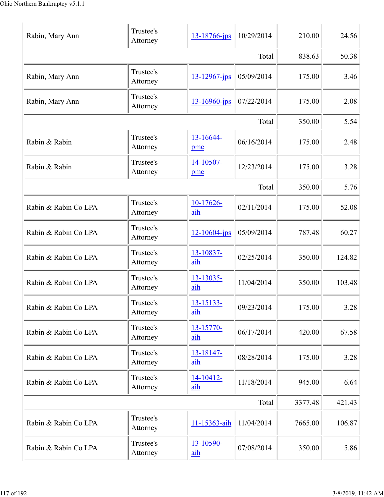| Rabin, Mary Ann      | Trustee's<br>Attorney | 13-18766-jps          | 10/29/2014 | 210.00  | 24.56  |
|----------------------|-----------------------|-----------------------|------------|---------|--------|
|                      |                       |                       | Total      | 838.63  | 50.38  |
| Rabin, Mary Ann      | Trustee's<br>Attorney | 13-12967-jps          | 05/09/2014 | 175.00  | 3.46   |
| Rabin, Mary Ann      | Trustee's<br>Attorney | $13 - 16960 - ips$    | 07/22/2014 | 175.00  | 2.08   |
|                      |                       |                       | Total      | 350.00  | 5.54   |
| Rabin & Rabin        | Trustee's<br>Attorney | 13-16644-<br>pmc      | 06/16/2014 | 175.00  | 2.48   |
| Rabin & Rabin        | Trustee's<br>Attorney | 14-10507-<br>pmc      | 12/23/2014 | 175.00  | 3.28   |
|                      |                       |                       | Total      | 350.00  | 5.76   |
| Rabin & Rabin Co LPA | Trustee's<br>Attorney | 10-17626-<br>aih      | 02/11/2014 | 175.00  | 52.08  |
| Rabin & Rabin Co LPA | Trustee's<br>Attorney | $12 - 10604 - ips$    | 05/09/2014 | 787.48  | 60.27  |
| Rabin & Rabin Co LPA | Trustee's<br>Attorney | 13-10837-<br>aih      | 02/25/2014 | 350.00  | 124.82 |
| Rabin & Rabin Co LPA | Trustee's<br>Attorney | 13-13035-<br>aih      | 11/04/2014 | 350.00  | 103.48 |
| Rabin & Rabin Co LPA | Trustee's<br>Attorney | 13-15133-<br>aih      | 09/23/2014 | 175.00  | 3.28   |
| Rabin & Rabin Co LPA | Trustee's<br>Attorney | 13-15770-<br>aih      | 06/17/2014 | 420.00  | 67.58  |
| Rabin & Rabin Co LPA | Trustee's<br>Attorney | 13-18147-<br>aih      | 08/28/2014 | 175.00  | 3.28   |
| Rabin & Rabin Co LPA | Trustee's<br>Attorney | $14 - 10412 -$<br>aih | 11/18/2014 | 945.00  | 6.64   |
|                      |                       |                       | Total      | 3377.48 | 421.43 |
| Rabin & Rabin Co LPA | Trustee's<br>Attorney | 11-15363-aih          | 11/04/2014 | 7665.00 | 106.87 |
| Rabin & Rabin Co LPA | Trustee's<br>Attorney | 13-10590-<br>aih      | 07/08/2014 | 350.00  | 5.86   |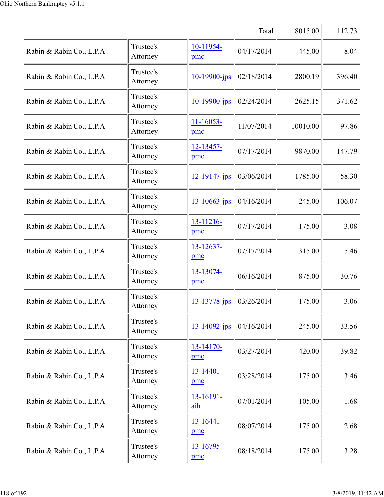|                          |                       |                                          | Total      | 8015.00  | 112.73 |
|--------------------------|-----------------------|------------------------------------------|------------|----------|--------|
| Rabin & Rabin Co., L.P.A | Trustee's<br>Attorney | 10-11954-<br>pmc                         | 04/17/2014 | 445.00   | 8.04   |
| Rabin & Rabin Co., L.P.A | Trustee's<br>Attorney | 10-19900-jps                             | 02/18/2014 | 2800.19  | 396.40 |
| Rabin & Rabin Co., L.P.A | Trustee's<br>Attorney | $10 - 19900 - ips$                       | 02/24/2014 | 2625.15  | 371.62 |
| Rabin & Rabin Co., L.P.A | Trustee's<br>Attorney | $11 - 16053 -$<br>pmc                    | 11/07/2014 | 10010.00 | 97.86  |
| Rabin & Rabin Co., L.P.A | Trustee's<br>Attorney | 12-13457-<br>pmc                         | 07/17/2014 | 9870.00  | 147.79 |
| Rabin & Rabin Co., L.P.A | Trustee's<br>Attorney | $12 - 19147 - ips$                       | 03/06/2014 | 1785.00  | 58.30  |
| Rabin & Rabin Co., L.P.A | Trustee's<br>Attorney | 13-10663-jps                             | 04/16/2014 | 245.00   | 106.07 |
| Rabin & Rabin Co., L.P.A | Trustee's<br>Attorney | 13-11216-<br>pmc                         | 07/17/2014 | 175.00   | 3.08   |
| Rabin & Rabin Co., L.P.A | Trustee's<br>Attorney | 13-12637-<br>pmc                         | 07/17/2014 | 315.00   | 5.46   |
| Rabin & Rabin Co., L.P.A | Trustee's<br>Attorney | 13-13074-<br>pmc                         | 06/16/2014 | 875.00   | 30.76  |
| Rabin & Rabin Co., L.P.A | Trustee's<br>Attorney | $13-13778$ -jps $\vert 03/26/2014 \vert$ |            | 175.00   | 3.06   |
| Rabin & Rabin Co., L.P.A | Trustee's<br>Attorney | $13 - 14092 - ips$                       | 04/16/2014 | 245.00   | 33.56  |
| Rabin & Rabin Co., L.P.A | Trustee's<br>Attorney | 13-14170-<br>pmc                         | 03/27/2014 | 420.00   | 39.82  |
| Rabin & Rabin Co., L.P.A | Trustee's<br>Attorney | 13-14401-<br>pmc                         | 03/28/2014 | 175.00   | 3.46   |
| Rabin & Rabin Co., L.P.A | Trustee's<br>Attorney | 13-16191-<br>aih                         | 07/01/2014 | 105.00   | 1.68   |
| Rabin & Rabin Co., L.P.A | Trustee's<br>Attorney | $13 - 16441 -$<br>pmc                    | 08/07/2014 | 175.00   | 2.68   |
| Rabin & Rabin Co., L.P.A | Trustee's<br>Attorney | 13-16795-<br>pmc                         | 08/18/2014 | 175.00   | 3.28   |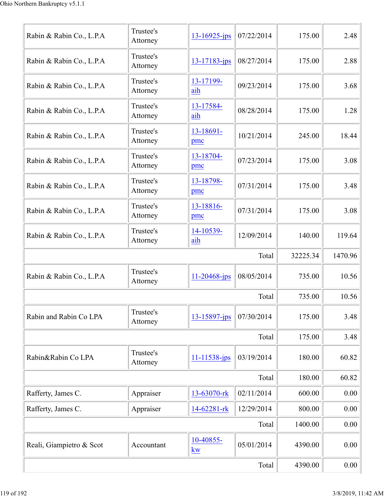| Rabin & Rabin Co., L.P.A | Trustee's<br>Attorney | $13 - 16925$ -jps             | 07/22/2014 | 175.00   | 2.48    |
|--------------------------|-----------------------|-------------------------------|------------|----------|---------|
| Rabin & Rabin Co., L.P.A | Trustee's<br>Attorney | $13 - 17183$ -jps             | 08/27/2014 | 175.00   | 2.88    |
| Rabin & Rabin Co., L.P.A | Trustee's<br>Attorney | 13-17199-<br>aih              | 09/23/2014 | 175.00   | 3.68    |
| Rabin & Rabin Co., L.P.A | Trustee's<br>Attorney | 13-17584-<br>aih              | 08/28/2014 | 175.00   | 1.28    |
| Rabin & Rabin Co., L.P.A | Trustee's<br>Attorney | 13-18691-<br>pmc              | 10/21/2014 | 245.00   | 18.44   |
| Rabin & Rabin Co., L.P.A | Trustee's<br>Attorney | 13-18704-<br>pmc              | 07/23/2014 | 175.00   | 3.08    |
| Rabin & Rabin Co., L.P.A | Trustee's<br>Attorney | 13-18798-<br>pmc              | 07/31/2014 | 175.00   | 3.48    |
| Rabin & Rabin Co., L.P.A | Trustee's<br>Attorney | 13-18816-<br>pmc              | 07/31/2014 | 175.00   | 3.08    |
| Rabin & Rabin Co., L.P.A | Trustee's<br>Attorney | 14-10539-<br>aih              | 12/09/2014 | 140.00   | 119.64  |
|                          |                       |                               | Total      | 32225.34 | 1470.96 |
| Rabin & Rabin Co., L.P.A | Trustee's<br>Attorney | $11 - 20468$ -jps             | 08/05/2014 | 735.00   | 10.56   |
|                          |                       |                               | Total      | 735.00   | 10.56   |
| Rabin and Rabin Co LPA   | Trustee's<br>Attorney | 13-15897-jps                  | 07/30/2014 | 175.00   | 3.48    |
|                          |                       |                               | Total      | 175.00   | 3.48    |
| Rabin&Rabin Co LPA       | Trustee's<br>Attorney | 11-11538-jps                  | 03/19/2014 | 180.00   | 60.82   |
|                          |                       |                               | Total      | 180.00   | 60.82   |
| Rafferty, James C.       | Appraiser             | 13-63070-rk                   | 02/11/2014 | 600.00   | 0.00    |
| Rafferty, James C.       | Appraiser             | 14-62281-rk                   | 12/29/2014 | 800.00   | 0.00    |
|                          |                       |                               | Total      | 1400.00  | 0.00    |
| Reali, Giampietro & Scot | Accountant            | 10-40855-<br>$k\underline{w}$ | 05/01/2014 | 4390.00  | 0.00    |
|                          |                       |                               |            |          |         |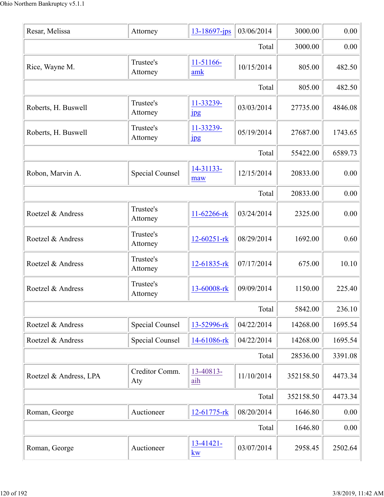| Resar, Melissa         | Attorney               | $13 - 18697$ -jps                   | 03/06/2014 | 3000.00   | 0.00    |
|------------------------|------------------------|-------------------------------------|------------|-----------|---------|
|                        | 3000.00                | 0.00                                |            |           |         |
| Rice, Wayne M.         | Trustee's<br>Attorney  | 11-51166-<br>amk                    | 10/15/2014 | 805.00    | 482.50  |
|                        |                        |                                     | Total      | 805.00    | 482.50  |
| Roberts, H. Buswell    | Trustee's<br>Attorney  | 11-33239-<br>$_{\rm 1\,}$           | 03/03/2014 | 27735.00  | 4846.08 |
| Roberts, H. Buswell    | Trustee's<br>Attorney  | 11-33239-<br>$_{\rm 1\,}$           | 05/19/2014 | 27687.00  | 1743.65 |
|                        |                        |                                     | Total      | 55422.00  | 6589.73 |
| Robon, Marvin A.       | <b>Special Counsel</b> | 14-31133-<br>maw                    | 12/15/2014 | 20833.00  | 0.00    |
|                        |                        |                                     | Total      | 20833.00  | 0.00    |
| Roetzel & Andress      | Trustee's<br>Attorney  | 11-62266-rk                         | 03/24/2014 | 2325.00   | 0.00    |
| Roetzel & Andress      | Trustee's<br>Attorney  | $12 - 60251 - rk$                   | 08/29/2014 | 1692.00   | 0.60    |
| Roetzel & Andress      | Trustee's<br>Attorney  | 12-61835-rk                         | 07/17/2014 | 675.00    | 10.10   |
| Roetzel & Andress      | Trustee's<br>Attorney  | 13-60008-rk                         | 09/09/2014 | 1150.00   | 225.40  |
|                        |                        |                                     | Total      | 5842.00   | 236.10  |
| Roetzel & Andress      | <b>Special Counsel</b> | 13-52996-rk                         | 04/22/2014 | 14268.00  | 1695.54 |
| Roetzel & Andress      | <b>Special Counsel</b> | 14-61086-rk                         | 04/22/2014 | 14268.00  | 1695.54 |
|                        |                        |                                     | Total      | 28536.00  | 3391.08 |
| Roetzel & Andress, LPA | Creditor Comm.<br>Aty  | 13-40813-<br>aih                    | 11/10/2014 | 352158.50 | 4473.34 |
|                        |                        |                                     | Total      | 352158.50 | 4473.34 |
| Roman, George          | Auctioneer             | 12-61775-rk                         | 08/20/2014 | 1646.80   | 0.00    |
|                        |                        |                                     | Total      | 1646.80   | 0.00    |
| Roman, George          | Auctioneer             | $13-41421-$<br>$\underline{\bf kw}$ | 03/07/2014 | 2958.45   | 2502.64 |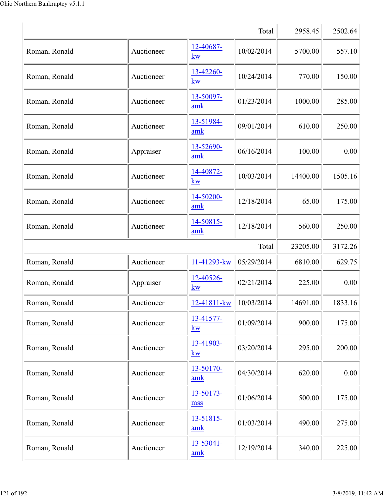|               |            |                                | Total      | 2958.45  | 2502.64 |
|---------------|------------|--------------------------------|------------|----------|---------|
| Roman, Ronald | Auctioneer | 12-40687-<br>kw                | 10/02/2014 | 5700.00  | 557.10  |
| Roman, Ronald | Auctioneer | 13-42260-<br>kw                | 10/24/2014 | 770.00   | 150.00  |
| Roman, Ronald | Auctioneer | 13-50097-<br>amk               | 01/23/2014 | 1000.00  | 285.00  |
| Roman, Ronald | Auctioneer | 13-51984-<br>amk               | 09/01/2014 | 610.00   | 250.00  |
| Roman, Ronald | Appraiser  | 13-52690-<br>amk               | 06/16/2014 | 100.00   | 0.00    |
| Roman, Ronald | Auctioneer | 14-40872-<br>kw                | 10/03/2014 | 14400.00 | 1505.16 |
| Roman, Ronald | Auctioneer | 14-50200-<br>amk               | 12/18/2014 | 65.00    | 175.00  |
| Roman, Ronald | Auctioneer | 14-50815-<br>amk               | 12/18/2014 | 560.00   | 250.00  |
|               |            |                                | Total      | 23205.00 | 3172.26 |
| Roman, Ronald | Auctioneer | 11-41293-kw                    | 05/29/2014 | 6810.00  | 629.75  |
| Roman, Ronald | Appraiser  | 12-40526-<br>kw                | 02/21/2014 | 225.00   | 0.00    |
| Roman, Ronald | Auctioneer | $12 - 41811 - kw$   10/03/2014 |            | 14691.00 | 1833.16 |
| Roman, Ronald | Auctioneer | 13-41577-<br>kw                | 01/09/2014 | 900.00   | 175.00  |
| Roman, Ronald | Auctioneer | 13-41903-<br>kw                | 03/20/2014 | 295.00   | 200.00  |
| Roman, Ronald | Auctioneer | 13-50170-<br>amk               | 04/30/2014 | 620.00   | 0.00    |
| Roman, Ronald | Auctioneer | 13-50173-<br>mss               | 01/06/2014 | 500.00   | 175.00  |
| Roman, Ronald | Auctioneer | 13-51815-<br>amk               | 01/03/2014 | 490.00   | 275.00  |
| Roman, Ronald | Auctioneer | 13-53041-<br>amk               | 12/19/2014 | 340.00   | 225.00  |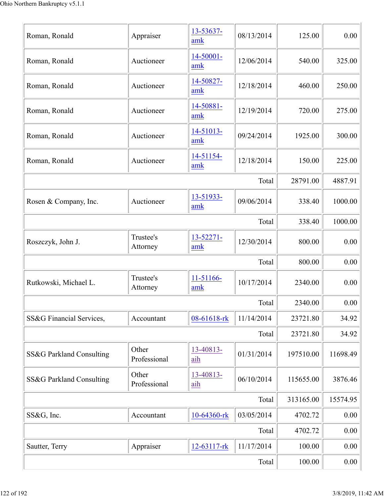| Roman, Ronald            | Appraiser             | 13-53637-<br>amk      | 08/13/2014 | 125.00    | 0.00     |  |  |
|--------------------------|-----------------------|-----------------------|------------|-----------|----------|--|--|
| Roman, Ronald            | Auctioneer            | 14-50001-<br>amk      | 12/06/2014 | 540.00    | 325.00   |  |  |
| Roman, Ronald            | Auctioneer            | 14-50827-<br>amk      | 12/18/2014 | 460.00    | 250.00   |  |  |
| Roman, Ronald            | Auctioneer            | 14-50881-<br>amk      | 12/19/2014 | 720.00    | 275.00   |  |  |
| Roman, Ronald            | Auctioneer            | 14-51013-<br>amk      | 09/24/2014 | 1925.00   | 300.00   |  |  |
| Roman, Ronald            | Auctioneer            | 14-51154-<br>amk      | 12/18/2014 | 150.00    | 225.00   |  |  |
|                          |                       |                       | Total      | 28791.00  | 4887.91  |  |  |
| Rosen & Company, Inc.    | Auctioneer            | 13-51933-<br>amk      | 09/06/2014 | 338.40    | 1000.00  |  |  |
|                          |                       |                       | Total      | 338.40    | 1000.00  |  |  |
| Roszczyk, John J.        | Trustee's<br>Attorney | $13 - 52271 -$<br>amk | 12/30/2014 | 800.00    | 0.00     |  |  |
|                          |                       |                       | Total      | 800.00    | 0.00     |  |  |
| Rutkowski, Michael L.    | Trustee's<br>Attorney | 11-51166-<br>amk      | 10/17/2014 | 2340.00   | 0.00     |  |  |
|                          |                       |                       | Total      | 2340.00   | $0.00\,$ |  |  |
| SS&G Financial Services, | Accountant            | 08-61618-rk           | 11/14/2014 | 23721.80  | 34.92    |  |  |
|                          |                       |                       | Total      | 23721.80  | 34.92    |  |  |
| SS&G Parkland Consulting | Other<br>Professional | 13-40813-<br>aih      | 01/31/2014 | 197510.00 | 11698.49 |  |  |
| SS&G Parkland Consulting | Other<br>Professional | 13-40813-<br>aih      | 06/10/2014 | 115655.00 | 3876.46  |  |  |
|                          |                       |                       | Total      | 313165.00 | 15574.95 |  |  |
| SS&G, Inc.               | Accountant            | 10-64360-rk           | 03/05/2014 | 4702.72   | 0.00     |  |  |
|                          |                       |                       | Total      | 4702.72   | 0.00     |  |  |
| Sautter, Terry           | Appraiser             | $12 - 63117 -$ rk     | 11/17/2014 | 100.00    | 0.00     |  |  |
|                          | Total                 |                       |            |           |          |  |  |
|                          |                       |                       |            |           |          |  |  |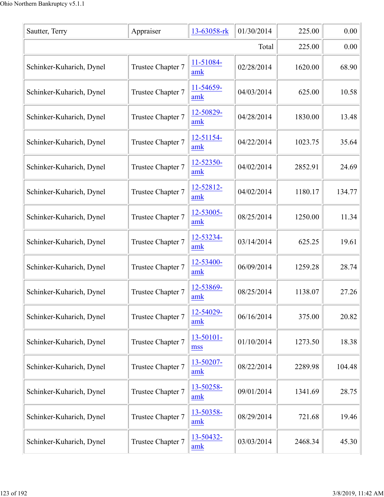| Sautter, Terry           | Appraiser         | 13-63058-rk      | 01/30/2014 | 225.00  | 0.00   |  |
|--------------------------|-------------------|------------------|------------|---------|--------|--|
|                          | Total             |                  |            |         |        |  |
| Schinker-Kuharich, Dynel | Trustee Chapter 7 | 11-51084-<br>amk | 02/28/2014 | 1620.00 | 68.90  |  |
| Schinker-Kuharich, Dynel | Trustee Chapter 7 | 11-54659-<br>amk | 04/03/2014 | 625.00  | 10.58  |  |
| Schinker-Kuharich, Dynel | Trustee Chapter 7 | 12-50829-<br>amk | 04/28/2014 | 1830.00 | 13.48  |  |
| Schinker-Kuharich, Dynel | Trustee Chapter 7 | 12-51154-<br>amk | 04/22/2014 | 1023.75 | 35.64  |  |
| Schinker-Kuharich, Dynel | Trustee Chapter 7 | 12-52350-<br>amk | 04/02/2014 | 2852.91 | 24.69  |  |
| Schinker-Kuharich, Dynel | Trustee Chapter 7 | 12-52812-<br>amk | 04/02/2014 | 1180.17 | 134.77 |  |
| Schinker-Kuharich, Dynel | Trustee Chapter 7 | 12-53005-<br>amk | 08/25/2014 | 1250.00 | 11.34  |  |
| Schinker-Kuharich, Dynel | Trustee Chapter 7 | 12-53234-<br>amk | 03/14/2014 | 625.25  | 19.61  |  |
| Schinker-Kuharich, Dynel | Trustee Chapter 7 | 12-53400-<br>amk | 06/09/2014 | 1259.28 | 28.74  |  |
| Schinker-Kuharich, Dynel | Trustee Chapter 7 | 12-53869-<br>amk | 08/25/2014 | 1138.07 | 27.26  |  |
| Schinker-Kuharich, Dynel | Trustee Chapter 7 | 12-54029-<br>amk | 06/16/2014 | 375.00  | 20.82  |  |
| Schinker-Kuharich, Dynel | Trustee Chapter 7 | 13-50101-<br>mss | 01/10/2014 | 1273.50 | 18.38  |  |
| Schinker-Kuharich, Dynel | Trustee Chapter 7 | 13-50207-<br>amk | 08/22/2014 | 2289.98 | 104.48 |  |
| Schinker-Kuharich, Dynel | Trustee Chapter 7 | 13-50258-<br>amk | 09/01/2014 | 1341.69 | 28.75  |  |
| Schinker-Kuharich, Dynel | Trustee Chapter 7 | 13-50358-<br>amk | 08/29/2014 | 721.68  | 19.46  |  |
| Schinker-Kuharich, Dynel | Trustee Chapter 7 | 13-50432-<br>amk | 03/03/2014 | 2468.34 | 45.30  |  |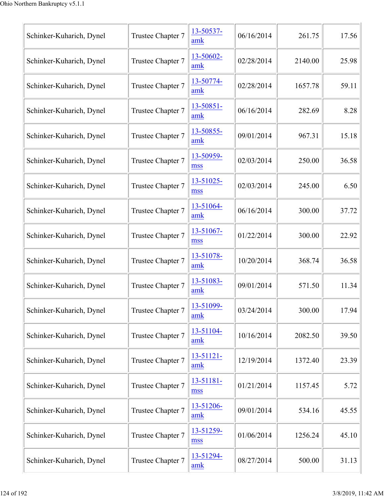| Schinker-Kuharich, Dynel | Trustee Chapter 7 | 13-50537-<br>amk      | 06/16/2014 | 261.75  | 17.56 |
|--------------------------|-------------------|-----------------------|------------|---------|-------|
| Schinker-Kuharich, Dynel | Trustee Chapter 7 | 13-50602-<br>amk      | 02/28/2014 | 2140.00 | 25.98 |
| Schinker-Kuharich, Dynel | Trustee Chapter 7 | 13-50774-<br>amk      | 02/28/2014 | 1657.78 | 59.11 |
| Schinker-Kuharich, Dynel | Trustee Chapter 7 | 13-50851-<br>amk      | 06/16/2014 | 282.69  | 8.28  |
| Schinker-Kuharich, Dynel | Trustee Chapter 7 | 13-50855-<br>amk      | 09/01/2014 | 967.31  | 15.18 |
| Schinker-Kuharich, Dynel | Trustee Chapter 7 | 13-50959-<br>mss      | 02/03/2014 | 250.00  | 36.58 |
| Schinker-Kuharich, Dynel | Trustee Chapter 7 | 13-51025-<br>mss      | 02/03/2014 | 245.00  | 6.50  |
| Schinker-Kuharich, Dynel | Trustee Chapter 7 | 13-51064-<br>amk      | 06/16/2014 | 300.00  | 37.72 |
| Schinker-Kuharich, Dynel | Trustee Chapter 7 | 13-51067-<br>mss      | 01/22/2014 | 300.00  | 22.92 |
| Schinker-Kuharich, Dynel | Trustee Chapter 7 | 13-51078-<br>amk      | 10/20/2014 | 368.74  | 36.58 |
| Schinker-Kuharich, Dynel | Trustee Chapter 7 | 13-51083-<br>amk      | 09/01/2014 | 571.50  | 11.34 |
| Schinker-Kuharich, Dynel | Trustee Chapter 7 | 13-51099-<br>amk      | 03/24/2014 | 300.00  | 17.94 |
| Schinker-Kuharich, Dynel | Trustee Chapter 7 | 13-51104-<br>amk      | 10/16/2014 | 2082.50 | 39.50 |
| Schinker-Kuharich, Dynel | Trustee Chapter 7 | $13 - 51121 -$<br>amk | 12/19/2014 | 1372.40 | 23.39 |
| Schinker-Kuharich, Dynel | Trustee Chapter 7 | 13-51181-<br>mss      | 01/21/2014 | 1157.45 | 5.72  |
| Schinker-Kuharich, Dynel | Trustee Chapter 7 | 13-51206-<br>amk      | 09/01/2014 | 534.16  | 45.55 |
| Schinker-Kuharich, Dynel | Trustee Chapter 7 | 13-51259-<br>mss      | 01/06/2014 | 1256.24 | 45.10 |
| Schinker-Kuharich, Dynel | Trustee Chapter 7 | 13-51294-<br>amk      | 08/27/2014 | 500.00  | 31.13 |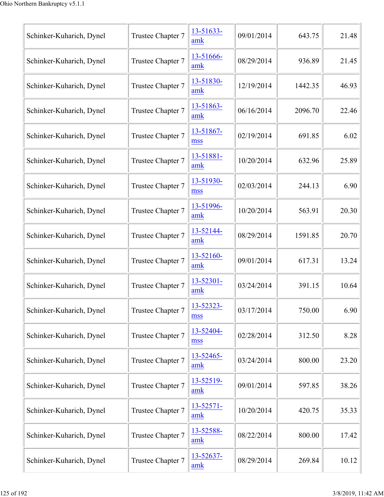| Schinker-Kuharich, Dynel | Trustee Chapter 7 | 13-51633-<br>amk      | 09/01/2014 | 643.75  | 21.48 |
|--------------------------|-------------------|-----------------------|------------|---------|-------|
| Schinker-Kuharich, Dynel | Trustee Chapter 7 | 13-51666-<br>amk      | 08/29/2014 | 936.89  | 21.45 |
| Schinker-Kuharich, Dynel | Trustee Chapter 7 | 13-51830-<br>amk      | 12/19/2014 | 1442.35 | 46.93 |
| Schinker-Kuharich, Dynel | Trustee Chapter 7 | 13-51863-<br>amk      | 06/16/2014 | 2096.70 | 22.46 |
| Schinker-Kuharich, Dynel | Trustee Chapter 7 | 13-51867-<br>mss      | 02/19/2014 | 691.85  | 6.02  |
| Schinker-Kuharich, Dynel | Trustee Chapter 7 | 13-51881-<br>amk      | 10/20/2014 | 632.96  | 25.89 |
| Schinker-Kuharich, Dynel | Trustee Chapter 7 | 13-51930-<br>mss      | 02/03/2014 | 244.13  | 6.90  |
| Schinker-Kuharich, Dynel | Trustee Chapter 7 | 13-51996-<br>amk      | 10/20/2014 | 563.91  | 20.30 |
| Schinker-Kuharich, Dynel | Trustee Chapter 7 | 13-52144-<br>amk      | 08/29/2014 | 1591.85 | 20.70 |
| Schinker-Kuharich, Dynel | Trustee Chapter 7 | 13-52160-<br>amk      | 09/01/2014 | 617.31  | 13.24 |
| Schinker-Kuharich, Dynel | Trustee Chapter 7 | 13-52301-<br>amk      | 03/24/2014 | 391.15  | 10.64 |
| Schinker-Kuharich, Dynel | Trustee Chapter 7 | 13-52323-<br>mss      | 03/17/2014 | 750.00  | 6.90  |
| Schinker-Kuharich, Dynel | Trustee Chapter 7 | 13-52404-<br>mss      | 02/28/2014 | 312.50  | 8.28  |
| Schinker-Kuharich, Dynel | Trustee Chapter 7 | 13-52465-<br>amk      | 03/24/2014 | 800.00  | 23.20 |
| Schinker-Kuharich, Dynel | Trustee Chapter 7 | 13-52519-<br>amk      | 09/01/2014 | 597.85  | 38.26 |
| Schinker-Kuharich, Dynel | Trustee Chapter 7 | $13 - 52571 -$<br>amk | 10/20/2014 | 420.75  | 35.33 |
| Schinker-Kuharich, Dynel | Trustee Chapter 7 | 13-52588-<br>amk      | 08/22/2014 | 800.00  | 17.42 |
| Schinker-Kuharich, Dynel | Trustee Chapter 7 | 13-52637-<br>amk      | 08/29/2014 | 269.84  | 10.12 |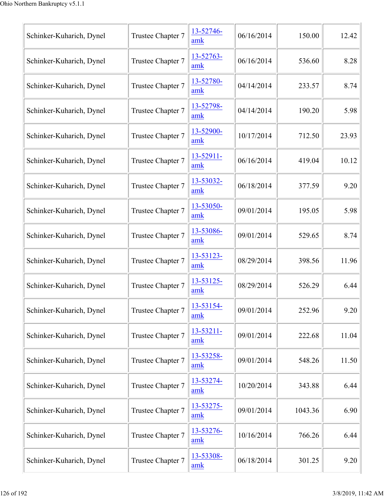| Schinker-Kuharich, Dynel | Trustee Chapter 7 | 13-52746-<br>amk | 06/16/2014 | 150.00  | 12.42 |
|--------------------------|-------------------|------------------|------------|---------|-------|
| Schinker-Kuharich, Dynel | Trustee Chapter 7 | 13-52763-<br>amk | 06/16/2014 | 536.60  | 8.28  |
| Schinker-Kuharich, Dynel | Trustee Chapter 7 | 13-52780-<br>amk | 04/14/2014 | 233.57  | 8.74  |
| Schinker-Kuharich, Dynel | Trustee Chapter 7 | 13-52798-<br>amk | 04/14/2014 | 190.20  | 5.98  |
| Schinker-Kuharich, Dynel | Trustee Chapter 7 | 13-52900-<br>amk | 10/17/2014 | 712.50  | 23.93 |
| Schinker-Kuharich, Dynel | Trustee Chapter 7 | 13-52911-<br>amk | 06/16/2014 | 419.04  | 10.12 |
| Schinker-Kuharich, Dynel | Trustee Chapter 7 | 13-53032-<br>amk | 06/18/2014 | 377.59  | 9.20  |
| Schinker-Kuharich, Dynel | Trustee Chapter 7 | 13-53050-<br>amk | 09/01/2014 | 195.05  | 5.98  |
| Schinker-Kuharich, Dynel | Trustee Chapter 7 | 13-53086-<br>amk | 09/01/2014 | 529.65  | 8.74  |
| Schinker-Kuharich, Dynel | Trustee Chapter 7 | 13-53123-<br>amk | 08/29/2014 | 398.56  | 11.96 |
| Schinker-Kuharich, Dynel | Trustee Chapter 7 | 13-53125-<br>amk | 08/29/2014 | 526.29  | 6.44  |
| Schinker-Kuharich, Dynel | Trustee Chapter 7 | 13-53154-<br>amk | 09/01/2014 | 252.96  | 9.20  |
| Schinker-Kuharich, Dynel | Trustee Chapter 7 | 13-53211-<br>amk | 09/01/2014 | 222.68  | 11.04 |
| Schinker-Kuharich, Dynel | Trustee Chapter 7 | 13-53258-<br>amk | 09/01/2014 | 548.26  | 11.50 |
| Schinker-Kuharich, Dynel | Trustee Chapter 7 | 13-53274-<br>amk | 10/20/2014 | 343.88  | 6.44  |
| Schinker-Kuharich, Dynel | Trustee Chapter 7 | 13-53275-<br>amk | 09/01/2014 | 1043.36 | 6.90  |
| Schinker-Kuharich, Dynel | Trustee Chapter 7 | 13-53276-<br>amk | 10/16/2014 | 766.26  | 6.44  |
| Schinker-Kuharich, Dynel | Trustee Chapter 7 | 13-53308-<br>amk | 06/18/2014 | 301.25  | 9.20  |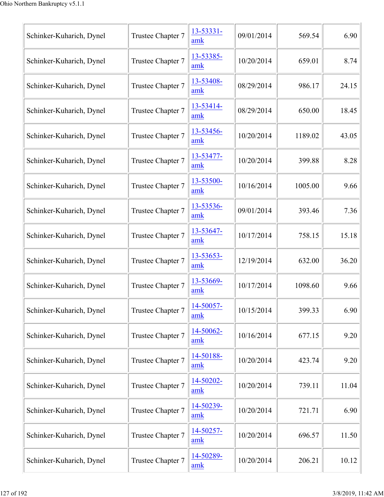| Schinker-Kuharich, Dynel | Trustee Chapter 7 | 13-53331-<br>amk | 09/01/2014 | 569.54  | 6.90  |
|--------------------------|-------------------|------------------|------------|---------|-------|
| Schinker-Kuharich, Dynel | Trustee Chapter 7 | 13-53385-<br>amk | 10/20/2014 | 659.01  | 8.74  |
| Schinker-Kuharich, Dynel | Trustee Chapter 7 | 13-53408-<br>amk | 08/29/2014 | 986.17  | 24.15 |
| Schinker-Kuharich, Dynel | Trustee Chapter 7 | 13-53414-<br>amk | 08/29/2014 | 650.00  | 18.45 |
| Schinker-Kuharich, Dynel | Trustee Chapter 7 | 13-53456-<br>amk | 10/20/2014 | 1189.02 | 43.05 |
| Schinker-Kuharich, Dynel | Trustee Chapter 7 | 13-53477-<br>amk | 10/20/2014 | 399.88  | 8.28  |
| Schinker-Kuharich, Dynel | Trustee Chapter 7 | 13-53500-<br>amk | 10/16/2014 | 1005.00 | 9.66  |
| Schinker-Kuharich, Dynel | Trustee Chapter 7 | 13-53536-<br>amk | 09/01/2014 | 393.46  | 7.36  |
| Schinker-Kuharich, Dynel | Trustee Chapter 7 | 13-53647-<br>amk | 10/17/2014 | 758.15  | 15.18 |
| Schinker-Kuharich, Dynel | Trustee Chapter 7 | 13-53653-<br>amk | 12/19/2014 | 632.00  | 36.20 |
| Schinker-Kuharich, Dynel | Trustee Chapter 7 | 13-53669-<br>amk | 10/17/2014 | 1098.60 | 9.66  |
| Schinker-Kuharich, Dynel | Trustee Chapter 7 | 14-50057-<br>amk | 10/15/2014 | 399.33  | 6.90  |
| Schinker-Kuharich, Dynel | Trustee Chapter 7 | 14-50062-<br>amk | 10/16/2014 | 677.15  | 9.20  |
| Schinker-Kuharich, Dynel | Trustee Chapter 7 | 14-50188-<br>amk | 10/20/2014 | 423.74  | 9.20  |
| Schinker-Kuharich, Dynel | Trustee Chapter 7 | 14-50202-<br>amk | 10/20/2014 | 739.11  | 11.04 |
| Schinker-Kuharich, Dynel | Trustee Chapter 7 | 14-50239-<br>amk | 10/20/2014 | 721.71  | 6.90  |
| Schinker-Kuharich, Dynel | Trustee Chapter 7 | 14-50257-<br>amk | 10/20/2014 | 696.57  | 11.50 |
| Schinker-Kuharich, Dynel | Trustee Chapter 7 | 14-50289-<br>amk | 10/20/2014 | 206.21  | 10.12 |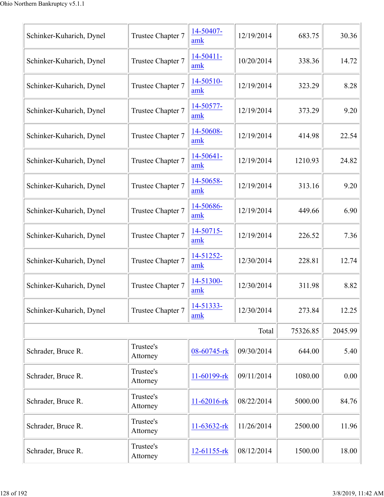| Schinker-Kuharich, Dynel | Trustee Chapter 7     | 14-50407-<br>amk      | 12/19/2014 | 683.75   | 30.36   |
|--------------------------|-----------------------|-----------------------|------------|----------|---------|
| Schinker-Kuharich, Dynel | Trustee Chapter 7     | 14-50411-<br>amk      | 10/20/2014 | 338.36   | 14.72   |
| Schinker-Kuharich, Dynel | Trustee Chapter 7     | 14-50510-<br>amk      | 12/19/2014 | 323.29   | 8.28    |
| Schinker-Kuharich, Dynel | Trustee Chapter 7     | 14-50577-<br>amk      | 12/19/2014 | 373.29   | 9.20    |
| Schinker-Kuharich, Dynel | Trustee Chapter 7     | 14-50608-<br>amk      | 12/19/2014 | 414.98   | 22.54   |
| Schinker-Kuharich, Dynel | Trustee Chapter 7     | $14 - 50641 -$<br>amk | 12/19/2014 | 1210.93  | 24.82   |
| Schinker-Kuharich, Dynel | Trustee Chapter 7     | 14-50658-<br>amk      | 12/19/2014 | 313.16   | 9.20    |
| Schinker-Kuharich, Dynel | Trustee Chapter 7     | 14-50686-<br>amk      | 12/19/2014 | 449.66   | 6.90    |
| Schinker-Kuharich, Dynel | Trustee Chapter 7     | 14-50715-<br>amk      | 12/19/2014 | 226.52   | 7.36    |
| Schinker-Kuharich, Dynel | Trustee Chapter 7     | 14-51252-<br>amk      | 12/30/2014 | 228.81   | 12.74   |
| Schinker-Kuharich, Dynel | Trustee Chapter 7     | 14-51300-<br>amk      | 12/30/2014 | 311.98   | 8.82    |
| Schinker-Kuharich, Dynel | Trustee Chapter 7     | 14-51333-<br>amk      | 12/30/2014 | 273.84   | 12.25   |
|                          |                       |                       | Total      | 75326.85 | 2045.99 |
| Schrader, Bruce R.       | Trustee's<br>Attorney | 08-60745-rk           | 09/30/2014 | 644.00   | 5.40    |
| Schrader, Bruce R.       | Trustee's<br>Attorney | 11-60199-rk           | 09/11/2014 | 1080.00  | 0.00    |
| Schrader, Bruce R.       | Trustee's<br>Attorney | $11 - 62016$ -rk      | 08/22/2014 | 5000.00  | 84.76   |
| Schrader, Bruce R.       | Trustee's<br>Attorney | $11-63632$ -rk        | 11/26/2014 | 2500.00  | 11.96   |
| Schrader, Bruce R.       | Trustee's<br>Attorney | 12-61155-rk           | 08/12/2014 | 1500.00  | 18.00   |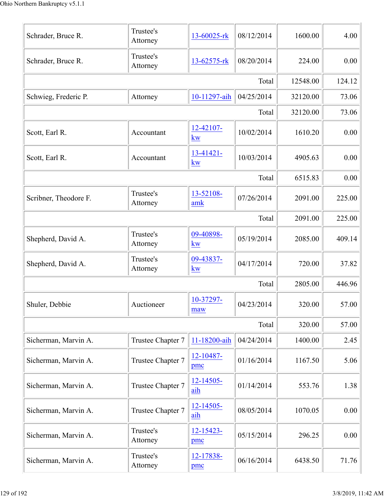| Schrader, Bruce R.    | Trustee's<br>Attorney | 13-60025-rk           | 08/12/2014 | 1600.00  | 4.00   |
|-----------------------|-----------------------|-----------------------|------------|----------|--------|
| Schrader, Bruce R.    | Trustee's<br>Attorney | 13-62575-rk           | 08/20/2014 | 224.00   | 0.00   |
|                       |                       |                       | Total      | 12548.00 | 124.12 |
| Schwieg, Frederic P.  | Attorney              | 10-11297-aih          | 04/25/2014 | 32120.00 | 73.06  |
|                       |                       |                       | Total      | 32120.00 | 73.06  |
| Scott, Earl R.        | Accountant            | 12-42107-<br>kw       | 10/02/2014 | 1610.20  | 0.00   |
| Scott, Earl R.        | Accountant            | 13-41421-<br>kw       | 10/03/2014 | 4905.63  | 0.00   |
|                       |                       |                       | Total      | 6515.83  | 0.00   |
| Scribner, Theodore F. | Trustee's<br>Attorney | 13-52108-<br>amk      | 07/26/2014 | 2091.00  | 225.00 |
|                       |                       |                       | Total      | 2091.00  | 225.00 |
| Shepherd, David A.    | Trustee's<br>Attorney | 09-40898-<br>kw       | 05/19/2014 | 2085.00  | 409.14 |
| Shepherd, David A.    | Trustee's<br>Attorney | 09-43837-<br>kw       | 04/17/2014 | 720.00   | 37.82  |
|                       |                       |                       | Total      | 2805.00  | 446.96 |
| Shuler, Debbie        | Auctioneer            | 10-37297-<br>maw      | 04/23/2014 | 320.00   | 57.00  |
|                       |                       |                       | Total      | 320.00   | 57.00  |
| Sicherman, Marvin A.  | Trustee Chapter 7     | 11-18200-aih          | 04/24/2014 | 1400.00  | 2.45   |
| Sicherman, Marvin A.  | Trustee Chapter 7     | 12-10487-<br>pmc      | 01/16/2014 | 1167.50  | 5.06   |
| Sicherman, Marvin A.  | Trustee Chapter 7     | $12 - 14505 -$<br>aih | 01/14/2014 | 553.76   | 1.38   |
| Sicherman, Marvin A.  | Trustee Chapter 7     | 12-14505-<br>aih      | 08/05/2014 | 1070.05  | 0.00   |
| Sicherman, Marvin A.  | Trustee's<br>Attorney | 12-15423-<br>pmc      | 05/15/2014 | 296.25   | 0.00   |
| Sicherman, Marvin A.  | Trustee's<br>Attorney | 12-17838-<br>pmc      | 06/16/2014 | 6438.50  | 71.76  |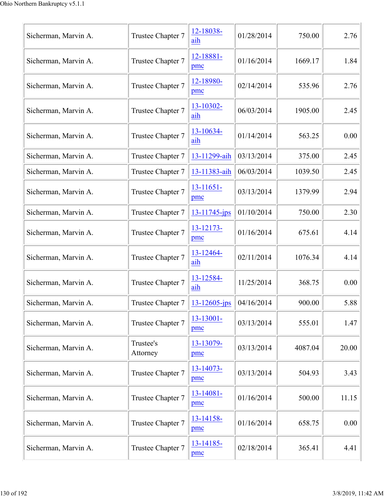| Sicherman, Marvin A. | Trustee Chapter 7                                                                       | 12-18038-<br>aih      | 01/28/2014 | 750.00  | 2.76  |
|----------------------|-----------------------------------------------------------------------------------------|-----------------------|------------|---------|-------|
| Sicherman, Marvin A. | Trustee Chapter 7                                                                       | 12-18881-<br>pmc      | 01/16/2014 | 1669.17 | 1.84  |
| Sicherman, Marvin A. | Trustee Chapter 7                                                                       | 12-18980-<br>pmc      | 02/14/2014 | 535.96  | 2.76  |
| Sicherman, Marvin A. | Trustee Chapter 7                                                                       | 13-10302-<br>aih      | 06/03/2014 | 1905.00 | 2.45  |
| Sicherman, Marvin A. | Trustee Chapter 7                                                                       | 13-10634-<br>aih      | 01/14/2014 | 563.25  | 0.00  |
| Sicherman, Marvin A. | Trustee Chapter 7                                                                       | 13-11299-aih          | 03/13/2014 | 375.00  | 2.45  |
| Sicherman, Marvin A. | Trustee Chapter 7                                                                       | 13-11383-aih          | 06/03/2014 | 1039.50 | 2.45  |
| Sicherman, Marvin A. | Trustee Chapter 7                                                                       | 13-11651-<br>pmc      | 03/13/2014 | 1379.99 | 2.94  |
| Sicherman, Marvin A. | Trustee Chapter 7                                                                       | $13 - 11745$ -jps     | 01/10/2014 | 750.00  | 2.30  |
| Sicherman, Marvin A. | Trustee Chapter 7                                                                       | 13-12173-<br>pmc      | 01/16/2014 | 675.61  | 4.14  |
| Sicherman, Marvin A. | Trustee Chapter 7                                                                       | 13-12464-<br>aih      | 02/11/2014 | 1076.34 | 4.14  |
| Sicherman, Marvin A. | Trustee Chapter 7                                                                       | 13-12584-<br>aih      | 11/25/2014 | 368.75  | 0.00  |
| Sicherman, Marvin A. | Trustee Chapter 7 $\left  \frac{13 - 12605 - jps}{13 - 12605 - jps} \right $ 04/16/2014 |                       |            | 900.00  | 5.88  |
| Sicherman, Marvin A. | Trustee Chapter 7                                                                       | $13 - 13001 -$<br>pmc | 03/13/2014 | 555.01  | 1.47  |
| Sicherman, Marvin A. | Trustee's<br>Attorney                                                                   | 13-13079-<br>pmc      | 03/13/2014 | 4087.04 | 20.00 |
| Sicherman, Marvin A. | Trustee Chapter 7                                                                       | 13-14073-<br>pmc      | 03/13/2014 | 504.93  | 3.43  |
| Sicherman, Marvin A. | Trustee Chapter 7                                                                       | 13-14081-<br>pmc      | 01/16/2014 | 500.00  | 11.15 |
| Sicherman, Marvin A. | Trustee Chapter 7                                                                       | 13-14158-<br>pmc      | 01/16/2014 | 658.75  | 0.00  |
| Sicherman, Marvin A. | Trustee Chapter 7                                                                       | 13-14185-<br>pmc      | 02/18/2014 | 365.41  | 4.41  |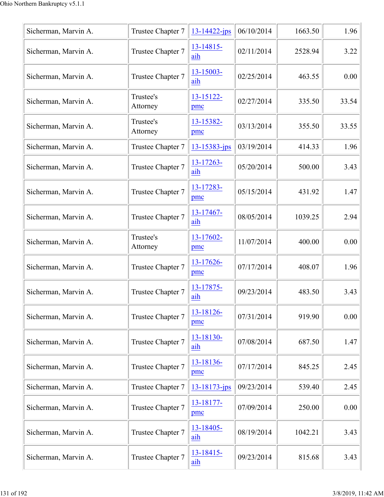| Sicherman, Marvin A. | Trustee Chapter 7     | $13 - 14422 - ips$ | 06/10/2014 | 1663.50 | 1.96  |
|----------------------|-----------------------|--------------------|------------|---------|-------|
| Sicherman, Marvin A. | Trustee Chapter 7     | 13-14815-<br>aih   | 02/11/2014 | 2528.94 | 3.22  |
| Sicherman, Marvin A. | Trustee Chapter 7     | 13-15003-<br>aih   | 02/25/2014 | 463.55  | 0.00  |
| Sicherman, Marvin A. | Trustee's<br>Attorney | 13-15122-<br>pmc   | 02/27/2014 | 335.50  | 33.54 |
| Sicherman, Marvin A. | Trustee's<br>Attorney | 13-15382-<br>pmc   | 03/13/2014 | 355.50  | 33.55 |
| Sicherman, Marvin A. | Trustee Chapter 7     | $13 - 15383 - ips$ | 03/19/2014 | 414.33  | 1.96  |
| Sicherman, Marvin A. | Trustee Chapter 7     | 13-17263-<br>aih   | 05/20/2014 | 500.00  | 3.43  |
| Sicherman, Marvin A. | Trustee Chapter 7     | 13-17283-<br>pmc   | 05/15/2014 | 431.92  | 1.47  |
| Sicherman, Marvin A. | Trustee Chapter 7     | 13-17467-<br>aih   | 08/05/2014 | 1039.25 | 2.94  |
| Sicherman, Marvin A. | Trustee's<br>Attorney | 13-17602-<br>pmc   | 11/07/2014 | 400.00  | 0.00  |
| Sicherman, Marvin A. | Trustee Chapter 7     | 13-17626-<br>pmc   | 07/17/2014 | 408.07  | 1.96  |
| Sicherman, Marvin A. | Trustee Chapter 7     | 13-17875-<br>aih   | 09/23/2014 | 483.50  | 3.43  |
| Sicherman, Marvin A. | Trustee Chapter 7     | 13-18126-<br>pmc   | 07/31/2014 | 919.90  | 0.00  |
| Sicherman, Marvin A. | Trustee Chapter 7     | 13-18130-<br>aih   | 07/08/2014 | 687.50  | 1.47  |
| Sicherman, Marvin A. | Trustee Chapter 7     | 13-18136-<br>pmc   | 07/17/2014 | 845.25  | 2.45  |
| Sicherman, Marvin A. | Trustee Chapter 7     | $13 - 18173 - ips$ | 09/23/2014 | 539.40  | 2.45  |
| Sicherman, Marvin A. | Trustee Chapter 7     | 13-18177-<br>pmc   | 07/09/2014 | 250.00  | 0.00  |
| Sicherman, Marvin A. | Trustee Chapter 7     | 13-18405-<br>aih   | 08/19/2014 | 1042.21 | 3.43  |
| Sicherman, Marvin A. | Trustee Chapter 7     | 13-18415-<br>aih   | 09/23/2014 | 815.68  | 3.43  |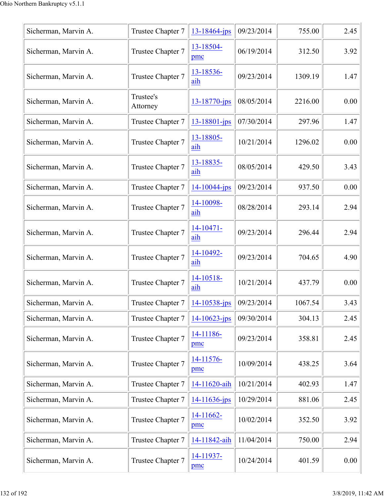| Sicherman, Marvin A. | Trustee Chapter 7     | $13 - 18464$ -jps             | 09/23/2014 | 755.00  | 2.45 |
|----------------------|-----------------------|-------------------------------|------------|---------|------|
| Sicherman, Marvin A. | Trustee Chapter 7     | 13-18504-<br>pmc              | 06/19/2014 | 312.50  | 3.92 |
| Sicherman, Marvin A. | Trustee Chapter 7     | 13-18536-<br>aih              | 09/23/2014 | 1309.19 | 1.47 |
| Sicherman, Marvin A. | Trustee's<br>Attorney | 13-18770-jps                  | 08/05/2014 | 2216.00 | 0.00 |
| Sicherman, Marvin A. | Trustee Chapter 7     | $13 - 18801 - ips$            | 07/30/2014 | 297.96  | 1.47 |
| Sicherman, Marvin A. | Trustee Chapter 7     | 13-18805-<br>aih              | 10/21/2014 | 1296.02 | 0.00 |
| Sicherman, Marvin A. | Trustee Chapter 7     | 13-18835-<br>aih              | 08/05/2014 | 429.50  | 3.43 |
| Sicherman, Marvin A. | Trustee Chapter 7     | 14-10044-jps                  | 09/23/2014 | 937.50  | 0.00 |
| Sicherman, Marvin A. | Trustee Chapter 7     | 14-10098-<br>aih              | 08/28/2014 | 293.14  | 2.94 |
| Sicherman, Marvin A. | Trustee Chapter 7     | $14 - 10471 -$<br>aih         | 09/23/2014 | 296.44  | 2.94 |
| Sicherman, Marvin A. | Trustee Chapter 7     | 14-10492-<br>aih              | 09/23/2014 | 704.65  | 4.90 |
| Sicherman, Marvin A. | Trustee Chapter 7     | 14-10518-<br>aih              | 10/21/2014 | 437.79  | 0.00 |
| Sicherman, Marvin A. | Trustee Chapter 7     | $14 - 10538 - ips$ 09/23/2014 |            | 1067.54 | 3.43 |
| Sicherman, Marvin A. | Trustee Chapter 7     | $14 - 10623 - ips$            | 09/30/2014 | 304.13  | 2.45 |
| Sicherman, Marvin A. | Trustee Chapter 7     | 14-11186-<br>pmc              | 09/23/2014 | 358.81  | 2.45 |
| Sicherman, Marvin A. | Trustee Chapter 7     | 14-11576-<br>pmc              | 10/09/2014 | 438.25  | 3.64 |
| Sicherman, Marvin A. | Trustee Chapter 7     | 14-11620-aih                  | 10/21/2014 | 402.93  | 1.47 |
| Sicherman, Marvin A. | Trustee Chapter 7     | $14 - 11636 - ips$            | 10/29/2014 | 881.06  | 2.45 |
| Sicherman, Marvin A. | Trustee Chapter 7     | 14-11662-<br>pmc              | 10/02/2014 | 352.50  | 3.92 |
| Sicherman, Marvin A. | Trustee Chapter 7     | 14-11842-aih                  | 11/04/2014 | 750.00  | 2.94 |
| Sicherman, Marvin A. | Trustee Chapter 7     | 14-11937-<br>pmc              | 10/24/2014 | 401.59  | 0.00 |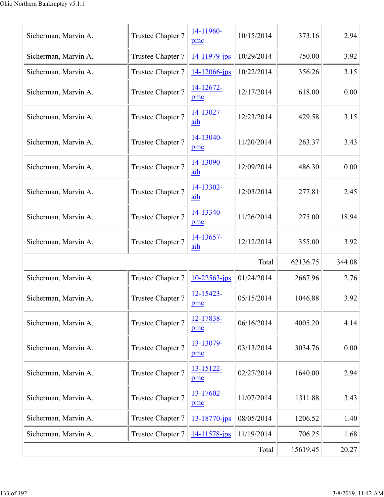| Sicherman, Marvin A. | Trustee Chapter 7 | 14-11960-<br>pmc   | 10/15/2014 | 373.16   | 2.94   |
|----------------------|-------------------|--------------------|------------|----------|--------|
| Sicherman, Marvin A. | Trustee Chapter 7 | 14-11979-jps       | 10/29/2014 | 750.00   | 3.92   |
| Sicherman, Marvin A. | Trustee Chapter 7 | $14 - 12066 - ips$ | 10/22/2014 | 356.26   | 3.15   |
| Sicherman, Marvin A. | Trustee Chapter 7 | 14-12672-<br>pmc   | 12/17/2014 | 618.00   | 0.00   |
| Sicherman, Marvin A. | Trustee Chapter 7 | 14-13027-<br>aih   | 12/23/2014 | 429.58   | 3.15   |
| Sicherman, Marvin A. | Trustee Chapter 7 | 14-13040-<br>pmc   | 11/20/2014 | 263.37   | 3.43   |
| Sicherman, Marvin A. | Trustee Chapter 7 | 14-13090-<br>aih   | 12/09/2014 | 486.30   | 0.00   |
| Sicherman, Marvin A. | Trustee Chapter 7 | 14-13302-<br>aih   | 12/03/2014 | 277.81   | 2.45   |
| Sicherman, Marvin A. | Trustee Chapter 7 | 14-13340-<br>pmc   | 11/26/2014 | 275.00   | 18.94  |
| Sicherman, Marvin A. | Trustee Chapter 7 | 14-13657-<br>aih   | 12/12/2014 | 355.00   | 3.92   |
|                      |                   |                    | Total      | 62136.75 | 344.08 |
| Sicherman, Marvin A. | Trustee Chapter 7 | 10-22563-jps       | 01/24/2014 | 2667.96  | 2.76   |
| Sicherman, Marvin A. | Trustee Chapter 7 | 12-15423-<br>pmc   | 05/15/2014 | 1046.88  | 3.92   |
| Sicherman, Marvin A. | Trustee Chapter 7 | 12-17838-<br>pmc   | 06/16/2014 | 4005.20  | 4.14   |
| Sicherman, Marvin A. | Trustee Chapter 7 | 13-13079-<br>pmc   | 03/13/2014 | 3034.76  | 0.00   |
| Sicherman, Marvin A. | Trustee Chapter 7 | 13-15122-<br>pmc   | 02/27/2014 | 1640.00  | 2.94   |
| Sicherman, Marvin A. | Trustee Chapter 7 | 13-17602-<br>pmc   | 11/07/2014 | 1311.88  | 3.43   |
| Sicherman, Marvin A. | Trustee Chapter 7 | 13-18770-jps       | 08/05/2014 | 1206.52  | 1.40   |
| Sicherman, Marvin A. | Trustee Chapter 7 | 14-11578-jps       | 11/19/2014 | 706.25   | 1.68   |
|                      | 15619.45          | 20.27              |            |          |        |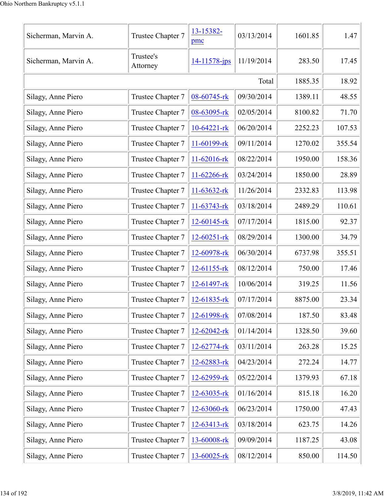| Sicherman, Marvin A. | Trustee Chapter 7     | 13-15382-<br>pmc  | 03/13/2014 | 1601.85 | 1.47   |
|----------------------|-----------------------|-------------------|------------|---------|--------|
| Sicherman, Marvin A. | Trustee's<br>Attorney | 14-11578-jps      | 11/19/2014 | 283.50  | 17.45  |
|                      | Total                 |                   |            |         |        |
| Silagy, Anne Piero   | Trustee Chapter 7     | 08-60745-rk       | 09/30/2014 | 1389.11 | 48.55  |
| Silagy, Anne Piero   | Trustee Chapter 7     | 08-63095-rk       | 02/05/2014 | 8100.82 | 71.70  |
| Silagy, Anne Piero   | Trustee Chapter 7     | $10-64221$ -rk    | 06/20/2014 | 2252.23 | 107.53 |
| Silagy, Anne Piero   | Trustee Chapter 7     | 11-60199-rk       | 09/11/2014 | 1270.02 | 355.54 |
| Silagy, Anne Piero   | Trustee Chapter 7     | 11-62016-rk       | 08/22/2014 | 1950.00 | 158.36 |
| Silagy, Anne Piero   | Trustee Chapter 7     | 11-62266-rk       | 03/24/2014 | 1850.00 | 28.89  |
| Silagy, Anne Piero   | Trustee Chapter 7     | $11-63632$ -rk    | 11/26/2014 | 2332.83 | 113.98 |
| Silagy, Anne Piero   | Trustee Chapter 7     | $11-63743$ -rk    | 03/18/2014 | 2489.29 | 110.61 |
| Silagy, Anne Piero   | Trustee Chapter 7     | $12 - 60145$ -rk  | 07/17/2014 | 1815.00 | 92.37  |
| Silagy, Anne Piero   | Trustee Chapter 7     | $12 - 60251 - rk$ | 08/29/2014 | 1300.00 | 34.79  |
| Silagy, Anne Piero   | Trustee Chapter 7     | 12-60978-rk       | 06/30/2014 | 6737.98 | 355.51 |
| Silagy, Anne Piero   | Trustee Chapter 7     | 12-61155-rk       | 08/12/2014 | 750.00  | 17.46  |
| Silagy, Anne Piero   | Trustee Chapter 7     | 12-61497-rk       | 10/06/2014 | 319.25  | 11.56  |
| Silagy, Anne Piero   | Trustee Chapter 7     | 12-61835-rk       | 07/17/2014 | 8875.00 | 23.34  |
| Silagy, Anne Piero   | Trustee Chapter 7     | 12-61998-rk       | 07/08/2014 | 187.50  | 83.48  |
| Silagy, Anne Piero   | Trustee Chapter 7     | $12 - 62042 -$ rk | 01/14/2014 | 1328.50 | 39.60  |
| Silagy, Anne Piero   | Trustee Chapter 7     | 12-62774-rk       | 03/11/2014 | 263.28  | 15.25  |
| Silagy, Anne Piero   | Trustee Chapter 7     | 12-62883-rk       | 04/23/2014 | 272.24  | 14.77  |
| Silagy, Anne Piero   | Trustee Chapter 7     | 12-62959-rk       | 05/22/2014 | 1379.93 | 67.18  |
| Silagy, Anne Piero   | Trustee Chapter 7     | $12 - 63035 - rk$ | 01/16/2014 | 815.18  | 16.20  |
| Silagy, Anne Piero   | Trustee Chapter 7     | 12-63060-rk       | 06/23/2014 | 1750.00 | 47.43  |
| Silagy, Anne Piero   | Trustee Chapter 7     | 12-63413-rk       | 03/18/2014 | 623.75  | 14.26  |
| Silagy, Anne Piero   | Trustee Chapter 7     | 13-60008-rk       | 09/09/2014 | 1187.25 | 43.08  |
| Silagy, Anne Piero   | Trustee Chapter 7     | 13-60025-rk       | 08/12/2014 | 850.00  | 114.50 |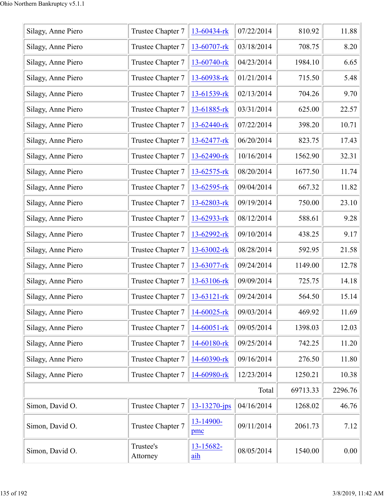| Silagy, Anne Piero | Trustee Chapter 7     | 13-60434-rk       | 07/22/2014 | 810.92   | 11.88   |
|--------------------|-----------------------|-------------------|------------|----------|---------|
| Silagy, Anne Piero | Trustee Chapter 7     | 13-60707-rk       | 03/18/2014 | 708.75   | 8.20    |
| Silagy, Anne Piero | Trustee Chapter 7     | 13-60740-rk       | 04/23/2014 | 1984.10  | 6.65    |
| Silagy, Anne Piero | Trustee Chapter 7     | 13-60938-rk       | 01/21/2014 | 715.50   | 5.48    |
| Silagy, Anne Piero | Trustee Chapter 7     | 13-61539-rk       | 02/13/2014 | 704.26   | 9.70    |
| Silagy, Anne Piero | Trustee Chapter 7     | 13-61885-rk       | 03/31/2014 | 625.00   | 22.57   |
| Silagy, Anne Piero | Trustee Chapter 7     | 13-62440-rk       | 07/22/2014 | 398.20   | 10.71   |
| Silagy, Anne Piero | Trustee Chapter 7     | 13-62477-rk       | 06/20/2014 | 823.75   | 17.43   |
| Silagy, Anne Piero | Trustee Chapter 7     | 13-62490-rk       | 10/16/2014 | 1562.90  | 32.31   |
| Silagy, Anne Piero | Trustee Chapter 7     | 13-62575-rk       | 08/20/2014 | 1677.50  | 11.74   |
| Silagy, Anne Piero | Trustee Chapter 7     | 13-62595-rk       | 09/04/2014 | 667.32   | 11.82   |
| Silagy, Anne Piero | Trustee Chapter 7     | 13-62803-rk       | 09/19/2014 | 750.00   | 23.10   |
| Silagy, Anne Piero | Trustee Chapter 7     | 13-62933-rk       | 08/12/2014 | 588.61   | 9.28    |
| Silagy, Anne Piero | Trustee Chapter 7     | 13-62992-rk       | 09/10/2014 | 438.25   | 9.17    |
| Silagy, Anne Piero | Trustee Chapter 7     | 13-63002-rk       | 08/28/2014 | 592.95   | 21.58   |
| Silagy, Anne Piero | Trustee Chapter 7     | 13-63077-rk       | 09/24/2014 | 1149.00  | 12.78   |
| Silagy, Anne Piero | Trustee Chapter 7     | 13-63106-rk       | 09/09/2014 | 725.75   | 14.18   |
| Silagy, Anne Piero | Trustee Chapter 7     | $13 - 63121 -$ rk | 09/24/2014 | 564.50   | 15.14   |
| Silagy, Anne Piero | Trustee Chapter 7     | 14-60025-rk       | 09/03/2014 | 469.92   | 11.69   |
| Silagy, Anne Piero | Trustee Chapter 7     | 14-60051-rk       | 09/05/2014 | 1398.03  | 12.03   |
| Silagy, Anne Piero | Trustee Chapter 7     | 14-60180-rk       | 09/25/2014 | 742.25   | 11.20   |
| Silagy, Anne Piero | Trustee Chapter 7     | 14-60390-rk       | 09/16/2014 | 276.50   | 11.80   |
| Silagy, Anne Piero | Trustee Chapter 7     | 14-60980-rk       | 12/23/2014 | 1250.21  | 10.38   |
|                    |                       |                   | Total      | 69713.33 | 2296.76 |
| Simon, David O.    | Trustee Chapter 7     | 13-13270-jps      | 04/16/2014 | 1268.02  | 46.76   |
| Simon, David O.    | Trustee Chapter 7     | 13-14900-<br>pmc  | 09/11/2014 | 2061.73  | 7.12    |
| Simon, David O.    | Trustee's<br>Attorney | 13-15682-<br>aih  | 08/05/2014 | 1540.00  | 0.00    |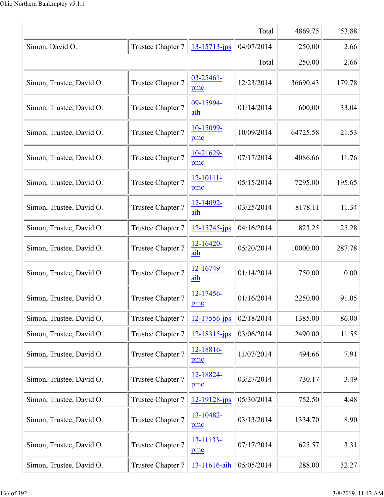|                          |                   |                       | Total      | 4869.75  | 53.88  |
|--------------------------|-------------------|-----------------------|------------|----------|--------|
| Simon, David O.          | Trustee Chapter 7 | 13-15713-jps          | 04/07/2014 | 250.00   | 2.66   |
|                          |                   |                       | Total      | 250.00   | 2.66   |
| Simon, Trustee, David O. | Trustee Chapter 7 | $03 - 25461 -$<br>pmc | 12/23/2014 | 36690.43 | 179.78 |
| Simon, Trustee, David O. | Trustee Chapter 7 | 09-15994-<br>aih      | 01/14/2014 | 600.00   | 33.04  |
| Simon, Trustee, David O. | Trustee Chapter 7 | 10-15099-<br>pmc      | 10/09/2014 | 64725.58 | 21.53  |
| Simon, Trustee, David O. | Trustee Chapter 7 | 10-21629-<br>pmc      | 07/17/2014 | 4086.66  | 11.76  |
| Simon, Trustee, David O. | Trustee Chapter 7 | 12-10111-<br>pmc      | 05/15/2014 | 7295.00  | 195.65 |
| Simon, Trustee, David O. | Trustee Chapter 7 | 12-14092-<br>aih      | 03/25/2014 | 8178.11  | 11.34  |
| Simon, Trustee, David O. | Trustee Chapter 7 | $12 - 15745$ -jps     | 04/16/2014 | 823.25   | 25.28  |
| Simon, Trustee, David O. | Trustee Chapter 7 | 12-16420-<br>aih      | 05/20/2014 | 10000.00 | 287.78 |
| Simon, Trustee, David O. | Trustee Chapter 7 | 12-16749-<br>aih      | 01/14/2014 | 750.00   | 0.00   |
| Simon, Trustee, David O. | Trustee Chapter 7 | 12-17456-<br>pmc      | 01/16/2014 | 2250.00  | 91.05  |
| Simon, Trustee, David O. | Trustee Chapter 7 | 12-17556-jps          | 02/18/2014 | 1385.00  | 86.00  |
| Simon, Trustee, David O. | Trustee Chapter 7 | $12 - 18315$ -jps     | 03/06/2014 | 2490.00  | 11.55  |
| Simon, Trustee, David O. | Trustee Chapter 7 | 12-18816-<br>pmc      | 11/07/2014 | 494.66   | 7.91   |
| Simon, Trustee, David O. | Trustee Chapter 7 | 12-18824-<br>pmc      | 03/27/2014 | 730.17   | 3.49   |
| Simon, Trustee, David O. | Trustee Chapter 7 | $12 - 19128 - ips$    | 05/30/2014 | 752.50   | 4.48   |
| Simon, Trustee, David O. | Trustee Chapter 7 | 13-10482-<br>pmc      | 03/13/2014 | 1334.70  | 8.90   |
| Simon, Trustee, David O. | Trustee Chapter 7 | 13-11133-<br>pmc      | 07/17/2014 | 625.57   | 3.31   |
| Simon, Trustee, David O. | Trustee Chapter 7 | 13-11616-aih          | 05/05/2014 | 288.00   | 32.27  |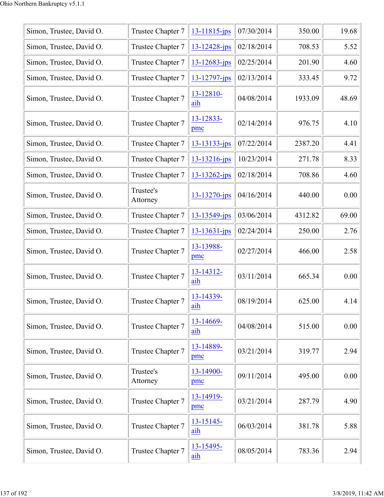| Simon, Trustee, David O. | Trustee Chapter 7     | $13 - 11815$ -jps  | 07/30/2014 | 350.00  | 19.68 |
|--------------------------|-----------------------|--------------------|------------|---------|-------|
| Simon, Trustee, David O. | Trustee Chapter 7     | $13 - 12428 - ips$ | 02/18/2014 | 708.53  | 5.52  |
| Simon, Trustee, David O. | Trustee Chapter 7     | $13 - 12683 - ips$ | 02/25/2014 | 201.90  | 4.60  |
| Simon, Trustee, David O. | Trustee Chapter 7     | 13-12797-jps       | 02/13/2014 | 333.45  | 9.72  |
| Simon, Trustee, David O. | Trustee Chapter 7     | 13-12810-<br>aih   | 04/08/2014 | 1933.09 | 48.69 |
| Simon, Trustee, David O. | Trustee Chapter 7     | 13-12833-<br>pmc   | 02/14/2014 | 976.75  | 4.10  |
| Simon, Trustee, David O. | Trustee Chapter 7     | 13-13133-jps       | 07/22/2014 | 2387.20 | 4.41  |
| Simon, Trustee, David O. | Trustee Chapter 7     | 13-13216-jps       | 10/23/2014 | 271.78  | 8.33  |
| Simon, Trustee, David O. | Trustee Chapter 7     | 13-13262-jps       | 02/18/2014 | 708.86  | 4.60  |
| Simon, Trustee, David O. | Trustee's<br>Attorney | 13-13270-jps       | 04/16/2014 | 440.00  | 0.00  |
| Simon, Trustee, David O. | Trustee Chapter 7     | 13-13549-jps       | 03/06/2014 | 4312.82 | 69.00 |
| Simon, Trustee, David O. | Trustee Chapter 7     | 13-13631-jps       | 02/24/2014 | 250.00  | 2.76  |
| Simon, Trustee, David O. | Trustee Chapter 7     | 13-13988-<br>pmc   | 02/27/2014 | 466.00  | 2.58  |
| Simon, Trustee, David O. | Trustee Chapter 7     | 13-14312-<br>aih   | 03/11/2014 | 665.34  | 0.00  |
| Simon, Trustee, David O. | Trustee Chapter 7     | 13-14339-<br>aih   | 08/19/2014 | 625.00  | 4.14  |
| Simon, Trustee, David O. | Trustee Chapter 7     | 13-14669-<br>aih   | 04/08/2014 | 515.00  | 0.00  |
| Simon, Trustee, David O. | Trustee Chapter 7     | 13-14889-<br>pmc   | 03/21/2014 | 319.77  | 2.94  |
| Simon, Trustee, David O. | Trustee's<br>Attorney | 13-14900-<br>pmc   | 09/11/2014 | 495.00  | 0.00  |
| Simon, Trustee, David O. | Trustee Chapter 7     | 13-14919-<br>pmc   | 03/21/2014 | 287.79  | 4.90  |
| Simon, Trustee, David O. | Trustee Chapter 7     | 13-15145-<br>aih   | 06/03/2014 | 381.78  | 5.88  |
| Simon, Trustee, David O. | Trustee Chapter 7     | 13-15495-<br>aih   | 08/05/2014 | 783.36  | 2.94  |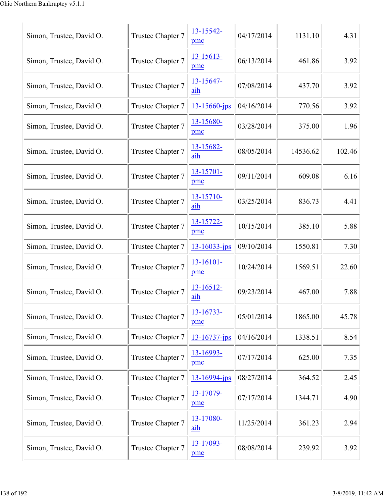| Simon, Trustee, David O. | Trustee Chapter 7 | 13-15542-<br>pmc   | 04/17/2014 | 1131.10  | 4.31   |
|--------------------------|-------------------|--------------------|------------|----------|--------|
| Simon, Trustee, David O. | Trustee Chapter 7 | 13-15613-<br>pmc   | 06/13/2014 | 461.86   | 3.92   |
| Simon, Trustee, David O. | Trustee Chapter 7 | 13-15647-<br>aih   | 07/08/2014 | 437.70   | 3.92   |
| Simon, Trustee, David O. | Trustee Chapter 7 | $13 - 15660$ -jps  | 04/16/2014 | 770.56   | 3.92   |
| Simon, Trustee, David O. | Trustee Chapter 7 | 13-15680-<br>pmc   | 03/28/2014 | 375.00   | 1.96   |
| Simon, Trustee, David O. | Trustee Chapter 7 | 13-15682-<br>aih   | 08/05/2014 | 14536.62 | 102.46 |
| Simon, Trustee, David O. | Trustee Chapter 7 | 13-15701-<br>pmc   | 09/11/2014 | 609.08   | 6.16   |
| Simon, Trustee, David O. | Trustee Chapter 7 | 13-15710-<br>aih   | 03/25/2014 | 836.73   | 4.41   |
| Simon, Trustee, David O. | Trustee Chapter 7 | 13-15722-<br>pmc   | 10/15/2014 | 385.10   | 5.88   |
| Simon, Trustee, David O. | Trustee Chapter 7 | $13 - 16033 - ips$ | 09/10/2014 | 1550.81  | 7.30   |
| Simon, Trustee, David O. | Trustee Chapter 7 | 13-16101-<br>pmc   | 10/24/2014 | 1569.51  | 22.60  |
| Simon, Trustee, David O. | Trustee Chapter 7 | 13-16512-<br>aih   | 09/23/2014 | 467.00   | 7.88   |
| Simon, Trustee, David O. | Trustee Chapter 7 | 13-16733-<br>pmc   | 05/01/2014 | 1865.00  | 45.78  |
| Simon, Trustee, David O. | Trustee Chapter 7 | $13 - 16737 - ips$ | 04/16/2014 | 1338.51  | 8.54   |
| Simon, Trustee, David O. | Trustee Chapter 7 | 13-16993-<br>pmc   | 07/17/2014 | 625.00   | 7.35   |
| Simon, Trustee, David O. | Trustee Chapter 7 | $13 - 16994 - ips$ | 08/27/2014 | 364.52   | 2.45   |
| Simon, Trustee, David O. | Trustee Chapter 7 | 13-17079-<br>pmc   | 07/17/2014 | 1344.71  | 4.90   |
| Simon, Trustee, David O. | Trustee Chapter 7 | 13-17080-<br>aih   | 11/25/2014 | 361.23   | 2.94   |
| Simon, Trustee, David O. | Trustee Chapter 7 | 13-17093-<br>pmc   | 08/08/2014 | 239.92   | 3.92   |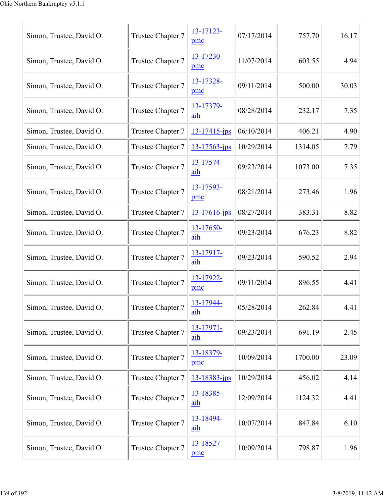| Simon, Trustee, David O. | Trustee Chapter 7 | 13-17123-<br>pmc   | 07/17/2014 | 757.70  | 16.17 |
|--------------------------|-------------------|--------------------|------------|---------|-------|
| Simon, Trustee, David O. | Trustee Chapter 7 | 13-17230-<br>pmc   | 11/07/2014 | 603.55  | 4.94  |
| Simon, Trustee, David O. | Trustee Chapter 7 | 13-17328-<br>pmc   | 09/11/2014 | 500.00  | 30.03 |
| Simon, Trustee, David O. | Trustee Chapter 7 | 13-17379-<br>aih   | 08/28/2014 | 232.17  | 7.35  |
| Simon, Trustee, David O. | Trustee Chapter 7 | $13 - 17415$ -jps  | 06/10/2014 | 406.21  | 4.90  |
| Simon, Trustee, David O. | Trustee Chapter 7 | $13 - 17563 - ips$ | 10/29/2014 | 1314.05 | 7.79  |
| Simon, Trustee, David O. | Trustee Chapter 7 | 13-17574-<br>aih   | 09/23/2014 | 1073.00 | 7.35  |
| Simon, Trustee, David O. | Trustee Chapter 7 | 13-17593-<br>pmc   | 08/21/2014 | 273.46  | 1.96  |
| Simon, Trustee, David O. | Trustee Chapter 7 | $13 - 17616$ -jps  | 08/27/2014 | 383.31  | 8.82  |
| Simon, Trustee, David O. | Trustee Chapter 7 | 13-17650-<br>aih   | 09/23/2014 | 676.23  | 8.82  |
| Simon, Trustee, David O. | Trustee Chapter 7 | 13-17917-<br>aih   | 09/23/2014 | 590.52  | 2.94  |
| Simon, Trustee, David O. | Trustee Chapter 7 | 13-17922-<br>pmc   | 09/11/2014 | 896.55  | 4.41  |
| Simon, Trustee, David O. | Trustee Chapter 7 | 13-17944-<br>aih   | 05/28/2014 | 262.84  | 4.41  |
| Simon, Trustee, David O. | Trustee Chapter 7 | 13-17971-<br>aih   | 09/23/2014 | 691.19  | 2.45  |
| Simon, Trustee, David O. | Trustee Chapter 7 | 13-18379-<br>pmc   | 10/09/2014 | 1700.00 | 23.09 |
| Simon, Trustee, David O. | Trustee Chapter 7 | 13-18383-jps       | 10/29/2014 | 456.02  | 4.14  |
| Simon, Trustee, David O. | Trustee Chapter 7 | 13-18385-<br>aih   | 12/09/2014 | 1124.32 | 4.41  |
| Simon, Trustee, David O. | Trustee Chapter 7 | 13-18494-<br>aih   | 10/07/2014 | 847.84  | 6.10  |
| Simon, Trustee, David O. | Trustee Chapter 7 | 13-18527-<br>pmc   | 10/09/2014 | 798.87  | 1.96  |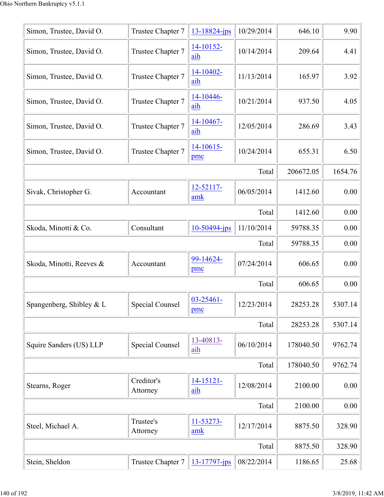| Simon, Trustee, David O. | Trustee Chapter 7      | 13-18824-jps          | 10/29/2014 | 646.10    | 9.90    |
|--------------------------|------------------------|-----------------------|------------|-----------|---------|
| Simon, Trustee, David O. | Trustee Chapter 7      | 14-10152-<br>aih      | 10/14/2014 | 209.64    | 4.41    |
| Simon, Trustee, David O. | Trustee Chapter 7      | 14-10402-<br>aih      | 11/13/2014 | 165.97    | 3.92    |
| Simon, Trustee, David O. | Trustee Chapter 7      | 14-10446-<br>aih      | 10/21/2014 | 937.50    | 4.05    |
| Simon, Trustee, David O. | Trustee Chapter 7      | 14-10467-<br>aih      | 12/05/2014 | 286.69    | 3.43    |
| Simon, Trustee, David O. | Trustee Chapter 7      | 14-10615-<br>pmc      | 10/24/2014 | 655.31    | 6.50    |
|                          |                        |                       | Total      | 206672.05 | 1654.76 |
| Sivak, Christopher G.    | Accountant             | 12-52117-<br>amk      | 06/05/2014 | 1412.60   | 0.00    |
|                          |                        |                       | Total      | 1412.60   | 0.00    |
| Skoda, Minotti & Co.     | Consultant             | $10-50494$ -jps       | 11/10/2014 | 59788.35  | 0.00    |
|                          |                        |                       | Total      | 59788.35  | 0.00    |
| Skoda, Minotti, Reeves & | Accountant             | 99-14624-<br>pmc      | 07/24/2014 | 606.65    | 0.00    |
|                          |                        |                       | Total      | 606.65    | 0.00    |
| Spangenberg, Shibley & L | <b>Special Counsel</b> | $03 - 25461 -$<br>pmc | 12/23/2014 | 28253.28  | 5307.14 |
|                          |                        |                       | Total      | 28253.28  | 5307.14 |
| Squire Sanders (US) LLP  | <b>Special Counsel</b> | 13-40813-<br>aih      | 06/10/2014 | 178040.50 | 9762.74 |
|                          |                        |                       | Total      | 178040.50 | 9762.74 |
| Stearns, Roger           | Creditor's<br>Attorney | $14 - 15121 -$<br>aih | 12/08/2014 | 2100.00   | 0.00    |
|                          |                        |                       | Total      | 2100.00   | 0.00    |
| Steel, Michael A.        | Trustee's<br>Attorney  | 11-53273-<br>amk      | 12/17/2014 | 8875.50   | 328.90  |
|                          |                        |                       | Total      | 8875.50   | 328.90  |
| Stein, Sheldon           | Trustee Chapter 7      | 13-17797-jps          | 08/22/2014 | 1186.65   | 25.68   |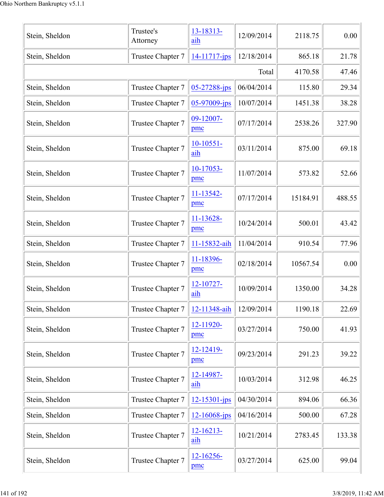| Stein, Sheldon | Trustee's<br>Attorney | 13-18313-<br>aih      | 12/09/2014 | 2118.75  | 0.00   |
|----------------|-----------------------|-----------------------|------------|----------|--------|
| Stein, Sheldon | Trustee Chapter 7     | $14 - 11717 - ips$    | 12/18/2014 | 865.18   | 21.78  |
|                |                       |                       | Total      | 4170.58  | 47.46  |
| Stein, Sheldon | Trustee Chapter 7     | $05 - 27288$ -jps     | 06/04/2014 | 115.80   | 29.34  |
| Stein, Sheldon | Trustee Chapter 7     | $05-97009$ -jps       | 10/07/2014 | 1451.38  | 38.28  |
| Stein, Sheldon | Trustee Chapter 7     | 09-12007-<br>pmc      | 07/17/2014 | 2538.26  | 327.90 |
| Stein, Sheldon | Trustee Chapter 7     | $10-10551-$<br>aih    | 03/11/2014 | 875.00   | 69.18  |
| Stein, Sheldon | Trustee Chapter 7     | $10-17053-$<br>pmc    | 11/07/2014 | 573.82   | 52.66  |
| Stein, Sheldon | Trustee Chapter 7     | $11 - 13542 -$<br>pmc | 07/17/2014 | 15184.91 | 488.55 |
| Stein, Sheldon | Trustee Chapter 7     | 11-13628-<br>pmc      | 10/24/2014 | 500.01   | 43.42  |
| Stein, Sheldon | Trustee Chapter 7     | 11-15832-aih          | 11/04/2014 | 910.54   | 77.96  |
| Stein, Sheldon | Trustee Chapter 7     | 11-18396-<br>pmc      | 02/18/2014 | 10567.54 | 0.00   |
| Stein, Sheldon | Trustee Chapter 7     | 12-10727-<br>aih      | 10/09/2014 | 1350.00  | 34.28  |
| Stein, Sheldon | Trustee Chapter 7     | 12-11348-aih          | 12/09/2014 | 1190.18  | 22.69  |
| Stein, Sheldon | Trustee Chapter 7     | 12-11920-<br>pmc      | 03/27/2014 | 750.00   | 41.93  |
| Stein, Sheldon | Trustee Chapter 7     | 12-12419-<br>pmc      | 09/23/2014 | 291.23   | 39.22  |
| Stein, Sheldon | Trustee Chapter 7     | 12-14987-<br>aih      | 10/03/2014 | 312.98   | 46.25  |
| Stein, Sheldon | Trustee Chapter 7     | $12 - 15301 - ips$    | 04/30/2014 | 894.06   | 66.36  |
| Stein, Sheldon | Trustee Chapter 7     | 12-16068-jps          | 04/16/2014 | 500.00   | 67.28  |
| Stein, Sheldon | Trustee Chapter 7     | $12 - 16213 -$<br>aih | 10/21/2014 | 2783.45  | 133.38 |
| Stein, Sheldon | Trustee Chapter 7     | 12-16256-<br>pmc      | 03/27/2014 | 625.00   | 99.04  |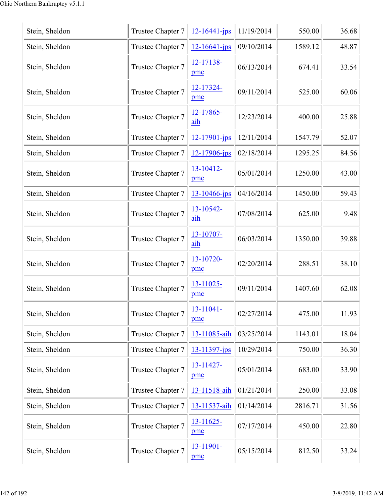| Stein, Sheldon | Trustee Chapter 7 | $12 - 16441 - ips$    | 11/19/2014 | 550.00  | 36.68 |
|----------------|-------------------|-----------------------|------------|---------|-------|
| Stein, Sheldon | Trustee Chapter 7 | $12 - 16641 - jps$    | 09/10/2014 | 1589.12 | 48.87 |
| Stein, Sheldon | Trustee Chapter 7 | 12-17138-<br>pmc      | 06/13/2014 | 674.41  | 33.54 |
| Stein, Sheldon | Trustee Chapter 7 | 12-17324-<br>pmc      | 09/11/2014 | 525.00  | 60.06 |
| Stein, Sheldon | Trustee Chapter 7 | 12-17865-<br>aih      | 12/23/2014 | 400.00  | 25.88 |
| Stein, Sheldon | Trustee Chapter 7 | 12-17901-jps          | 12/11/2014 | 1547.79 | 52.07 |
| Stein, Sheldon | Trustee Chapter 7 | 12-17906-jps          | 02/18/2014 | 1295.25 | 84.56 |
| Stein, Sheldon | Trustee Chapter 7 | 13-10412-<br>pmc      | 05/01/2014 | 1250.00 | 43.00 |
| Stein, Sheldon | Trustee Chapter 7 | $13 - 10466$ -jps     | 04/16/2014 | 1450.00 | 59.43 |
| Stein, Sheldon | Trustee Chapter 7 | 13-10542-<br>aih      | 07/08/2014 | 625.00  | 9.48  |
| Stein, Sheldon | Trustee Chapter 7 | 13-10707-<br>aih      | 06/03/2014 | 1350.00 | 39.88 |
| Stein, Sheldon | Trustee Chapter 7 | 13-10720-<br>pmc      | 02/20/2014 | 288.51  | 38.10 |
| Stein, Sheldon | Trustee Chapter 7 | 13-11025-<br>pmc      | 09/11/2014 | 1407.60 | 62.08 |
| Stein, Sheldon | Trustee Chapter 7 | $13 - 11041 -$<br>pmc | 02/27/2014 | 475.00  | 11.93 |
| Stein, Sheldon | Trustee Chapter 7 | 13-11085-aih          | 03/25/2014 | 1143.01 | 18.04 |
| Stein, Sheldon | Trustee Chapter 7 | 13-11397-jps          | 10/29/2014 | 750.00  | 36.30 |
| Stein, Sheldon | Trustee Chapter 7 | 13-11427-<br>pmc      | 05/01/2014 | 683.00  | 33.90 |
| Stein, Sheldon | Trustee Chapter 7 | 13-11518-aih          | 01/21/2014 | 250.00  | 33.08 |
| Stein, Sheldon | Trustee Chapter 7 | 13-11537-aih          | 01/14/2014 | 2816.71 | 31.56 |
| Stein, Sheldon | Trustee Chapter 7 | $13 - 11625$<br>pmc   | 07/17/2014 | 450.00  | 22.80 |
| Stein, Sheldon | Trustee Chapter 7 | 13-11901-<br>pmc      | 05/15/2014 | 812.50  | 33.24 |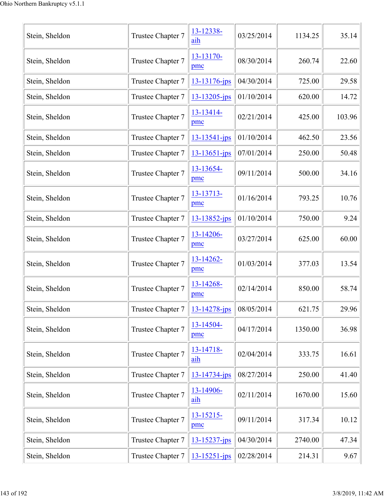| Stein, Sheldon | Trustee Chapter 7 | 13-12338-<br>aih      | 03/25/2014 | 1134.25 | 35.14  |
|----------------|-------------------|-----------------------|------------|---------|--------|
| Stein, Sheldon | Trustee Chapter 7 | 13-13170-<br>pmc      | 08/30/2014 | 260.74  | 22.60  |
| Stein, Sheldon | Trustee Chapter 7 | 13-13176-jps          | 04/30/2014 | 725.00  | 29.58  |
| Stein, Sheldon | Trustee Chapter 7 | 13-13205-jps          | 01/10/2014 | 620.00  | 14.72  |
| Stein, Sheldon | Trustee Chapter 7 | 13-13414-<br>pmc      | 02/21/2014 | 425.00  | 103.96 |
| Stein, Sheldon | Trustee Chapter 7 | 13-13541-jps          | 01/10/2014 | 462.50  | 23.56  |
| Stein, Sheldon | Trustee Chapter 7 | 13-13651-jps          | 07/01/2014 | 250.00  | 50.48  |
| Stein, Sheldon | Trustee Chapter 7 | 13-13654-<br>pmc      | 09/11/2014 | 500.00  | 34.16  |
| Stein, Sheldon | Trustee Chapter 7 | 13-13713-<br>pmc      | 01/16/2014 | 793.25  | 10.76  |
| Stein, Sheldon | Trustee Chapter 7 | $13 - 13852 - ips$    | 01/10/2014 | 750.00  | 9.24   |
| Stein, Sheldon | Trustee Chapter 7 | 13-14206-<br>pmc      | 03/27/2014 | 625.00  | 60.00  |
| Stein, Sheldon | Trustee Chapter 7 | 13-14262-<br>pmc      | 01/03/2014 | 377.03  | 13.54  |
| Stein, Sheldon | Trustee Chapter 7 | 13-14268-<br>pmc      | 02/14/2014 | 850.00  | 58.74  |
| Stein, Sheldon | Trustee Chapter 7 | $13 - 14278$ -jps     | 08/05/2014 | 621.75  | 29.96  |
| Stein, Sheldon | Trustee Chapter 7 | 13-14504-<br>pmc      | 04/17/2014 | 1350.00 | 36.98  |
| Stein, Sheldon | Trustee Chapter 7 | 13-14718-<br>aih      | 02/04/2014 | 333.75  | 16.61  |
| Stein, Sheldon | Trustee Chapter 7 | $13 - 14734$ -jps     | 08/27/2014 | 250.00  | 41.40  |
| Stein, Sheldon | Trustee Chapter 7 | 13-14906-<br>aih      | 02/11/2014 | 1670.00 | 15.60  |
| Stein, Sheldon | Trustee Chapter 7 | $13 - 15215 -$<br>pmc | 09/11/2014 | 317.34  | 10.12  |
| Stein, Sheldon | Trustee Chapter 7 | 13-15237-jps          | 04/30/2014 | 2740.00 | 47.34  |
| Stein, Sheldon | Trustee Chapter 7 | $13 - 15251 - jps$    | 02/28/2014 | 214.31  | 9.67   |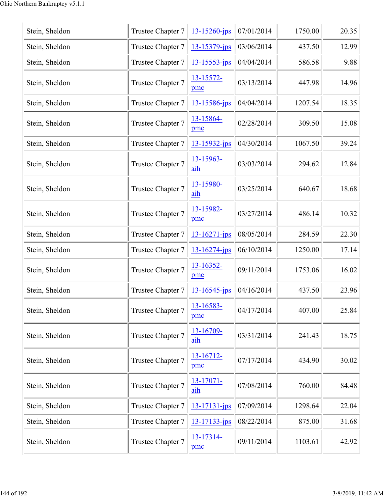| Stein, Sheldon | Trustee Chapter 7 | 13-15260-jps       | 07/01/2014 | 1750.00 | 20.35 |
|----------------|-------------------|--------------------|------------|---------|-------|
| Stein, Sheldon | Trustee Chapter 7 | 13-15379-jps       | 03/06/2014 | 437.50  | 12.99 |
| Stein, Sheldon | Trustee Chapter 7 | 13-15553-jps       | 04/04/2014 | 586.58  | 9.88  |
| Stein, Sheldon | Trustee Chapter 7 | 13-15572-<br>pmc   | 03/13/2014 | 447.98  | 14.96 |
| Stein, Sheldon | Trustee Chapter 7 | 13-15586-jps       | 04/04/2014 | 1207.54 | 18.35 |
| Stein, Sheldon | Trustee Chapter 7 | 13-15864-<br>pmc   | 02/28/2014 | 309.50  | 15.08 |
| Stein, Sheldon | Trustee Chapter 7 | $13 - 15932 - ips$ | 04/30/2014 | 1067.50 | 39.24 |
| Stein, Sheldon | Trustee Chapter 7 | 13-15963-<br>aih   | 03/03/2014 | 294.62  | 12.84 |
| Stein, Sheldon | Trustee Chapter 7 | 13-15980-<br>aih   | 03/25/2014 | 640.67  | 18.68 |
| Stein, Sheldon | Trustee Chapter 7 | 13-15982-<br>pmc   | 03/27/2014 | 486.14  | 10.32 |
| Stein, Sheldon | Trustee Chapter 7 | 13-16271-jps       | 08/05/2014 | 284.59  | 22.30 |
| Stein, Sheldon | Trustee Chapter 7 | $13 - 16274 - ips$ | 06/10/2014 | 1250.00 | 17.14 |
| Stein, Sheldon | Trustee Chapter 7 | 13-16352-<br>pmc   | 09/11/2014 | 1753.06 | 16.02 |
| Stein, Sheldon | Trustee Chapter 7 | $13 - 16545$ -jps  | 04/16/2014 | 437.50  | 23.96 |
| Stein, Sheldon | Trustee Chapter 7 | 13-16583-<br>pmc   | 04/17/2014 | 407.00  | 25.84 |
| Stein, Sheldon | Trustee Chapter 7 | 13-16709-<br>aih   | 03/31/2014 | 241.43  | 18.75 |
| Stein, Sheldon | Trustee Chapter 7 | 13-16712-<br>pmc   | 07/17/2014 | 434.90  | 30.02 |
| Stein, Sheldon | Trustee Chapter 7 | 13-17071-<br>aih   | 07/08/2014 | 760.00  | 84.48 |
| Stein, Sheldon | Trustee Chapter 7 | 13-17131-jps       | 07/09/2014 | 1298.64 | 22.04 |
| Stein, Sheldon | Trustee Chapter 7 | 13-17133-jps       | 08/22/2014 | 875.00  | 31.68 |
| Stein, Sheldon | Trustee Chapter 7 | 13-17314-<br>pmc   | 09/11/2014 | 1103.61 | 42.92 |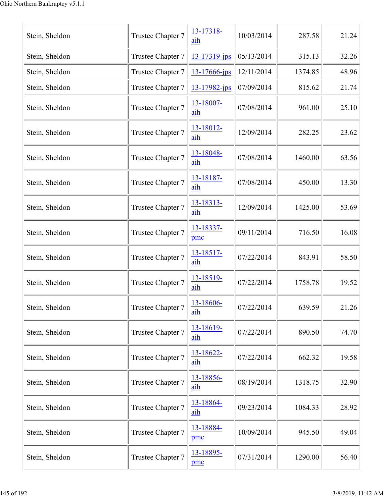| Stein, Sheldon | Trustee Chapter 7 | 13-17318-<br>aih    | 10/03/2014 | 287.58  | 21.24 |
|----------------|-------------------|---------------------|------------|---------|-------|
| Stein, Sheldon | Trustee Chapter 7 | 13-17319-jps        | 05/13/2014 | 315.13  | 32.26 |
| Stein, Sheldon | Trustee Chapter 7 | $13 - 17666$ -jps   | 12/11/2014 | 1374.85 | 48.96 |
| Stein, Sheldon | Trustee Chapter 7 | $13 - 17982$ -jps   | 07/09/2014 | 815.62  | 21.74 |
| Stein, Sheldon | Trustee Chapter 7 | 13-18007-<br>aih    | 07/08/2014 | 961.00  | 25.10 |
| Stein, Sheldon | Trustee Chapter 7 | 13-18012-<br>aih    | 12/09/2014 | 282.25  | 23.62 |
| Stein, Sheldon | Trustee Chapter 7 | 13-18048-<br>aih    | 07/08/2014 | 1460.00 | 63.56 |
| Stein, Sheldon | Trustee Chapter 7 | 13-18187-<br>aih    | 07/08/2014 | 450.00  | 13.30 |
| Stein, Sheldon | Trustee Chapter 7 | 13-18313-<br>aih    | 12/09/2014 | 1425.00 | 53.69 |
| Stein, Sheldon | Trustee Chapter 7 | 13-18337-<br>pmc    | 09/11/2014 | 716.50  | 16.08 |
| Stein, Sheldon | Trustee Chapter 7 | $13 - 18517$<br>aih | 07/22/2014 | 843.91  | 58.50 |
| Stein, Sheldon | Trustee Chapter 7 | 13-18519-<br>aih    | 07/22/2014 | 1758.78 | 19.52 |
| Stein, Sheldon | Trustee Chapter 7 | 13-18606-<br>aih    | 07/22/2014 | 639.59  | 21.26 |
| Stein, Sheldon | Trustee Chapter 7 | 13-18619-<br>aih    | 07/22/2014 | 890.50  | 74.70 |
| Stein, Sheldon | Trustee Chapter 7 | 13-18622-<br>aih    | 07/22/2014 | 662.32  | 19.58 |
| Stein, Sheldon | Trustee Chapter 7 | 13-18856-<br>aih    | 08/19/2014 | 1318.75 | 32.90 |
| Stein, Sheldon | Trustee Chapter 7 | 13-18864-<br>aih    | 09/23/2014 | 1084.33 | 28.92 |
| Stein, Sheldon | Trustee Chapter 7 | 13-18884-<br>pmc    | 10/09/2014 | 945.50  | 49.04 |
| Stein, Sheldon | Trustee Chapter 7 | 13-18895-<br>pmc    | 07/31/2014 | 1290.00 | 56.40 |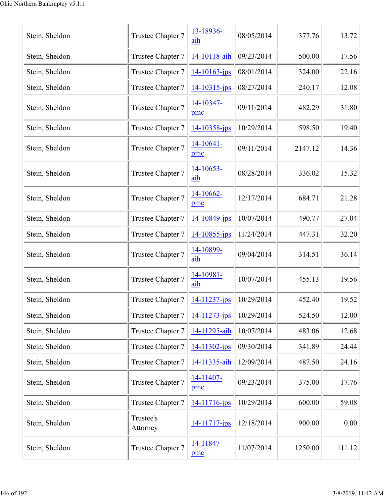| Stein, Sheldon | Trustee Chapter 7     | 13-18936-<br>aih   | 08/05/2014 | 377.76  | 13.72  |
|----------------|-----------------------|--------------------|------------|---------|--------|
| Stein, Sheldon | Trustee Chapter 7     | 14-10118-aih       | 09/23/2014 | 500.00  | 17.56  |
| Stein, Sheldon | Trustee Chapter 7     | $14 - 10163 - ips$ | 08/01/2014 | 324.00  | 22.16  |
| Stein, Sheldon | Trustee Chapter 7     | $14 - 10315$ -jps  | 08/27/2014 | 240.17  | 12.08  |
| Stein, Sheldon | Trustee Chapter 7     | 14-10347-<br>pmc   | 09/11/2014 | 482.29  | 31.80  |
| Stein, Sheldon | Trustee Chapter 7     | 14-10358-jps       | 10/29/2014 | 598.50  | 19.40  |
| Stein, Sheldon | Trustee Chapter 7     | $14-10641-$<br>pmc | 09/11/2014 | 2147.12 | 14.36  |
| Stein, Sheldon | Trustee Chapter 7     | 14-10653-<br>aih   | 08/28/2014 | 336.02  | 15.32  |
| Stein, Sheldon | Trustee Chapter 7     | 14-10662-<br>pmc   | 12/17/2014 | 684.71  | 21.28  |
| Stein, Sheldon | Trustee Chapter 7     | 14-10849-jps       | 10/07/2014 | 490.77  | 27.04  |
| Stein, Sheldon | Trustee Chapter 7     | $14 - 10855$ -jps  | 11/24/2014 | 447.31  | 32.20  |
| Stein, Sheldon | Trustee Chapter 7     | 14-10899-<br>aih   | 09/04/2014 | 314.51  | 36.14  |
| Stein, Sheldon | Trustee Chapter 7     | 14-10981-<br>aih   | 10/07/2014 | 455.13  | 19.56  |
| Stein, Sheldon | Trustee Chapter 7     | 14-11237-jps       | 10/29/2014 | 452.40  | 19.52  |
| Stein, Sheldon | Trustee Chapter 7     | 14-11273-jps       | 10/29/2014 | 524.50  | 12.00  |
| Stein, Sheldon | Trustee Chapter 7     | 14-11295-aih       | 10/07/2014 | 483.06  | 12.68  |
| Stein, Sheldon | Trustee Chapter 7     | 14-11302-jps       | 09/30/2014 | 341.89  | 24.44  |
| Stein, Sheldon | Trustee Chapter 7     | 14-11335-aih       | 12/09/2014 | 487.50  | 24.16  |
| Stein, Sheldon | Trustee Chapter 7     | 14-11407-<br>pmc   | 09/23/2014 | 375.00  | 17.76  |
| Stein, Sheldon | Trustee Chapter 7     | 14-11716-jps       | 10/29/2014 | 600.00  | 59.08  |
| Stein, Sheldon | Trustee's<br>Attorney | 14-11717-jps       | 12/18/2014 | 900.00  | 0.00   |
| Stein, Sheldon | Trustee Chapter 7     | 14-11847-<br>pmc   | 11/07/2014 | 1250.00 | 111.12 |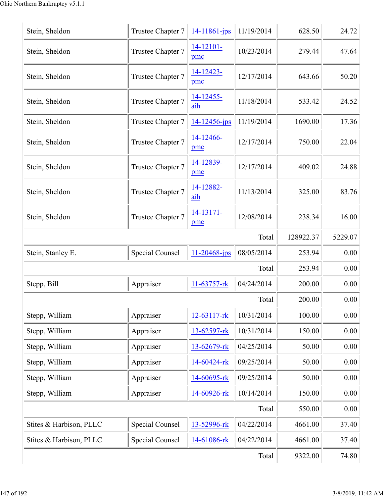| Stein, Sheldon          | Trustee Chapter 7      | $14 - 11861 - ips$    | 11/19/2014 | 628.50    | 24.72   |
|-------------------------|------------------------|-----------------------|------------|-----------|---------|
| Stein, Sheldon          | Trustee Chapter 7      | $14 - 12101 -$<br>pmc | 10/23/2014 | 279.44    | 47.64   |
| Stein, Sheldon          | Trustee Chapter 7      | 14-12423-<br>pmc      | 12/17/2014 | 643.66    | 50.20   |
| Stein, Sheldon          | Trustee Chapter 7      | 14-12455-<br>aih      | 11/18/2014 | 533.42    | 24.52   |
| Stein, Sheldon          | Trustee Chapter 7      | $14 - 12456$ -jps     | 11/19/2014 | 1690.00   | 17.36   |
| Stein, Sheldon          | Trustee Chapter 7      | 14-12466-<br>pmc      | 12/17/2014 | 750.00    | 22.04   |
| Stein, Sheldon          | Trustee Chapter 7      | 14-12839-<br>pmc      | 12/17/2014 | 409.02    | 24.88   |
| Stein, Sheldon          | Trustee Chapter 7      | 14-12882-<br>aih      | 11/13/2014 | 325.00    | 83.76   |
| Stein, Sheldon          | Trustee Chapter 7      | $14 - 13171 -$<br>pmc | 12/08/2014 | 238.34    | 16.00   |
|                         |                        |                       | Total      | 128922.37 | 5229.07 |
| Stein, Stanley E.       | Special Counsel        | $11 - 20468$ -jps     | 08/05/2014 | 253.94    | 0.00    |
|                         |                        |                       | Total      | 253.94    | 0.00    |
| Stepp, Bill             | Appraiser              | 11-63757-rk           | 04/24/2014 | 200.00    | 0.00    |
|                         |                        |                       | Total      | 200.00    | 0.00    |
| Stepp, William          | Appraiser              | 12-63117-rk           | 10/31/2014 | 100.00    | 0.00    |
| Stepp, William          | Appraiser              | 13-62597-rk           | 10/31/2014 | 150.00    | 0.00    |
| Stepp, William          | Appraiser              | 13-62679-rk           | 04/25/2014 | 50.00     | 0.00    |
| Stepp, William          | Appraiser              | 14-60424-rk           | 09/25/2014 | 50.00     | 0.00    |
| Stepp, William          | Appraiser              | 14-60695-rk           | 09/25/2014 | 50.00     | 0.00    |
| Stepp, William          | Appraiser              | 14-60926-rk           | 10/14/2014 | 150.00    | 0.00    |
|                         |                        |                       | Total      | 550.00    | 0.00    |
| Stites & Harbison, PLLC | <b>Special Counsel</b> | 13-52996-rk           | 04/22/2014 | 4661.00   | 37.40   |
| Stites & Harbison, PLLC | <b>Special Counsel</b> | 14-61086-rk           | 04/22/2014 | 4661.00   | 37.40   |
|                         |                        |                       | Total      | 9322.00   | 74.80   |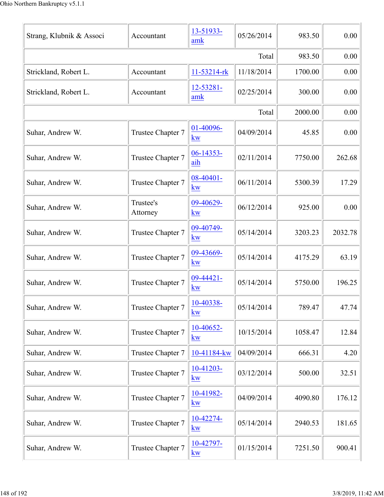|                          |                       | 13-51933-              |            |         |         |
|--------------------------|-----------------------|------------------------|------------|---------|---------|
| Strang, Klubnik & Associ | Accountant            | amk                    | 05/26/2014 | 983.50  | 0.00    |
|                          | 983.50                | 0.00                   |            |         |         |
| Strickland, Robert L.    | Accountant            | $11 - 53214 - rk$      | 11/18/2014 | 1700.00 | 0.00    |
| Strickland, Robert L.    | Accountant            | 12-53281-<br>amk       | 02/25/2014 | 300.00  | 0.00    |
|                          |                       |                        | Total      | 2000.00 | 0.00    |
| Suhar, Andrew W.         | Trustee Chapter 7     | 01-40096-<br>kw        | 04/09/2014 | 45.85   | 0.00    |
| Suhar, Andrew W.         | Trustee Chapter 7     | 06-14353-<br>aih       | 02/11/2014 | 7750.00 | 262.68  |
| Suhar, Andrew W.         | Trustee Chapter 7     | 08-40401-<br>kw        | 06/11/2014 | 5300.39 | 17.29   |
| Suhar, Andrew W.         | Trustee's<br>Attorney | 09-40629-<br><b>kw</b> | 06/12/2014 | 925.00  | 0.00    |
| Suhar, Andrew W.         | Trustee Chapter 7     | 09-40749-<br>kw        | 05/14/2014 | 3203.23 | 2032.78 |
| Suhar, Andrew W.         | Trustee Chapter 7     | 09-43669-<br>kw        | 05/14/2014 | 4175.29 | 63.19   |
| Suhar, Andrew W.         | Trustee Chapter 7     | 09-44421-<br>kw        | 05/14/2014 | 5750.00 | 196.25  |
| Suhar, Andrew W.         | Trustee Chapter 7     | 10-40338-<br>kw        | 05/14/2014 | 789.47  | 47.74   |
| Suhar, Andrew W.         | Trustee Chapter 7     | 10-40652-<br>kw        | 10/15/2014 | 1058.47 | 12.84   |
| Suhar, Andrew W.         | Trustee Chapter 7     | 10-41184-kw            | 04/09/2014 | 666.31  | 4.20    |
| Suhar, Andrew W.         | Trustee Chapter 7     | $10-41203-$<br>kw      | 03/12/2014 | 500.00  | 32.51   |
| Suhar, Andrew W.         | Trustee Chapter 7     | 10-41982-<br>kw        | 04/09/2014 | 4090.80 | 176.12  |
| Suhar, Andrew W.         | Trustee Chapter 7     | 10-42274-<br>kw        | 05/14/2014 | 2940.53 | 181.65  |
| Suhar, Andrew W.         | Trustee Chapter 7     | 10-42797-<br>$k$ w     | 01/15/2014 | 7251.50 | 900.41  |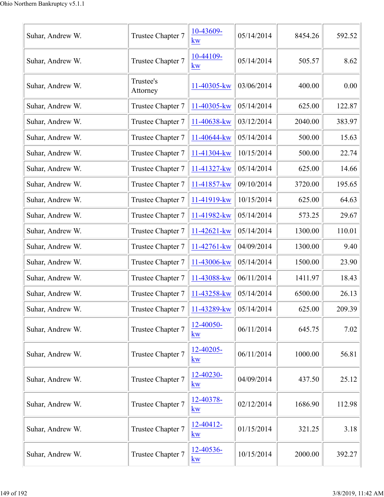| Suhar, Andrew W. | Trustee Chapter 7     | 10-43609-<br>kw        | 05/14/2014 | 8454.26 | 592.52 |
|------------------|-----------------------|------------------------|------------|---------|--------|
| Suhar, Andrew W. | Trustee Chapter 7     | 10-44109-<br><b>kw</b> | 05/14/2014 | 505.57  | 8.62   |
| Suhar, Andrew W. | Trustee's<br>Attorney | 11-40305-kw            | 03/06/2014 | 400.00  | 0.00   |
| Suhar, Andrew W. | Trustee Chapter 7     | 11-40305-kw            | 05/14/2014 | 625.00  | 122.87 |
| Suhar, Andrew W. | Trustee Chapter 7     | 11-40638-kw            | 03/12/2014 | 2040.00 | 383.97 |
| Suhar, Andrew W. | Trustee Chapter 7     | 11-40644-kw            | 05/14/2014 | 500.00  | 15.63  |
| Suhar, Andrew W. | Trustee Chapter 7     | 11-41304-kw            | 10/15/2014 | 500.00  | 22.74  |
| Suhar, Andrew W. | Trustee Chapter 7     | 11-41327-kw            | 05/14/2014 | 625.00  | 14.66  |
| Suhar, Andrew W. | Trustee Chapter 7     | 11-41857-kw            | 09/10/2014 | 3720.00 | 195.65 |
| Suhar, Andrew W. | Trustee Chapter 7     | 11-41919-kw            | 10/15/2014 | 625.00  | 64.63  |
| Suhar, Andrew W. | Trustee Chapter 7     | 11-41982-kw            | 05/14/2014 | 573.25  | 29.67  |
| Suhar, Andrew W. | Trustee Chapter 7     | 11-42621-kw            | 05/14/2014 | 1300.00 | 110.01 |
| Suhar, Andrew W. | Trustee Chapter 7     | 11-42761-kw            | 04/09/2014 | 1300.00 | 9.40   |
| Suhar, Andrew W. | Trustee Chapter 7     | 11-43006-kw            | 05/14/2014 | 1500.00 | 23.90  |
| Suhar, Andrew W. | Trustee Chapter 7     | 11-43088-kw            | 06/11/2014 | 1411.97 | 18.43  |
| Suhar, Andrew W. | Trustee Chapter 7     | 11-43258-kw            | 05/14/2014 | 6500.00 | 26.13  |
| Suhar, Andrew W. | Trustee Chapter 7     | 11-43289-kw            | 05/14/2014 | 625.00  | 209.39 |
| Suhar, Andrew W. | Trustee Chapter 7     | 12-40050-<br>kw        | 06/11/2014 | 645.75  | 7.02   |
| Suhar, Andrew W. | Trustee Chapter 7     | 12-40205-<br>kw        | 06/11/2014 | 1000.00 | 56.81  |
| Suhar, Andrew W. | Trustee Chapter 7     | 12-40230-<br>kw        | 04/09/2014 | 437.50  | 25.12  |
| Suhar, Andrew W. | Trustee Chapter 7     | 12-40378-<br>kw        | 02/12/2014 | 1686.90 | 112.98 |
| Suhar, Andrew W. | Trustee Chapter 7     | 12-40412-<br>$k$ w     | 01/15/2014 | 321.25  | 3.18   |
| Suhar, Andrew W. | Trustee Chapter 7     | 12-40536-<br>kw        | 10/15/2014 | 2000.00 | 392.27 |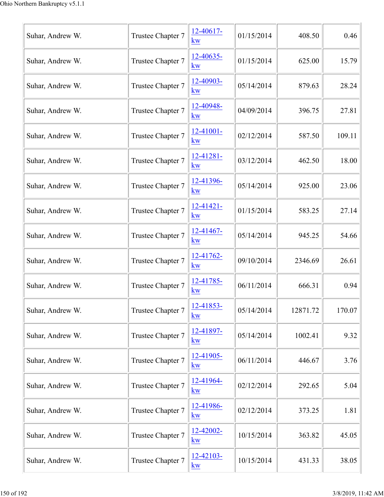| Suhar, Andrew W. | Trustee Chapter 7 | $12 - 40617$<br>kw       | 01/15/2014 | 408.50   | 0.46   |
|------------------|-------------------|--------------------------|------------|----------|--------|
| Suhar, Andrew W. | Trustee Chapter 7 | 12-40635-<br>kw          | 01/15/2014 | 625.00   | 15.79  |
| Suhar, Andrew W. | Trustee Chapter 7 | 12-40903-<br>kw          | 05/14/2014 | 879.63   | 28.24  |
| Suhar, Andrew W. | Trustee Chapter 7 | 12-40948-<br>kw          | 04/09/2014 | 396.75   | 27.81  |
| Suhar, Andrew W. | Trustee Chapter 7 | $12 - 41001 -$<br>kw     | 02/12/2014 | 587.50   | 109.11 |
| Suhar, Andrew W. | Trustee Chapter 7 | $12 - 41281 -$<br>kw     | 03/12/2014 | 462.50   | 18.00  |
| Suhar, Andrew W. | Trustee Chapter 7 | 12-41396-<br>$k_{\rm W}$ | 05/14/2014 | 925.00   | 23.06  |
| Suhar, Andrew W. | Trustee Chapter 7 | $12 - 41421 -$<br>kw     | 01/15/2014 | 583.25   | 27.14  |
| Suhar, Andrew W. | Trustee Chapter 7 | 12-41467-<br>kw          | 05/14/2014 | 945.25   | 54.66  |
| Suhar, Andrew W. | Trustee Chapter 7 | 12-41762-<br>kw          | 09/10/2014 | 2346.69  | 26.61  |
| Suhar, Andrew W. | Trustee Chapter 7 | 12-41785-<br>kw          | 06/11/2014 | 666.31   | 0.94   |
| Suhar, Andrew W. | Trustee Chapter 7 | $12 - 41853 -$<br>kw     | 05/14/2014 | 12871.72 | 170.07 |
| Suhar, Andrew W. | Trustee Chapter 7 | 12-41897-<br>kw          | 05/14/2014 | 1002.41  | 9.32   |
| Suhar, Andrew W. | Trustee Chapter 7 | $12 - 41905 -$<br>kw     | 06/11/2014 | 446.67   | 3.76   |
| Suhar, Andrew W. | Trustee Chapter 7 | 12-41964-<br>$k_{\rm W}$ | 02/12/2014 | 292.65   | 5.04   |
| Suhar, Andrew W. | Trustee Chapter 7 | 12-41986-<br>kw          | 02/12/2014 | 373.25   | 1.81   |
| Suhar, Andrew W. | Trustee Chapter 7 | 12-42002-<br>kw          | 10/15/2014 | 363.82   | 45.05  |
| Suhar, Andrew W. | Trustee Chapter 7 | 12-42103-<br>$k$ w       | 10/15/2014 | 431.33   | 38.05  |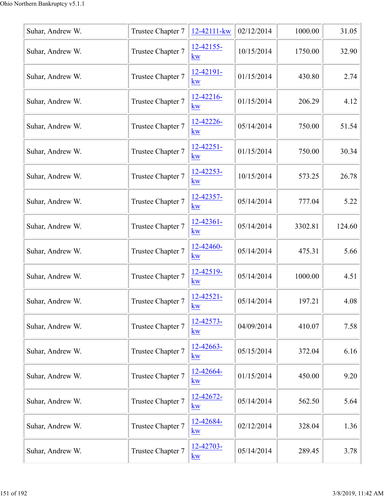| Suhar, Andrew W. | Trustee Chapter 7 | 12-42111-kw                   | 02/12/2014 | 1000.00 | 31.05  |
|------------------|-------------------|-------------------------------|------------|---------|--------|
| Suhar, Andrew W. | Trustee Chapter 7 | 12-42155-<br>kw               | 10/15/2014 | 1750.00 | 32.90  |
| Suhar, Andrew W. | Trustee Chapter 7 | $12 - 42191 -$<br>$k$ w       | 01/15/2014 | 430.80  | 2.74   |
| Suhar, Andrew W. | Trustee Chapter 7 | 12-42216-<br><b>kw</b>        | 01/15/2014 | 206.29  | 4.12   |
| Suhar, Andrew W. | Trustee Chapter 7 | 12-42226-<br>KW               | 05/14/2014 | 750.00  | 51.54  |
| Suhar, Andrew W. | Trustee Chapter 7 | $12 - 42251$<br>$k_{\rm W}$   | 01/15/2014 | 750.00  | 30.34  |
| Suhar, Andrew W. | Trustee Chapter 7 | 12-42253-<br>kw               | 10/15/2014 | 573.25  | 26.78  |
| Suhar, Andrew W. | Trustee Chapter 7 | 12-42357-<br>kw               | 05/14/2014 | 777.04  | 5.22   |
| Suhar, Andrew W. | Trustee Chapter 7 | $12 - 42361 -$<br>$k_{\rm W}$ | 05/14/2014 | 3302.81 | 124.60 |
| Suhar, Andrew W. | Trustee Chapter 7 | 12-42460-<br>kw               | 05/14/2014 | 475.31  | 5.66   |
| Suhar, Andrew W. | Trustee Chapter 7 | $12 - 42519$<br>kw            | 05/14/2014 | 1000.00 | 4.51   |
| Suhar, Andrew W. | Trustee Chapter 7 | 12-42521-<br>kw               | 05/14/2014 | 197.21  | 4.08   |
| Suhar, Andrew W. | Trustee Chapter 7 | 12-42573-<br>kw               | 04/09/2014 | 410.07  | 7.58   |
| Suhar, Andrew W. | Trustee Chapter 7 | 12-42663-<br>$k_{\rm W}$      | 05/15/2014 | 372.04  | 6.16   |
| Suhar, Andrew W. | Trustee Chapter 7 | 12-42664-<br>$k$ w            | 01/15/2014 | 450.00  | 9.20   |
| Suhar, Andrew W. | Trustee Chapter 7 | 12-42672-<br>kw               | 05/14/2014 | 562.50  | 5.64   |
| Suhar, Andrew W. | Trustee Chapter 7 | 12-42684-<br>kw               | 02/12/2014 | 328.04  | 1.36   |
| Suhar, Andrew W. | Trustee Chapter 7 | 12-42703-<br>kw               | 05/14/2014 | 289.45  | 3.78   |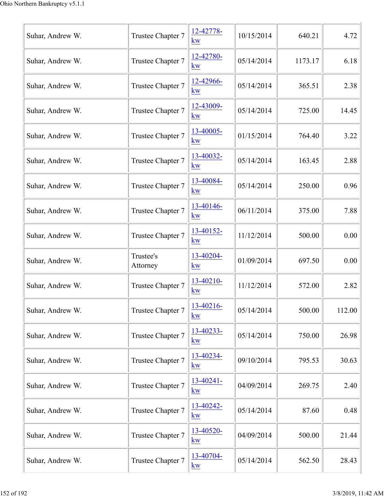| Suhar, Andrew W. | Trustee Chapter 7     | 12-42778-<br>kw          | 10/15/2014 | 640.21  | 4.72   |
|------------------|-----------------------|--------------------------|------------|---------|--------|
| Suhar, Andrew W. | Trustee Chapter 7     | 12-42780-<br>kw          | 05/14/2014 | 1173.17 | 6.18   |
| Suhar, Andrew W. | Trustee Chapter 7     | 12-42966-<br>kw          | 05/14/2014 | 365.51  | 2.38   |
| Suhar, Andrew W. | Trustee Chapter 7     | 12-43009-<br>kw          | 05/14/2014 | 725.00  | 14.45  |
| Suhar, Andrew W. | Trustee Chapter 7     | 13-40005-<br>kw          | 01/15/2014 | 764.40  | 3.22   |
| Suhar, Andrew W. | Trustee Chapter 7     | 13-40032-<br>kw          | 05/14/2014 | 163.45  | 2.88   |
| Suhar, Andrew W. | Trustee Chapter 7     | 13-40084-<br>kw          | 05/14/2014 | 250.00  | 0.96   |
| Suhar, Andrew W. | Trustee Chapter 7     | 13-40146-<br><b>kw</b>   | 06/11/2014 | 375.00  | 7.88   |
| Suhar, Andrew W. | Trustee Chapter 7     | 13-40152-<br>kw          | 11/12/2014 | 500.00  | 0.00   |
| Suhar, Andrew W. | Trustee's<br>Attorney | 13-40204-<br>$k_{\rm W}$ | 01/09/2014 | 697.50  | 0.00   |
| Suhar, Andrew W. | Trustee Chapter 7     | 13-40210-<br><b>kw</b>   | 11/12/2014 | 572.00  | 2.82   |
| Suhar, Andrew W. | Trustee Chapter 7     | 13-40216-<br>kw          | 05/14/2014 | 500.00  | 112.00 |
| Suhar, Andrew W. | Trustee Chapter 7     | 13-40233-<br>kw          | 05/14/2014 | 750.00  | 26.98  |
| Suhar, Andrew W. | Trustee Chapter 7     | 13-40234-<br>kw          | 09/10/2014 | 795.53  | 30.63  |
| Suhar, Andrew W. | Trustee Chapter 7     | 13-40241-<br>kw          | 04/09/2014 | 269.75  | 2.40   |
| Suhar, Andrew W. | Trustee Chapter 7     | 13-40242-<br>kw          | 05/14/2014 | 87.60   | 0.48   |
| Suhar, Andrew W. | Trustee Chapter 7     | 13-40520-<br>kw          | 04/09/2014 | 500.00  | 21.44  |
| Suhar, Andrew W. | Trustee Chapter 7     | 13-40704-<br>$k$ w       | 05/14/2014 | 562.50  | 28.43  |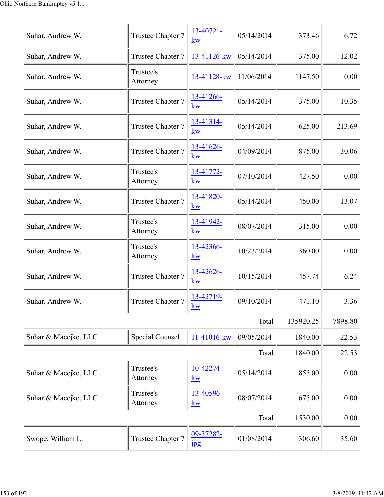| Suhar, Andrew W.     | Trustee Chapter 7      | 13-40721-<br>kw                        | 05/14/2014 | 373.46    | 6.72    |
|----------------------|------------------------|----------------------------------------|------------|-----------|---------|
| Suhar, Andrew W.     | Trustee Chapter 7      | 13-41126-kw                            | 05/14/2014 | 375.00    | 12.02   |
| Suhar, Andrew W.     | Trustee's<br>Attorney  | 13-41128-kw                            | 11/06/2014 | 1147.50   | 0.00    |
| Suhar, Andrew W.     | Trustee Chapter 7      | 13-41266-<br><b>kw</b>                 | 05/14/2014 | 375.00    | 10.35   |
| Suhar, Andrew W.     | Trustee Chapter 7      | 13-41314-<br>kw                        | 05/14/2014 | 625.00    | 213.69  |
| Suhar, Andrew W.     | Trustee Chapter 7      | 13-41626-<br>kw                        | 04/09/2014 | 875.00    | 30.06   |
| Suhar, Andrew W.     | Trustee's<br>Attorney  | 13-41772-<br>kw                        | 07/10/2014 | 427.50    | 0.00    |
| Suhar, Andrew W.     | Trustee Chapter 7      | 13-41820-<br>kw                        | 05/14/2014 | 450.00    | 13.07   |
| Suhar, Andrew W.     | Trustee's<br>Attorney  | 13-41942-<br>kw                        | 08/07/2014 | 315.00    | 0.00    |
| Suhar, Andrew W.     | Trustee's<br>Attorney  | 13-42366-<br>kw                        | 10/23/2014 | 360.00    | 0.00    |
| Suhar, Andrew W.     | Trustee Chapter 7      | 13-42626-<br><b>kw</b>                 | 10/15/2014 | 457.74    | 6.24    |
| Suhar, Andrew W.     | Trustee Chapter 7      | 13-42719-<br>$\underline{\bf KW}$      | 09/10/2014 | 471.10    | 3.36    |
|                      |                        |                                        | Total      | 135920.25 | 7898.80 |
| Suhar & Macejko, LLC | <b>Special Counsel</b> | 11-41016-kw                            | 09/05/2014 | 1840.00   | 22.53   |
|                      |                        |                                        | Total      | 1840.00   | 22.53   |
| Suhar & Macejko, LLC | Trustee's<br>Attorney  | 10-42274-<br>kw                        | 05/14/2014 | 855.00    | 0.00    |
| Suhar & Macejko, LLC | Trustee's<br>Attorney  | 13-40596-<br>$\underline{\mathbf{kw}}$ | 08/07/2014 | 675.00    | 0.00    |
|                      |                        |                                        | Total      | 1530.00   | 0.00    |
| Swope, William L.    | Trustee Chapter 7      | 09-37282-<br><b>Jpg</b>                | 01/08/2014 | 306.60    | 35.60   |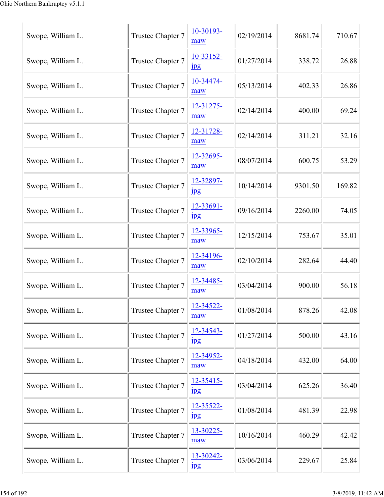| Swope, William L. | Trustee Chapter 7 | 10-30193-<br>maw                | 02/19/2014 | 8681.74 | 710.67 |
|-------------------|-------------------|---------------------------------|------------|---------|--------|
| Swope, William L. | Trustee Chapter 7 | 10-33152-<br>$\frac{1}{2}$      | 01/27/2014 | 338.72  | 26.88  |
| Swope, William L. | Trustee Chapter 7 | 10-34474-<br>maw                | 05/13/2014 | 402.33  | 26.86  |
| Swope, William L. | Trustee Chapter 7 | 12-31275-<br>maw                | 02/14/2014 | 400.00  | 69.24  |
| Swope, William L. | Trustee Chapter 7 | 12-31728-<br>maw                | 02/14/2014 | 311.21  | 32.16  |
| Swope, William L. | Trustee Chapter 7 | 12-32695-<br>maw                | 08/07/2014 | 600.75  | 53.29  |
| Swope, William L. | Trustee Chapter 7 | 12-32897-<br>$_{\rm 1\!P\!S}$   | 10/14/2014 | 9301.50 | 169.82 |
| Swope, William L. | Trustee Chapter 7 | 12-33691-<br>$_{\rm 1\!P\!S}$   | 09/16/2014 | 2260.00 | 74.05  |
| Swope, William L. | Trustee Chapter 7 | 12-33965-<br>maw                | 12/15/2014 | 753.67  | 35.01  |
| Swope, William L. | Trustee Chapter 7 | 12-34196-<br>maw                | 02/10/2014 | 282.64  | 44.40  |
| Swope, William L. | Trustee Chapter 7 | 12-34485-<br>maw                | 03/04/2014 | 900.00  | 56.18  |
| Swope, William L. | Trustee Chapter 7 | 12-34522-<br>maw                | 01/08/2014 | 878.26  | 42.08  |
| Swope, William L. | Trustee Chapter 7 | 12-34543-<br>$_{\rm 1\!P\rm 2}$ | 01/27/2014 | 500.00  | 43.16  |
| Swope, William L. | Trustee Chapter 7 | 12-34952-<br>maw                | 04/18/2014 | 432.00  | 64.00  |
| Swope, William L. | Trustee Chapter 7 | 12-35415-<br>$_{\rm 1pg}$       | 03/04/2014 | 625.26  | 36.40  |
| Swope, William L. | Trustee Chapter 7 | 12-35522-<br>$_{\rm 1\!P\!S}$   | 01/08/2014 | 481.39  | 22.98  |
| Swope, William L. | Trustee Chapter 7 | 13-30225-<br>maw                | 10/16/2014 | 460.29  | 42.42  |
| Swope, William L. | Trustee Chapter 7 | 13-30242-<br>$_{\rm 1pg}$       | 03/06/2014 | 229.67  | 25.84  |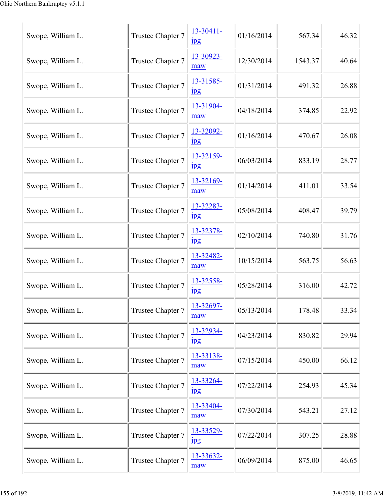| Swope, William L. | Trustee Chapter 7 | 13-30411-<br>$_{\rm 1\!P\!S}$ | 01/16/2014 | 567.34  | 46.32 |
|-------------------|-------------------|-------------------------------|------------|---------|-------|
| Swope, William L. | Trustee Chapter 7 | 13-30923-<br>maw              | 12/30/2014 | 1543.37 | 40.64 |
| Swope, William L. | Trustee Chapter 7 | 13-31585-<br>$_{\rm 1\,}$     | 01/31/2014 | 491.32  | 26.88 |
| Swope, William L. | Trustee Chapter 7 | 13-31904-<br>maw              | 04/18/2014 | 374.85  | 22.92 |
| Swope, William L. | Trustee Chapter 7 | 13-32092-<br>$_{\rm 1\,}$     | 01/16/2014 | 470.67  | 26.08 |
| Swope, William L. | Trustee Chapter 7 | 13-32159-<br>$\mathbf{u}$     | 06/03/2014 | 833.19  | 28.77 |
| Swope, William L. | Trustee Chapter 7 | 13-32169-<br>maw              | 01/14/2014 | 411.01  | 33.54 |
| Swope, William L. | Trustee Chapter 7 | 13-32283-<br>$_{\rm 1\!P\!S}$ | 05/08/2014 | 408.47  | 39.79 |
| Swope, William L. | Trustee Chapter 7 | 13-32378-<br>$\frac{1}{2}$    | 02/10/2014 | 740.80  | 31.76 |
| Swope, William L. | Trustee Chapter 7 | 13-32482-<br>maw              | 10/15/2014 | 563.75  | 56.63 |
| Swope, William L. | Trustee Chapter 7 | 13-32558-<br>$_{\rm 1\!P\!S}$ | 05/28/2014 | 316.00  | 42.72 |
| Swope, William L. | Trustee Chapter 7 | 13-32697-<br>maw              | 05/13/2014 | 178.48  | 33.34 |
| Swope, William L. | Trustee Chapter 7 | 13-32934-<br>$_{\rm 1\!P\!S}$ | 04/23/2014 | 830.82  | 29.94 |
| Swope, William L. | Trustee Chapter 7 | 13-33138-<br>maw              | 07/15/2014 | 450.00  | 66.12 |
| Swope, William L. | Trustee Chapter 7 | 13-33264-<br>$_{\rm 1\!P\!S}$ | 07/22/2014 | 254.93  | 45.34 |
| Swope, William L. | Trustee Chapter 7 | 13-33404-<br>maw              | 07/30/2014 | 543.21  | 27.12 |
| Swope, William L. | Trustee Chapter 7 | 13-33529-<br>$_{\rm 1\!P\!S}$ | 07/22/2014 | 307.25  | 28.88 |
| Swope, William L. | Trustee Chapter 7 | 13-33632-<br>maw              | 06/09/2014 | 875.00  | 46.65 |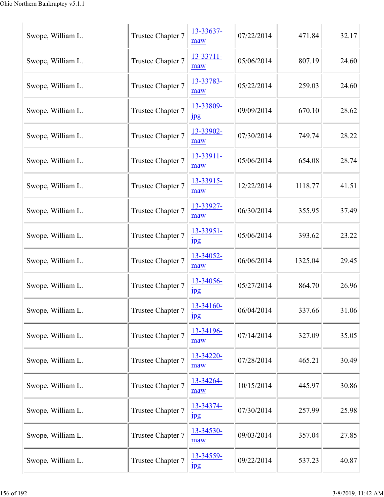| Swope, William L. | Trustee Chapter 7 | 13-33637-<br>maw              | 07/22/2014 | 471.84  | 32.17 |
|-------------------|-------------------|-------------------------------|------------|---------|-------|
| Swope, William L. | Trustee Chapter 7 | 13-33711-<br>maw              | 05/06/2014 | 807.19  | 24.60 |
| Swope, William L. | Trustee Chapter 7 | 13-33783-<br>maw              | 05/22/2014 | 259.03  | 24.60 |
| Swope, William L. | Trustee Chapter 7 | 13-33809-<br>$_{\rm 1\,}$     | 09/09/2014 | 670.10  | 28.62 |
| Swope, William L. | Trustee Chapter 7 | 13-33902-<br>maw              | 07/30/2014 | 749.74  | 28.22 |
| Swope, William L. | Trustee Chapter 7 | 13-33911-<br>maw              | 05/06/2014 | 654.08  | 28.74 |
| Swope, William L. | Trustee Chapter 7 | 13-33915-<br>maw              | 12/22/2014 | 1118.77 | 41.51 |
| Swope, William L. | Trustee Chapter 7 | 13-33927-<br>maw              | 06/30/2014 | 355.95  | 37.49 |
| Swope, William L. | Trustee Chapter 7 | 13-33951-<br>$_{\rm 1\!P\!S}$ | 05/06/2014 | 393.62  | 23.22 |
| Swope, William L. | Trustee Chapter 7 | 13-34052-<br>maw              | 06/06/2014 | 1325.04 | 29.45 |
| Swope, William L. | Trustee Chapter 7 | 13-34056-<br>$_{\rm 1\,}$     | 05/27/2014 | 864.70  | 26.96 |
| Swope, William L. | Trustee Chapter 7 | 13-34160-<br>$_{\rm 1pg}$     | 06/04/2014 | 337.66  | 31.06 |
| Swope, William L. | Trustee Chapter 7 | 13-34196-<br>maw              | 07/14/2014 | 327.09  | 35.05 |
| Swope, William L. | Trustee Chapter 7 | 13-34220-<br>maw              | 07/28/2014 | 465.21  | 30.49 |
| Swope, William L. | Trustee Chapter 7 | 13-34264-<br>maw              | 10/15/2014 | 445.97  | 30.86 |
| Swope, William L. | Trustee Chapter 7 | 13-34374-<br>$_{\rm 1\!P\!S}$ | 07/30/2014 | 257.99  | 25.98 |
| Swope, William L. | Trustee Chapter 7 | 13-34530-<br>maw              | 09/03/2014 | 357.04  | 27.85 |
| Swope, William L. | Trustee Chapter 7 | 13-34559-<br>$_{\rm 1\!P\!S}$ | 09/22/2014 | 537.23  | 40.87 |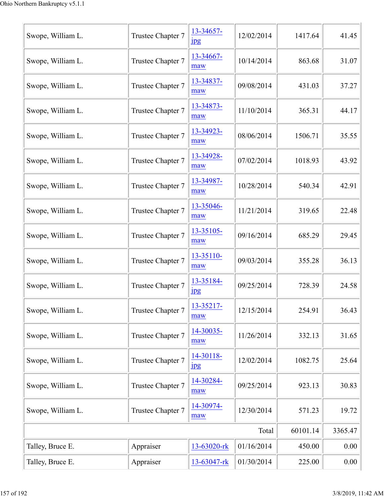| Swope, William L. | Trustee Chapter 7 | 13-34657-<br>$_{\rm 1\!P\!S}$ | 12/02/2014 | 1417.64  | 41.45   |
|-------------------|-------------------|-------------------------------|------------|----------|---------|
| Swope, William L. | Trustee Chapter 7 | 13-34667-<br>maw              | 10/14/2014 | 863.68   | 31.07   |
| Swope, William L. | Trustee Chapter 7 | 13-34837-<br>maw              | 09/08/2014 | 431.03   | 37.27   |
| Swope, William L. | Trustee Chapter 7 | 13-34873-<br>maw              | 11/10/2014 | 365.31   | 44.17   |
| Swope, William L. | Trustee Chapter 7 | 13-34923-<br>maw              | 08/06/2014 | 1506.71  | 35.55   |
| Swope, William L. | Trustee Chapter 7 | 13-34928-<br>maw              | 07/02/2014 | 1018.93  | 43.92   |
| Swope, William L. | Trustee Chapter 7 | 13-34987-<br>maw              | 10/28/2014 | 540.34   | 42.91   |
| Swope, William L. | Trustee Chapter 7 | 13-35046-<br>maw              | 11/21/2014 | 319.65   | 22.48   |
| Swope, William L. | Trustee Chapter 7 | 13-35105-<br>maw              | 09/16/2014 | 685.29   | 29.45   |
| Swope, William L. | Trustee Chapter 7 | 13-35110-<br>maw              | 09/03/2014 | 355.28   | 36.13   |
| Swope, William L. | Trustee Chapter 7 | 13-35184-<br>$_{\rm 1pg}$     | 09/25/2014 | 728.39   | 24.58   |
| Swope, William L. | Trustee Chapter 7 | 13-35217-<br>maw              | 12/15/2014 | 254.91   | 36.43   |
| Swope, William L. | Trustee Chapter 7 | 14-30035-<br>maw              | 11/26/2014 | 332.13   | 31.65   |
| Swope, William L. | Trustee Chapter 7 | 14-30118-<br>$_{\rm 1\!P\!S}$ | 12/02/2014 | 1082.75  | 25.64   |
| Swope, William L. | Trustee Chapter 7 | 14-30284-<br>maw              | 09/25/2014 | 923.13   | 30.83   |
| Swope, William L. | Trustee Chapter 7 | 14-30974-<br>maw              | 12/30/2014 | 571.23   | 19.72   |
|                   |                   |                               | Total      | 60101.14 | 3365.47 |
| Talley, Bruce E.  | Appraiser         | 13-63020-rk                   | 01/16/2014 | 450.00   | 0.00    |
| Talley, Bruce E.  | Appraiser         | 13-63047-rk                   | 01/30/2014 | 225.00   | 0.00    |
|                   |                   |                               |            |          |         |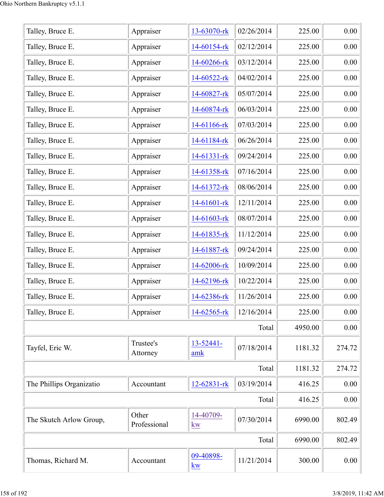| Talley, Bruce E.         |                       | 13-63070-rk           | 02/26/2014 | 225.00  | 0.00     |
|--------------------------|-----------------------|-----------------------|------------|---------|----------|
|                          | Appraiser             |                       |            |         |          |
| Talley, Bruce E.         | Appraiser             | 14-60154-rk           | 02/12/2014 | 225.00  | 0.00     |
| Talley, Bruce E.         | Appraiser             | 14-60266-rk           | 03/12/2014 | 225.00  | 0.00     |
| Talley, Bruce E.         | Appraiser             | 14-60522-rk           | 04/02/2014 | 225.00  | 0.00     |
| Talley, Bruce E.         | Appraiser             | 14-60827-rk           | 05/07/2014 | 225.00  | 0.00     |
| Talley, Bruce E.         | Appraiser             | 14-60874-rk           | 06/03/2014 | 225.00  | 0.00     |
| Talley, Bruce E.         | Appraiser             | 14-61166-rk           | 07/03/2014 | 225.00  | 0.00     |
| Talley, Bruce E.         | Appraiser             | 14-61184-rk           | 06/26/2014 | 225.00  | 0.00     |
| Talley, Bruce E.         | Appraiser             | $14 - 61331 -$ rk     | 09/24/2014 | 225.00  | 0.00     |
| Talley, Bruce E.         | Appraiser             | 14-61358-rk           | 07/16/2014 | 225.00  | 0.00     |
| Talley, Bruce E.         | Appraiser             | 14-61372-rk           | 08/06/2014 | 225.00  | 0.00     |
| Talley, Bruce E.         | Appraiser             | 14-61601-rk           | 12/11/2014 | 225.00  | 0.00     |
| Talley, Bruce E.         | Appraiser             | 14-61603-rk           | 08/07/2014 | 225.00  | 0.00     |
| Talley, Bruce E.         | Appraiser             | 14-61835-rk           | 11/12/2014 | 225.00  | 0.00     |
| Talley, Bruce E.         | Appraiser             | 14-61887-rk           | 09/24/2014 | 225.00  | 0.00     |
| Talley, Bruce E.         | Appraiser             | 14-62006-rk           | 10/09/2014 | 225.00  | 0.00     |
| Talley, Bruce E.         | Appraiser             | 14-62196-rk           | 10/22/2014 | 225.00  | 0.00     |
| Talley, Bruce E.         | Appraiser             | 14-62386-rk           | 11/26/2014 | 225.00  | 0.00     |
| Talley, Bruce E.         | Appraiser             | 14-62565-rk           | 12/16/2014 | 225.00  | 0.00     |
|                          |                       |                       | Total      | 4950.00 | 0.00     |
| Tayfel, Eric W.          | Trustee's<br>Attorney | $13 - 52441 -$<br>amk | 07/18/2014 | 1181.32 | 274.72   |
|                          |                       |                       | Total      | 1181.32 | 274.72   |
| The Phillips Organizatio | Accountant            | 12-62831-rk           | 03/19/2014 | 416.25  | $0.00\,$ |
|                          |                       |                       | Total      | 416.25  | 0.00     |
| The Skutch Arlow Group,  | Other<br>Professional | 14-40709-<br>kw       | 07/30/2014 | 6990.00 | 802.49   |
|                          |                       |                       | Total      | 6990.00 | 802.49   |
| Thomas, Richard M.       | Accountant            | 09-40898-<br>kw       | 11/21/2014 | 300.00  | 0.00     |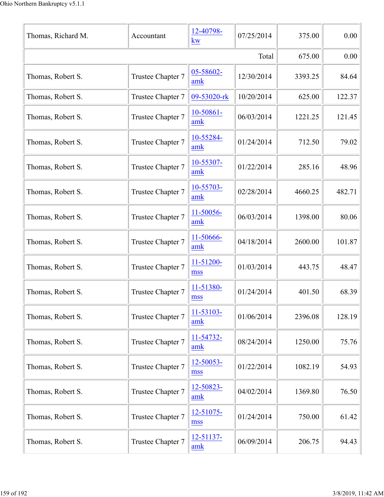| Thomas, Richard M. | Accountant        | 12-40798-<br>kw       | 07/25/2014 | 375.00  | 0.00   |
|--------------------|-------------------|-----------------------|------------|---------|--------|
|                    |                   |                       | Total      | 675.00  | 0.00   |
| Thomas, Robert S.  | Trustee Chapter 7 | 05-58602-<br>amk      | 12/30/2014 | 3393.25 | 84.64  |
| Thomas, Robert S.  | Trustee Chapter 7 | 09-53020-rk           | 10/20/2014 | 625.00  | 122.37 |
| Thomas, Robert S.  | Trustee Chapter 7 | 10-50861-<br>amk      | 06/03/2014 | 1221.25 | 121.45 |
| Thomas, Robert S.  | Trustee Chapter 7 | 10-55284-<br>amk      | 01/24/2014 | 712.50  | 79.02  |
| Thomas, Robert S.  | Trustee Chapter 7 | 10-55307-<br>amk      | 01/22/2014 | 285.16  | 48.96  |
| Thomas, Robert S.  | Trustee Chapter 7 | 10-55703-<br>amk      | 02/28/2014 | 4660.25 | 482.71 |
| Thomas, Robert S.  | Trustee Chapter 7 | 11-50056-<br>amk      | 06/03/2014 | 1398.00 | 80.06  |
| Thomas, Robert S.  | Trustee Chapter 7 | 11-50666-<br>amk      | 04/18/2014 | 2600.00 | 101.87 |
| Thomas, Robert S.  | Trustee Chapter 7 | 11-51200-<br>mss      | 01/03/2014 | 443.75  | 48.47  |
| Thomas, Robert S.  | Trustee Chapter 7 | 11-51380-<br>mss      | 01/24/2014 | 401.50  | 68.39  |
| Thomas, Robert S.  | Trustee Chapter 7 | 11-53103-<br>amk      | 01/06/2014 | 2396.08 | 128.19 |
| Thomas, Robert S.  | Trustee Chapter 7 | 11-54732-<br>amk      | 08/24/2014 | 1250.00 | 75.76  |
| Thomas, Robert S.  | Trustee Chapter 7 | 12-50053-<br>mss      | 01/22/2014 | 1082.19 | 54.93  |
| Thomas, Robert S.  | Trustee Chapter 7 | 12-50823-<br>amk      | 04/02/2014 | 1369.80 | 76.50  |
| Thomas, Robert S.  | Trustee Chapter 7 | 12-51075-<br>mss      | 01/24/2014 | 750.00  | 61.42  |
| Thomas, Robert S.  | Trustee Chapter 7 | $12 - 51137 -$<br>amk | 06/09/2014 | 206.75  | 94.43  |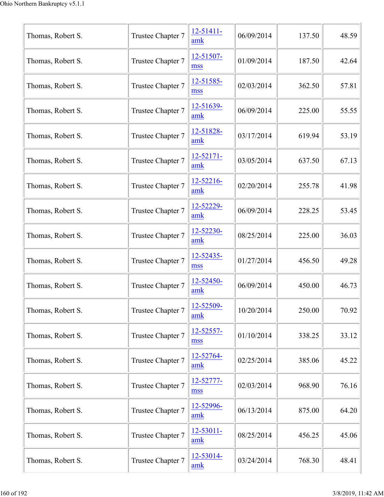| Thomas, Robert S. | Trustee Chapter 7 | $12 - 51411 -$<br>amk | 06/09/2014 | 137.50 | 48.59 |
|-------------------|-------------------|-----------------------|------------|--------|-------|
| Thomas, Robert S. | Trustee Chapter 7 | 12-51507-<br>mss      | 01/09/2014 | 187.50 | 42.64 |
| Thomas, Robert S. | Trustee Chapter 7 | 12-51585-<br>mss      | 02/03/2014 | 362.50 | 57.81 |
| Thomas, Robert S. | Trustee Chapter 7 | 12-51639-<br>amk      | 06/09/2014 | 225.00 | 55.55 |
| Thomas, Robert S. | Trustee Chapter 7 | 12-51828-<br>amk      | 03/17/2014 | 619.94 | 53.19 |
| Thomas, Robert S. | Trustee Chapter 7 | $12 - 52171 -$<br>amk | 03/05/2014 | 637.50 | 67.13 |
| Thomas, Robert S. | Trustee Chapter 7 | 12-52216-<br>amk      | 02/20/2014 | 255.78 | 41.98 |
| Thomas, Robert S. | Trustee Chapter 7 | 12-52229-<br>amk      | 06/09/2014 | 228.25 | 53.45 |
| Thomas, Robert S. | Trustee Chapter 7 | 12-52230-<br>amk      | 08/25/2014 | 225.00 | 36.03 |
| Thomas, Robert S. | Trustee Chapter 7 | 12-52435-<br>mss      | 01/27/2014 | 456.50 | 49.28 |
| Thomas, Robert S. | Trustee Chapter 7 | 12-52450-<br>amk      | 06/09/2014 | 450.00 | 46.73 |
| Thomas, Robert S. | Trustee Chapter 7 | 12-52509-<br>amk      | 10/20/2014 | 250.00 | 70.92 |
| Thomas, Robert S. | Trustee Chapter 7 | 12-52557-<br>mss      | 01/10/2014 | 338.25 | 33.12 |
| Thomas, Robert S. | Trustee Chapter 7 | 12-52764-<br>amk      | 02/25/2014 | 385.06 | 45.22 |
| Thomas, Robert S. | Trustee Chapter 7 | 12-52777-<br>mss      | 02/03/2014 | 968.90 | 76.16 |
| Thomas, Robert S. | Trustee Chapter 7 | 12-52996-<br>amk      | 06/13/2014 | 875.00 | 64.20 |
| Thomas, Robert S. | Trustee Chapter 7 | $12 - 53011 -$<br>amk | 08/25/2014 | 456.25 | 45.06 |
| Thomas, Robert S. | Trustee Chapter 7 | 12-53014-<br>amk      | 03/24/2014 | 768.30 | 48.41 |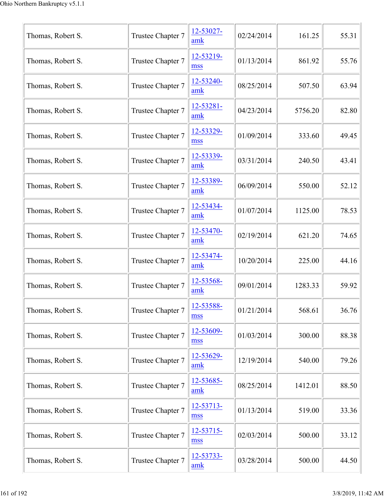| Thomas, Robert S. | Trustee Chapter 7 | 12-53027-<br>amk    | 02/24/2014 | 161.25  | 55.31 |
|-------------------|-------------------|---------------------|------------|---------|-------|
| Thomas, Robert S. | Trustee Chapter 7 | 12-53219-<br>mss    | 01/13/2014 | 861.92  | 55.76 |
| Thomas, Robert S. | Trustee Chapter 7 | 12-53240-<br>amk    | 08/25/2014 | 507.50  | 63.94 |
| Thomas, Robert S. | Trustee Chapter 7 | 12-53281-<br>amk    | 04/23/2014 | 5756.20 | 82.80 |
| Thomas, Robert S. | Trustee Chapter 7 | 12-53329-<br>mss    | 01/09/2014 | 333.60  | 49.45 |
| Thomas, Robert S. | Trustee Chapter 7 | 12-53339-<br>amk    | 03/31/2014 | 240.50  | 43.41 |
| Thomas, Robert S. | Trustee Chapter 7 | 12-53389-<br>amk    | 06/09/2014 | 550.00  | 52.12 |
| Thomas, Robert S. | Trustee Chapter 7 | 12-53434-<br>amk    | 01/07/2014 | 1125.00 | 78.53 |
| Thomas, Robert S. | Trustee Chapter 7 | 12-53470-<br>amk    | 02/19/2014 | 621.20  | 74.65 |
| Thomas, Robert S. | Trustee Chapter 7 | 12-53474-<br>amk    | 10/20/2014 | 225.00  | 44.16 |
| Thomas, Robert S. | Trustee Chapter 7 | 12-53568-<br>amk    | 09/01/2014 | 1283.33 | 59.92 |
| Thomas, Robert S. | Trustee Chapter 7 | 12-53588-<br>mss    | 01/21/2014 | 568.61  | 36.76 |
| Thomas, Robert S. | Trustee Chapter 7 | 12-53609-<br>mss    | 01/03/2014 | 300.00  | 88.38 |
| Thomas, Robert S. | Trustee Chapter 7 | 12-53629-<br>amk    | 12/19/2014 | 540.00  | 79.26 |
| Thomas, Robert S. | Trustee Chapter 7 | 12-53685-<br>amk    | 08/25/2014 | 1412.01 | 88.50 |
| Thomas, Robert S. | Trustee Chapter 7 | 12-53713-<br>mss    | 01/13/2014 | 519.00  | 33.36 |
| Thomas, Robert S. | Trustee Chapter 7 | $12 - 53715$<br>mss | 02/03/2014 | 500.00  | 33.12 |
| Thomas, Robert S. | Trustee Chapter 7 | 12-53733-<br>amk    | 03/28/2014 | 500.00  | 44.50 |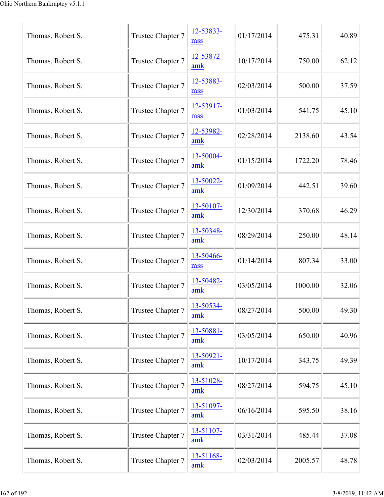| Thomas, Robert S. | Trustee Chapter 7 | 12-53833-<br>mss      | 01/17/2014 | 475.31  | 40.89 |
|-------------------|-------------------|-----------------------|------------|---------|-------|
| Thomas, Robert S. | Trustee Chapter 7 | 12-53872-<br>amk      | 10/17/2014 | 750.00  | 62.12 |
| Thomas, Robert S. | Trustee Chapter 7 | 12-53883-<br>mss      | 02/03/2014 | 500.00  | 37.59 |
| Thomas, Robert S. | Trustee Chapter 7 | 12-53917-<br>mss      | 01/03/2014 | 541.75  | 45.10 |
| Thomas, Robert S. | Trustee Chapter 7 | 12-53982-<br>amk      | 02/28/2014 | 2138.60 | 43.54 |
| Thomas, Robert S. | Trustee Chapter 7 | 13-50004-<br>amk      | 01/15/2014 | 1722.20 | 78.46 |
| Thomas, Robert S. | Trustee Chapter 7 | 13-50022-<br>amk      | 01/09/2014 | 442.51  | 39.60 |
| Thomas, Robert S. | Trustee Chapter 7 | 13-50107-<br>amk      | 12/30/2014 | 370.68  | 46.29 |
| Thomas, Robert S. | Trustee Chapter 7 | 13-50348-<br>amk      | 08/29/2014 | 250.00  | 48.14 |
| Thomas, Robert S. | Trustee Chapter 7 | 13-50466-<br>mss      | 01/14/2014 | 807.34  | 33.00 |
| Thomas, Robert S. | Trustee Chapter 7 | 13-50482-<br>amk      | 03/05/2014 | 1000.00 | 32.06 |
| Thomas, Robert S. | Trustee Chapter 7 | 13-50534-<br>amk      | 08/27/2014 | 500.00  | 49.30 |
| Thomas, Robert S. | Trustee Chapter 7 | 13-50881-<br>amk      | 03/05/2014 | 650.00  | 40.96 |
| Thomas, Robert S. | Trustee Chapter 7 | $13 - 50921 -$<br>amk | 10/17/2014 | 343.75  | 49.39 |
| Thomas, Robert S. | Trustee Chapter 7 | 13-51028-<br>amk      | 08/27/2014 | 594.75  | 45.10 |
| Thomas, Robert S. | Trustee Chapter 7 | 13-51097-<br>amk      | 06/16/2014 | 595.50  | 38.16 |
| Thomas, Robert S. | Trustee Chapter 7 | 13-51107-<br>amk      | 03/31/2014 | 485.44  | 37.08 |
| Thomas, Robert S. | Trustee Chapter 7 | 13-51168-<br>amk      | 02/03/2014 | 2005.57 | 48.78 |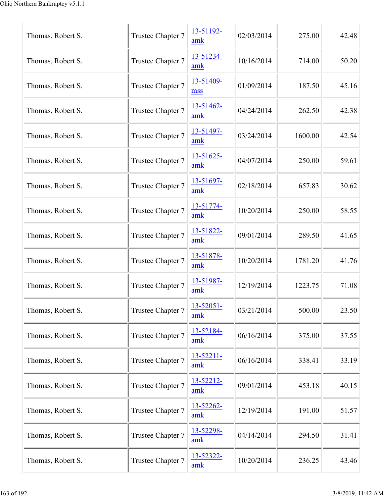| Thomas, Robert S. | Trustee Chapter 7 | 13-51192-<br>amk      | 02/03/2014 | 275.00  | 42.48 |
|-------------------|-------------------|-----------------------|------------|---------|-------|
| Thomas, Robert S. | Trustee Chapter 7 | 13-51234-<br>amk      | 10/16/2014 | 714.00  | 50.20 |
| Thomas, Robert S. | Trustee Chapter 7 | 13-51409-<br>mss      | 01/09/2014 | 187.50  | 45.16 |
| Thomas, Robert S. | Trustee Chapter 7 | 13-51462-<br>amk      | 04/24/2014 | 262.50  | 42.38 |
| Thomas, Robert S. | Trustee Chapter 7 | 13-51497-<br>amk      | 03/24/2014 | 1600.00 | 42.54 |
| Thomas, Robert S. | Trustee Chapter 7 | 13-51625-<br>amk      | 04/07/2014 | 250.00  | 59.61 |
| Thomas, Robert S. | Trustee Chapter 7 | 13-51697-<br>amk      | 02/18/2014 | 657.83  | 30.62 |
| Thomas, Robert S. | Trustee Chapter 7 | 13-51774-<br>amk      | 10/20/2014 | 250.00  | 58.55 |
| Thomas, Robert S. | Trustee Chapter 7 | 13-51822-<br>amk      | 09/01/2014 | 289.50  | 41.65 |
| Thomas, Robert S. | Trustee Chapter 7 | 13-51878-<br>amk      | 10/20/2014 | 1781.20 | 41.76 |
| Thomas, Robert S. | Trustee Chapter 7 | 13-51987-<br>amk      | 12/19/2014 | 1223.75 | 71.08 |
| Thomas, Robert S. | Trustee Chapter 7 | 13-52051-<br>amk      | 03/21/2014 | 500.00  | 23.50 |
| Thomas, Robert S. | Trustee Chapter 7 | 13-52184-<br>amk      | 06/16/2014 | 375.00  | 37.55 |
| Thomas, Robert S. | Trustee Chapter 7 | $13 - 52211 -$<br>amk | 06/16/2014 | 338.41  | 33.19 |
| Thomas, Robert S. | Trustee Chapter 7 | 13-52212-<br>amk      | 09/01/2014 | 453.18  | 40.15 |
| Thomas, Robert S. | Trustee Chapter 7 | 13-52262-<br>amk      | 12/19/2014 | 191.00  | 51.57 |
| Thomas, Robert S. | Trustee Chapter 7 | 13-52298-<br>amk      | 04/14/2014 | 294.50  | 31.41 |
| Thomas, Robert S. | Trustee Chapter 7 | 13-52322-<br>amk      | 10/20/2014 | 236.25  | 43.46 |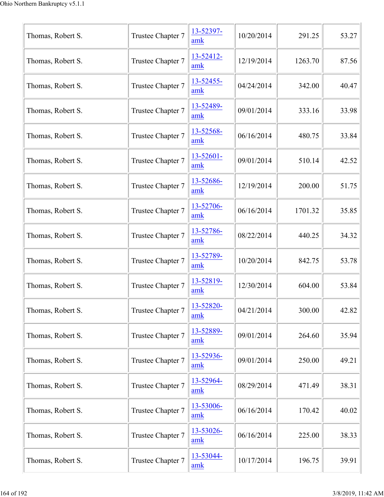| Thomas, Robert S. | Trustee Chapter 7 | 13-52397-<br>amk            | 10/20/2014 | 291.25  | 53.27 |
|-------------------|-------------------|-----------------------------|------------|---------|-------|
| Thomas, Robert S. | Trustee Chapter 7 | 13-52412-<br>amk            | 12/19/2014 | 1263.70 | 87.56 |
| Thomas, Robert S. | Trustee Chapter 7 | 13-52455-<br>amk            | 04/24/2014 | 342.00  | 40.47 |
| Thomas, Robert S. | Trustee Chapter 7 | 13-52489-<br>amk            | 09/01/2014 | 333.16  | 33.98 |
| Thomas, Robert S. | Trustee Chapter 7 | 13-52568-<br>amk            | 06/16/2014 | 480.75  | 33.84 |
| Thomas, Robert S. | Trustee Chapter 7 | $13 - 52601 -$<br>amk       | 09/01/2014 | 510.14  | 42.52 |
| Thomas, Robert S. | Trustee Chapter 7 | 13-52686-<br>amk            | 12/19/2014 | 200.00  | 51.75 |
| Thomas, Robert S. | Trustee Chapter 7 | 13-52706-<br>amk            | 06/16/2014 | 1701.32 | 35.85 |
| Thomas, Robert S. | Trustee Chapter 7 | 13-52786-<br>amk            | 08/22/2014 | 440.25  | 34.32 |
| Thomas, Robert S. | Trustee Chapter 7 | 13-52789-<br>amk            | 10/20/2014 | 842.75  | 53.78 |
| Thomas, Robert S. | Trustee Chapter 7 | 13-52819-<br>amk            | 12/30/2014 | 604.00  | 53.84 |
| Thomas, Robert S. | Trustee Chapter 7 | 13-52820-<br>$\mathbf{amk}$ | 04/21/2014 | 300.00  | 42.82 |
| Thomas, Robert S. | Trustee Chapter 7 | 13-52889-<br>amk            | 09/01/2014 | 264.60  | 35.94 |
| Thomas, Robert S. | Trustee Chapter 7 | 13-52936-<br>$\mathbf{amk}$ | 09/01/2014 | 250.00  | 49.21 |
| Thomas, Robert S. | Trustee Chapter 7 | 13-52964-<br>amk            | 08/29/2014 | 471.49  | 38.31 |
| Thomas, Robert S. | Trustee Chapter 7 | 13-53006-<br>amk            | 06/16/2014 | 170.42  | 40.02 |
| Thomas, Robert S. | Trustee Chapter 7 | 13-53026-<br>amk            | 06/16/2014 | 225.00  | 38.33 |
| Thomas, Robert S. | Trustee Chapter 7 | 13-53044-<br>amk            | 10/17/2014 | 196.75  | 39.91 |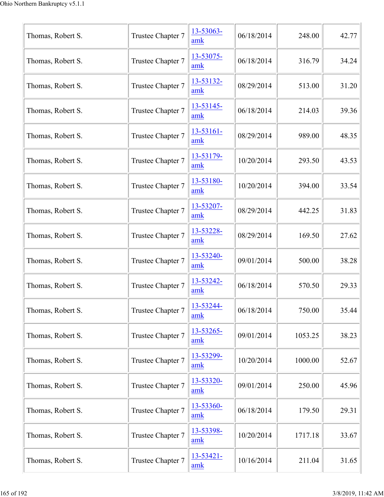| Thomas, Robert S. | Trustee Chapter 7 | 13-53063-<br>amk    | 06/18/2014 | 248.00  | 42.77 |
|-------------------|-------------------|---------------------|------------|---------|-------|
| Thomas, Robert S. | Trustee Chapter 7 | 13-53075-<br>amk    | 06/18/2014 | 316.79  | 34.24 |
| Thomas, Robert S. | Trustee Chapter 7 | 13-53132-<br>amk    | 08/29/2014 | 513.00  | 31.20 |
| Thomas, Robert S. | Trustee Chapter 7 | 13-53145-<br>amk    | 06/18/2014 | 214.03  | 39.36 |
| Thomas, Robert S. | Trustee Chapter 7 | 13-53161-<br>amk    | 08/29/2014 | 989.00  | 48.35 |
| Thomas, Robert S. | Trustee Chapter 7 | 13-53179-<br>amk    | 10/20/2014 | 293.50  | 43.53 |
| Thomas, Robert S. | Trustee Chapter 7 | 13-53180-<br>$a$ mk | 10/20/2014 | 394.00  | 33.54 |
| Thomas, Robert S. | Trustee Chapter 7 | 13-53207-<br>amk    | 08/29/2014 | 442.25  | 31.83 |
| Thomas, Robert S. | Trustee Chapter 7 | 13-53228-<br>amk    | 08/29/2014 | 169.50  | 27.62 |
| Thomas, Robert S. | Trustee Chapter 7 | 13-53240-<br>amk    | 09/01/2014 | 500.00  | 38.28 |
| Thomas, Robert S. | Trustee Chapter 7 | 13-53242-<br>amk    | 06/18/2014 | 570.50  | 29.33 |
| Thomas, Robert S. | Trustee Chapter 7 | 13-53244-<br>amk    | 06/18/2014 | 750.00  | 35.44 |
| Thomas, Robert S. | Trustee Chapter 7 | 13-53265-<br>amk    | 09/01/2014 | 1053.25 | 38.23 |
| Thomas, Robert S. | Trustee Chapter 7 | 13-53299-<br>amk    | 10/20/2014 | 1000.00 | 52.67 |
| Thomas, Robert S. | Trustee Chapter 7 | 13-53320-<br>amk    | 09/01/2014 | 250.00  | 45.96 |
| Thomas, Robert S. | Trustee Chapter 7 | 13-53360-<br>amk    | 06/18/2014 | 179.50  | 29.31 |
| Thomas, Robert S. | Trustee Chapter 7 | 13-53398-<br>amk    | 10/20/2014 | 1717.18 | 33.67 |
| Thomas, Robert S. | Trustee Chapter 7 | 13-53421-<br>amk    | 10/16/2014 | 211.04  | 31.65 |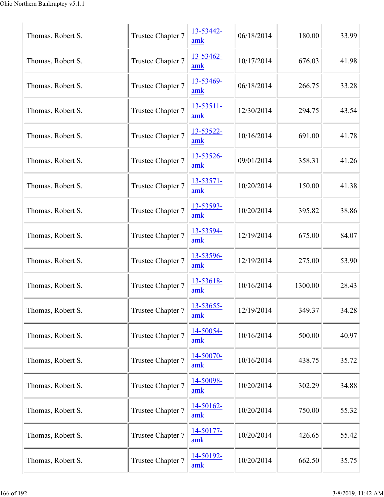| Thomas, Robert S. | Trustee Chapter 7 | 13-53442-<br>amk        | 06/18/2014 | 180.00  | 33.99 |
|-------------------|-------------------|-------------------------|------------|---------|-------|
| Thomas, Robert S. | Trustee Chapter 7 | 13-53462-<br>amk        | 10/17/2014 | 676.03  | 41.98 |
| Thomas, Robert S. | Trustee Chapter 7 | 13-53469-<br>amk        | 06/18/2014 | 266.75  | 33.28 |
| Thomas, Robert S. | Trustee Chapter 7 | 13-53511-<br>amk        | 12/30/2014 | 294.75  | 43.54 |
| Thomas, Robert S. | Trustee Chapter 7 | 13-53522-<br>amk        | 10/16/2014 | 691.00  | 41.78 |
| Thomas, Robert S. | Trustee Chapter 7 | 13-53526-<br>amk        | 09/01/2014 | 358.31  | 41.26 |
| Thomas, Robert S. | Trustee Chapter 7 | 13-53571-<br>amk        | 10/20/2014 | 150.00  | 41.38 |
| Thomas, Robert S. | Trustee Chapter 7 | 13-53593-<br>amk        | 10/20/2014 | 395.82  | 38.86 |
| Thomas, Robert S. | Trustee Chapter 7 | 13-53594-<br>amk        | 12/19/2014 | 675.00  | 84.07 |
| Thomas, Robert S. | Trustee Chapter 7 | 13-53596-<br>amk        | 12/19/2014 | 275.00  | 53.90 |
| Thomas, Robert S. | Trustee Chapter 7 | 13-53618-<br>amk        | 10/16/2014 | 1300.00 | 28.43 |
| Thomas, Robert S. | Trustee Chapter 7 | 13-53655-<br>amk        | 12/19/2014 | 349.37  | 34.28 |
| Thomas, Robert S. | Trustee Chapter 7 | 14-50054-<br>amk        | 10/16/2014 | 500.00  | 40.97 |
| Thomas, Robert S. | Trustee Chapter 7 | 14-50070-<br>amk        | 10/16/2014 | 438.75  | 35.72 |
| Thomas, Robert S. | Trustee Chapter 7 | 14-50098-<br>amk        | 10/20/2014 | 302.29  | 34.88 |
| Thomas, Robert S. | Trustee Chapter 7 | 14-50162-<br>amk        | 10/20/2014 | 750.00  | 55.32 |
| Thomas, Robert S. | Trustee Chapter 7 | <u>14-50177-</u><br>amk | 10/20/2014 | 426.65  | 55.42 |
| Thomas, Robert S. | Trustee Chapter 7 | 14-50192-<br>amk        | 10/20/2014 | 662.50  | 35.75 |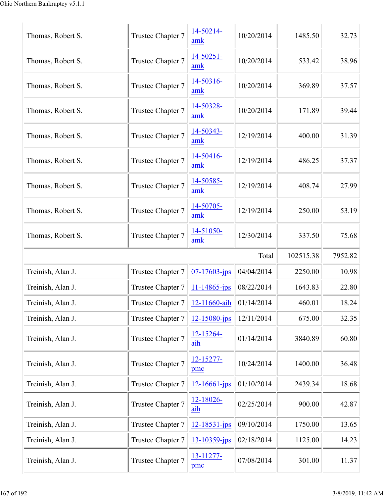| Thomas, Robert S. | Trustee Chapter 7                              | 14-50214-<br>amk      | 10/20/2014 | 1485.50   | 32.73   |
|-------------------|------------------------------------------------|-----------------------|------------|-----------|---------|
| Thomas, Robert S. | Trustee Chapter 7                              | 14-50251-<br>amk      | 10/20/2014 | 533.42    | 38.96   |
| Thomas, Robert S. | Trustee Chapter 7                              | 14-50316-<br>amk      | 10/20/2014 | 369.89    | 37.57   |
| Thomas, Robert S. | Trustee Chapter 7                              | 14-50328-<br>amk      | 10/20/2014 | 171.89    | 39.44   |
| Thomas, Robert S. | Trustee Chapter 7                              | 14-50343-<br>amk      | 12/19/2014 | 400.00    | 31.39   |
| Thomas, Robert S. | Trustee Chapter 7                              | 14-50416-<br>amk      | 12/19/2014 | 486.25    | 37.37   |
| Thomas, Robert S. | Trustee Chapter 7                              | 14-50585-<br>amk      | 12/19/2014 | 408.74    | 27.99   |
| Thomas, Robert S. | Trustee Chapter 7                              | 14-50705-<br>amk      | 12/19/2014 | 250.00    | 53.19   |
| Thomas, Robert S. | Trustee Chapter 7                              | 14-51050-<br>amk      | 12/30/2014 | 337.50    | 75.68   |
|                   |                                                |                       | Total      | 102515.38 | 7952.82 |
| Treinish, Alan J. | Trustee Chapter 7                              | $07 - 17603 - ips$    | 04/04/2014 | 2250.00   | 10.98   |
| Treinish, Alan J. | Trustee Chapter 7                              | $11 - 14865$ -jps     | 08/22/2014 | 1643.83   | 22.80   |
| Treinish, Alan J. | Trustee Chapter $7 \parallel 12 - 11660 - a h$ |                       | 01/14/2014 | 460.01    | 18.24   |
| Treinish, Alan J. | Trustee Chapter 7                              | $12 - 15080 - ips$    | 12/11/2014 | 675.00    | 32.35   |
| Treinish, Alan J. | Trustee Chapter 7                              | 12-15264-<br>aih      | 01/14/2014 | 3840.89   | 60.80   |
| Treinish, Alan J. | Trustee Chapter 7                              | $12 - 15277 -$<br>pmc | 10/24/2014 | 1400.00   | 36.48   |
| Treinish, Alan J. | Trustee Chapter 7                              | $12 - 16661 - ips$    | 01/10/2014 | 2439.34   | 18.68   |
| Treinish, Alan J. | Trustee Chapter 7                              | $12 - 18026$<br>aih   | 02/25/2014 | 900.00    | 42.87   |
| Treinish, Alan J. | Trustee Chapter 7                              | $12 - 18531 - ips$    | 09/10/2014 | 1750.00   | 13.65   |
| Treinish, Alan J. | Trustee Chapter 7                              | 13-10359-jps          | 02/18/2014 | 1125.00   | 14.23   |
| Treinish, Alan J. | Trustee Chapter 7                              | 13-11277-             | 07/08/2014 | 301.00    | 11.37   |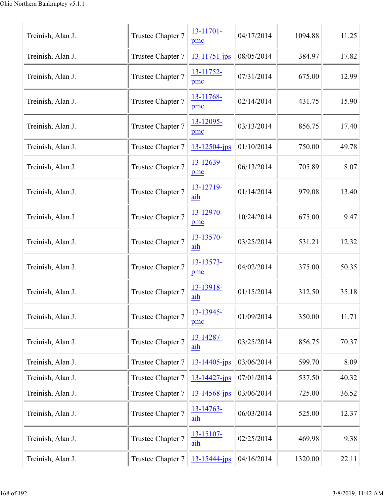| Treinish, Alan J. | Trustee Chapter 7 | 13-11701-<br>pmc   | 04/17/2014 | 1094.88 | 11.25 |
|-------------------|-------------------|--------------------|------------|---------|-------|
| Treinish, Alan J. | Trustee Chapter 7 | 13-11751-jps       | 08/05/2014 | 384.97  | 17.82 |
| Treinish, Alan J. | Trustee Chapter 7 | 13-11752-<br>pmc   | 07/31/2014 | 675.00  | 12.99 |
| Treinish, Alan J. | Trustee Chapter 7 | 13-11768-<br>pmc   | 02/14/2014 | 431.75  | 15.90 |
| Treinish, Alan J. | Trustee Chapter 7 | 13-12095-<br>pmc   | 03/13/2014 | 856.75  | 17.40 |
| Treinish, Alan J. | Trustee Chapter 7 | $13 - 12504 - ips$ | 01/10/2014 | 750.00  | 49.78 |
| Treinish, Alan J. | Trustee Chapter 7 | 13-12639-<br>pmc   | 06/13/2014 | 705.89  | 8.07  |
| Treinish, Alan J. | Trustee Chapter 7 | 13-12719-<br>aih   | 01/14/2014 | 979.08  | 13.40 |
| Treinish, Alan J. | Trustee Chapter 7 | 13-12970-<br>pmc   | 10/24/2014 | 675.00  | 9.47  |
| Treinish, Alan J. | Trustee Chapter 7 | 13-13570-<br>aih   | 03/25/2014 | 531.21  | 12.32 |
| Treinish, Alan J. | Trustee Chapter 7 | 13-13573-<br>pmc   | 04/02/2014 | 375.00  | 50.35 |
| Treinish, Alan J. | Trustee Chapter 7 | 13-13918-<br>aih   | 01/15/2014 | 312.50  | 35.18 |
| Treinish, Alan J. | Trustee Chapter 7 | 13-13945-<br>pmc   | 01/09/2014 | 350.00  | 11.71 |
| Treinish, Alan J. | Trustee Chapter 7 | 13-14287-<br>aih   | 03/25/2014 | 856.75  | 70.37 |
| Treinish, Alan J. | Trustee Chapter 7 | 13-14405-jps       | 03/06/2014 | 599.70  | 8.09  |
| Treinish, Alan J. | Trustee Chapter 7 | 13-14427-jps       | 07/01/2014 | 537.50  | 40.32 |
| Treinish, Alan J. | Trustee Chapter 7 | 13-14568-jps       | 03/06/2014 | 725.00  | 36.52 |
| Treinish, Alan J. | Trustee Chapter 7 | 13-14763-<br>aih   | 06/03/2014 | 525.00  | 12.37 |
| Treinish, Alan J. | Trustee Chapter 7 | 13-15107-<br>aih   | 02/25/2014 | 469.98  | 9.38  |
| Treinish, Alan J. | Trustee Chapter 7 | 13-15444-jps       | 04/16/2014 | 1320.00 | 22.11 |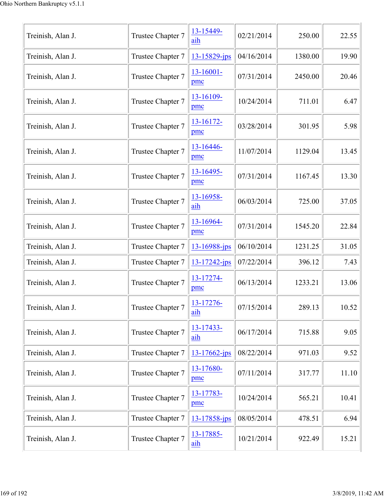| Treinish, Alan J. | Trustee Chapter 7 | 13-15449-<br>aih   | 02/21/2014 | 250.00  | 22.55 |
|-------------------|-------------------|--------------------|------------|---------|-------|
| Treinish, Alan J. | Trustee Chapter 7 | 13-15829-jps       | 04/16/2014 | 1380.00 | 19.90 |
| Treinish, Alan J. | Trustee Chapter 7 | 13-16001-<br>pmc   | 07/31/2014 | 2450.00 | 20.46 |
| Treinish, Alan J. | Trustee Chapter 7 | 13-16109-<br>pmc   | 10/24/2014 | 711.01  | 6.47  |
| Treinish, Alan J. | Trustee Chapter 7 | 13-16172-<br>pmc   | 03/28/2014 | 301.95  | 5.98  |
| Treinish, Alan J. | Trustee Chapter 7 | 13-16446-<br>pmc   | 11/07/2014 | 1129.04 | 13.45 |
| Treinish, Alan J. | Trustee Chapter 7 | 13-16495-<br>pmc   | 07/31/2014 | 1167.45 | 13.30 |
| Treinish, Alan J. | Trustee Chapter 7 | 13-16958-<br>aih   | 06/03/2014 | 725.00  | 37.05 |
| Treinish, Alan J. | Trustee Chapter 7 | 13-16964-<br>pmc   | 07/31/2014 | 1545.20 | 22.84 |
| Treinish, Alan J. | Trustee Chapter 7 | 13-16988-jps       | 06/10/2014 | 1231.25 | 31.05 |
| Treinish, Alan J. | Trustee Chapter 7 | 13-17242-jps       | 07/22/2014 | 396.12  | 7.43  |
| Treinish, Alan J. | Trustee Chapter 7 | 13-17274-<br>pmc   | 06/13/2014 | 1233.21 | 13.06 |
| Treinish, Alan J. | Trustee Chapter 7 | 13-17276-<br>aih   | 07/15/2014 | 289.13  | 10.52 |
| Treinish, Alan J. | Trustee Chapter 7 | 13-17433-<br>aih   | 06/17/2014 | 715.88  | 9.05  |
| Treinish, Alan J. | Trustee Chapter 7 | $13 - 17662 - ips$ | 08/22/2014 | 971.03  | 9.52  |
| Treinish, Alan J. | Trustee Chapter 7 | 13-17680-<br>pmc   | 07/11/2014 | 317.77  | 11.10 |
| Treinish, Alan J. | Trustee Chapter 7 | 13-17783-<br>pmc   | 10/24/2014 | 565.21  | 10.41 |
| Treinish, Alan J. | Trustee Chapter 7 | 13-17858-jps       | 08/05/2014 | 478.51  | 6.94  |
| Treinish, Alan J. | Trustee Chapter 7 | 13-17885-<br>aih   | 10/21/2014 | 922.49  | 15.21 |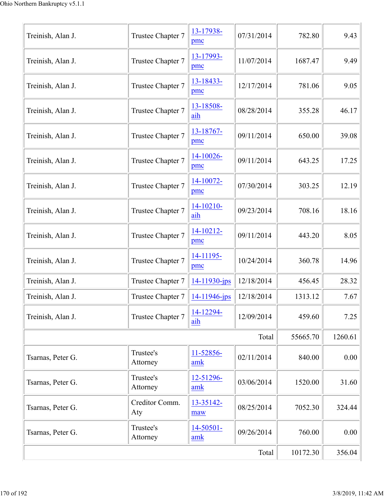| Treinish, Alan J. | Trustee Chapter 7     | 13-17938-<br>pmc      | 07/31/2014 | 782.80   | 9.43    |
|-------------------|-----------------------|-----------------------|------------|----------|---------|
| Treinish, Alan J. | Trustee Chapter 7     | 13-17993-<br>pmc      | 11/07/2014 | 1687.47  | 9.49    |
| Treinish, Alan J. | Trustee Chapter 7     | 13-18433-<br>pmc      | 12/17/2014 | 781.06   | 9.05    |
| Treinish, Alan J. | Trustee Chapter 7     | 13-18508-<br>aih      | 08/28/2014 | 355.28   | 46.17   |
| Treinish, Alan J. | Trustee Chapter 7     | 13-18767-<br>pmc      | 09/11/2014 | 650.00   | 39.08   |
| Treinish, Alan J. | Trustee Chapter 7     | 14-10026-<br>pmc      | 09/11/2014 | 643.25   | 17.25   |
| Treinish, Alan J. | Trustee Chapter 7     | 14-10072-<br>pmc      | 07/30/2014 | 303.25   | 12.19   |
| Treinish, Alan J. | Trustee Chapter 7     | $14 - 10210 -$<br>aih | 09/23/2014 | 708.16   | 18.16   |
| Treinish, Alan J. | Trustee Chapter 7     | 14-10212-<br>pmc      | 09/11/2014 | 443.20   | 8.05    |
| Treinish, Alan J. | Trustee Chapter 7     | 14-11195-<br>pmc      | 10/24/2014 | 360.78   | 14.96   |
| Treinish, Alan J. | Trustee Chapter 7     | 14-11930-jps          | 12/18/2014 | 456.45   | 28.32   |
| Treinish, Alan J. | Trustee Chapter 7     | 14-11946-jps          | 12/18/2014 | 1313.12  | 7.67    |
| Treinish, Alan J. | Trustee Chapter 7     | 14-12294-<br>aih      | 12/09/2014 | 459.60   | 7.25    |
|                   |                       |                       | Total      | 55665.70 | 1260.61 |
| Tsarnas, Peter G. | Trustee's<br>Attorney | 11-52856-<br>amk      | 02/11/2014 | 840.00   | 0.00    |
| Tsarnas, Peter G. | Trustee's<br>Attorney | 12-51296-<br>amk      | 03/06/2014 | 1520.00  | 31.60   |
| Tsarnas, Peter G. | Creditor Comm.<br>Aty | 13-35142-<br>maw      | 08/25/2014 | 7052.30  | 324.44  |
| Tsarnas, Peter G. | Trustee's<br>Attorney | $14 - 50501 -$<br>amk | 09/26/2014 | 760.00   | 0.00    |
|                   |                       |                       | Total      | 10172.30 | 356.04  |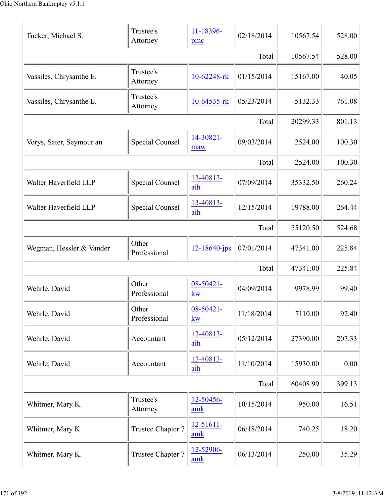| Tucker, Michael S.       | Trustee's<br>Attorney  | 11-18396-<br>pmc            | 02/18/2014 | 10567.54 | 528.00 |
|--------------------------|------------------------|-----------------------------|------------|----------|--------|
|                          |                        |                             | Total      | 10567.54 | 528.00 |
| Vassiles, Chrysanthe E.  | Trustee's<br>Attorney  | 10-62248-rk                 | 01/15/2014 | 15167.00 | 40.05  |
| Vassiles, Chrysanthe E.  | Trustee's<br>Attorney  | 10-64535-rk                 | 05/23/2014 | 5132.33  | 761.08 |
|                          |                        |                             | Total      | 20299.33 | 801.13 |
| Vorys, Sater, Seymour an | Special Counsel        | 14-30821-<br>maw            | 09/03/2014 | 2524.00  | 100.30 |
|                          |                        |                             | Total      | 2524.00  | 100.30 |
| Walter Haverfield LLP    | Special Counsel        | 13-40813-<br>aih            | 07/09/2014 | 35332.50 | 260.24 |
| Walter Haverfield LLP    | <b>Special Counsel</b> | 13-40813-<br>aih            | 12/15/2014 | 19788.00 | 264.44 |
|                          |                        |                             | Total      | 55120.50 | 524.68 |
| Wegman, Hessler & Vander | Other<br>Professional  | $12 - 18640$ -jps           | 07/01/2014 | 47341.00 | 225.84 |
|                          |                        |                             | Total      | 47341.00 | 225.84 |
| Wehrle, David            | Other<br>Professional  | $08 - 50421 -$<br><b>kw</b> | 04/09/2014 | 9978.99  | 99.40  |
| Wehrle, David            | Other<br>Professional  | 08-50421-<br>$k_{\rm W}$    | 11/18/2014 | 7110.00  | 92.40  |
| Wehrle, David            | Accountant             | 13-40813-<br>aih            | 05/12/2014 | 27390.00 | 207.33 |
| Wehrle, David            | Accountant             | 13-40813-<br>aih            | 11/10/2014 | 15930.00 | 0.00   |
|                          |                        |                             | Total      | 60408.99 | 399.13 |
| Whitmer, Mary K.         | Trustee's<br>Attorney  | 12-50456-<br>amk            | 10/15/2014 | 950.00   | 16.51  |
| Whitmer, Mary K.         | Trustee Chapter 7      | $12 - 51611 -$<br>amk       | 06/18/2014 | 740.25   | 18.20  |
| Whitmer, Mary K.         | Trustee Chapter 7      | 12-52906-<br>amk            | 06/13/2014 | 250.00   | 35.29  |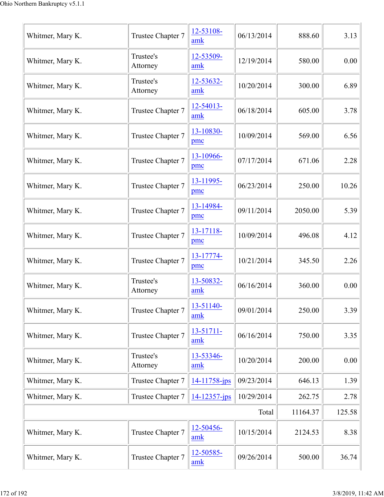| Whitmer, Mary K. | Trustee Chapter 7     | 12-53108-<br>amk   | 06/13/2014 | 888.60   | 3.13   |
|------------------|-----------------------|--------------------|------------|----------|--------|
| Whitmer, Mary K. | Trustee's<br>Attorney | 12-53509-<br>amk   | 12/19/2014 | 580.00   | 0.00   |
| Whitmer, Mary K. | Trustee's<br>Attorney | 12-53632-<br>amk   | 10/20/2014 | 300.00   | 6.89   |
| Whitmer, Mary K. | Trustee Chapter 7     | 12-54013-<br>amk   | 06/18/2014 | 605.00   | 3.78   |
| Whitmer, Mary K. | Trustee Chapter 7     | 13-10830-<br>pmc   | 10/09/2014 | 569.00   | 6.56   |
| Whitmer, Mary K. | Trustee Chapter 7     | 13-10966-<br>pmc   | 07/17/2014 | 671.06   | 2.28   |
| Whitmer, Mary K. | Trustee Chapter 7     | 13-11995-<br>pmc   | 06/23/2014 | 250.00   | 10.26  |
| Whitmer, Mary K. | Trustee Chapter 7     | 13-14984-<br>pmc   | 09/11/2014 | 2050.00  | 5.39   |
| Whitmer, Mary K. | Trustee Chapter 7     | 13-17118-<br>pmc   | 10/09/2014 | 496.08   | 4.12   |
| Whitmer, Mary K. | Trustee Chapter 7     | 13-17774-<br>pmc   | 10/21/2014 | 345.50   | 2.26   |
| Whitmer, Mary K. | Trustee's<br>Attorney | 13-50832-<br>amk   | 06/16/2014 | 360.00   | 0.00   |
| Whitmer, Mary K. | Trustee Chapter 7     | 13-51140-<br>amk   | 09/01/2014 | 250.00   | 3.39   |
| Whitmer, Mary K. | Trustee Chapter 7     | 13-51711-<br>amk   | 06/16/2014 | 750.00   | 3.35   |
| Whitmer, Mary K. | Trustee's<br>Attorney | 13-53346-<br>amk   | 10/20/2014 | 200.00   | 0.00   |
| Whitmer, Mary K. | Trustee Chapter 7     | $14 - 11758 - ips$ | 09/23/2014 | 646.13   | 1.39   |
| Whitmer, Mary K. | Trustee Chapter 7     | $14 - 12357$ -jps  | 10/29/2014 | 262.75   | 2.78   |
|                  |                       |                    | Total      | 11164.37 | 125.58 |
| Whitmer, Mary K. | Trustee Chapter 7     | 12-50456-<br>amk   | 10/15/2014 | 2124.53  | 8.38   |
| Whitmer, Mary K. | Trustee Chapter 7     | 12-50585-<br>amk   | 09/26/2014 | 500.00   | 36.74  |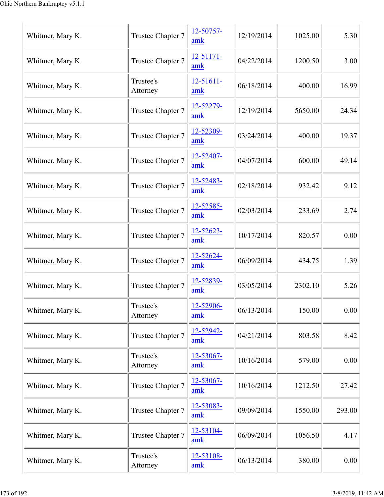| Whitmer, Mary K. | Trustee Chapter 7     | 12-50757-<br>amk      | 12/19/2014 | 1025.00 | 5.30   |
|------------------|-----------------------|-----------------------|------------|---------|--------|
| Whitmer, Mary K. | Trustee Chapter 7     | 12-51171-<br>amk      | 04/22/2014 | 1200.50 | 3.00   |
| Whitmer, Mary K. | Trustee's<br>Attorney | $12 - 51611 -$<br>amk | 06/18/2014 | 400.00  | 16.99  |
| Whitmer, Mary K. | Trustee Chapter 7     | 12-52279-<br>amk      | 12/19/2014 | 5650.00 | 24.34  |
| Whitmer, Mary K. | Trustee Chapter 7     | 12-52309-<br>amk      | 03/24/2014 | 400.00  | 19.37  |
| Whitmer, Mary K. | Trustee Chapter 7     | 12-52407-<br>amk      | 04/07/2014 | 600.00  | 49.14  |
| Whitmer, Mary K. | Trustee Chapter 7     | 12-52483-<br>amk      | 02/18/2014 | 932.42  | 9.12   |
| Whitmer, Mary K. | Trustee Chapter 7     | 12-52585-<br>amk      | 02/03/2014 | 233.69  | 2.74   |
| Whitmer, Mary K. | Trustee Chapter 7     | 12-52623-<br>amk      | 10/17/2014 | 820.57  | 0.00   |
| Whitmer, Mary K. | Trustee Chapter 7     | 12-52624-<br>amk      | 06/09/2014 | 434.75  | 1.39   |
| Whitmer, Mary K. | Trustee Chapter 7     | 12-52839-<br>amk      | 03/05/2014 | 2302.10 | 5.26   |
| Whitmer, Mary K. | Trustee's<br>Attorney | 12-52906-<br>amk      | 06/13/2014 | 150.00  | 0.00   |
| Whitmer, Mary K. | Trustee Chapter 7     | 12-52942-<br>amk      | 04/21/2014 | 803.58  | 8.42   |
| Whitmer, Mary K. | Trustee's<br>Attorney | 12-53067-<br>amk      | 10/16/2014 | 579.00  | 0.00   |
| Whitmer, Mary K. | Trustee Chapter 7     | 12-53067-<br>amk      | 10/16/2014 | 1212.50 | 27.42  |
| Whitmer, Mary K. | Trustee Chapter 7     | 12-53083-<br>amk      | 09/09/2014 | 1550.00 | 293.00 |
| Whitmer, Mary K. | Trustee Chapter 7     | 12-53104-<br>amk      | 06/09/2014 | 1056.50 | 4.17   |
| Whitmer, Mary K. | Trustee's<br>Attorney | 12-53108-<br>amk      | 06/13/2014 | 380.00  | 0.00   |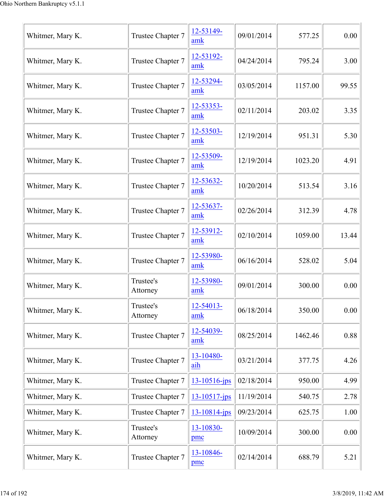| Whitmer, Mary K. | Trustee Chapter 7     | 12-53149-<br>amk   | 09/01/2014 | 577.25  | 0.00  |
|------------------|-----------------------|--------------------|------------|---------|-------|
| Whitmer, Mary K. | Trustee Chapter 7     | 12-53192-<br>amk   | 04/24/2014 | 795.24  | 3.00  |
| Whitmer, Mary K. | Trustee Chapter 7     | 12-53294-<br>amk   | 03/05/2014 | 1157.00 | 99.55 |
| Whitmer, Mary K. | Trustee Chapter 7     | 12-53353-<br>amk   | 02/11/2014 | 203.02  | 3.35  |
| Whitmer, Mary K. | Trustee Chapter 7     | 12-53503-<br>amk   | 12/19/2014 | 951.31  | 5.30  |
| Whitmer, Mary K. | Trustee Chapter 7     | 12-53509-<br>amk   | 12/19/2014 | 1023.20 | 4.91  |
| Whitmer, Mary K. | Trustee Chapter 7     | 12-53632-<br>amk   | 10/20/2014 | 513.54  | 3.16  |
| Whitmer, Mary K. | Trustee Chapter 7     | 12-53637-<br>amk   | 02/26/2014 | 312.39  | 4.78  |
| Whitmer, Mary K. | Trustee Chapter 7     | 12-53912-<br>amk   | 02/10/2014 | 1059.00 | 13.44 |
| Whitmer, Mary K. | Trustee Chapter 7     | 12-53980-<br>amk   | 06/16/2014 | 528.02  | 5.04  |
| Whitmer, Mary K. | Trustee's<br>Attorney | 12-53980-<br>amk   | 09/01/2014 | 300.00  | 0.00  |
| Whitmer, Mary K. | Trustee's<br>Attorney | 12-54013-<br>amk   | 06/18/2014 | 350.00  | 0.00  |
| Whitmer, Mary K. | Trustee Chapter 7     | 12-54039-<br>amk   | 08/25/2014 | 1462.46 | 0.88  |
| Whitmer, Mary K. | Trustee Chapter 7     | 13-10480-<br>aih   | 03/21/2014 | 377.75  | 4.26  |
| Whitmer, Mary K. | Trustee Chapter 7     | 13-10516-jps       | 02/18/2014 | 950.00  | 4.99  |
| Whitmer, Mary K. | Trustee Chapter 7     | $13 - 10517$ -jps  | 11/19/2014 | 540.75  | 2.78  |
| Whitmer, Mary K. | Trustee Chapter 7     | $13 - 10814 - ips$ | 09/23/2014 | 625.75  | 1.00  |
| Whitmer, Mary K. | Trustee's<br>Attorney | 13-10830-<br>pmc   | 10/09/2014 | 300.00  | 0.00  |
| Whitmer, Mary K. | Trustee Chapter 7     | 13-10846-<br>pmc   | 02/14/2014 | 688.79  | 5.21  |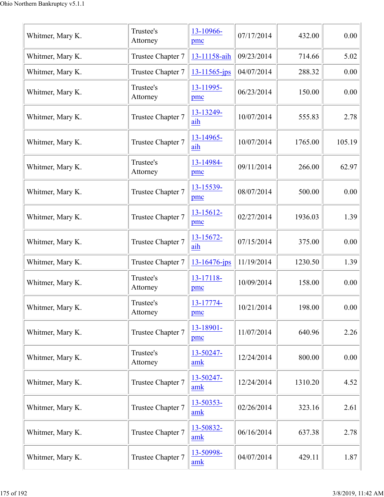| Whitmer, Mary K. | Trustee's<br>Attorney | 13-10966-<br>pmc    | 07/17/2014 | 432.00  | 0.00   |
|------------------|-----------------------|---------------------|------------|---------|--------|
| Whitmer, Mary K. | Trustee Chapter 7     | 13-11158-aih        | 09/23/2014 | 714.66  | 5.02   |
| Whitmer, Mary K. | Trustee Chapter 7     | $13 - 11565 - ips$  | 04/07/2014 | 288.32  | 0.00   |
| Whitmer, Mary K. | Trustee's<br>Attorney | 13-11995-<br>pmc    | 06/23/2014 | 150.00  | 0.00   |
| Whitmer, Mary K. | Trustee Chapter 7     | 13-13249-<br>aih    | 10/07/2014 | 555.83  | 2.78   |
| Whitmer, Mary K. | Trustee Chapter 7     | $13 - 14965$<br>aih | 10/07/2014 | 1765.00 | 105.19 |
| Whitmer, Mary K. | Trustee's<br>Attorney | 13-14984-<br>pmc    | 09/11/2014 | 266.00  | 62.97  |
| Whitmer, Mary K. | Trustee Chapter 7     | 13-15539-<br>pmc    | 08/07/2014 | 500.00  | 0.00   |
| Whitmer, Mary K. | Trustee Chapter 7     | $13 - 15612$<br>pmc | 02/27/2014 | 1936.03 | 1.39   |
| Whitmer, Mary K. | Trustee Chapter 7     | 13-15672-<br>aih    | 07/15/2014 | 375.00  | 0.00   |
| Whitmer, Mary K. | Trustee Chapter 7     | 13-16476-jps        | 11/19/2014 | 1230.50 | 1.39   |
| Whitmer, Mary K. | Trustee's<br>Attorney | 13-17118-<br>pmc    | 10/09/2014 | 158.00  | 0.00   |
| Whitmer, Mary K. | Trustee's<br>Attorney | 13-17774-<br>pmc    | 10/21/2014 | 198.00  | 0.00   |
| Whitmer, Mary K. | Trustee Chapter 7     | 13-18901-<br>pmc    | 11/07/2014 | 640.96  | 2.26   |
| Whitmer, Mary K. | Trustee's<br>Attorney | 13-50247-<br>amk    | 12/24/2014 | 800.00  | 0.00   |
| Whitmer, Mary K. | Trustee Chapter 7     | 13-50247-<br>amk    | 12/24/2014 | 1310.20 | 4.52   |
| Whitmer, Mary K. | Trustee Chapter 7     | 13-50353-<br>amk    | 02/26/2014 | 323.16  | 2.61   |
| Whitmer, Mary K. | Trustee Chapter 7     | 13-50832-<br>amk    | 06/16/2014 | 637.38  | 2.78   |
| Whitmer, Mary K. | Trustee Chapter 7     | 13-50998-<br>amk    | 04/07/2014 | 429.11  | 1.87   |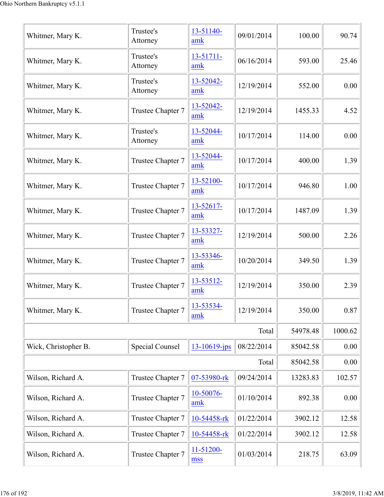| Whitmer, Mary K.     | Trustee's<br>Attorney  | 13-51140-<br>amk  | 09/01/2014 | 100.00   | 90.74   |
|----------------------|------------------------|-------------------|------------|----------|---------|
| Whitmer, Mary K.     | Trustee's<br>Attorney  | 13-51711-<br>amk  | 06/16/2014 | 593.00   | 25.46   |
| Whitmer, Mary K.     | Trustee's<br>Attorney  | 13-52042-<br>amk  | 12/19/2014 | 552.00   | 0.00    |
| Whitmer, Mary K.     | Trustee Chapter 7      | 13-52042-<br>amk  | 12/19/2014 | 1455.33  | 4.52    |
| Whitmer, Mary K.     | Trustee's<br>Attorney  | 13-52044-<br>amk  | 10/17/2014 | 114.00   | 0.00    |
| Whitmer, Mary K.     | Trustee Chapter 7      | 13-52044-<br>amk  | 10/17/2014 | 400.00   | 1.39    |
| Whitmer, Mary K.     | Trustee Chapter 7      | 13-52100-<br>amk  | 10/17/2014 | 946.80   | 1.00    |
| Whitmer, Mary K.     | Trustee Chapter 7      | 13-52617-<br>amk  | 10/17/2014 | 1487.09  | 1.39    |
| Whitmer, Mary K.     | Trustee Chapter 7      | 13-53327-<br>amk  | 12/19/2014 | 500.00   | 2.26    |
| Whitmer, Mary K.     | Trustee Chapter 7      | 13-53346-<br>amk  | 10/20/2014 | 349.50   | 1.39    |
| Whitmer, Mary K.     | Trustee Chapter 7      | 13-53512-<br>amk  | 12/19/2014 | 350.00   | 2.39    |
| Whitmer, Mary K.     | Trustee Chapter 7      | 13-53534-<br>amk  | 12/19/2014 | 350.00   | 0.87    |
|                      |                        |                   | Total      | 54978.48 | 1000.62 |
| Wick, Christopher B. | <b>Special Counsel</b> | $13 - 10619$ -jps | 08/22/2014 | 85042.58 | 0.00    |
|                      |                        |                   | Total      | 85042.58 | 0.00    |
| Wilson, Richard A.   | Trustee Chapter 7      | 07-53980-rk       | 09/24/2014 | 13283.83 | 102.57  |
| Wilson, Richard A.   | Trustee Chapter 7      | 10-50076-<br>amk  | 01/10/2014 | 892.38   | 0.00    |
| Wilson, Richard A.   | Trustee Chapter 7      | 10-54458-rk       | 01/22/2014 | 3902.12  | 12.58   |
| Wilson, Richard A.   | Trustee Chapter 7      | 10-54458-rk       | 01/22/2014 | 3902.12  | 12.58   |
| Wilson, Richard A.   | Trustee Chapter 7      | 11-51200-<br>mss  | 01/03/2014 | 218.75   | 63.09   |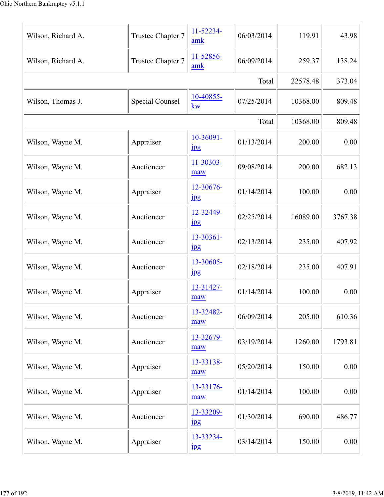| Wilson, Richard A. | Trustee Chapter 7 | 11-52234-<br>amk              | 06/03/2014 | 119.91   | 43.98   |
|--------------------|-------------------|-------------------------------|------------|----------|---------|
| Wilson, Richard A. | Trustee Chapter 7 | 11-52856-<br>amk              | 06/09/2014 | 259.37   | 138.24  |
|                    |                   |                               | Total      | 22578.48 | 373.04  |
| Wilson, Thomas J.  | Special Counsel   | 10-40855-<br>kw               | 07/25/2014 | 10368.00 | 809.48  |
|                    |                   |                               | Total      | 10368.00 | 809.48  |
| Wilson, Wayne M.   | Appraiser         | 10-36091-<br>$_{\rm 1\!P\!S}$ | 01/13/2014 | 200.00   | 0.00    |
| Wilson, Wayne M.   | Auctioneer        | 11-30303-<br>maw              | 09/08/2014 | 200.00   | 682.13  |
| Wilson, Wayne M.   | Appraiser         | 12-30676-<br>$_{\rm 1pg}$     | 01/14/2014 | 100.00   | 0.00    |
| Wilson, Wayne M.   | Auctioneer        | 12-32449-<br>$_{\rm 1\!P\!S}$ | 02/25/2014 | 16089.00 | 3767.38 |
| Wilson, Wayne M.   | Auctioneer        | 13-30361-<br>$_{\rm 1\!P\!S}$ | 02/13/2014 | 235.00   | 407.92  |
| Wilson, Wayne M.   | Auctioneer        | 13-30605-<br>$_{\rm 1\!P\!S}$ | 02/18/2014 | 235.00   | 407.91  |
| Wilson, Wayne M.   | Appraiser         | 13-31427-<br>maw              | 01/14/2014 | 100.00   | 0.00    |
| Wilson, Wayne M.   | Auctioneer        | 13-32482-<br>maw              | 06/09/2014 | 205.00   | 610.36  |
| Wilson, Wayne M.   | Auctioneer        | 13-32679-<br>maw              | 03/19/2014 | 1260.00  | 1793.81 |
| Wilson, Wayne M.   | Appraiser         | 13-33138-<br>maw              | 05/20/2014 | 150.00   | 0.00    |
| Wilson, Wayne M.   | Appraiser         | 13-33176-<br>maw              | 01/14/2014 | 100.00   | 0.00    |
| Wilson, Wayne M.   | Auctioneer        | 13-33209-<br>1 <sub>p</sub> g | 01/30/2014 | 690.00   | 486.77  |
| Wilson, Wayne M.   | Appraiser         | 13-33234-<br>1 <sub>p</sub> g | 03/14/2014 | 150.00   | 0.00    |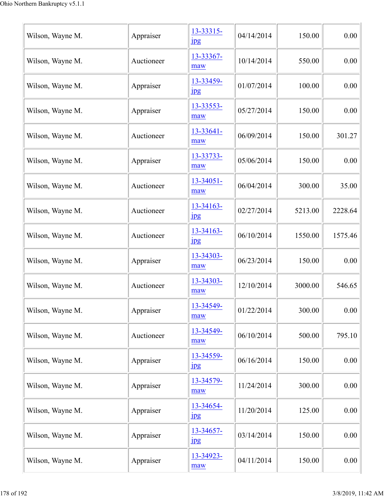| Wilson, Wayne M. | Appraiser  | 13-33315-<br>$_{\rm 1pg}$ | 04/14/2014 | 150.00  | 0.00    |
|------------------|------------|---------------------------|------------|---------|---------|
| Wilson, Wayne M. | Auctioneer | 13-33367-<br>maw          | 10/14/2014 | 550.00  | 0.00    |
| Wilson, Wayne M. | Appraiser  | 13-33459-<br>$_{\rm 1pg}$ | 01/07/2014 | 100.00  | 0.00    |
| Wilson, Wayne M. | Appraiser  | 13-33553-<br>maw          | 05/27/2014 | 150.00  | 0.00    |
| Wilson, Wayne M. | Auctioneer | 13-33641-<br>maw          | 06/09/2014 | 150.00  | 301.27  |
| Wilson, Wayne M. | Appraiser  | 13-33733-<br>maw          | 05/06/2014 | 150.00  | 0.00    |
| Wilson, Wayne M. | Auctioneer | $13 - 34051 -$<br>maw     | 06/04/2014 | 300.00  | 35.00   |
| Wilson, Wayne M. | Auctioneer | 13-34163-<br>$_{\rm 1pg}$ | 02/27/2014 | 5213.00 | 2228.64 |
| Wilson, Wayne M. | Auctioneer | 13-34163-<br>$_{\rm 1pg}$ | 06/10/2014 | 1550.00 | 1575.46 |
| Wilson, Wayne M. | Appraiser  | 13-34303-<br>maw          | 06/23/2014 | 150.00  | 0.00    |
| Wilson, Wayne M. | Auctioneer | 13-34303-<br>maw          | 12/10/2014 | 3000.00 | 546.65  |
| Wilson, Wayne M. | Appraiser  | 13-34549-<br>maw          | 01/22/2014 | 300.00  | 0.00    |
| Wilson, Wayne M. | Auctioneer | 13-34549-<br>maw          | 06/10/2014 | 500.00  | 795.10  |
| Wilson, Wayne M. | Appraiser  | 13-34559-<br>$_{\rm 1pg}$ | 06/16/2014 | 150.00  | 0.00    |
| Wilson, Wayne M. | Appraiser  | 13-34579-<br>maw          | 11/24/2014 | 300.00  | 0.00    |
| Wilson, Wayne M. | Appraiser  | 13-34654-<br>$_{\rm 1pg}$ | 11/20/2014 | 125.00  | 0.00    |
| Wilson, Wayne M. | Appraiser  | 13-34657-<br>$_{\rm 1pg}$ | 03/14/2014 | 150.00  | 0.00    |
| Wilson, Wayne M. | Appraiser  | 13-34923-<br>maw          | 04/11/2014 | 150.00  | 0.00    |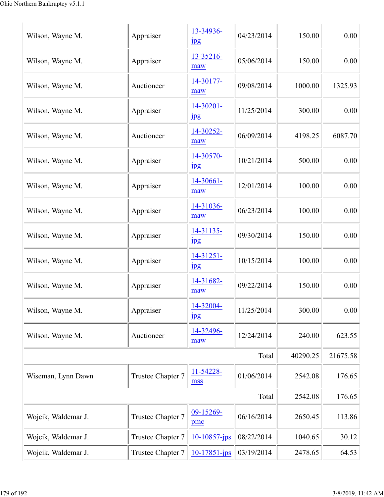| Wilson, Wayne M.    | Appraiser         | 13-34936-<br>$_{\rm 1pg}$     | 04/23/2014 | 150.00   | 0.00     |
|---------------------|-------------------|-------------------------------|------------|----------|----------|
| Wilson, Wayne M.    | Appraiser         | 13-35216-<br>maw              | 05/06/2014 | 150.00   | 0.00     |
| Wilson, Wayne M.    | Auctioneer        | 14-30177-<br>maw              | 09/08/2014 | 1000.00  | 1325.93  |
| Wilson, Wayne M.    | Appraiser         | 14-30201-<br>$_{\rm 1\!P\!S}$ | 11/25/2014 | 300.00   | 0.00     |
| Wilson, Wayne M.    | Auctioneer        | 14-30252-<br>maw              | 06/09/2014 | 4198.25  | 6087.70  |
| Wilson, Wayne M.    | Appraiser         | 14-30570-<br>$_{\rm 1\!P\!S}$ | 10/21/2014 | 500.00   | 0.00     |
| Wilson, Wayne M.    | Appraiser         | 14-30661-<br>maw              | 12/01/2014 | 100.00   | 0.00     |
| Wilson, Wayne M.    | Appraiser         | 14-31036-<br>maw              | 06/23/2014 | 100.00   | 0.00     |
| Wilson, Wayne M.    | Appraiser         | 14-31135-<br>$_{\rm 1pg}$     | 09/30/2014 | 150.00   | 0.00     |
| Wilson, Wayne M.    | Appraiser         | 14-31251-<br>jpg              | 10/15/2014 | 100.00   | 0.00     |
| Wilson, Wayne M.    | Appraiser         | 14-31682-<br>maw              | 09/22/2014 | 150.00   | 0.00     |
| Wilson, Wayne M.    | Appraiser         | 14-32004-<br>$_{\rm 1\!P\!S}$ | 11/25/2014 | 300.00   | 0.00     |
| Wilson, Wayne M.    | Auctioneer        | 14-32496-<br>maw              | 12/24/2014 | 240.00   | 623.55   |
|                     |                   |                               | Total      | 40290.25 | 21675.58 |
| Wiseman, Lynn Dawn  | Trustee Chapter 7 | 11-54228-<br>mss              | 01/06/2014 | 2542.08  | 176.65   |
|                     |                   |                               | Total      | 2542.08  | 176.65   |
| Wojcik, Waldemar J. | Trustee Chapter 7 | 09-15269-<br>pmc              | 06/16/2014 | 2650.45  | 113.86   |
| Wojcik, Waldemar J. | Trustee Chapter 7 | $10 - 10857 - ips$            | 08/22/2014 | 1040.65  | 30.12    |
| Wojcik, Waldemar J. | Trustee Chapter 7 | $10-17851$ -jps               | 03/19/2014 | 2478.65  | 64.53    |
|                     |                   |                               |            |          |          |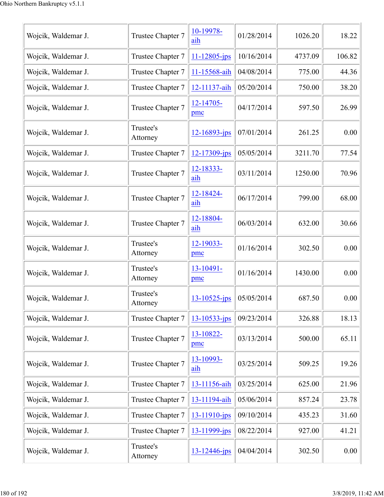| Wojcik, Waldemar J. | Trustee Chapter 7     | 10-19978-<br>aih   | 01/28/2014 | 1026.20 | 18.22  |
|---------------------|-----------------------|--------------------|------------|---------|--------|
| Wojcik, Waldemar J. | Trustee Chapter 7     | $11 - 12805$ -jps  | 10/16/2014 | 4737.09 | 106.82 |
| Wojcik, Waldemar J. | Trustee Chapter 7     | 11-15568-aih       | 04/08/2014 | 775.00  | 44.36  |
| Wojcik, Waldemar J. | Trustee Chapter 7     | 12-11137-aih       | 05/20/2014 | 750.00  | 38.20  |
| Wojcik, Waldemar J. | Trustee Chapter 7     | 12-14705-<br>pmc   | 04/17/2014 | 597.50  | 26.99  |
| Wojcik, Waldemar J. | Trustee's<br>Attorney | 12-16893-jps       | 07/01/2014 | 261.25  | 0.00   |
| Wojcik, Waldemar J. | Trustee Chapter 7     | 12-17309-jps       | 05/05/2014 | 3211.70 | 77.54  |
| Wojcik, Waldemar J. | Trustee Chapter 7     | 12-18333-<br>aih   | 03/11/2014 | 1250.00 | 70.96  |
| Wojcik, Waldemar J. | Trustee Chapter 7     | 12-18424-<br>aih   | 06/17/2014 | 799.00  | 68.00  |
| Wojcik, Waldemar J. | Trustee Chapter 7     | 12-18804-<br>aih   | 06/03/2014 | 632.00  | 30.66  |
| Wojcik, Waldemar J. | Trustee's<br>Attorney | 12-19033-<br>pmc   | 01/16/2014 | 302.50  | 0.00   |
| Wojcik, Waldemar J. | Trustee's<br>Attorney | 13-10491-<br>pmc   | 01/16/2014 | 1430.00 | 0.00   |
| Wojcik, Waldemar J. | Trustee's<br>Attorney | $13 - 10525 - jps$ | 05/05/2014 | 687.50  | 0.00   |
| Wojcik, Waldemar J. | Trustee Chapter 7     | $13 - 10533 - ips$ | 09/23/2014 | 326.88  | 18.13  |
| Wojcik, Waldemar J. | Trustee Chapter 7     | 13-10822-<br>pmc   | 03/13/2014 | 500.00  | 65.11  |
| Wojcik, Waldemar J. | Trustee Chapter 7     | 13-10993-<br>aih   | 03/25/2014 | 509.25  | 19.26  |
| Wojcik, Waldemar J. | Trustee Chapter 7     | 13-11156-aih       | 03/25/2014 | 625.00  | 21.96  |
| Wojcik, Waldemar J. | Trustee Chapter 7     | 13-11194-aih       | 05/06/2014 | 857.24  | 23.78  |
| Wojcik, Waldemar J. | Trustee Chapter 7     | 13-11910-jps       | 09/10/2014 | 435.23  | 31.60  |
| Wojcik, Waldemar J. | Trustee Chapter 7     | 13-11999-jps       | 08/22/2014 | 927.00  | 41.21  |
| Wojcik, Waldemar J. | Trustee's<br>Attorney | 13-12446-jps       | 04/04/2014 | 302.50  | 0.00   |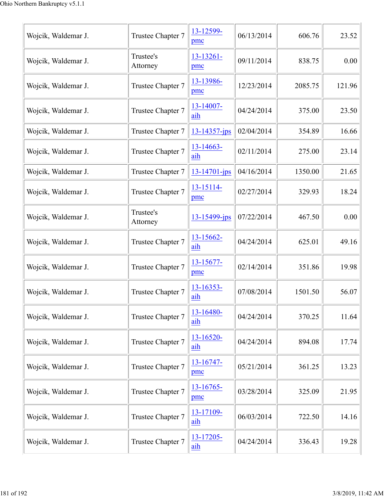| Wojcik, Waldemar J. | Trustee Chapter 7     | 13-12599-<br>pmc      | 06/13/2014 | 606.76  | 23.52  |
|---------------------|-----------------------|-----------------------|------------|---------|--------|
| Wojcik, Waldemar J. | Trustee's<br>Attorney | 13-13261-<br>pmc      | 09/11/2014 | 838.75  | 0.00   |
| Wojcik, Waldemar J. | Trustee Chapter 7     | 13-13986-<br>pmc      | 12/23/2014 | 2085.75 | 121.96 |
| Wojcik, Waldemar J. | Trustee Chapter 7     | 13-14007-<br>aih      | 04/24/2014 | 375.00  | 23.50  |
| Wojcik, Waldemar J. | Trustee Chapter 7     | $13 - 14357 - ips$    | 02/04/2014 | 354.89  | 16.66  |
| Wojcik, Waldemar J. | Trustee Chapter 7     | $13 - 14663 -$<br>aih | 02/11/2014 | 275.00  | 23.14  |
| Wojcik, Waldemar J. | Trustee Chapter 7     | $13 - 14701 - ips$    | 04/16/2014 | 1350.00 | 21.65  |
| Wojcik, Waldemar J. | Trustee Chapter 7     | 13-15114-<br>pmc      | 02/27/2014 | 329.93  | 18.24  |
| Wojcik, Waldemar J. | Trustee's<br>Attorney | $13 - 15499$ -jps     | 07/22/2014 | 467.50  | 0.00   |
| Wojcik, Waldemar J. | Trustee Chapter 7     | 13-15662-<br>aih      | 04/24/2014 | 625.01  | 49.16  |
| Wojcik, Waldemar J. | Trustee Chapter 7     | $13 - 15677 -$<br>pmc | 02/14/2014 | 351.86  | 19.98  |
| Wojcik, Waldemar J. | Trustee Chapter 7     | $13 - 16353 -$<br>aih | 07/08/2014 | 1501.50 | 56.07  |
| Wojcik, Waldemar J. | Trustee Chapter 7     | 13-16480-<br>aih      | 04/24/2014 | 370.25  | 11.64  |
| Wojcik, Waldemar J. | Trustee Chapter 7     | 13-16520-<br>aih      | 04/24/2014 | 894.08  | 17.74  |
| Wojcik, Waldemar J. | Trustee Chapter 7     | 13-16747-<br>pmc      | 05/21/2014 | 361.25  | 13.23  |
| Wojcik, Waldemar J. | Trustee Chapter 7     | 13-16765-<br>pmc      | 03/28/2014 | 325.09  | 21.95  |
| Wojcik, Waldemar J. | Trustee Chapter 7     | 13-17109-<br>aih      | 06/03/2014 | 722.50  | 14.16  |
| Wojcik, Waldemar J. | Trustee Chapter 7     | 13-17205-<br>aih      | 04/24/2014 | 336.43  | 19.28  |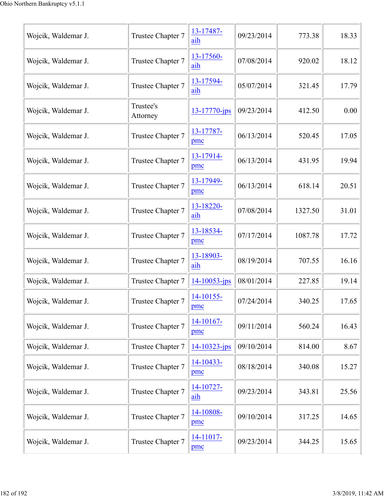| Wojcik, Waldemar J. | Trustee Chapter 7     | 13-17487-<br>aih   | 09/23/2014 | 773.38  | 18.33 |
|---------------------|-----------------------|--------------------|------------|---------|-------|
| Wojcik, Waldemar J. | Trustee Chapter 7     | 13-17560-<br>aih   | 07/08/2014 | 920.02  | 18.12 |
| Wojcik, Waldemar J. | Trustee Chapter 7     | 13-17594-<br>aih   | 05/07/2014 | 321.45  | 17.79 |
| Wojcik, Waldemar J. | Trustee's<br>Attorney | $13 - 17770$ -jps  | 09/23/2014 | 412.50  | 0.00  |
| Wojcik, Waldemar J. | Trustee Chapter 7     | 13-17787-<br>pmc   | 06/13/2014 | 520.45  | 17.05 |
| Wojcik, Waldemar J. | Trustee Chapter 7     | 13-17914-<br>pmc   | 06/13/2014 | 431.95  | 19.94 |
| Wojcik, Waldemar J. | Trustee Chapter 7     | 13-17949-<br>pmc   | 06/13/2014 | 618.14  | 20.51 |
| Wojcik, Waldemar J. | Trustee Chapter 7     | 13-18220-<br>aih   | 07/08/2014 | 1327.50 | 31.01 |
| Wojcik, Waldemar J. | Trustee Chapter 7     | 13-18534-<br>pmc   | 07/17/2014 | 1087.78 | 17.72 |
| Wojcik, Waldemar J. | Trustee Chapter 7     | 13-18903-<br>aih   | 08/19/2014 | 707.55  | 16.16 |
| Wojcik, Waldemar J. | Trustee Chapter 7     | $14 - 10053$ -jps  | 08/01/2014 | 227.85  | 19.14 |
| Wojcik, Waldemar J. | Trustee Chapter 7     | $14-10155-$<br>pmc | 07/24/2014 | 340.25  | 17.65 |
| Wojcik, Waldemar J. | Trustee Chapter 7     | 14-10167-<br>pmc   | 09/11/2014 | 560.24  | 16.43 |
| Wojcik, Waldemar J. | Trustee Chapter 7     | $14 - 10323 - ips$ | 09/10/2014 | 814.00  | 8.67  |
| Wojcik, Waldemar J. | Trustee Chapter 7     | 14-10433-<br>pmc   | 08/18/2014 | 340.08  | 15.27 |
| Wojcik, Waldemar J. | Trustee Chapter 7     | 14-10727-<br>aih   | 09/23/2014 | 343.81  | 25.56 |
| Wojcik, Waldemar J. | Trustee Chapter 7     | 14-10808-<br>pmc   | 09/10/2014 | 317.25  | 14.65 |
| Wojcik, Waldemar J. | Trustee Chapter 7     | 14-11017-<br>pmc   | 09/23/2014 | 344.25  | 15.65 |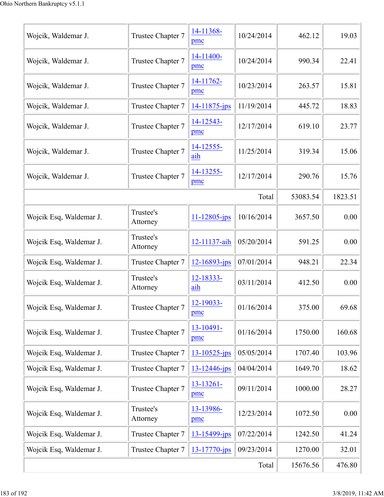| Wojcik, Waldemar J.     | Trustee Chapter 7     | 14-11368-<br>pmc   | 10/24/2014 | 462.12   | 19.03   |
|-------------------------|-----------------------|--------------------|------------|----------|---------|
| Wojcik, Waldemar J.     | Trustee Chapter 7     | 14-11400-<br>pmc   | 10/24/2014 | 990.34   | 22.41   |
| Wojcik, Waldemar J.     | Trustee Chapter 7     | 14-11762-<br>pmc   | 10/23/2014 | 263.57   | 15.81   |
| Wojcik, Waldemar J.     | Trustee Chapter 7     | 14-11875-jps       | 11/19/2014 | 445.72   | 18.83   |
| Wojcik, Waldemar J.     | Trustee Chapter 7     | 14-12543-<br>pmc   | 12/17/2014 | 619.10   | 23.77   |
| Wojcik, Waldemar J.     | Trustee Chapter 7     | 14-12555-<br>aih   | 11/25/2014 | 319.34   | 15.06   |
| Wojcik, Waldemar J.     | Trustee Chapter 7     | 14-13255-<br>pmc   | 12/17/2014 | 290.76   | 15.76   |
|                         |                       |                    | Total      | 53083.54 | 1823.51 |
| Wojcik Esq, Waldemar J. | Trustee's<br>Attorney | $11 - 12805$ -jps  | 10/16/2014 | 3657.50  | 0.00    |
| Wojcik Esq, Waldemar J. | Trustee's<br>Attorney | 12-11137-aih       | 05/20/2014 | 591.25   | 0.00    |
| Wojcik Esq, Waldemar J. | Trustee Chapter 7     | 12-16893-jps       | 07/01/2014 | 948.21   | 22.34   |
| Wojcik Esq, Waldemar J. | Trustee's<br>Attorney | 12-18333-<br>aih   | 03/11/2014 | 412.50   | 0.00    |
| Wojcik Esq, Waldemar J. | Trustee Chapter 7     | 12-19033-<br>pmc   | 01/16/2014 | 375.00   | 69.68   |
| Wojcik Esq, Waldemar J. | Trustee Chapter 7     | 13-10491-<br>pmc   | 01/16/2014 | 1750.00  | 160.68  |
| Wojcik Esq, Waldemar J. | Trustee Chapter 7     | $13 - 10525$ -jps  | 05/05/2014 | 1707.40  | 103.96  |
| Wojcik Esq, Waldemar J. | Trustee Chapter 7     | 13-12446-jps       | 04/04/2014 | 1649.70  | 18.62   |
| Wojcik Esq, Waldemar J. | Trustee Chapter 7     | 13-13261-<br>pmc   | 09/11/2014 | 1000.00  | 28.27   |
| Wojcik Esq, Waldemar J. | Trustee's<br>Attorney | 13-13986-<br>pmc   | 12/23/2014 | 1072.50  | 0.00    |
| Wojcik Esq, Waldemar J. | Trustee Chapter 7     | 13-15499-jps       | 07/22/2014 | 1242.50  | 41.24   |
| Wojcik Esq, Waldemar J. | Trustee Chapter 7     | $13 - 17770 - ips$ | 09/23/2014 | 1270.00  | 32.01   |
|                         | 15676.56              | 476.80             |            |          |         |
|                         |                       |                    |            |          |         |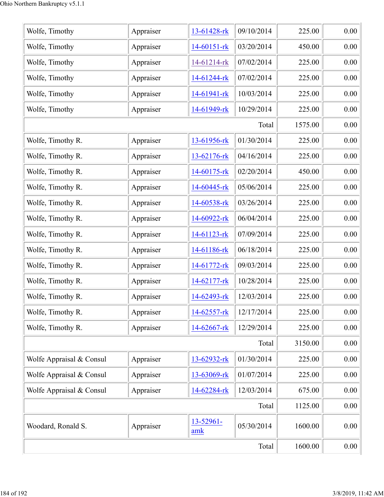| Wolfe, Timothy           | Appraiser | 13-61428-rk      | 09/10/2014 | 225.00  | 0.00 |
|--------------------------|-----------|------------------|------------|---------|------|
| Wolfe, Timothy           | Appraiser | 14-60151-rk      | 03/20/2014 | 450.00  | 0.00 |
| Wolfe, Timothy           | Appraiser | 14-61214-rk      | 07/02/2014 | 225.00  | 0.00 |
| Wolfe, Timothy           | Appraiser | 14-61244-rk      | 07/02/2014 | 225.00  | 0.00 |
| Wolfe, Timothy           | Appraiser | 14-61941-rk      | 10/03/2014 | 225.00  | 0.00 |
| Wolfe, Timothy           | Appraiser | 14-61949-rk      | 10/29/2014 | 225.00  | 0.00 |
|                          |           |                  | Total      | 1575.00 | 0.00 |
| Wolfe, Timothy R.        | Appraiser | 13-61956-rk      | 01/30/2014 | 225.00  | 0.00 |
| Wolfe, Timothy R.        | Appraiser | 13-62176-rk      | 04/16/2014 | 225.00  | 0.00 |
| Wolfe, Timothy R.        | Appraiser | 14-60175-rk      | 02/20/2014 | 450.00  | 0.00 |
| Wolfe, Timothy R.        | Appraiser | 14-60445-rk      | 05/06/2014 | 225.00  | 0.00 |
| Wolfe, Timothy R.        | Appraiser | 14-60538-rk      | 03/26/2014 | 225.00  | 0.00 |
| Wolfe, Timothy R.        | Appraiser | 14-60922-rk      | 06/04/2014 | 225.00  | 0.00 |
| Wolfe, Timothy R.        | Appraiser | 14-61123-rk      | 07/09/2014 | 225.00  | 0.00 |
| Wolfe, Timothy R.        | Appraiser | 14-61186-rk      | 06/18/2014 | 225.00  | 0.00 |
| Wolfe, Timothy R.        | Appraiser | 14-61772-rk      | 09/03/2014 | 225.00  | 0.00 |
| Wolfe, Timothy R.        | Appraiser | 14-62177-rk      | 10/28/2014 | 225.00  | 0.00 |
| Wolfe, Timothy R.        | Appraiser | 14-62493-rk      | 12/03/2014 | 225.00  | 0.00 |
| Wolfe, Timothy R.        | Appraiser | 14-62557-rk      | 12/17/2014 | 225.00  | 0.00 |
| Wolfe, Timothy R.        | Appraiser | 14-62667-rk      | 12/29/2014 | 225.00  | 0.00 |
|                          |           |                  | Total      | 3150.00 | 0.00 |
| Wolfe Appraisal & Consul | Appraiser | 13-62932-rk      | 01/30/2014 | 225.00  | 0.00 |
| Wolfe Appraisal & Consul | Appraiser | 13-63069-rk      | 01/07/2014 | 225.00  | 0.00 |
| Wolfe Appraisal & Consul | Appraiser | 14-62284-rk      | 12/03/2014 | 675.00  | 0.00 |
|                          | Total     | 1125.00          | 0.00       |         |      |
| Woodard, Ronald S.       | Appraiser | 13-52961-<br>amk | 05/30/2014 | 1600.00 | 0.00 |
|                          | 1600.00   | 0.00             |            |         |      |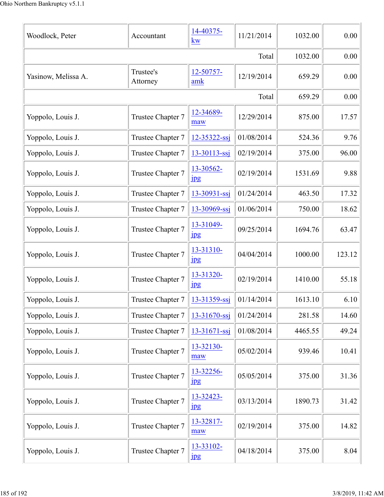| Woodlock, Peter     | Accountant            | 14-40375-<br>kw               | 11/21/2014 | 1032.00 | 0.00   |
|---------------------|-----------------------|-------------------------------|------------|---------|--------|
|                     |                       |                               | Total      | 1032.00 | 0.00   |
| Yasinow, Melissa A. | Trustee's<br>Attorney | 12-50757-<br>amk              | 12/19/2014 | 659.29  | 0.00   |
|                     |                       |                               | Total      | 659.29  | 0.00   |
| Yoppolo, Louis J.   | Trustee Chapter 7     | 12-34689-<br>maw              | 12/29/2014 | 875.00  | 17.57  |
| Yoppolo, Louis J.   | Trustee Chapter 7     | 12-35322-ssj                  | 01/08/2014 | 524.36  | 9.76   |
| Yoppolo, Louis J.   | Trustee Chapter 7     | 13-30113-ssj                  | 02/19/2014 | 375.00  | 96.00  |
| Yoppolo, Louis J.   | Trustee Chapter 7     | 13-30562-<br>jpg              | 02/19/2014 | 1531.69 | 9.88   |
| Yoppolo, Louis J.   | Trustee Chapter 7     | $13 - 30931 - ssj$            | 01/24/2014 | 463.50  | 17.32  |
| Yoppolo, Louis J.   | Trustee Chapter 7     | 13-30969-ssj                  | 01/06/2014 | 750.00  | 18.62  |
| Yoppolo, Louis J.   | Trustee Chapter 7     | 13-31049-<br>$_{\rm 1\!P\!S}$ | 09/25/2014 | 1694.76 | 63.47  |
| Yoppolo, Louis J.   | Trustee Chapter 7     | 13-31310-<br>1 <sub>p</sub> g | 04/04/2014 | 1000.00 | 123.12 |
| Yoppolo, Louis J.   | Trustee Chapter 7     | 13-31320-<br>$\mathbf{ips}$   | 02/19/2014 | 1410.00 | 55.18  |
| Yoppolo, Louis J.   | Trustee Chapter 7     | 13-31359-ssj                  | 01/14/2014 | 1613.10 | 6.10   |
| Yoppolo, Louis J.   | Trustee Chapter 7     | 13-31670-ssj                  | 01/24/2014 | 281.58  | 14.60  |
| Yoppolo, Louis J.   | Trustee Chapter 7     | $13 - 31671 - ssj$            | 01/08/2014 | 4465.55 | 49.24  |
| Yoppolo, Louis J.   | Trustee Chapter 7     | 13-32130-<br>maw              | 05/02/2014 | 939.46  | 10.41  |
| Yoppolo, Louis J.   | Trustee Chapter 7     | 13-32256-<br><b>Jpg</b>       | 05/05/2014 | 375.00  | 31.36  |
| Yoppolo, Louis J.   | Trustee Chapter 7     | 13-32423-<br>$_{\rm 1pg}$     | 03/13/2014 | 1890.73 | 31.42  |
| Yoppolo, Louis J.   | Trustee Chapter 7     | 13-32817-<br>maw              | 02/19/2014 | 375.00  | 14.82  |
| Yoppolo, Louis J.   | Trustee Chapter 7     | 13-33102-<br>1 <sub>pg</sub>  | 04/18/2014 | 375.00  | 8.04   |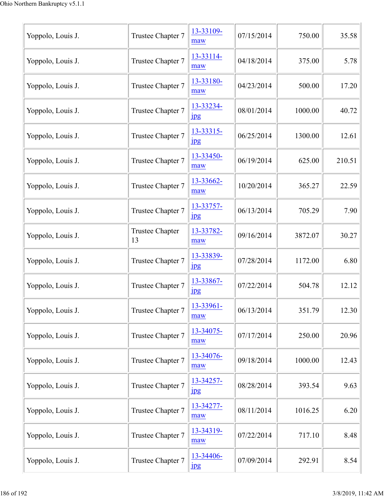| Yoppolo, Louis J. | Trustee Chapter 7            | 13-33109-<br>maw              | 07/15/2014 | 750.00  | 35.58  |
|-------------------|------------------------------|-------------------------------|------------|---------|--------|
| Yoppolo, Louis J. | Trustee Chapter 7            | 13-33114-<br>maw              | 04/18/2014 | 375.00  | 5.78   |
| Yoppolo, Louis J. | Trustee Chapter 7            | 13-33180-<br>maw              | 04/23/2014 | 500.00  | 17.20  |
| Yoppolo, Louis J. | Trustee Chapter 7            | 13-33234-<br>jpg              | 08/01/2014 | 1000.00 | 40.72  |
| Yoppolo, Louis J. | Trustee Chapter 7            | 13-33315-<br>$_{\rm 1pg}$     | 06/25/2014 | 1300.00 | 12.61  |
| Yoppolo, Louis J. | Trustee Chapter 7            | 13-33450-<br>maw              | 06/19/2014 | 625.00  | 210.51 |
| Yoppolo, Louis J. | Trustee Chapter 7            | 13-33662-<br>maw              | 10/20/2014 | 365.27  | 22.59  |
| Yoppolo, Louis J. | Trustee Chapter 7            | 13-33757-<br>$_{\rm 1\!P\!S}$ | 06/13/2014 | 705.29  | 7.90   |
| Yoppolo, Louis J. | <b>Trustee Chapter</b><br>13 | 13-33782-<br>maw              | 09/16/2014 | 3872.07 | 30.27  |
| Yoppolo, Louis J. | Trustee Chapter 7            | 13-33839-<br>$_{\rm 1\!P\!S}$ | 07/28/2014 | 1172.00 | 6.80   |
| Yoppolo, Louis J. | Trustee Chapter 7            | 13-33867-<br>$_{\rm 1pg}$     | 07/22/2014 | 504.78  | 12.12  |
| Yoppolo, Louis J. | Trustee Chapter 7            | 13-33961-<br>maw              | 06/13/2014 | 351.79  | 12.30  |
| Yoppolo, Louis J. | Trustee Chapter 7            | 13-34075-<br>maw              | 07/17/2014 | 250.00  | 20.96  |
| Yoppolo, Louis J. | Trustee Chapter 7            | 13-34076-<br>maw              | 09/18/2014 | 1000.00 | 12.43  |
| Yoppolo, Louis J. | Trustee Chapter 7            | 13-34257-<br>jpg              | 08/28/2014 | 393.54  | 9.63   |
| Yoppolo, Louis J. | Trustee Chapter 7            | 13-34277-<br>maw              | 08/11/2014 | 1016.25 | 6.20   |
| Yoppolo, Louis J. | Trustee Chapter 7            | 13-34319-<br>maw              | 07/22/2014 | 717.10  | 8.48   |
| Yoppolo, Louis J. | Trustee Chapter 7            | 13-34406-<br>$\mathbf{ips}$   | 07/09/2014 | 292.91  | 8.54   |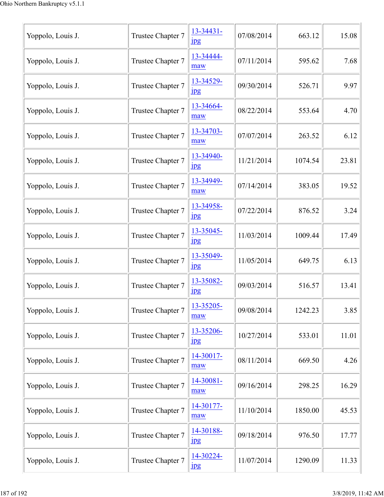| Yoppolo, Louis J. | Trustee Chapter 7 | 13-34431-<br>$_{\rm 1\!P\!S}$ | 07/08/2014 | 663.12  | 15.08 |
|-------------------|-------------------|-------------------------------|------------|---------|-------|
| Yoppolo, Louis J. | Trustee Chapter 7 | 13-34444-<br>maw              | 07/11/2014 | 595.62  | 7.68  |
| Yoppolo, Louis J. | Trustee Chapter 7 | 13-34529-<br>$_{\rm 1\!P\!S}$ | 09/30/2014 | 526.71  | 9.97  |
| Yoppolo, Louis J. | Trustee Chapter 7 | 13-34664-<br>maw              | 08/22/2014 | 553.64  | 4.70  |
| Yoppolo, Louis J. | Trustee Chapter 7 | 13-34703-<br>maw              | 07/07/2014 | 263.52  | 6.12  |
| Yoppolo, Louis J. | Trustee Chapter 7 | 13-34940-<br>$_{\rm 1\!P\!S}$ | 11/21/2014 | 1074.54 | 23.81 |
| Yoppolo, Louis J. | Trustee Chapter 7 | 13-34949-<br>maw              | 07/14/2014 | 383.05  | 19.52 |
| Yoppolo, Louis J. | Trustee Chapter 7 | 13-34958-<br>$_{\rm 1\!P\!S}$ | 07/22/2014 | 876.52  | 3.24  |
| Yoppolo, Louis J. | Trustee Chapter 7 | 13-35045-<br>$\frac{1}{2}$    | 11/03/2014 | 1009.44 | 17.49 |
| Yoppolo, Louis J. | Trustee Chapter 7 | 13-35049-<br>$_{\rm 1pg}$     | 11/05/2014 | 649.75  | 6.13  |
| Yoppolo, Louis J. | Trustee Chapter 7 | 13-35082-<br>$_{\rm 1\,}$     | 09/03/2014 | 516.57  | 13.41 |
| Yoppolo, Louis J. | Trustee Chapter 7 | 13-35205-<br>maw              | 09/08/2014 | 1242.23 | 3.85  |
| Yoppolo, Louis J. | Trustee Chapter 7 | 13-35206-<br>$_{\rm 1\!P\!S}$ | 10/27/2014 | 533.01  | 11.01 |
| Yoppolo, Louis J. | Trustee Chapter 7 | 14-30017-<br>maw              | 08/11/2014 | 669.50  | 4.26  |
| Yoppolo, Louis J. | Trustee Chapter 7 | 14-30081-<br>maw              | 09/16/2014 | 298.25  | 16.29 |
| Yoppolo, Louis J. | Trustee Chapter 7 | 14-30177-<br>maw              | 11/10/2014 | 1850.00 | 45.53 |
| Yoppolo, Louis J. | Trustee Chapter 7 | 14-30188-<br>$_{\rm 1\!P\!S}$ | 09/18/2014 | 976.50  | 17.77 |
| Yoppolo, Louis J. | Trustee Chapter 7 | 14-30224-<br>$_{\rm 1\!P\!S}$ | 11/07/2014 | 1290.09 | 11.33 |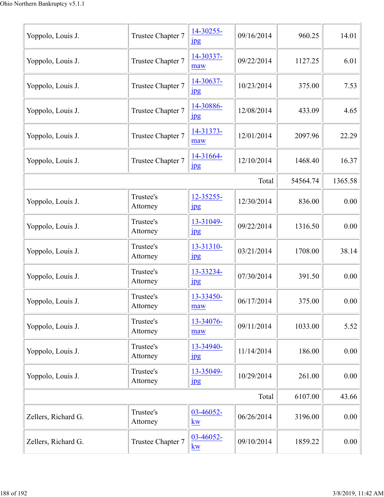| Yoppolo, Louis J.   | Trustee Chapter 7     | 14-30255-<br>$_{\rm 1\!P\!S}$          | 09/16/2014 | 960.25   | 14.01   |
|---------------------|-----------------------|----------------------------------------|------------|----------|---------|
| Yoppolo, Louis J.   | Trustee Chapter 7     | 14-30337-<br>maw                       | 09/22/2014 | 1127.25  | 6.01    |
| Yoppolo, Louis J.   | Trustee Chapter 7     | 14-30637-<br>$_{\rm 1\!P\!S}$          | 10/23/2014 | 375.00   | 7.53    |
| Yoppolo, Louis J.   | Trustee Chapter 7     | 14-30886-<br>$_{\rm 1\!P\!S}$          | 12/08/2014 | 433.09   | 4.65    |
| Yoppolo, Louis J.   | Trustee Chapter 7     | 14-31373-<br>maw                       | 12/01/2014 | 2097.96  | 22.29   |
| Yoppolo, Louis J.   | Trustee Chapter 7     | 14-31664-<br>$_{\rm 1\!P\!S}$          | 12/10/2014 | 1468.40  | 16.37   |
|                     |                       |                                        | Total      | 54564.74 | 1365.58 |
| Yoppolo, Louis J.   | Trustee's<br>Attorney | 12-35255-<br>$_{\rm 1\!P\!S}$          | 12/30/2014 | 836.00   | 0.00    |
| Yoppolo, Louis J.   | Trustee's<br>Attorney | 13-31049-<br>jpg                       | 09/22/2014 | 1316.50  | 0.00    |
| Yoppolo, Louis J.   | Trustee's<br>Attorney | 13-31310-<br>$_{\rm 1\!P\!S}$          | 03/21/2014 | 1708.00  | 38.14   |
| Yoppolo, Louis J.   | Trustee's<br>Attorney | 13-33234-<br>jpg                       | 07/30/2014 | 391.50   | 0.00    |
| Yoppolo, Louis J.   | Trustee's<br>Attorney | 13-33450-<br>maw                       | 06/17/2014 | 375.00   | 0.00    |
| Yoppolo, Louis J.   | Trustee's<br>Attorney | 13-34076-<br>maw                       | 09/11/2014 | 1033.00  | 5.52    |
| Yoppolo, Louis J.   | Trustee's<br>Attorney | 13-34940-<br><b>Jpg</b>                | 11/14/2014 | 186.00   | 0.00    |
| Yoppolo, Louis J.   | Trustee's<br>Attorney | 13-35049-<br>$_{\rm 1\!P\!S}$          | 10/29/2014 | 261.00   | 0.00    |
|                     |                       |                                        | Total      | 6107.00  | 43.66   |
| Zellers, Richard G. | Trustee's<br>Attorney | $03 - 46052 -$<br>kw                   | 06/26/2014 | 3196.00  | 0.00    |
| Zellers, Richard G. | Trustee Chapter 7     | 03-46052-<br>$\underline{\mathbf{kw}}$ | 09/10/2014 | 1859.22  | 0.00    |
|                     |                       |                                        |            |          |         |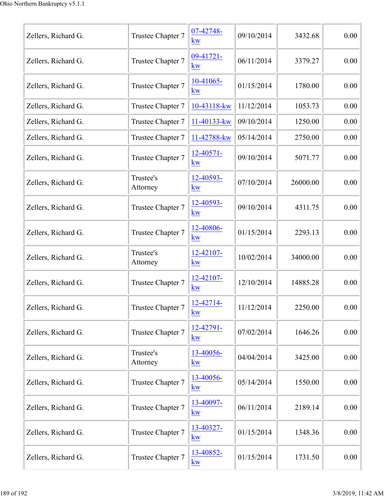| Zellers, Richard G. | Trustee Chapter 7     | 07-42748-<br><b>kw</b>            | 09/10/2014 | 3432.68  | 0.00 |
|---------------------|-----------------------|-----------------------------------|------------|----------|------|
| Zellers, Richard G. | Trustee Chapter 7     | 09-41721-<br><b>kw</b>            | 06/11/2014 | 3379.27  | 0.00 |
| Zellers, Richard G. | Trustee Chapter 7     | $10-41065-$<br><b>kw</b>          | 01/15/2014 | 1780.00  | 0.00 |
| Zellers, Richard G. | Trustee Chapter 7     | 10-43118-kw                       | 11/12/2014 | 1053.73  | 0.00 |
| Zellers, Richard G. | Trustee Chapter 7     | 11-40133-kw                       | 09/10/2014 | 1250.00  | 0.00 |
| Zellers, Richard G. | Trustee Chapter 7     | 11-42788-kw                       | 05/14/2014 | 2750.00  | 0.00 |
| Zellers, Richard G. | Trustee Chapter 7     | 12-40571-<br><b>kw</b>            | 09/10/2014 | 5071.77  | 0.00 |
| Zellers, Richard G. | Trustee's<br>Attorney | 12-40593-<br>kw                   | 07/10/2014 | 26000.00 | 0.00 |
| Zellers, Richard G. | Trustee Chapter 7     | 12-40593-<br>kw                   | 09/10/2014 | 4311.75  | 0.00 |
| Zellers, Richard G. | Trustee Chapter 7     | 12-40806-<br><b>kw</b>            | 01/15/2014 | 2293.13  | 0.00 |
| Zellers, Richard G. | Trustee's<br>Attorney | 12-42107-<br>kw                   | 10/02/2014 | 34000.00 | 0.00 |
| Zellers, Richard G. | Trustee Chapter 7     | 12-42107-<br>kw                   | 12/10/2014 | 14885.28 | 0.00 |
| Zellers, Richard G. | Trustee Chapter 7     | 12-42714-<br><u>kw</u>            | 11/12/2014 | 2250.00  | 0.00 |
| Zellers, Richard G. | Trustee Chapter 7     | 12-42791-<br><b>kw</b>            | 07/02/2014 | 1646.26  | 0.00 |
| Zellers, Richard G. | Trustee's<br>Attorney | 13-40056-<br>kw                   | 04/04/2014 | 3425.00  | 0.00 |
| Zellers, Richard G. | Trustee Chapter 7     | 13-40056-<br><b>kw</b>            | 05/14/2014 | 1550.00  | 0.00 |
| Zellers, Richard G. | Trustee Chapter 7     | 13-40097-<br><b>kw</b>            | 06/11/2014 | 2189.14  | 0.00 |
| Zellers, Richard G. | Trustee Chapter 7     | 13-40327-<br><b>kw</b>            | 01/15/2014 | 1348.36  | 0.00 |
| Zellers, Richard G. | Trustee Chapter 7     | 13-40852-<br>$\underline{\bf kw}$ | 01/15/2014 | 1731.50  | 0.00 |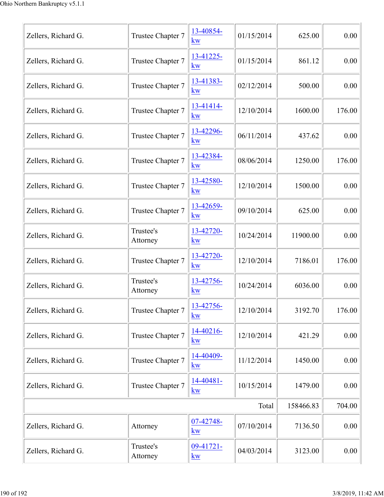| Zellers, Richard G. | Trustee Chapter 7     | 13-40854-<br>kw                   | 01/15/2014 | 625.00    | 0.00   |
|---------------------|-----------------------|-----------------------------------|------------|-----------|--------|
| Zellers, Richard G. | Trustee Chapter 7     | 13-41225-<br>kw                   | 01/15/2014 | 861.12    | 0.00   |
| Zellers, Richard G. | Trustee Chapter 7     | 13-41383-<br><b>kw</b>            | 02/12/2014 | 500.00    | 0.00   |
| Zellers, Richard G. | Trustee Chapter 7     | 13-41414-<br>kw                   | 12/10/2014 | 1600.00   | 176.00 |
| Zellers, Richard G. | Trustee Chapter 7     | 13-42296-<br><b>kw</b>            | 06/11/2014 | 437.62    | 0.00   |
| Zellers, Richard G. | Trustee Chapter 7     | 13-42384-<br><b>kw</b>            | 08/06/2014 | 1250.00   | 176.00 |
| Zellers, Richard G. | Trustee Chapter 7     | 13-42580-<br>kw                   | 12/10/2014 | 1500.00   | 0.00   |
| Zellers, Richard G. | Trustee Chapter 7     | 13-42659-<br>kw                   | 09/10/2014 | 625.00    | 0.00   |
| Zellers, Richard G. | Trustee's<br>Attorney | 13-42720-<br>kw                   | 10/24/2014 | 11900.00  | 0.00   |
| Zellers, Richard G. | Trustee Chapter 7     | 13-42720-<br>kw                   | 12/10/2014 | 7186.01   | 176.00 |
| Zellers, Richard G. | Trustee's<br>Attorney | 13-42756-<br>kw                   | 10/24/2014 | 6036.00   | 0.00   |
| Zellers, Richard G. | Trustee Chapter 7     | 13-42756-<br>kw                   | 12/10/2014 | 3192.70   | 176.00 |
| Zellers, Richard G. | Trustee Chapter 7     | 14-40216-<br>kw                   | 12/10/2014 | 421.29    | 0.00   |
| Zellers, Richard G. | Trustee Chapter 7     | 14-40409-<br>kw                   | 11/12/2014 | 1450.00   | 0.00   |
| Zellers, Richard G. | Trustee Chapter 7     | 14-40481-<br>$\underline{\bf kw}$ | 10/15/2014 | 1479.00   | 0.00   |
|                     |                       |                                   | Total      | 158466.83 | 704.00 |
| Zellers, Richard G. | Attorney              | 07-42748-<br>kw                   | 07/10/2014 | 7136.50   | 0.00   |
| Zellers, Richard G. | Trustee's<br>Attorney | $09-41721-$<br>kw                 | 04/03/2014 | 3123.00   | 0.00   |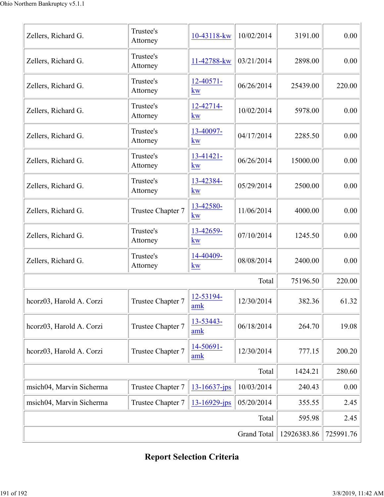| Zellers, Richard G.      | Trustee's<br>Attorney | 10-43118-kw            | 10/02/2014 | 3191.00  | 0.00   |
|--------------------------|-----------------------|------------------------|------------|----------|--------|
| Zellers, Richard G.      | Trustee's<br>Attorney | 11-42788-kw            | 03/21/2014 | 2898.00  | 0.00   |
| Zellers, Richard G.      | Trustee's<br>Attorney | 12-40571-<br>kw        | 06/26/2014 | 25439.00 | 220.00 |
| Zellers, Richard G.      | Trustee's<br>Attorney | 12-42714-<br>kw        | 10/02/2014 | 5978.00  | 0.00   |
| Zellers, Richard G.      | Trustee's<br>Attorney | 13-40097-<br>kw        | 04/17/2014 | 2285.50  | 0.00   |
| Zellers, Richard G.      | Trustee's<br>Attorney | $13 - 41421 -$<br>kw   | 06/26/2014 | 15000.00 | 0.00   |
| Zellers, Richard G.      | Trustee's<br>Attorney | 13-42384-<br>kw        | 05/29/2014 | 2500.00  | 0.00   |
| Zellers, Richard G.      | Trustee Chapter 7     | 13-42580-<br><b>kw</b> | 11/06/2014 | 4000.00  | 0.00   |
| Zellers, Richard G.      | Trustee's<br>Attorney | 13-42659-<br>kw        | 07/10/2014 | 1245.50  | 0.00   |
| Zellers, Richard G.      | Trustee's<br>Attorney | 14-40409-<br>kw        | 08/08/2014 | 2400.00  | 0.00   |
|                          |                       |                        | Total      | 75196.50 | 220.00 |
| heorz03, Harold A. Corzi | Trustee Chapter 7     | 12-53194-<br>amk       | 12/30/2014 | 382.36   | 61.32  |
| hcorz03, Harold A. Corzi | Trustee Chapter 7     | 13-53443-<br>amk       | 06/18/2014 | 264.70   | 19.08  |
| hcorz03, Harold A. Corzi | Trustee Chapter 7     | 14-50691-<br>amk       | 12/30/2014 | 777.15   | 200.20 |
|                          | 1424.21               | 280.60                 |            |          |        |
| msich04, Marvin Sicherma | Trustee Chapter 7     | 13-16637-jps           | 10/03/2014 | 240.43   | 0.00   |
| msich04, Marvin Sicherma | Trustee Chapter 7     | 13-16929-jps           | 05/20/2014 | 355.55   | 2.45   |
|                          | Total                 | 595.98                 | 2.45       |          |        |
|                          | 12926383.86           | 725991.76              |            |          |        |

## **Report Selection Criteria**